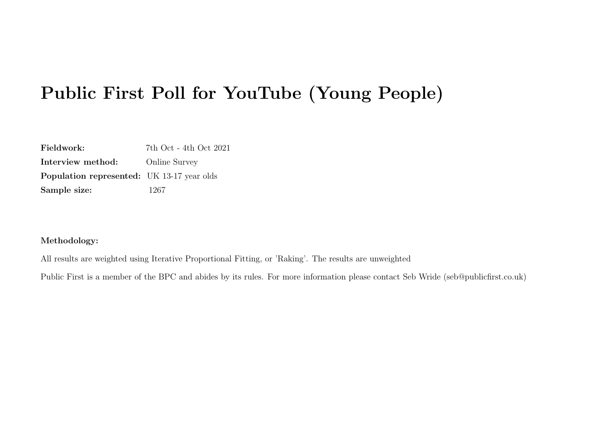# Public First Poll for YouTube (Young People)

Fieldwork: 7th Oct - 4th Oct 2021 Interview method: Online Survey Population represented: UK 13-17 year olds Sample size: 1267

#### Methodology:

All results are weighted using Iterative Proportional Fitting, or 'Raking'. The results are unweighted

Public First is a member of the BPC and abides by its rules. For more information please contact Seb Wride (seb@publicfirst.co.uk)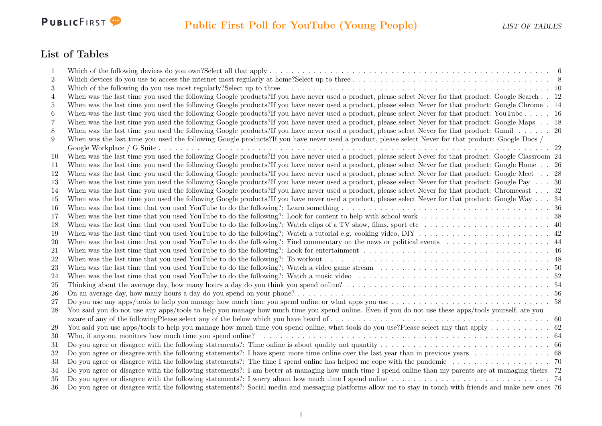

### List of Tables

| 1                |                                                                                                                                                           |  |
|------------------|-----------------------------------------------------------------------------------------------------------------------------------------------------------|--|
| $\boldsymbol{2}$ |                                                                                                                                                           |  |
| $\boldsymbol{3}$ |                                                                                                                                                           |  |
| 4                | When was the last time you used the following Google products?If you have never used a product, please select Never for that product: Google Search 12    |  |
| 5                | When was the last time you used the following Google products?If you have never used a product, please select Never for that product: Google Chrome. 14   |  |
| $\boldsymbol{6}$ | When was the last time you used the following Google products?If you have never used a product, please select Never for that product: YouTube 16          |  |
| 7                | When was the last time you used the following Google products?If you have never used a product, please select Never for that product: Google Maps 18      |  |
| 8                | When was the last time you used the following Google products?If you have never used a product, please select Never for that product: Gmail 20            |  |
| 9                | When was the last time you used the following Google products?If you have never used a product, please select Never for that product: Google Docs /       |  |
|                  |                                                                                                                                                           |  |
| 10               | When was the last time you used the following Google products?If you have never used a product, please select Never for that product: Google Classroom 24 |  |
| 11               | When was the last time you used the following Google products?If you have never used a product, please select Never for that product: Google Home 26      |  |
| 12               | When was the last time you used the following Google products?If you have never used a product, please select Never for that product: Google Meet 28      |  |
| 13               | When was the last time you used the following Google products?If you have never used a product, please select Never for that product: Google Pay 30       |  |
| 14               | When was the last time you used the following Google products?If you have never used a product, please select Never for that product: Chromecast 32       |  |
| 15               | When was the last time you used the following Google products?If you have never used a product, please select Never for that product: Google Way  34      |  |
| 16               |                                                                                                                                                           |  |
| 17               |                                                                                                                                                           |  |
| 18               |                                                                                                                                                           |  |
| 19               |                                                                                                                                                           |  |
| 20               |                                                                                                                                                           |  |
| 21               |                                                                                                                                                           |  |
| 22               |                                                                                                                                                           |  |
| 23               |                                                                                                                                                           |  |
| 24               |                                                                                                                                                           |  |
| 25               |                                                                                                                                                           |  |
| 26               |                                                                                                                                                           |  |
| 27               |                                                                                                                                                           |  |
| 28               | You said you do not use any apps/tools to help you manage how much time you spend online. Even if you do not use these apps/tools yourself, are you       |  |
|                  |                                                                                                                                                           |  |
| 29               |                                                                                                                                                           |  |
| 30               |                                                                                                                                                           |  |
| 31               |                                                                                                                                                           |  |
| 32               |                                                                                                                                                           |  |
| 33               |                                                                                                                                                           |  |
| 34               | Do you agree or disagree with the following statements?: I am better at managing how much time I spend online than my parents are at managing theirs 72   |  |
| 35               |                                                                                                                                                           |  |
| 36               | Do you agree or disagree with the following statements?: Social media and messaging platforms allow me to stay in touch with friends and make new ones 76 |  |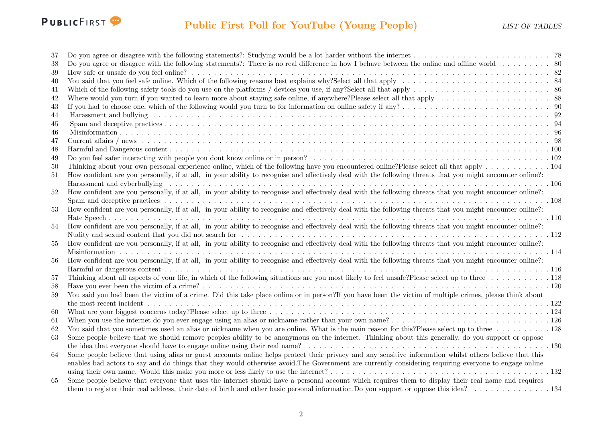

| -37 |                                                                                                                                                             |
|-----|-------------------------------------------------------------------------------------------------------------------------------------------------------------|
| 38  | Do you agree or disagree with the following statements?: There is no real difference in how I behave between the online and offline world 80                |
| 39  |                                                                                                                                                             |
| 40  |                                                                                                                                                             |
| 41  |                                                                                                                                                             |
| 42  |                                                                                                                                                             |
| 43  |                                                                                                                                                             |
| 44  |                                                                                                                                                             |
| 45  |                                                                                                                                                             |
| 46  |                                                                                                                                                             |
| 47  |                                                                                                                                                             |
| 48  |                                                                                                                                                             |
| 49  |                                                                                                                                                             |
| 50  | Thinking about your own personal experience online, which of the following have you encountered online?Please select all that apply 104                     |
| 51  | How confident are you personally, if at all, in your ability to recognise and effectively deal with the following threats that you might encounter online?: |
|     |                                                                                                                                                             |
| 52  | How confident are you personally, if at all, in your ability to recognise and effectively deal with the following threats that you might encounter online?: |
|     |                                                                                                                                                             |
| 53  | How confident are you personally, if at all, in your ability to recognise and effectively deal with the following threats that you might encounter online?: |
|     |                                                                                                                                                             |
| 54  | How confident are you personally, if at all, in your ability to recognise and effectively deal with the following threats that you might encounter online?  |
|     |                                                                                                                                                             |
| 55  | How confident are you personally, if at all, in your ability to recognise and effectively deal with the following threats that you might encounter online?: |
|     |                                                                                                                                                             |
| 56  | How confident are you personally, if at all, in your ability to recognise and effectively deal with the following threats that you might encounter online?: |
|     |                                                                                                                                                             |
| 57  | Thinking about all aspects of your life, in which of the following situations are you most likely to feel unsafe?Please select up to three  118             |
| 58  |                                                                                                                                                             |
| 59  | You said you had been the victim of a crime. Did this take place online or in person?If you have been the victim of multiple crimes, please think about     |
|     |                                                                                                                                                             |
| 60  |                                                                                                                                                             |
| 61  |                                                                                                                                                             |
| 62  | You said that you sometimes used an alias or nickname when you are online. What is the main reason for this?Please select up to three 128                   |
| 63  | Some people believe that we should remove peoples ability to be anonymous on the internet. Thinking about this generally, do you support or oppose          |
|     |                                                                                                                                                             |
| 64  | Some people believe that using alias or guest accounts online helps protect their privacy and any sensitive information whilst others believe that this     |
|     | enables bad actors to say and do things that they would otherwise avoid. The Government are currently considering requiring everyone to engage online       |
|     |                                                                                                                                                             |
| 65  | Some people believe that everyone that uses the internet should have a personal account which requires them to display their real name and requires         |
|     |                                                                                                                                                             |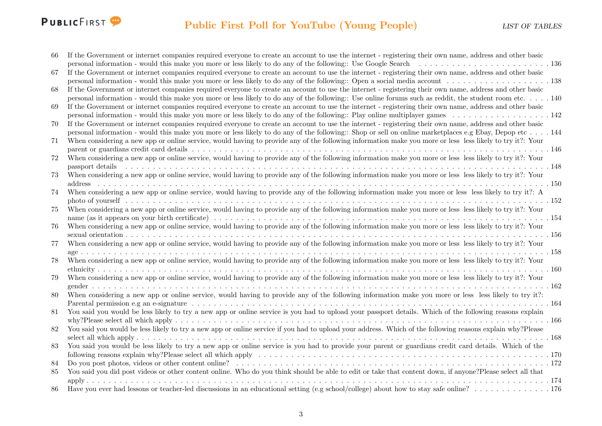# PUBLICFIRST<sup>9</sup>

| -66 | If the Government or internet companies required everyone to create an account to use the internet - registering their own name, address and other basic                                                                       |
|-----|--------------------------------------------------------------------------------------------------------------------------------------------------------------------------------------------------------------------------------|
|     |                                                                                                                                                                                                                                |
| 67  | If the Government or internet companies required everyone to create an account to use the internet - registering their own name, address and other basic                                                                       |
|     |                                                                                                                                                                                                                                |
| 68  | If the Government or internet companies required everyone to create an account to use the internet - registering their own name, address and other basic                                                                       |
|     | personal information - would this make you more or less likely to do any of the following:: Use online forums such as reddit, the student room etc. 140                                                                        |
| 69  | If the Government or internet companies required everyone to create an account to use the internet - registering their own name, address and other basic                                                                       |
|     |                                                                                                                                                                                                                                |
| 70  | If the Government or internet companies required everyone to create an account to use the internet - registering their own name, address and other basic                                                                       |
|     | personal information - would this make you more or less likely to do any of the following:: Shop or sell on online marketplaces e.g Ebay, Depop etc 144                                                                        |
| 71  | When considering a new app or online service, would having to provide any of the following information make you more or less less likely to try it?: Your                                                                      |
|     |                                                                                                                                                                                                                                |
| 72  | When considering a new app or online service, would having to provide any of the following information make you more or less less likely to try it?: Your                                                                      |
|     | passport details response to the contract the contract of the contract of the contract of the contract of the contract of the contract of the passport details response to the contract of the contract of the contract of the |
| 73  | When considering a new app or online service, would having to provide any of the following information make you more or less less likely to try it?: Your                                                                      |
|     |                                                                                                                                                                                                                                |
| 74  | When considering a new app or online service, would having to provide any of the following information make you more or less less likely to try it?: A                                                                         |
|     |                                                                                                                                                                                                                                |
| 75  | When considering a new app or online service, would having to provide any of the following information make you more or less less likely to try it?: Your                                                                      |
|     |                                                                                                                                                                                                                                |
| 76  | When considering a new app or online service, would having to provide any of the following information make you more or less less likely to try it?: Your                                                                      |
|     |                                                                                                                                                                                                                                |
| 77  | When considering a new app or online service, would having to provide any of the following information make you more or less less likely to try it?: Your                                                                      |
|     |                                                                                                                                                                                                                                |
| 78  | When considering a new app or online service, would having to provide any of the following information make you more or less less likely to try it?: Your                                                                      |
|     |                                                                                                                                                                                                                                |
| 79  | When considering a new app or online service, would having to provide any of the following information make you more or less less likely to try it?: Your                                                                      |
|     |                                                                                                                                                                                                                                |
| 80  | When considering a new app or online service, would having to provide any of the following information make you more or less less likely to try it?:                                                                           |
|     |                                                                                                                                                                                                                                |
| 81  | You said you would be less likely to try a new app or online service is you had to upload your passport details. Which of the following reasons explain                                                                        |
|     |                                                                                                                                                                                                                                |
| 82  | You said you would be less likely to try a new app or online service if you had to upload your address. Which of the following reasons explain why?Please                                                                      |
|     | You said you would be less likely to try a new app or online service is you had to provide your parent or guardians credit card details. Which of the                                                                          |
| 83  |                                                                                                                                                                                                                                |
|     |                                                                                                                                                                                                                                |
| 84  | You said you did post videos or other content online. Who do you think should be able to edit or take that content down, if anyone?Please select all that                                                                      |
| 85  |                                                                                                                                                                                                                                |
| 86  |                                                                                                                                                                                                                                |
|     |                                                                                                                                                                                                                                |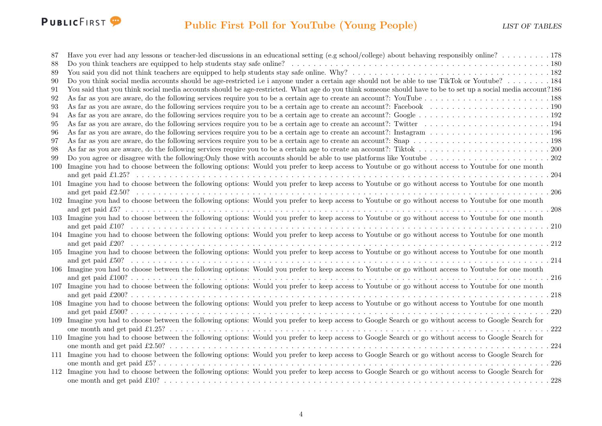

| 87  | Have you ever had any lessons or teacher-led discussions in an educational setting (e.g school/college) about behaving responsibly online? 178               |  |
|-----|--------------------------------------------------------------------------------------------------------------------------------------------------------------|--|
| 88  |                                                                                                                                                              |  |
| 89  |                                                                                                                                                              |  |
| 90  | Do you think social media accounts should be age-restricted i.e i anyone under a certain age should not be able to use TikTok or Youtube? 184                |  |
| 91  | You said that you think social media accounts should be age-restricted. What age do you think someone should have to be to set up a social media account?186 |  |
| 92  |                                                                                                                                                              |  |
| 93  |                                                                                                                                                              |  |
| 94  |                                                                                                                                                              |  |
| 95  |                                                                                                                                                              |  |
| 96  |                                                                                                                                                              |  |
| 97  |                                                                                                                                                              |  |
| 98  |                                                                                                                                                              |  |
| 99  |                                                                                                                                                              |  |
| 100 | Imagine you had to choose between the following options: Would you prefer to keep access to Youtube or go without access to Youtube for one month            |  |
|     |                                                                                                                                                              |  |
| 101 | Imagine you had to choose between the following options: Would you prefer to keep access to Youtube or go without access to Youtube for one month            |  |
|     |                                                                                                                                                              |  |
|     | 102 Imagine you had to choose between the following options: Would you prefer to keep access to Youtube or go without access to Youtube for one month        |  |
|     |                                                                                                                                                              |  |
| 103 | Imagine you had to choose between the following options: Would you prefer to keep access to Youtube or go without access to Youtube for one month            |  |
|     |                                                                                                                                                              |  |
|     | 104 Imagine you had to choose between the following options: Would you prefer to keep access to Youtube or go without access to Youtube for one month        |  |
|     |                                                                                                                                                              |  |
|     | 105 Imagine you had to choose between the following options: Would you prefer to keep access to Youtube or go without access to Youtube for one month        |  |
|     |                                                                                                                                                              |  |
|     | 106 Imagine you had to choose between the following options: Would you prefer to keep access to Youtube or go without access to Youtube for one month        |  |
|     |                                                                                                                                                              |  |
|     | 107 Imagine you had to choose between the following options: Would you prefer to keep access to Youtube or go without access to Youtube for one month        |  |
|     |                                                                                                                                                              |  |
|     | 108 Imagine you had to choose between the following options: Would you prefer to keep access to Youtube or go without access to Youtube for one month        |  |
|     |                                                                                                                                                              |  |
| 109 | Imagine you had to choose between the following options: Would you prefer to keep access to Google Search or go without access to Google Search for          |  |
|     | .222                                                                                                                                                         |  |
| 110 | Imagine you had to choose between the following options: Would you prefer to keep access to Google Search or go without access to Google Search for          |  |
|     | .224                                                                                                                                                         |  |
| 111 | Imagine you had to choose between the following options: Would you prefer to keep access to Google Search or go without access to Google Search for          |  |
|     | .226                                                                                                                                                         |  |
|     | 112 Imagine you had to choose between the following options: Would you prefer to keep access to Google Search or go without access to Google Search for      |  |
|     | .228                                                                                                                                                         |  |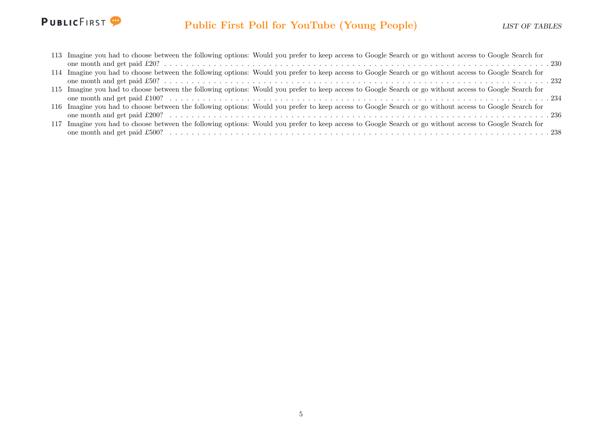

| 113 Imagine you had to choose between the following options: Would you prefer to keep access to Google Search or go without access to Google Search for |  |
|---------------------------------------------------------------------------------------------------------------------------------------------------------|--|
|                                                                                                                                                         |  |
| 114 Imagine you had to choose between the following options: Would you prefer to keep access to Google Search or go without access to Google Search for |  |
|                                                                                                                                                         |  |
| 115 Imagine you had to choose between the following options: Would you prefer to keep access to Google Search or go without access to Google Search for |  |
|                                                                                                                                                         |  |
| 116 Imagine you had to choose between the following options: Would you prefer to keep access to Google Search or go without access to Google Search for |  |
|                                                                                                                                                         |  |
| 117 Imagine you had to choose between the following options: Would you prefer to keep access to Google Search or go without access to Google Search for |  |
|                                                                                                                                                         |  |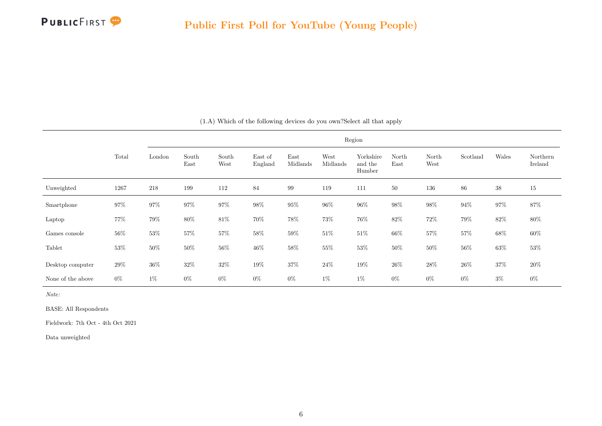<span id="page-6-0"></span>

|                   |        | Region |               |               |                    |                  |                  |                                |               |               |          |        |                     |
|-------------------|--------|--------|---------------|---------------|--------------------|------------------|------------------|--------------------------------|---------------|---------------|----------|--------|---------------------|
|                   | Total  | London | South<br>East | South<br>West | East of<br>England | East<br>Midlands | West<br>Midlands | Yorkshire<br>and the<br>Humber | North<br>East | North<br>West | Scotland | Wales  | Northern<br>Ireland |
| Unweighted        | 1267   | 218    | 199           | 112           | 84                 | 99               | 119              | 111                            | 50            | 136           | 86       | $38\,$ | 15                  |
| Smartphone        | 97%    | $97\%$ | $97\%$        | $97\%$        | $98\%$             | $95\%$           | $96\%$           | $96\%$                         | $98\%$        | $98\%$        | $94\%$   | $97\%$ | $87\%$              |
| Laptop            | 77%    | $79\%$ | $80\%$        | $81\%$        | 70%                | $78\%$           | 73%              | $76\%$                         | $82\%$        | $72\%$        | $79\%$   | $82\%$ | $80\%$              |
| Games console     | $56\%$ | $53\%$ | $57\%$        | $57\%$        | $58\%$             | $59\%$           | $51\%$           | $51\%$                         | $66\%$        | $57\%$        | $57\%$   | $68\%$ | $60\%$              |
| Tablet            | 53%    | $50\%$ | $50\%$        | $56\%$        | $46\%$             | $58\%$           | $55\%$           | $53\%$                         | 50%           | $50\%$        | 56%      | $63\%$ | 53%                 |
| Desktop computer  | $29\%$ | $36\%$ | $32\%$        | $32\%$        | $19\%$             | $37\%$           | $24\%$           | $19\%$                         | $26\%$        | $28\%$        | $26\%$   | $37\%$ | $20\%$              |
| None of the above | $0\%$  | $1\%$  | $0\%$         | $0\%$         | $0\%$              | $0\%$            | $1\%$            | $1\%$                          | $0\%$         | $0\%$         | $0\%$    | $3\%$  | $0\%$               |

(1.A) Which of the following devices do you own?Select all that apply

Note:

BASE: All Respondents

Fieldwork: 7th Oct - 4th Oct 2021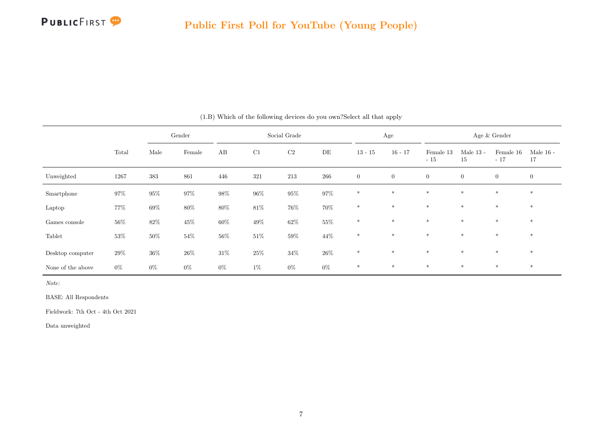

|                   | Gender |        |        |        | Social Grade |          |        |                | Age              |                    | Age & Gender      |                    |                   |  |
|-------------------|--------|--------|--------|--------|--------------|----------|--------|----------------|------------------|--------------------|-------------------|--------------------|-------------------|--|
|                   | Total  | Male   | Female | AB     | C1           | $\rm C2$ | DE     | $13 - 15$      | $16 - 17$        | Female 13<br>$-15$ | Male $13$ -<br>15 | Female 16<br>$-17$ | Male $16$ -<br>17 |  |
| Unweighted        | 1267   | 383    | 861    | 446    | 321          | 213      | 266    | $\overline{0}$ | $\boldsymbol{0}$ | $\overline{0}$     | $\overline{0}$    | $\overline{0}$     | $\boldsymbol{0}$  |  |
| Smartphone        | $97\%$ | $95\%$ | $97\%$ | $98\%$ | $96\%$       | $95\%$   | 97%    | $\ast$         | $\ast$           | $\ast$             | $\ast$            | $\ast$             | $\ast$            |  |
| Laptop            | 77%    | $69\%$ | $80\%$ | $80\%$ | $81\%$       | $76\%$   | $70\%$ | $\ast$         | $*$              | $*$                | $\ast$            | $*$                | $\ast$            |  |
| Games console     | $56\%$ | $82\%$ | $45\%$ | $60\%$ | $49\%$       | $62\%$   | 55%    | $\ast$         | $\ast$           | $\ast$             | $\ast$            | $*$                | $\ast$            |  |
| Tablet            | $53\%$ | $50\%$ | $54\%$ | $56\%$ | $51\%$       | $59\%$   | 44%    | $\ast$         | $*$              | $\ast$             | $\ast$            | $*$                | $\ast$            |  |
| Desktop computer  | $29\%$ | $36\%$ | $26\%$ | $31\%$ | $25\%$       | $34\%$   | $26\%$ | $\ast$         | $\ast$           | $\ast$             | $\ast$            | $*$                | $\ast$            |  |
| None of the above | $0\%$  | $0\%$  | $0\%$  | $0\%$  | $1\%$        | $0\%$    | $0\%$  | $\ast$         | $\ast$           | $\ast$             | $\ast$            | $\ast$             | $\ast$            |  |

(1.B) Which of the following devices do you own?Select all that apply

Note:

BASE: All Respondents

Fieldwork: 7th Oct - 4th Oct 2021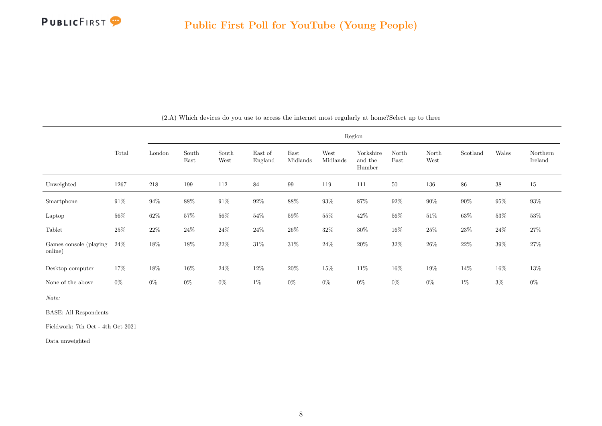

<span id="page-8-0"></span>

|                                   |        |        | Region        |               |                    |                  |                  |                                |               |               |          |        |                     |  |
|-----------------------------------|--------|--------|---------------|---------------|--------------------|------------------|------------------|--------------------------------|---------------|---------------|----------|--------|---------------------|--|
|                                   | Total  | London | South<br>East | South<br>West | East of<br>England | East<br>Midlands | West<br>Midlands | Yorkshire<br>and the<br>Humber | North<br>East | North<br>West | Scotland | Wales  | Northern<br>Ireland |  |
| Unweighted                        | 1267   | 218    | 199           | 112           | 84                 | 99               | 119              | 111                            | 50            | 136           | 86       | $38\,$ | $15\,$              |  |
| Smartphone                        | $91\%$ | $94\%$ | $88\%$        | $91\%$        | $92\%$             | $88\%$           | $93\%$           | $87\%$                         | $92\%$        | $90\%$        | $90\%$   | $95\%$ | $93\%$              |  |
| Laptop                            | $56\%$ | $62\%$ | $57\%$        | $56\%$        | 54%                | $59\%$           | $55\%$           | $42\%$                         | 56%           | $51\%$        | $63\%$   | $53\%$ | $53\%$              |  |
| Tablet                            | $25\%$ | $22\%$ | $24\%$        | $24\%$        | $24\%$             | $26\%$           | $32\%$           | $30\%$                         | $16\%$        | $25\%$        | $23\%$   | $24\%$ | $27\%$              |  |
| Games console (playing<br>online) | $24\%$ | $18\%$ | 18%           | $22\%$        | 31\%               | $31\%$           | 24\%             | $20\%$                         | 32%           | $26\%$        | $22\%$   | $39\%$ | 27\%                |  |
| Desktop computer                  | 17%    | $18\%$ | 16%           | $24\%$        | 12%                | $20\%$           | 15%              | $11\%$                         | 16%           | $19\%$        | 14%      | $16\%$ | $13\%$              |  |
| None of the above                 | $0\%$  | $0\%$  | $0\%$         | $0\%$         | $1\%$              | $0\%$            | $0\%$            | $0\%$                          | $0\%$         | $0\%$         | $1\%$    | $3\%$  | $0\%$               |  |

(2.A) Which devices do you use to access the internet most regularly at home?Select up to three

Note:

BASE: All Respondents

Fieldwork: 7th Oct - 4th Oct 2021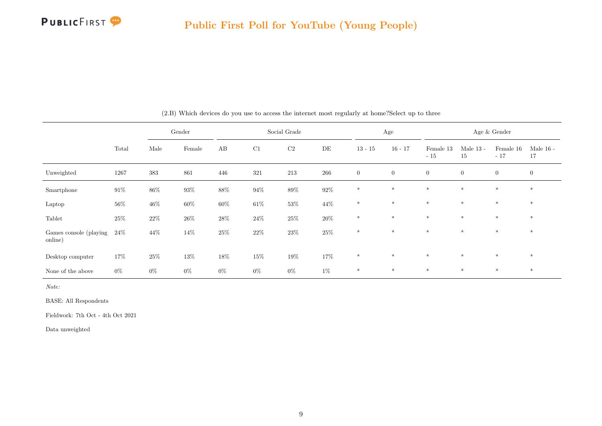

|                                   |        |        | Gender | Social Grade |        |        |        | Age            |                | Age & Gender       |                   |                    |                   |
|-----------------------------------|--------|--------|--------|--------------|--------|--------|--------|----------------|----------------|--------------------|-------------------|--------------------|-------------------|
|                                   | Total  | Male   | Female | AB           | C1     | C2     | DE     | $13 - 15$      | $16 - 17$      | Female 13<br>$-15$ | Male $13$ -<br>15 | Female 16<br>$-17$ | Male $16$ -<br>17 |
| Unweighted                        | 1267   | 383    | 861    | 446          | 321    | 213    | 266    | $\overline{0}$ | $\overline{0}$ | $\overline{0}$     | $\overline{0}$    | $\overline{0}$     | $\overline{0}$    |
| Smartphone                        | $91\%$ | $86\%$ | $93\%$ | $88\%$       | $94\%$ | $89\%$ | $92\%$ | $*$            | $*$            | $\ast$             | $\ast$            | $\ast$             | $\ast$            |
| Laptop                            | $56\%$ | $46\%$ | $60\%$ | $60\%$       | $61\%$ | $53\%$ | $44\%$ | $*$            | $*$            | $*$                | $*$               | $*$                | $*$               |
| Tablet                            | $25\%$ | $22\%$ | $26\%$ | $28\%$       | $24\%$ | $25\%$ | $20\%$ | $\ast$         | $*$            | $\ast$             | $*$               | $\ast$             | $*$               |
| Games console (playing<br>online) | $24\%$ | 44\%   | 14%    | $25\%$       | $22\%$ | $23\%$ | $25\%$ | $*$            | $*$            | $*$                | $*$               | $*$                | $*$               |
| Desktop computer                  | 17%    | $25\%$ | $13\%$ | $18\%$       | $15\%$ | $19\%$ | $17\%$ | $\ast$         | $*$            | $*$                | $*$               | $*$                | $*$               |
| None of the above                 | $0\%$  | $0\%$  | $0\%$  | $0\%$        | $0\%$  | $0\%$  | $1\%$  | $\ast$         | $*$            | $\ast$             | $*$               | $*$                | $\ast$            |

(2.B) Which devices do you use to access the internet most regularly at home?Select up to three

Note:

BASE: All Respondents

Fieldwork: 7th Oct - 4th Oct 2021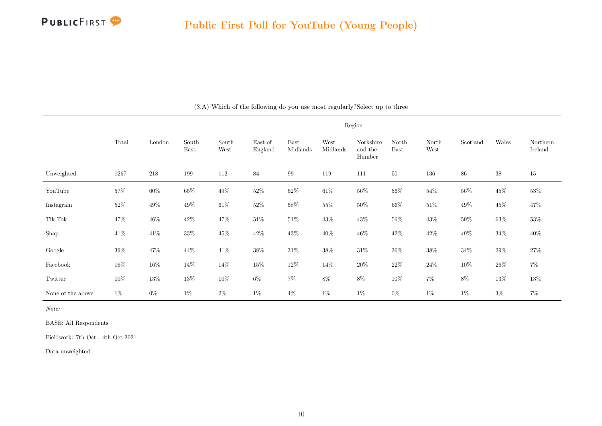

<span id="page-10-0"></span>

|                   | Region |         |               |               |                    |                  |                  |                                |               |               |          |        |                     |
|-------------------|--------|---------|---------------|---------------|--------------------|------------------|------------------|--------------------------------|---------------|---------------|----------|--------|---------------------|
|                   | Total  | London  | South<br>East | South<br>West | East of<br>England | East<br>Midlands | West<br>Midlands | Yorkshire<br>and the<br>Humber | North<br>East | North<br>West | Scotland | Wales  | Northern<br>Ireland |
| Unweighted        | 1267   | $218\,$ | 199           | 112           | 84                 | 99               | 119              | 111                            | 50            | 136           | 86       | $38\,$ | 15                  |
| YouTube           | $57\%$ | $60\%$  | $65\%$        | $49\%$        | 52\%               | $52\%$           | $61\%$           | $56\%$                         | $56\%$        | $54\%$        | $56\%$   | $45\%$ | 53%                 |
| Instagram         | $52\%$ | $49\%$  | $49\%$        | $61\%$        | $52\%$             | $58\%$           | $55\%$           | $50\%$                         | $66\%$        | $51\%$        | $49\%$   | $45\%$ | 47%                 |
| Tik Tok           | $47\%$ | $46\%$  | $42\%$        | $47\%$        | $51\%$             | $51\%$           | $43\%$           | $43\%$                         | $56\%$        | $43\%$        | $59\%$   | $63\%$ | $53\%$              |
| Snap              | $41\%$ | $41\%$  | $33\%$        | $45\%$        | $42\%$             | $43\%$           | $40\%$           | $46\%$                         | $42\%$        | $42\%$        | $49\%$   | $34\%$ | $40\%$              |
| Google            | $39\%$ | $47\%$  | $44\%$        | $41\%$        | $38\%$             | $31\%$           | $38\%$           | $31\%$                         | $36\%$        | $38\%$        | $34\%$   | $29\%$ | $27\%$              |
| Facebook          | $16\%$ | $16\%$  | $14\%$        | 14%           | $15\%$             | $12\%$           | 14%              | $20\%$                         | $22\%$        | $24\%$        | $10\%$   | $26\%$ | $7\%$               |
| Twitter           | 10%    | $13\%$  | $13\%$        | $10\%$        | $6\%$              | $7\%$            | $8\%$            | $8\%$                          | $10\%$        | $7\%$         | $8\%$    | $13\%$ | $13\%$              |
| None of the above | $1\%$  | $0\%$   | $1\%$         | $2\%$         | $1\%$              | $4\%$            | $1\%$            | $1\%$                          | $0\%$         | $1\%$         | $1\%$    | $3\%$  | $7\%$               |

(3.A) Which of the following do you use most regularly?Select up to three

Note:

BASE: All Respondents

Fieldwork: 7th Oct - 4th Oct 2021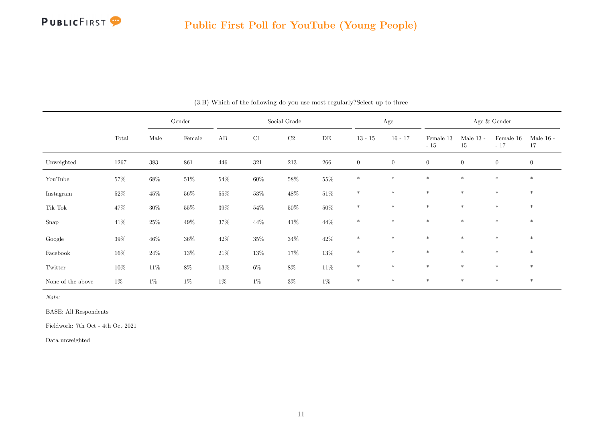

|                   |          |         | Gender  | Social Grade |         |           |           | Age            |                  | Age $\&$ Gender    |                   |                    |                   |
|-------------------|----------|---------|---------|--------------|---------|-----------|-----------|----------------|------------------|--------------------|-------------------|--------------------|-------------------|
|                   | Total    | Male    | Female  | AB           | C1      | $\rm{C2}$ | $\rm{DE}$ | $13 - 15$      | $16 - 17$        | Female 13<br>$-15$ | Male $13$ -<br>15 | Female 16<br>$-17$ | Male $16$ -<br>17 |
| Unweighted        | $1267\,$ | $383\,$ | $861\,$ | $446\,$      | $321\,$ | $213\,$   | $266\,$   | $\overline{0}$ | $\boldsymbol{0}$ | $\boldsymbol{0}$   | $\boldsymbol{0}$  | $\overline{0}$     | $\boldsymbol{0}$  |
| YouTube           | $57\%$   | $68\%$  | $51\%$  | $54\%$       | $60\%$  | $58\%$    | $55\%$    | $\ast$         | $\ast$           | $\ast$             | $\ast$            | $\ast$             | $\ast$            |
| Instagram         | $52\%$   | $45\%$  | $56\%$  | $55\%$       | $53\%$  | $48\%$    | $51\%$    | $\ast$         | $\ast$           | $\ast$             | $\ast$            | $\ast$             | $\ast$            |
| Tik Tok           | 47\%     | $30\%$  | $55\%$  | $39\%$       | $54\%$  | $50\%$    | $50\%$    | $\ast$         | $\ast$           | $\ast$             | $\ast$            | $\ast$             | $\ast$            |
| Snap              | $41\%$   | $25\%$  | $49\%$  | $37\%$       | $44\%$  | $41\%$    | $44\%$    | $*$            | $*$              | $\ast$             | $\ast$            | $\ast$             | $\ast$            |
| Google            | $39\%$   | $46\%$  | $36\%$  | $42\%$       | $35\%$  | $34\%$    | $42\%$    | $\ast$         | $*$              | $*$                | $*$               | $\ast$             | $\ast$            |
| Facebook          | $16\%$   | $24\%$  | $13\%$  | $21\%$       | $13\%$  | $17\%$    | $13\%$    | $\ast$         | $\ast$           | $\ast$             | $\ast$            | $\ast$             | $\ast$            |
| Twitter           | $10\%$   | $11\%$  | $8\%$   | $13\%$       | $6\%$   | $8\%$     | $11\%$    | $\ast$         | $\ast$           | $\ast$             | $\ast$            | $\ast$             | $\ast$            |
| None of the above | $1\%$    | $1\%$   | $1\%$   | $1\%$        | $1\%$   | $3\%$     | $1\%$     | $*$            | $\ast$           | $\ast$             | $\ast$            | $\ast$             | $\ast$            |

(3.B) Which of the following do you use most regularly?Select up to three

Note:

BASE: All Respondents

Fieldwork: 7th Oct - 4th Oct 2021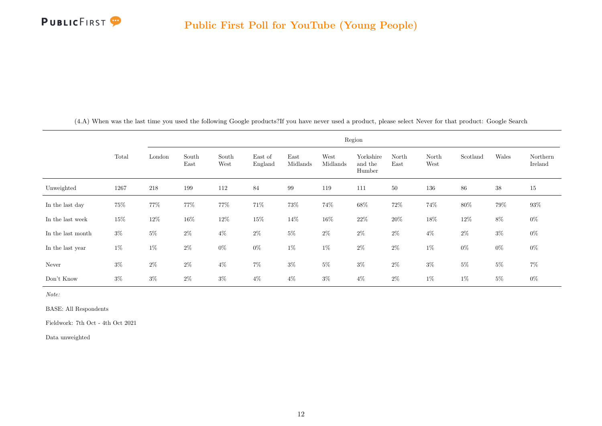

<span id="page-12-0"></span>

|                   | Region |        |               |               |                    |                  |                  |                                |               |               |          |        |                     |
|-------------------|--------|--------|---------------|---------------|--------------------|------------------|------------------|--------------------------------|---------------|---------------|----------|--------|---------------------|
|                   | Total  | London | South<br>East | South<br>West | East of<br>England | East<br>Midlands | West<br>Midlands | Yorkshire<br>and the<br>Humber | North<br>East | North<br>West | Scotland | Wales  | Northern<br>Ireland |
| Unweighted        | 1267   | 218    | 199           | 112           | 84                 | 99               | 119              | 111                            | 50            | 136           | 86       | $38\,$ | 15                  |
| In the last day   | $75\%$ | 77%    | $77\%$        | 77%           | 71%                | 73%              | 74%              | $68\%$                         | $72\%$        | 74%           | 80%      | 79%    | $93\%$              |
| In the last week  | $15\%$ | $12\%$ | $16\%$        | $12\%$        | $15\%$             | 14%              | $16\%$           | $22\%$                         | $20\%$        | $18\%$        | $12\%$   | $8\%$  | $0\%$               |
| In the last month | $3\%$  | $5\%$  | $2\%$         | $4\%$         | $2\%$              | $5\%$            | $2\%$            | $2\%$                          | $2\%$         | $4\%$         | $2\%$    | $3\%$  | $0\%$               |
| In the last year  | $1\%$  | $1\%$  | $2\%$         | $0\%$         | $0\%$              | $1\%$            | $1\%$            | $2\%$                          | $2\%$         | $1\%$         | $0\%$    | $0\%$  | $0\%$               |
| Never             | $3\%$  | $2\%$  | $2\%$         | $4\%$         | $7\%$              | $3\%$            | $5\%$            | $3\%$                          | $2\%$         | $3\%$         | $5\%$    | $5\%$  | $7\%$               |
| Don't Know        | $3\%$  | $3\%$  | $2\%$         | $3\%$         | $4\%$              | $4\%$            | $3\%$            | $4\%$                          | $2\%$         | $1\%$         | $1\%$    | $5\%$  | $0\%$               |

(4.A) When was the last time you used the following Google products?If you have never used a product, please select Never for that product: Google Search

Note:

BASE: All Respondents

Fieldwork: 7th Oct - 4th Oct 2021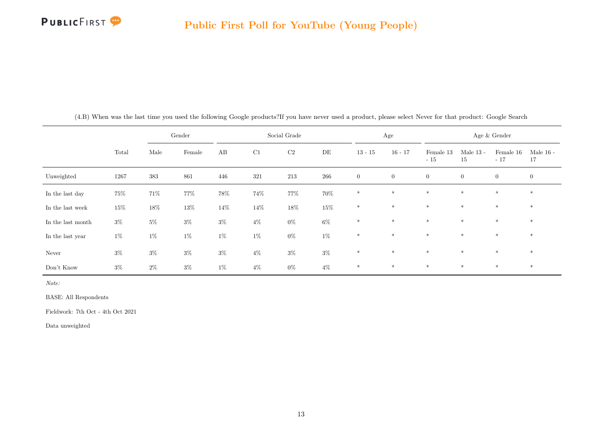

|                   |        |        | Gender |        |       | Social Grade |        |                | Age            |                    |                   | Age & Gender       |                   |
|-------------------|--------|--------|--------|--------|-------|--------------|--------|----------------|----------------|--------------------|-------------------|--------------------|-------------------|
|                   | Total  | Male   | Female | AB     | C1    | $\rm C2$     | DE     | $13 - 15$      | $16 - 17$      | Female 13<br>$-15$ | Male $13$ -<br>15 | Female 16<br>$-17$ | Male $16$ -<br>17 |
| Unweighted        | 1267   | 383    | 861    | 446    | 321   | 213          | 266    | $\overline{0}$ | $\overline{0}$ | $\overline{0}$     | $\overline{0}$    | $\overline{0}$     | $\overline{0}$    |
| In the last day   | $75\%$ | $71\%$ | $77\%$ | $78\%$ | 74%   | 77%          | 70%    | $*$            | $*$            | $*$                | $\ast$            | $\ast$             | $*$               |
| In the last week  | $15\%$ | $18\%$ | $13\%$ | $14\%$ | 14\%  | $18\%$       | $15\%$ | $\ast$         | $\ast$         | $\ast$             | $\ast$            | $\ast$             | $*$               |
| In the last month | $3\%$  | $5\%$  | $3\%$  | $3\%$  | $4\%$ | $0\%$        | $6\%$  | $\ast$         | $\ast$         | $\ast$             | $\ast$            | $\ast$             | $\ast$            |
| In the last year  | $1\%$  | $1\%$  | $1\%$  | $1\%$  | $1\%$ | $0\%$        | $1\%$  | $\ast$         | $\ast$         | $\ast$             | $\ast$            | $\ast$             | $*$               |
| Never             | $3\%$  | $3\%$  | $3\%$  | $3\%$  | $4\%$ | $3\%$        | $3\%$  | $*$            | $*$            | $\ast$             | $\ast$            | $*$                | $*$               |
| Don't Know        | $3\%$  | $2\%$  | $3\%$  | $1\%$  | $4\%$ | $0\%$        | $4\%$  | $\ast$         | $\ast$         | $*$                | $\ast$            | $\ast$             | $*$               |

(4.B) When was the last time you used the following Google products?If you have never used a product, please select Never for that product: Google Search

Note:

BASE: All Respondents

Fieldwork: 7th Oct - 4th Oct 2021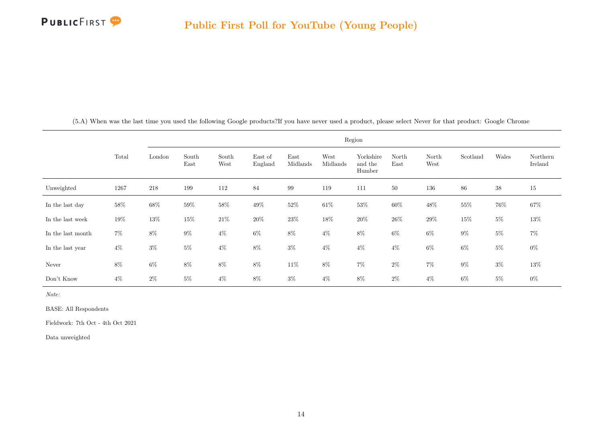

<span id="page-14-0"></span>

|                   |        |        |               |               |                    |                  |                  | Region                         |               |               |          |        |                     |
|-------------------|--------|--------|---------------|---------------|--------------------|------------------|------------------|--------------------------------|---------------|---------------|----------|--------|---------------------|
|                   | Total  | London | South<br>East | South<br>West | East of<br>England | East<br>Midlands | West<br>Midlands | Yorkshire<br>and the<br>Humber | North<br>East | North<br>West | Scotland | Wales  | Northern<br>Ireland |
| Unweighted        | 1267   | 218    | 199           | 112           | 84                 | 99               | 119              | 111                            | 50            | 136           | 86       | $38\,$ | 15                  |
| In the last day   | 58%    | $68\%$ | $59\%$        | $58\%$        | $49\%$             | $52\%$           | $61\%$           | $53\%$                         | $60\%$        | $48\%$        | 55%      | $76\%$ | $67\%$              |
| In the last week  | $19\%$ | $13\%$ | $15\%$        | $21\%$        | $20\%$             | $23\%$           | $18\%$           | $20\%$                         | $26\%$        | $29\%$        | $15\%$   | $5\%$  | $13\%$              |
| In the last month | $7\%$  | $8\%$  | $9\%$         | $4\%$         | $6\%$              | $8\%$            | $4\%$            | $8\%$                          | $6\%$         | $6\%$         | $9\%$    | $5\%$  | $7\%$               |
| In the last year  | $4\%$  | $3\%$  | $5\%$         | $4\%$         | $8\%$              | $3\%$            | $4\%$            | $4\%$                          | $4\%$         | $6\%$         | $6\%$    | $5\%$  | $0\%$               |
| Never             | $8\%$  | $6\%$  | $8\%$         | $8\%$         | $8\%$              | $11\%$           | $8\%$            | $7\%$                          | $2\%$         | $7\%$         | $9\%$    | $3\%$  | $13\%$              |
| Don't Know        | $4\%$  | $2\%$  | $5\%$         | $4\%$         | $8\%$              | $3\%$            | $4\%$            | $8\%$                          | $2\%$         | $4\%$         | 6%       | $5\%$  | $0\%$               |

(5.A) When was the last time you used the following Google products?If you have never used a product, please select Never for that product: Google Chrome

Note:

BASE: All Respondents

Fieldwork: 7th Oct - 4th Oct 2021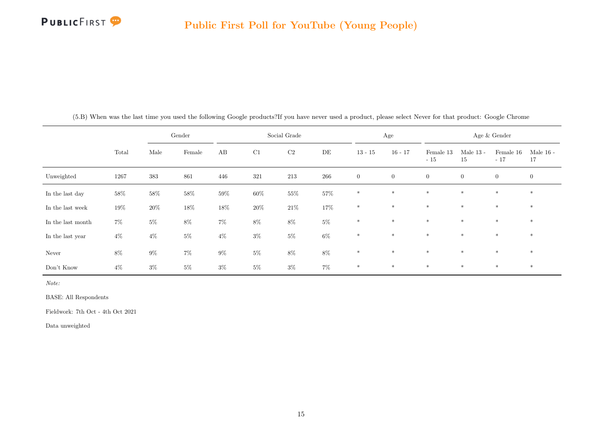

|                   |        |        | Gender |        |        | Social Grade |        |                | Age            |                    |                   | Age & Gender       |                   |
|-------------------|--------|--------|--------|--------|--------|--------------|--------|----------------|----------------|--------------------|-------------------|--------------------|-------------------|
|                   | Total  | Male   | Female | AB     | C1     | C2           | DE     | $13 - 15$      | $16 - 17$      | Female 13<br>$-15$ | Male $13$ -<br>15 | Female 16<br>$-17$ | Male $16$ -<br>17 |
| Unweighted        | 1267   | 383    | 861    | 446    | 321    | 213          | 266    | $\overline{0}$ | $\overline{0}$ | $\overline{0}$     | $\overline{0}$    | $\overline{0}$     | $\mathbf{0}$      |
| In the last day   | 58%    | $58\%$ | $58\%$ | $59\%$ | $60\%$ | $55\%$       | $57\%$ | $*$            | $*$            | $*$                | $\ast$            | $*$                | $*$               |
| In the last week  | $19\%$ | $20\%$ | $18\%$ | $18\%$ | $20\%$ | $21\%$       | $17\%$ | $\ast$         | $\ast$         | $\ast$             | $*$               | $\ast$             | $\ast$            |
| In the last month | $7\%$  | $5\%$  | $8\%$  | $7\%$  | $8\%$  | $8\%$        | $5\%$  | $\ast$         | $*$            | $*$                | $\ast$            | $*$                | $*$               |
| In the last year  | $4\%$  | $4\%$  | $5\%$  | $4\%$  | $3\%$  | $5\%$        | $6\%$  | $\ast$         | $\ast$         | $\ast$             | $\ast$            | $*$                | $\ast$            |
| Never             | $8\%$  | $9\%$  | $7\%$  | $9\%$  | $5\%$  | $8\%$        | $8\%$  | $*$            | $*$            | $*$                | $\ast$            | $*$                | $*$               |
| Don't Know        | $4\%$  | $3\%$  | $5\%$  | $3\%$  | $5\%$  | $3\%$        | $7\%$  | $*$            | $*$            | $*$                | $\ast$            | $*$                | $*$               |

(5.B) When was the last time you used the following Google products?If you have never used a product, please select Never for that product: Google Chrome

Note:

BASE: All Respondents

Fieldwork: 7th Oct - 4th Oct 2021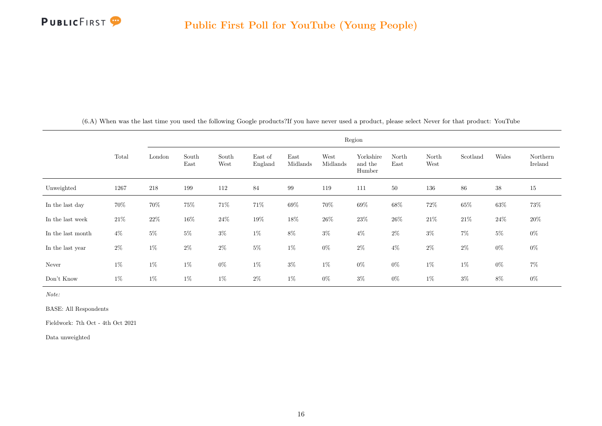

<span id="page-16-0"></span>

|                   |        |        |               |               |                    |                  |                  | Region                         |               |               |          |        |                     |
|-------------------|--------|--------|---------------|---------------|--------------------|------------------|------------------|--------------------------------|---------------|---------------|----------|--------|---------------------|
|                   | Total  | London | South<br>East | South<br>West | East of<br>England | East<br>Midlands | West<br>Midlands | Yorkshire<br>and the<br>Humber | North<br>East | North<br>West | Scotland | Wales  | Northern<br>Ireland |
| Unweighted        | 1267   | 218    | 199           | 112           | 84                 | 99               | 119              | 111                            | 50            | 136           | 86       | $38\,$ | 15                  |
| In the last day   | 70%    | 70%    | $75\%$        | 71%           | 71%                | $69\%$           | 70%              | $69\%$                         | $68\%$        | $72\%$        | $65\%$   | $63\%$ | 73%                 |
| In the last week  | $21\%$ | $22\%$ | $16\%$        | $24\%$        | $19\%$             | $18\%$           | $26\%$           | $23\%$                         | $26\%$        | $21\%$        | $21\%$   | $24\%$ | $20\%$              |
| In the last month | $4\%$  | $5\%$  | $5\%$         | $3\%$         | $1\%$              | $8\%$            | $3\%$            | $4\%$                          | $2\%$         | $3\%$         | $7\%$    | $5\%$  | $0\%$               |
| In the last year  | $2\%$  | $1\%$  | $2\%$         | $2\%$         | $5\%$              | $1\%$            | $0\%$            | $2\%$                          | $4\%$         | $2\%$         | $2\%$    | $0\%$  | $0\%$               |
| Never             | $1\%$  | $1\%$  | $1\%$         | $0\%$         | $1\%$              | $3\%$            | $1\%$            | $0\%$                          | $0\%$         | $1\%$         | $1\%$    | $0\%$  | $7\%$               |
| Don't Know        | $1\%$  | $1\%$  | $1\%$         | $1\%$         | $2\%$              | $1\%$            | $0\%$            | $3\%$                          | $0\%$         | $1\%$         | $3\%$    | $8\%$  | $0\%$               |

(6.A) When was the last time you used the following Google products?If you have never used a product, please select Never for that product: YouTube

Note:

BASE: All Respondents

Fieldwork: 7th Oct - 4th Oct 2021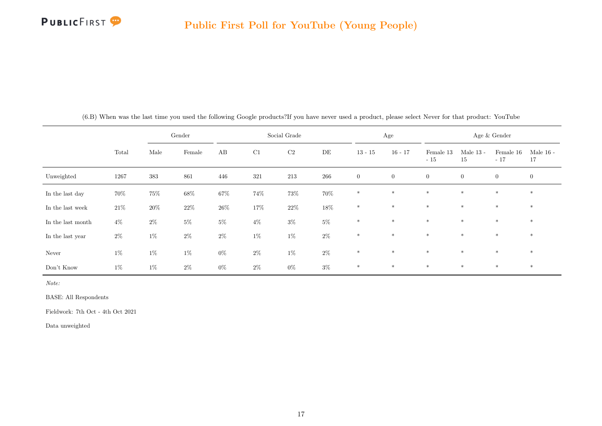

|                   |        |         | Gender |        |        | Social Grade |        |                  | Age          |                    |                   | Age & Gender       |                   |
|-------------------|--------|---------|--------|--------|--------|--------------|--------|------------------|--------------|--------------------|-------------------|--------------------|-------------------|
|                   | Total  | Male    | Female | AB     | C1     | C2           | DE     | $13 - 15$        | $16 - 17$    | Female 13<br>$-15$ | Male $13$ -<br>15 | Female 16<br>$-17$ | Male $16$ -<br>17 |
| Unweighted        | 1267   | $383\,$ | 861    | 446    | 321    | $213\,$      | 266    | $\boldsymbol{0}$ | $\mathbf{0}$ | $\overline{0}$     | $\overline{0}$    | $\overline{0}$     | $\overline{0}$    |
| In the last day   | 70%    | $75\%$  | $68\%$ | $67\%$ | 74%    | 73%          | 70%    | $\ast$           | $\ast$       | $\ast$             | $\ast$            | $\ast$             | $*$               |
| In the last week  | $21\%$ | $20\%$  | $22\%$ | $26\%$ | $17\%$ | $22\%$       | $18\%$ | $\ast$           | $\ast$       | $\ast$             | $\ast$            | $\ast$             | $*$               |
| In the last month | $4\%$  | $2\%$   | $5\%$  | $5\%$  | $4\%$  | $3\%$        | $5\%$  | $\ast$           | $\ast$       | $*$                | $\ast$            | $\ast$             | $*$               |
| In the last year  | $2\%$  | $1\%$   | $2\%$  | $2\%$  | $1\%$  | $1\%$        | $2\%$  | $\ast$           | $\ast$       | $\ast$             | $\ast$            | $\ast$             | $*$               |
| Never             | $1\%$  | $1\%$   | $1\%$  | $0\%$  | $2\%$  | $1\%$        | $2\%$  | $*$              | $*$          | $\ast$             | $\ast$            | $*$                | $*$               |
| Don't Know        | $1\%$  | $1\%$   | $2\%$  | $0\%$  | $2\%$  | $0\%$        | $3\%$  | $\ast$           | $\ast$       | $*$                | $\ast$            | $\ast$             | $*$               |

(6.B) When was the last time you used the following Google products?If you have never used a product, please select Never for that product: YouTube

Note:

BASE: All Respondents

Fieldwork: 7th Oct - 4th Oct 2021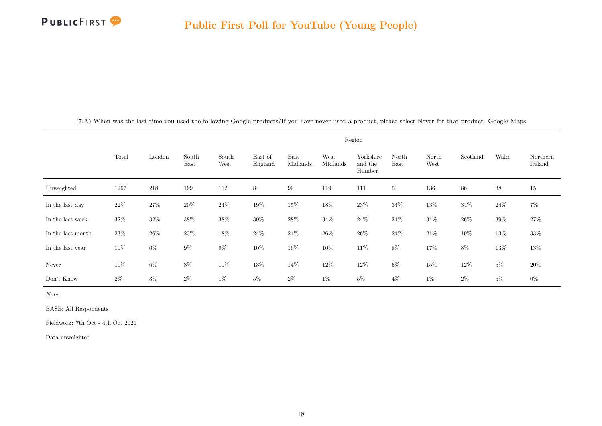

<span id="page-18-0"></span>

|                   |        |        |               |               |                    |                  |                  | Region                         |               |               |          |        |                     |
|-------------------|--------|--------|---------------|---------------|--------------------|------------------|------------------|--------------------------------|---------------|---------------|----------|--------|---------------------|
|                   | Total  | London | South<br>East | South<br>West | East of<br>England | East<br>Midlands | West<br>Midlands | Yorkshire<br>and the<br>Humber | North<br>East | North<br>West | Scotland | Wales  | Northern<br>Ireland |
| Unweighted        | 1267   | 218    | 199           | 112           | 84                 | 99               | 119              | 111                            | 50            | 136           | 86       | $38\,$ | 15                  |
| In the last day   | $22\%$ | $27\%$ | $20\%$        | $24\%$        | $19\%$             | $15\%$           | $18\%$           | $23\%$                         | 34%           | $13\%$        | $34\%$   | $24\%$ | $7\%$               |
| In the last week  | $32\%$ | $32\%$ | $38\%$        | $38\%$        | $30\%$             | $28\%$           | $34\%$           | $24\%$                         | $24\%$        | $34\%$        | $26\%$   | $39\%$ | $27\%$              |
| In the last month | $23\%$ | $26\%$ | $23\%$        | $18\%$        | $24\%$             | $24\%$           | $26\%$           | $26\%$                         | $24\%$        | $21\%$        | $19\%$   | $13\%$ | $33\%$              |
| In the last year  | $10\%$ | $6\%$  | $9\%$         | $9\%$         | $10\%$             | $16\%$           | $10\%$           | $11\%$                         | $8\%$         | $17\%$        | 8%       | $13\%$ | $13\%$              |
| Never             | $10\%$ | $6\%$  | $8\%$         | $10\%$        | 13%                | 14\%             | $12\%$           | $12\%$                         | $6\%$         | $15\%$        | 12%      | $5\%$  | $20\%$              |
| Don't Know        | $2\%$  | $3\%$  | $2\%$         | $1\%$         | $5\%$              | $2\%$            | $1\%$            | $5\%$                          | $4\%$         | $1\%$         | $2\%$    | $5\%$  | $0\%$               |

(7.A) When was the last time you used the following Google products?If you have never used a product, please select Never for that product: Google Maps

Note:

BASE: All Respondents

Fieldwork: 7th Oct - 4th Oct 2021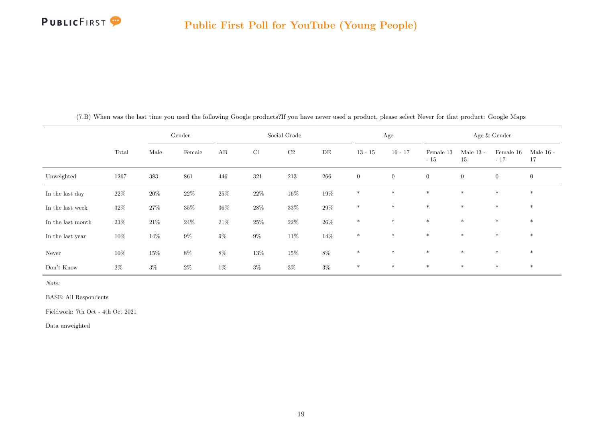

|                   |        |         | Gender |        |        | Social Grade |        |                | Age            |                    |                   | Age $\&$ Gender    |                   |
|-------------------|--------|---------|--------|--------|--------|--------------|--------|----------------|----------------|--------------------|-------------------|--------------------|-------------------|
|                   | Total  | Male    | Female | AB     | C1     | $\rm C2$     | DE     | $13 - 15$      | $16 - 17$      | Female 13<br>$-15$ | Male $13$ -<br>15 | Female 16<br>$-17$ | Male $16$ -<br>17 |
| Unweighted        | 1267   | $383\,$ | 861    | 446    | 321    | $213\,$      | 266    | $\overline{0}$ | $\overline{0}$ | $\overline{0}$     | $\overline{0}$    | $\overline{0}$     | $\overline{0}$    |
| In the last day   | $22\%$ | $20\%$  | $22\%$ | $25\%$ | $22\%$ | $16\%$       | $19\%$ | $\ast$         | $*$            | $*$                | $*$               | $*$                | $\ast$            |
| In the last week  | $32\%$ | $27\%$  | $35\%$ | $36\%$ | $28\%$ | $33\%$       | $29\%$ | $\ast$         | $\ast$         | $\ast$             | $*$               | $\ast$             | $\ast$            |
| In the last month | $23\%$ | $21\%$  | $24\%$ | $21\%$ | $25\%$ | $22\%$       | $26\%$ | $\ast$         | $*$            | $\ast$             | $\ast$            | $\ast$             | $\ast$            |
| In the last year  | $10\%$ | 14%     | $9\%$  | $9\%$  | $9\%$  | $11\%$       | $14\%$ | $\ast$         | $*$            | $\ast$             | $*$               | $\ast$             | $\ast$            |
| Never             | $10\%$ | $15\%$  | $8\%$  | $8\%$  | $13\%$ | $15\%$       | $8\%$  | $\ast$         | $*$            | $*$                | $\ast$            | $*$                | $\ast$            |
| Don't Know        | $2\%$  | $3\%$   | $2\%$  | $1\%$  | $3\%$  | $3\%$        | $3\%$  | $\ast$         | $\ast$         | $*$                | $*$               | $\ast$             | $*$               |

(7.B) When was the last time you used the following Google products?If you have never used a product, please select Never for that product: Google Maps

Note:

BASE: All Respondents

Fieldwork: 7th Oct - 4th Oct 2021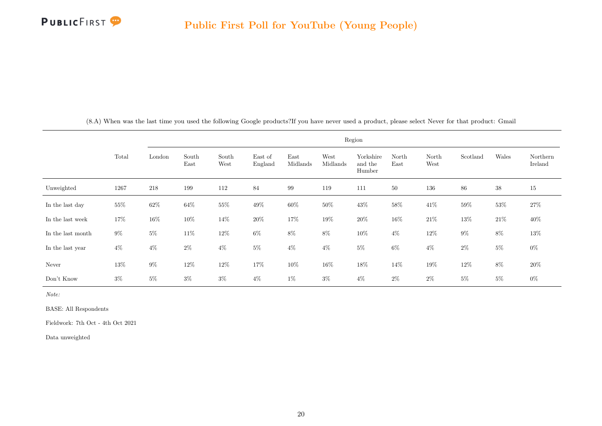

<span id="page-20-0"></span>

|                   |        |         |               |               |                    |                  |                  | Region                         |               |               |          |        |                     |
|-------------------|--------|---------|---------------|---------------|--------------------|------------------|------------------|--------------------------------|---------------|---------------|----------|--------|---------------------|
|                   | Total  | London  | South<br>East | South<br>West | East of<br>England | East<br>Midlands | West<br>Midlands | Yorkshire<br>and the<br>Humber | North<br>East | North<br>West | Scotland | Wales  | Northern<br>Ireland |
| Unweighted        | 1267   | $218\,$ | 199           | 112           | 84                 | 99               | 119              | 111                            | $50\,$        | 136           | 86       | $38\,$ | $15\,$              |
| In the last day   | $55\%$ | $62\%$  | 64%           | $55\%$        | $49\%$             | $60\%$           | $50\%$           | $43\%$                         | $58\%$        | $41\%$        | 59%      | $53\%$ | $27\%$              |
| In the last week  | 17%    | $16\%$  | $10\%$        | $14\%$        | $20\%$             | $17\%$           | $19\%$           | $20\%$                         | $16\%$        | $21\%$        | $13\%$   | $21\%$ | $40\%$              |
| In the last month | $9\%$  | $5\%$   | $11\%$        | $12\%$        | $6\%$              | $8\%$            | $8\%$            | $10\%$                         | $4\%$         | $12\%$        | $9\%$    | $8\%$  | $13\%$              |
| In the last year  | $4\%$  | $4\%$   | $2\%$         | $4\%$         | $5\%$              | $4\%$            | $4\%$            | $5\%$                          | $6\%$         | $4\%$         | $2\%$    | $5\%$  | $0\%$               |
| Never             | 13%    | $9\%$   | $12\%$        | $12\%$        | $17\%$             | $10\%$           | $16\%$           | $18\%$                         | $14\%$        | $19\%$        | 12%      | $8\%$  | $20\%$              |
| Don't Know        | $3\%$  | $5\%$   | $3\%$         | $3\%$         | $4\%$              | $1\%$            | $3\%$            | $4\%$                          | $2\%$         | $2\%$         | $5\%$    | $5\%$  | $0\%$               |

(8.A) When was the last time you used the following Google products?If you have never used a product, please select Never for that product: Gmail

Note:

BASE: All Respondents

Fieldwork: 7th Oct - 4th Oct 2021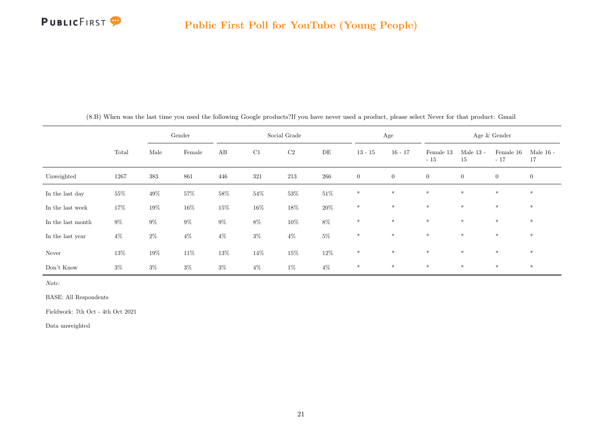

|                   |        |        | Gender |        |        | Social Grade |        |              | Age            |                    |                   | Age & Gender       |                   |
|-------------------|--------|--------|--------|--------|--------|--------------|--------|--------------|----------------|--------------------|-------------------|--------------------|-------------------|
|                   | Total  | Male   | Female | AB     | C1     | C2           | DE     | $13 - 15$    | $16 - 17$      | Female 13<br>$-15$ | Male $13$ -<br>15 | Female 16<br>$-17$ | Male $16$ -<br>17 |
| Unweighted        | 1267   | 383    | 861    | 446    | 321    | 213          | 266    | $\mathbf{0}$ | $\overline{0}$ | $\overline{0}$     | $\overline{0}$    | $\overline{0}$     | $\overline{0}$    |
| In the last day   | $55\%$ | $49\%$ | $57\%$ | $58\%$ | $54\%$ | $53\%$       | $51\%$ | $\ast$       | $\ast$         | $*$                | $\ast$            | $\ast$             | $*$               |
| In the last week  | 17%    | $19\%$ | $16\%$ | $15\%$ | $16\%$ | $18\%$       | $20\%$ | $\ast$       | $\ast$         | $\ast$             | $\ast$            | $\ast$             | $*$               |
| In the last month | $9\%$  | $9\%$  | $9\%$  | $9\%$  | $8\%$  | $10\%$       | $8\%$  | $\ast$       | $\ast$         | $\ast$             | $\ast$            | $\ast$             | $\ast$            |
| In the last year  | $4\%$  | $2\%$  | $4\%$  | $4\%$  | $3\%$  | $4\%$        | $5\%$  | $\ast$       | $\ast$         | $\ast$             | $\ast$            | $\ast$             | $*$               |
| Never             | $13\%$ | $19\%$ | $11\%$ | $13\%$ | 14%    | $15\%$       | $12\%$ | $*$          | $*$            | $\ast$             | $\ast$            | $*$                | $\ast$            |
| Don't Know        | $3\%$  | $3\%$  | $3\%$  | $3\%$  | $4\%$  | $1\%$        | $4\%$  | $\ast$       | $\ast$         | $*$                | $\ast$            | $\ast$             | $*$               |

(8.B) When was the last time you used the following Google products?If you have never used a product, please select Never for that product: Gmail

Note:

BASE: All Respondents

Fieldwork: 7th Oct - 4th Oct 2021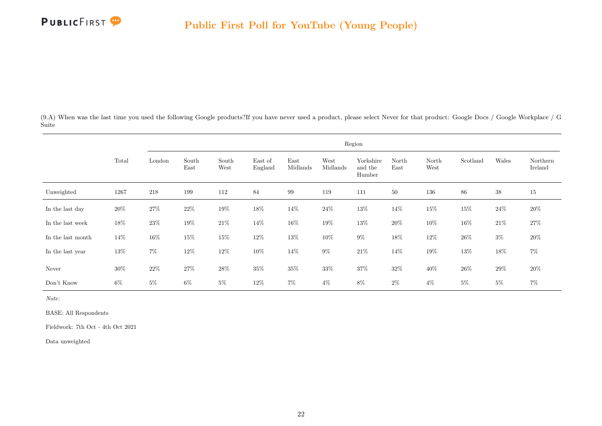

<span id="page-22-0"></span>(9.A) When was the last time you used the following Google products?If you have never used a product, please select Never for that product: Google Docs / Google Workplace / G Suite

|                   |        |        |               |               |                    |                  |                  | Region                         |               |               |          |        |                     |
|-------------------|--------|--------|---------------|---------------|--------------------|------------------|------------------|--------------------------------|---------------|---------------|----------|--------|---------------------|
|                   | Total  | London | South<br>East | South<br>West | East of<br>England | East<br>Midlands | West<br>Midlands | Yorkshire<br>and the<br>Humber | North<br>East | North<br>West | Scotland | Wales  | Northern<br>Ireland |
| Unweighted        | 1267   | 218    | 199           | 112           | 84                 | 99               | 119              | 111                            | 50            | 136           | 86       | $38\,$ | 15                  |
| In the last day   | $20\%$ | $27\%$ | $22\%$        | $19\%$        | $18\%$             | 14\%             | $24\%$           | $13\%$                         | 14%           | $15\%$        | $15\%$   | $24\%$ | $20\%$              |
| In the last week  | 18%    | $23\%$ | 19%           | $21\%$        | $14\%$             | $16\%$           | 19%              | 13%                            | 20%           | $10\%$        | $16\%$   | $21\%$ | $27\%$              |
| In the last month | $14\%$ | $16\%$ | $15\%$        | $15\%$        | $12\%$             | $13\%$           | $10\%$           | $9\%$                          | $18\%$        | $12\%$        | $26\%$   | $3\%$  | $20\%$              |
| In the last year  | 13%    | $7\%$  | $12\%$        | $12\%$        | 10%                | $14\%$           | $9\%$            | $21\%$                         | 14%           | $19\%$        | 13%      | $18\%$ | $7\%$               |
| Never             | $30\%$ | $22\%$ | $27\%$        | $28\%$        | $35\%$             | $35\%$           | $33\%$           | $37\%$                         | $32\%$        | $40\%$        | $26\%$   | $29\%$ | $20\%$              |
| Don't Know        | 6%     | $5\%$  | $6\%$         | $5\%$         | 12\%               | $7\%$            | $4\%$            | $8\%$                          | $2\%$         | $4\%$         | $5\%$    | $5\%$  | $7\%$               |

Note:

BASE: All Respondents

Fieldwork: 7th Oct - 4th Oct 2021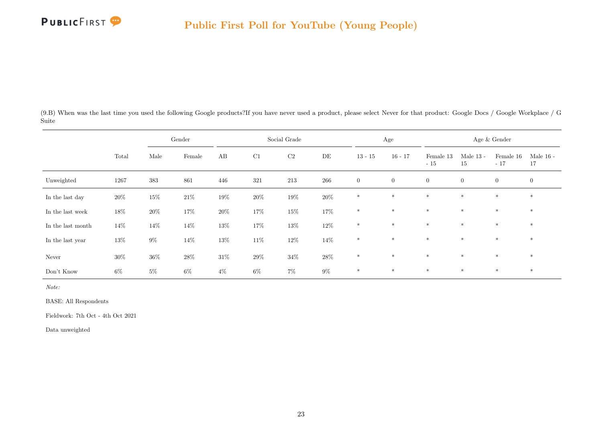

(9.B) When was the last time you used the following Google products?If you have never used a product, please select Never for that product: Google Docs / Google Workplace / G Suite

|                   |        |        | Gender |        |        | Social Grade |        |                | Age              |                    |                   | Age & Gender       |                   |
|-------------------|--------|--------|--------|--------|--------|--------------|--------|----------------|------------------|--------------------|-------------------|--------------------|-------------------|
|                   | Total  | Male   | Female | AB     | C1     | $\rm{C2}$    | DE     | $13 - 15$      | $16 - 17$        | Female 13<br>$-15$ | Male $13$ -<br>15 | Female 16<br>$-17$ | Male $16$ -<br>17 |
| Unweighted        | 1267   | 383    | 861    | 446    | 321    | $213\,$      | 266    | $\overline{0}$ | $\boldsymbol{0}$ | $\overline{0}$     | $\overline{0}$    | $\overline{0}$     | $\overline{0}$    |
| In the last day   | 20%    | $15\%$ | $21\%$ | $19\%$ | $20\%$ | $19\%$       | $20\%$ | $\ast$         | $\ast$           | $\ast$             | $\ast$            | $\ast$             | $\ast$            |
| In the last week  | 18%    | $20\%$ | $17\%$ | $20\%$ | $17\%$ | $15\%$       | 17%    | $*$            | $\ast$           | $\ast$             | $*$               | $\ast$             | $*$               |
| In the last month | $14\%$ | 14%    | $14\%$ | $13\%$ | $17\%$ | $13\%$       | $12\%$ | $\ast$         | $*$              | $\ast$             | $\ast$            | $\ast$             | $\ast$            |
| In the last year  | 13%    | $9\%$  | $14\%$ | $13\%$ | $11\%$ | $12\%$       | $14\%$ | $\ast$         | $\ast$           | $\ast$             | $\ast$            | $\ast$             | $\ast$            |
| Never             | $30\%$ | $36\%$ | $28\%$ | $31\%$ | $29\%$ | $34\%$       | $28\%$ | $\ast$         | $\ast$           | $\ast$             | $\ast$            | $*$                | $\ast$            |
| Don't Know        | $6\%$  | $5\%$  | $6\%$  | $4\%$  | $6\%$  | $7\%$        | $9\%$  | $\ast$         | $\ast$           | $\ast$             | $\ast$            | $\ast$             | $\ast$            |

Note:

BASE: All Respondents

Fieldwork: 7th Oct - 4th Oct 2021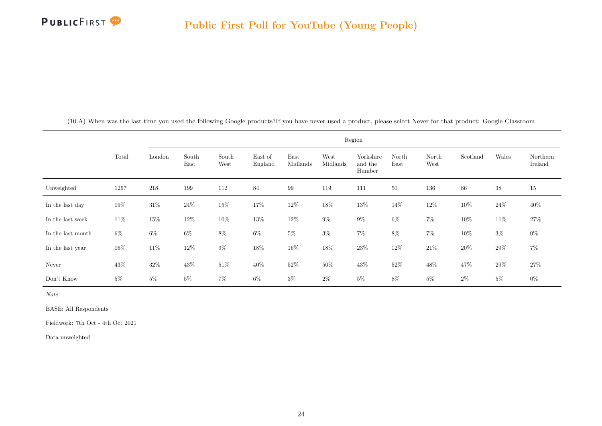

<span id="page-24-0"></span>

|                   |        |        |               |               |                    |                  |                  | Region                         |               |               |          |        |                     |
|-------------------|--------|--------|---------------|---------------|--------------------|------------------|------------------|--------------------------------|---------------|---------------|----------|--------|---------------------|
|                   | Total  | London | South<br>East | South<br>West | East of<br>England | East<br>Midlands | West<br>Midlands | Yorkshire<br>and the<br>Humber | North<br>East | North<br>West | Scotland | Wales  | Northern<br>Ireland |
| Unweighted        | 1267   | 218    | 199           | 112           | 84                 | 99               | 119              | 111                            | 50            | 136           | 86       | $38\,$ | 15                  |
| In the last day   | $19\%$ | $31\%$ | $24\%$        | $15\%$        | 17%                | $12\%$           | $18\%$           | $13\%$                         | $14\%$        | $12\%$        | 10%      | $24\%$ | $40\%$              |
| In the last week  | $11\%$ | $15\%$ | $12\%$        | $10\%$        | $13\%$             | $12\%$           | $9\%$            | $9\%$                          | $6\%$         | $7\%$         | $10\%$   | $11\%$ | $27\%$              |
| In the last month | $6\%$  | $6\%$  | $6\%$         | $8\%$         | $6\%$              | $5\%$            | $3\%$            | $7\%$                          | $8\%$         | $7\%$         | $10\%$   | $3\%$  | $0\%$               |
| In the last year  | $16\%$ | $11\%$ | $12\%$        | $9\%$         | $18\%$             | $16\%$           | $18\%$           | $23\%$                         | $12\%$        | $21\%$        | $20\%$   | $29\%$ | $7\%$               |
| Never             | 43\%   | $32\%$ | $43\%$        | $51\%$        | $40\%$             | $52\%$           | $50\%$           | $43\%$                         | $52\%$        | $48\%$        | 47%      | $29\%$ | $27\%$              |
| Don't Know        | $5\%$  | $5\%$  | $5\%$         | $7\%$         | $6\%$              | $3\%$            | $2\%$            | $5\%$                          | 8%            | $5\%$         | $2\%$    | $5\%$  | $0\%$               |

(10.A) When was the last time you used the following Google products?If you have never used a product, please select Never for that product: Google Classroom

Note:

BASE: All Respondents

Fieldwork: 7th Oct - 4th Oct 2021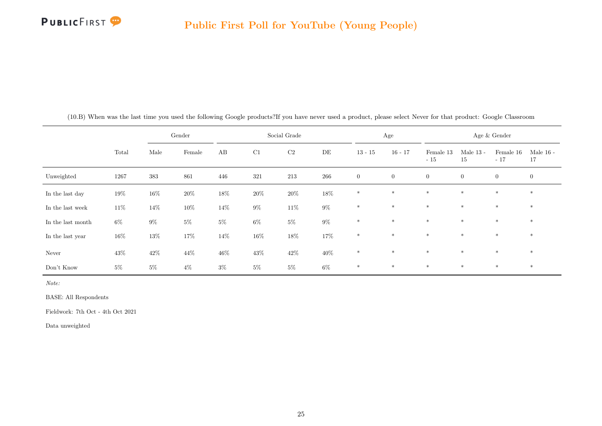

|                   |        |        | Gender |        |        | Social Grade |        |                | Age            |                    |                   | Age & Gender       |                   |
|-------------------|--------|--------|--------|--------|--------|--------------|--------|----------------|----------------|--------------------|-------------------|--------------------|-------------------|
|                   | Total  | Male   | Female | AB     | C1     | $\rm C2$     | DE     | $13 - 15$      | $16 - 17$      | Female 13<br>$-15$ | Male $13$ -<br>15 | Female 16<br>$-17$ | Male $16$ -<br>17 |
| Unweighted        | 1267   | 383    | 861    | 446    | 321    | 213          | 266    | $\overline{0}$ | $\overline{0}$ | $\overline{0}$     | $\overline{0}$    | $\overline{0}$     | $\overline{0}$    |
| In the last day   | $19\%$ | $16\%$ | $20\%$ | $18\%$ | $20\%$ | $20\%$       | $18\%$ | $*$            | $*$            | $*$                | $\ast$            | $\ast$             | $*$               |
| In the last week  | $11\%$ | 14%    | $10\%$ | $14\%$ | $9\%$  | $11\%$       | $9\%$  | $\ast$         | $\ast$         | $\ast$             | $\ast$            | $\ast$             | $\ast$            |
| In the last month | $6\%$  | $9\%$  | $5\%$  | $5\%$  | $6\%$  | $5\%$        | $9\%$  | $\ast$         | $\ast$         | $\ast$             | $\ast$            | $\ast$             | $\ast$            |
| In the last year  | $16\%$ | $13\%$ | $17\%$ | 14\%   | $16\%$ | $18\%$       | 17%    | $\ast$         | $\ast$         | $\ast$             | $\ast$            | $\ast$             | $*$               |
| Never             | $43\%$ | $42\%$ | 44\%   | $46\%$ | $43\%$ | $42\%$       | $40\%$ | $*$            | $*$            | $\ast$             | $\ast$            | $*$                | $*$               |
| Don't Know        | $5\%$  | $5\%$  | $4\%$  | $3\%$  | $5\%$  | $5\%$        | $6\%$  | $\ast$         | $\ast$         | $*$                | $\ast$            | $\ast$             | $*$               |

(10.B) When was the last time you used the following Google products?If you have never used a product, please select Never for that product: Google Classroom

Note:

BASE: All Respondents

Fieldwork: 7th Oct - 4th Oct 2021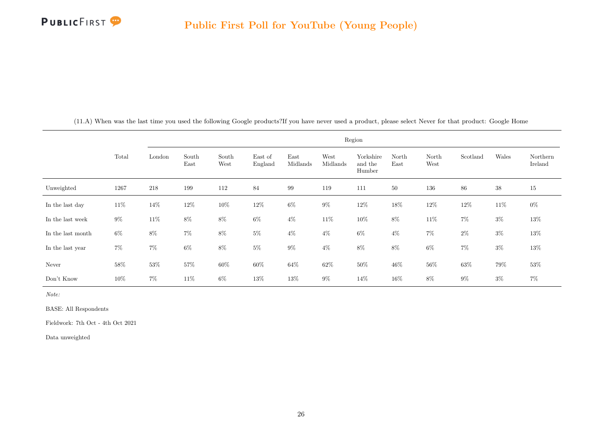

<span id="page-26-0"></span>

|                   |        |         |               |               |                    |                  | Region           |                                |               |               |          |        |                     |
|-------------------|--------|---------|---------------|---------------|--------------------|------------------|------------------|--------------------------------|---------------|---------------|----------|--------|---------------------|
|                   | Total  | London  | South<br>East | South<br>West | East of<br>England | East<br>Midlands | West<br>Midlands | Yorkshire<br>and the<br>Humber | North<br>East | North<br>West | Scotland | Wales  | Northern<br>Ireland |
| Unweighted        | 1267   | $218\,$ | 199           | 112           | 84                 | 99               | 119              | 111                            | $50\,$        | 136           | 86       | $38\,$ | 15                  |
| In the last day   | $11\%$ | 14%     | $12\%$        | $10\%$        | $12\%$             | $6\%$            | $9\%$            | $12\%$                         | $18\%$        | $12\%$        | $12\%$   | $11\%$ | $0\%$               |
| In the last week  | $9\%$  | $11\%$  | $8\%$         | $8\%$         | $6\%$              | $4\%$            | $11\%$           | $10\%$                         | $8\%$         | $11\%$        | $7\%$    | $3\%$  | 13%                 |
| In the last month | $6\%$  | $8\%$   | $7\%$         | $8\%$         | $5\%$              | $4\%$            | $4\%$            | $6\%$                          | $4\%$         | $7\%$         | $2\%$    | $3\%$  | $13\%$              |
| In the last year  | $7\%$  | $7\%$   | $6\%$         | $8\%$         | $5\%$              | $9\%$            | $4\%$            | $8\%$                          | $8\%$         | $6\%$         | $7\%$    | $3\%$  | 13%                 |
| Never             | 58%    | $53\%$  | $57\%$        | $60\%$        | $60\%$             | $64\%$           | $62\%$           | $50\%$                         | $46\%$        | $56\%$        | $63\%$   | 79%    | 53%                 |
| Don't Know        | $10\%$ | $7\%$   | $11\%$        | $6\%$         | $13\%$             | $13\%$           | $9\%$            | $14\%$                         | $16\%$        | $8\%$         | $9\%$    | $3\%$  | $7\%$               |

(11.A) When was the last time you used the following Google products?If you have never used a product, please select Never for that product: Google Home

Note:

BASE: All Respondents

Fieldwork: 7th Oct - 4th Oct 2021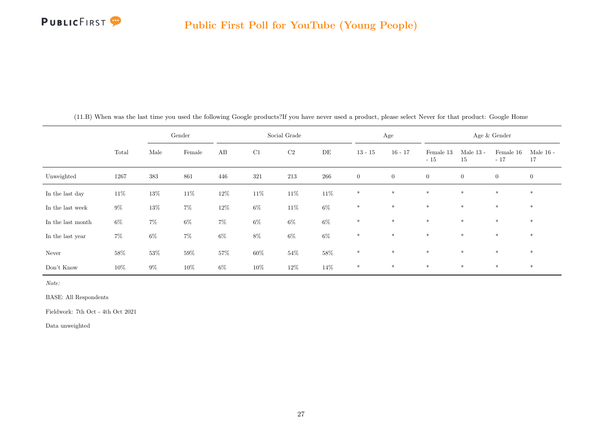

|                   |        |        | Gender |        |        | Social Grade |        |                | Age            |                    |                   | Age & Gender       |                   |
|-------------------|--------|--------|--------|--------|--------|--------------|--------|----------------|----------------|--------------------|-------------------|--------------------|-------------------|
|                   | Total  | Male   | Female | AB     | C1     | $\rm C2$     | DE     | $13 - 15$      | $16 - 17$      | Female 13<br>$-15$ | Male $13$ -<br>15 | Female 16<br>$-17$ | Male $16$ -<br>17 |
| Unweighted        | 1267   | 383    | 861    | 446    | 321    | 213          | 266    | $\overline{0}$ | $\overline{0}$ | $\overline{0}$     | $\overline{0}$    | $\overline{0}$     | $\mathbf{0}$      |
| In the last day   | $11\%$ | $13\%$ | $11\%$ | $12\%$ | $11\%$ | $11\%$       | $11\%$ | $\ast$         | $\ast$         | $\ast$             | $\ast$            | $*$                | $*$               |
| In the last week  | $9\%$  | $13\%$ | $7\%$  | $12\%$ | $6\%$  | $11\%$       | $6\%$  | $\ast$         | $*$            | $\ast$             | $\ast$            | $*$                | $*$               |
| In the last month | $6\%$  | $7\%$  | $6\%$  | $7\%$  | $6\%$  | $6\%$        | $6\%$  | $\ast$         | $\ast$         | $\ast$             | $*$               | $*$                | $*$               |
| In the last year  | $7\%$  | $6\%$  | $7\%$  | $6\%$  | $8\%$  | $6\%$        | $6\%$  | $*$            | $\ast$         | $\ast$             | $\ast$            | $*$                | $*$               |
| Never             | 58%    | $53\%$ | $59\%$ | 57%    | $60\%$ | $54\%$       | $58\%$ | $*$            | $*$            | $\ast$             | $*$               | $*$                | $*$               |
| Don't Know        | $10\%$ | $9\%$  | $10\%$ | $6\%$  | $10\%$ | 12%          | 14%    | $\ast$         | $\ast$         | $\ast$             | $*$               | $*$                | $*$               |

(11.B) When was the last time you used the following Google products?If you have never used a product, please select Never for that product: Google Home

Note:

BASE: All Respondents

Fieldwork: 7th Oct - 4th Oct 2021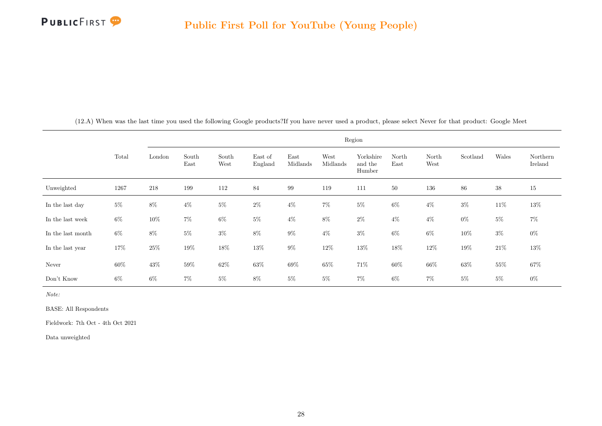

<span id="page-28-0"></span>

|                   |        |        |               |               |                    |                  |                  | Region                         |               |               |          |        |                     |
|-------------------|--------|--------|---------------|---------------|--------------------|------------------|------------------|--------------------------------|---------------|---------------|----------|--------|---------------------|
|                   | Total  | London | South<br>East | South<br>West | East of<br>England | East<br>Midlands | West<br>Midlands | Yorkshire<br>and the<br>Humber | North<br>East | North<br>West | Scotland | Wales  | Northern<br>Ireland |
| Unweighted        | 1267   | 218    | 199           | 112           | 84                 | 99               | 119              | 111                            | 50            | 136           | 86       | $38\,$ | 15                  |
| In the last day   | $5\%$  | $8\%$  | $4\%$         | $5\%$         | $2\%$              | $4\%$            | $7\%$            | $5\%$                          | $6\%$         | $4\%$         | $3\%$    | $11\%$ | $13\%$              |
| In the last week  | $6\%$  | $10\%$ | $7\%$         | $6\%$         | $5\%$              | $4\%$            | $8\%$            | $2\%$                          | $4\%$         | $4\%$         | $0\%$    | $5\%$  | $7\%$               |
| In the last month | $6\%$  | $8\%$  | $5\%$         | $3\%$         | $8\%$              | $9\%$            | $4\%$            | $3\%$                          | $6\%$         | $6\%$         | $10\%$   | $3\%$  | $0\%$               |
| In the last year  | $17\%$ | $25\%$ | $19\%$        | $18\%$        | $13\%$             | $9\%$            | $12\%$           | $13\%$                         | $18\%$        | $12\%$        | $19\%$   | $21\%$ | $13\%$              |
| Never             | $60\%$ | 43\%   | $59\%$        | $62\%$        | $63\%$             | $69\%$           | 65%              | $71\%$                         | $60\%$        | $66\%$        | $63\%$   | $55\%$ | $67\%$              |
| Don't Know        | $6\%$  | $6\%$  | $7\%$         | $5\%$         | $8\%$              | $5\%$            | $5\%$            | $7\%$                          | $6\%$         | $7\%$         | $5\%$    | $5\%$  | $0\%$               |

(12.A) When was the last time you used the following Google products?If you have never used a product, please select Never for that product: Google Meet

Note:

BASE: All Respondents

Fieldwork: 7th Oct - 4th Oct 2021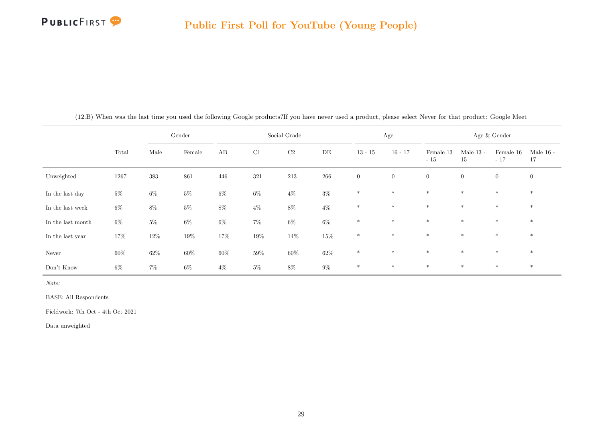

|                   |        |        | Gender |        |        | Social Grade |        |                | Age            |                    |                   | Age & Gender       |                   |
|-------------------|--------|--------|--------|--------|--------|--------------|--------|----------------|----------------|--------------------|-------------------|--------------------|-------------------|
|                   | Total  | Male   | Female | AB     | C1     | $\rm C2$     | DE     | $13 - 15$      | $16 - 17$      | Female 13<br>$-15$ | Male $13$ -<br>15 | Female 16<br>$-17$ | Male $16$ -<br>17 |
| Unweighted        | 1267   | 383    | 861    | 446    | 321    | 213          | 266    | $\overline{0}$ | $\overline{0}$ | $\overline{0}$     | $\overline{0}$    | $\overline{0}$     | $\mathbf{0}$      |
| In the last day   | $5\%$  | $6\%$  | $5\%$  | $6\%$  | $6\%$  | $4\%$        | $3\%$  | $\ast$         | $\ast$         | $\ast$             | $\ast$            | $*$                | $*$               |
| In the last week  | $6\%$  | $8\%$  | $5\%$  | $8\%$  | $4\%$  | $8\%$        | $4\%$  | $\ast$         | $*$            | $\ast$             | $\ast$            | $*$                | $*$               |
| In the last month | $6\%$  | $5\%$  | $6\%$  | $6\%$  | $7\%$  | $6\%$        | $6\%$  | $\ast$         | $\ast$         | $*$                | $*$               | $*$                | $*$               |
| In the last year  | 17%    | $12\%$ | $19\%$ | 17%    | $19\%$ | 14%          | $15\%$ | $\ast$         | $\ast$         | $\ast$             | $*$               | $*$                | $*$               |
| Never             | $60\%$ | $62\%$ | $60\%$ | $60\%$ | $59\%$ | $60\%$       | $62\%$ | $*$            | $\ast$         | $\ast$             | $*$               | $*$                | $*$               |
| Don't Know        | $6\%$  | $7\%$  | $6\%$  | $4\%$  | $5\%$  | $8\%$        | $9\%$  | $\ast$         | $\ast$         | $\ast$             | $\ast$            | $*$                | $*$               |

(12.B) When was the last time you used the following Google products?If you have never used a product, please select Never for that product: Google Meet

Note:

BASE: All Respondents

Fieldwork: 7th Oct - 4th Oct 2021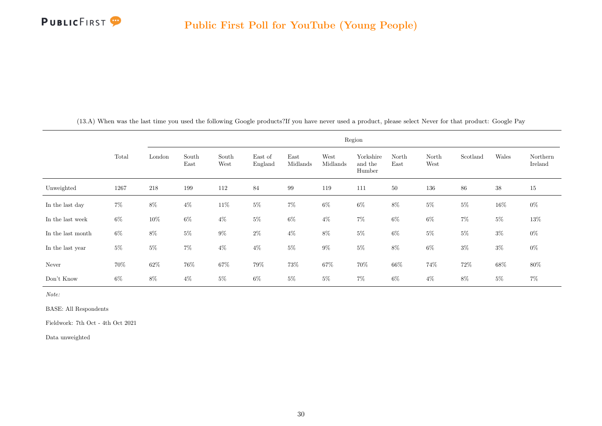

<span id="page-30-0"></span>

|                   |       |        |               |               |                    |                  |                  | Region                         |               |               |          |        |                     |
|-------------------|-------|--------|---------------|---------------|--------------------|------------------|------------------|--------------------------------|---------------|---------------|----------|--------|---------------------|
|                   | Total | London | South<br>East | South<br>West | East of<br>England | East<br>Midlands | West<br>Midlands | Yorkshire<br>and the<br>Humber | North<br>East | North<br>West | Scotland | Wales  | Northern<br>Ireland |
| Unweighted        | 1267  | 218    | 199           | 112           | 84                 | 99               | 119              | 111                            | 50            | 136           | 86       | $38\,$ | 15                  |
| In the last day   | $7\%$ | $8\%$  | $4\%$         | $11\%$        | $5\%$              | $7\%$            | $6\%$            | $6\%$                          | $8\%$         | $5\%$         | $5\%$    | $16\%$ | $0\%$               |
| In the last week  | $6\%$ | $10\%$ | $6\%$         | $4\%$         | $5\%$              | $6\%$            | $4\%$            | $7\%$                          | $6\%$         | $6\%$         | $7\%$    | $5\%$  | $13\%$              |
| In the last month | $6\%$ | $8\%$  | $5\%$         | $9\%$         | $2\%$              | $4\%$            | $8\%$            | $5\%$                          | $6\%$         | $5\%$         | $5\%$    | $3\%$  | $0\%$               |
| In the last year  | $5\%$ | $5\%$  | $7\%$         | $4\%$         | $4\%$              | $5\%$            | $9\%$            | $5\%$                          | $8\%$         | $6\%$         | $3\%$    | $3\%$  | $0\%$               |
| Never             | 70%   | $62\%$ | $76\%$        | $67\%$        | $79\%$             | $73\%$           | $67\%$           | $70\%$                         | $66\%$        | 74%           | $72\%$   | $68\%$ | $80\%$              |
| Don't Know        | $6\%$ | 8%     | $4\%$         | $5\%$         | $6\%$              | $5\%$            | $5\%$            | $7\%$                          | 6%            | $4\%$         | 8%       | $5\%$  | $7\%$               |

(13.A) When was the last time you used the following Google products?If you have never used a product, please select Never for that product: Google Pay

Note:

BASE: All Respondents

Fieldwork: 7th Oct - 4th Oct 2021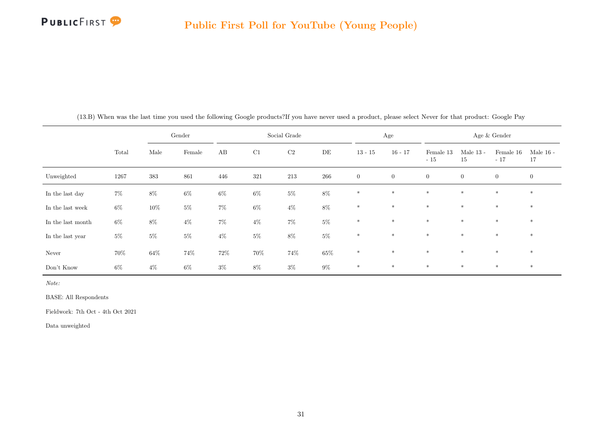

|                   |       |        | Gender |        |       | Social Grade |        |              | Age            |                    |                   | Age $\&$ Gender    |                   |
|-------------------|-------|--------|--------|--------|-------|--------------|--------|--------------|----------------|--------------------|-------------------|--------------------|-------------------|
|                   | Total | Male   | Female | AB     | C1    | C2           | DE     | $13 - 15$    | $16 - 17$      | Female 13<br>$-15$ | Male $13$ -<br>15 | Female 16<br>$-17$ | Male $16$ -<br>17 |
| Unweighted        | 1267  | 383    | 861    | 446    | 321   | 213          | 266    | $\mathbf{0}$ | $\overline{0}$ | $\overline{0}$     | $\overline{0}$    | $\overline{0}$     | $\overline{0}$    |
| In the last day   | $7\%$ | $8\%$  | $6\%$  | $6\%$  | $6\%$ | $5\%$        | $8\%$  | $\ast$       | $\ast$         | $\ast$             | $\ast$            | $*$                | $*$               |
| In the last week  | $6\%$ | $10\%$ | $5\%$  | $7\%$  | $6\%$ | $4\%$        | $8\%$  | $\ast$       | $*$            | $\ast$             | $\ast$            | $*$                | $*$               |
| In the last month | $6\%$ | $8\%$  | $4\%$  | $7\%$  | $4\%$ | $7\%$        | $5\%$  | $*$          | $\ast$         | $*$                | $*$               | $*$                | $*$               |
| In the last year  | $5\%$ | $5\%$  | $5\%$  | $4\%$  | $5\%$ | $8\%$        | $5\%$  | $\ast$       | $*$            | $*$                | $*$               | $*$                | $*$               |
| Never             | 70%   | $64\%$ | $74\%$ | $72\%$ | 70%   | $74\%$       | $65\%$ | $*$          | $*$            | $*$                | $*$               | $*$                | $*$               |
| Don't Know        | $6\%$ | $4\%$  | $6\%$  | $3\%$  | $8\%$ | $3\%$        | $9\%$  | $\ast$       | $\ast$         | $\ast$             | $*$               | $*$                | $*$               |

(13.B) When was the last time you used the following Google products?If you have never used a product, please select Never for that product: Google Pay

Note:

BASE: All Respondents

Fieldwork: 7th Oct - 4th Oct 2021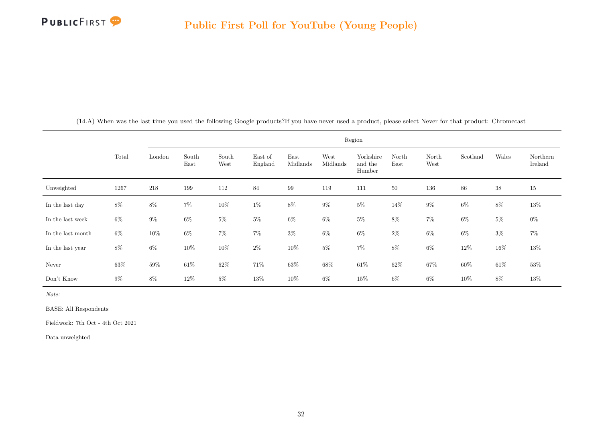

<span id="page-32-0"></span>

|                   |       |         |               |               |                    |                  | Region           |                                |               |               |          |        |                     |
|-------------------|-------|---------|---------------|---------------|--------------------|------------------|------------------|--------------------------------|---------------|---------------|----------|--------|---------------------|
|                   | Total | London  | South<br>East | South<br>West | East of<br>England | East<br>Midlands | West<br>Midlands | Yorkshire<br>and the<br>Humber | North<br>East | North<br>West | Scotland | Wales  | Northern<br>Ireland |
| Unweighted        | 1267  | $218\,$ | 199           | 112           | 84                 | 99               | 119              | 111                            | 50            | 136           | $86\,$   | $38\,$ | 15                  |
| In the last day   | 8%    | $8\%$   | $7\%$         | $10\%$        | $1\%$              | $8\%$            | $9\%$            | $5\%$                          | 14\%          | $9\%$         | $6\%$    | $8\%$  | $13\%$              |
| In the last week  | $6\%$ | $9\%$   | $6\%$         | $5\%$         | $5\%$              | $6\%$            | $6\%$            | $5\%$                          | $8\%$         | $7\%$         | $6\%$    | $5\%$  | $0\%$               |
| In the last month | $6\%$ | $10\%$  | $6\%$         | $7\%$         | $7\%$              | $3\%$            | $6\%$            | $6\%$                          | $2\%$         | $6\%$         | $6\%$    | $3\%$  | $7\%$               |
| In the last year  | $8\%$ | $6\%$   | $10\%$        | $10\%$        | $2\%$              | $10\%$           | $5\%$            | $7\%$                          | $8\%$         | $6\%$         | $12\%$   | $16\%$ | 13%                 |
| Never             | 63%   | $59\%$  | $61\%$        | $62\%$        | $71\%$             | $63\%$           | $68\%$           | $61\%$                         | $62\%$        | $67\%$        | $60\%$   | $61\%$ | $53\%$              |
| Don't Know        | $9\%$ | 8%      | 12\%          | $5\%$         | 13%                | 10%              | 6%               | $15\%$                         | 6%            | $6\%$         | 10%      | 8%     | $13\%$              |

(14.A) When was the last time you used the following Google products?If you have never used a product, please select Never for that product: Chromecast

Note:

BASE: All Respondents

Fieldwork: 7th Oct - 4th Oct 2021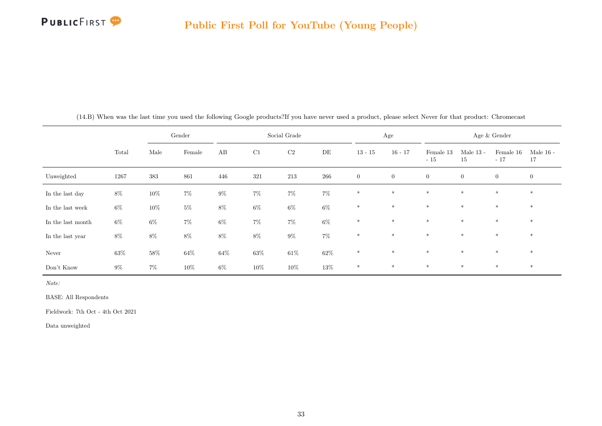

|                   |        |        | Gender |        |          | Social Grade |        |                | Age            |                    |                   | Age & Gender       |                   |
|-------------------|--------|--------|--------|--------|----------|--------------|--------|----------------|----------------|--------------------|-------------------|--------------------|-------------------|
|                   | Total  | Male   | Female | AB     | $\rm C1$ | $\rm C2$     | DE     | $13 - 15$      | $16 - 17$      | Female 13<br>$-15$ | Male $13$ -<br>15 | Female 16<br>$-17$ | Male $16$ -<br>17 |
| Unweighted        | 1267   | 383    | 861    | 446    | 321      | 213          | 266    | $\overline{0}$ | $\overline{0}$ | $\overline{0}$     | $\overline{0}$    | $\overline{0}$     | $\mathbf{0}$      |
| In the last day   | $8\%$  | $10\%$ | $7\%$  | $9\%$  | $7\%$    | $7\%$        | $7\%$  | $\ast$         | $\ast$         | $\ast$             | $\ast$            | $*$                | $*$               |
| In the last week  | $6\%$  | $10\%$ | $5\%$  | $8\%$  | $6\%$    | $6\%$        | $6\%$  | $\ast$         | $*$            | $\ast$             | $\ast$            | $*$                | $*$               |
| In the last month | $6\%$  | $6\%$  | $7\%$  | $6\%$  | $7\%$    | $7\%$        | $6\%$  | $\ast$         | $\ast$         | $\ast$             | $*$               | $*$                | $*$               |
| In the last year  | $8\%$  | $8\%$  | $8\%$  | $8\%$  | $8\%$    | $9\%$        | $7\%$  | $\ast$         | $*$            | $\ast$             | $*$               | $*$                | $*$               |
| Never             | $63\%$ | $58\%$ | $64\%$ | $64\%$ | $63\%$   | $61\%$       | $62\%$ | $*$            | $\ast$         | $\ast$             | $*$               | $*$                | $*$               |
| Don't Know        | $9\%$  | $7\%$  | $10\%$ | $6\%$  | $10\%$   | 10%          | $13\%$ | $\ast$         | $\ast$         | $\ast$             | $*$               | $*$                | $*$               |

(14.B) When was the last time you used the following Google products?If you have never used a product, please select Never for that product: Chromecast

Note:

BASE: All Respondents

Fieldwork: 7th Oct - 4th Oct 2021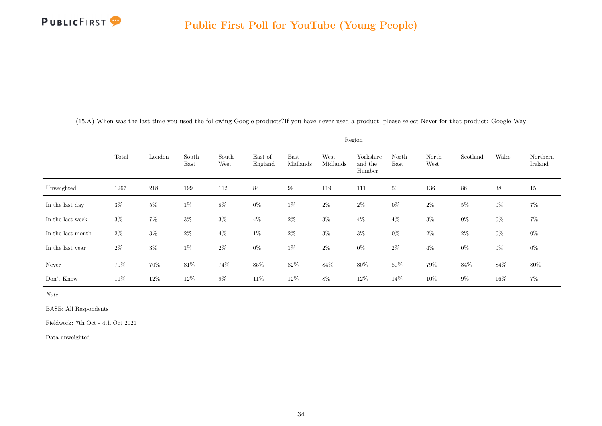

<span id="page-34-0"></span>

|                   |        |        |               |               |                    |                  |                  | Region                         |               |               |          |        |                     |
|-------------------|--------|--------|---------------|---------------|--------------------|------------------|------------------|--------------------------------|---------------|---------------|----------|--------|---------------------|
|                   | Total  | London | South<br>East | South<br>West | East of<br>England | East<br>Midlands | West<br>Midlands | Yorkshire<br>and the<br>Humber | North<br>East | North<br>West | Scotland | Wales  | Northern<br>Ireland |
| Unweighted        | 1267   | 218    | 199           | 112           | 84                 | 99               | 119              | 111                            | 50            | 136           | 86       | $38\,$ | $15\,$              |
| In the last day   | $3\%$  | $5\%$  | $1\%$         | $8\%$         | $0\%$              | $1\%$            | $2\%$            | $2\%$                          | $0\%$         | $2\%$         | $5\%$    | $0\%$  | $7\%$               |
| In the last week  | $3\%$  | $7\%$  | $3\%$         | $3\%$         | $4\%$              | $2\%$            | $3\%$            | $4\%$                          | $4\%$         | $3\%$         | $0\%$    | $0\%$  | $7\%$               |
| In the last month | $2\%$  | $3\%$  | $2\%$         | $4\%$         | $1\%$              | $2\%$            | $3\%$            | $3\%$                          | $0\%$         | $2\%$         | $2\%$    | $0\%$  | $0\%$               |
| In the last year  | $2\%$  | $3\%$  | $1\%$         | $2\%$         | $0\%$              | $1\%$            | $2\%$            | $0\%$                          | $2\%$         | $4\%$         | $0\%$    | $0\%$  | $0\%$               |
| Never             | $79\%$ | 70%    | $81\%$        | 74%           | $85\%$             | $82\%$           | $84\%$           | $80\%$                         | $80\%$        | $79\%$        | $84\%$   | $84\%$ | $80\%$              |
| Don't Know        | 11\%   | 12\%   | $12\%$        | $9\%$         | 11\%               | 12%              | $8\%$            | 12\%                           | 14%           | $10\%$        | $9\%$    | $16\%$ | $7\%$               |

(15.A) When was the last time you used the following Google products?If you have never used a product, please select Never for that product: Google Way

Note:

BASE: All Respondents

Fieldwork: 7th Oct - 4th Oct 2021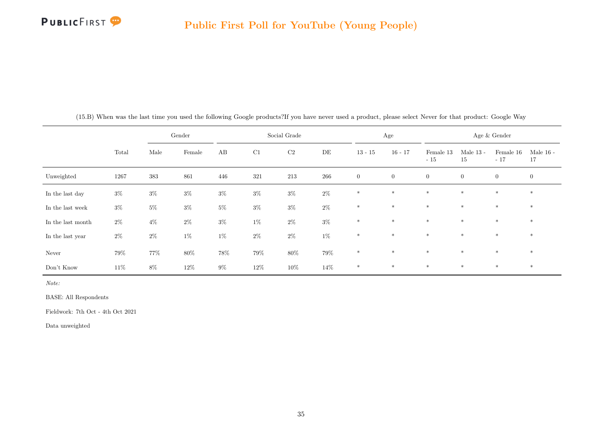

|                   |        |       | Gender |        |        | Social Grade |       |                  | Age            |                    |                   | Age & Gender       |                   |
|-------------------|--------|-------|--------|--------|--------|--------------|-------|------------------|----------------|--------------------|-------------------|--------------------|-------------------|
|                   | Total  | Male  | Female | AB     | C1     | C2           | DE    | $13 - 15$        | $16 - 17$      | Female 13<br>$-15$ | Male $13$ -<br>15 | Female 16<br>$-17$ | Male $16$ -<br>17 |
| Unweighted        | 1267   | 383   | 861    | 446    | 321    | $213\,$      | 266   | $\boldsymbol{0}$ | $\overline{0}$ | $\overline{0}$     | $\overline{0}$    | $\overline{0}$     | $\overline{0}$    |
| In the last day   | $3\%$  | $3\%$ | $3\%$  | $3\%$  | $3\%$  | $3\%$        | $2\%$ | $\ast$           | $*$            | $\ast$             | $\ast$            | $\ast$             | $*$               |
| In the last week  | $3\%$  | $5\%$ | $3\%$  | $5\%$  | $3\%$  | $3\%$        | $2\%$ | $\ast$           | $\ast$         | $\ast$             | $\ast$            | $\ast$             | $\ast$            |
| In the last month | $2\%$  | $4\%$ | $2\%$  | $3\%$  | $1\%$  | $2\%$        | $3\%$ | $\ast$           | $\ast$         | $\ast$             | $*$               | $*$                | $\ast$            |
| In the last year  | $2\%$  | $2\%$ | $1\%$  | $1\%$  | $2\%$  | $2\%$        | $1\%$ | $\ast$           | $\ast$         | $*$                | $\ast$            | $\ast$             | $*$               |
| Never             | 79%    | 77%   | $80\%$ | $78\%$ | $79\%$ | $80\%$       | 79%   | $\ast$           | $*$            | $*$                | $\ast$            | $*$                | $*$               |
| Don't Know        | $11\%$ | $8\%$ | $12\%$ | $9\%$  | $12\%$ | $10\%$       | 14%   | $\ast$           | $\ast$         | $*$                | $\ast$            | $\ast$             | $*$               |

(15.B) When was the last time you used the following Google products?If you have never used a product, please select Never for that product: Google Way

Note:

BASE: All Respondents

Fieldwork: 7th Oct - 4th Oct 2021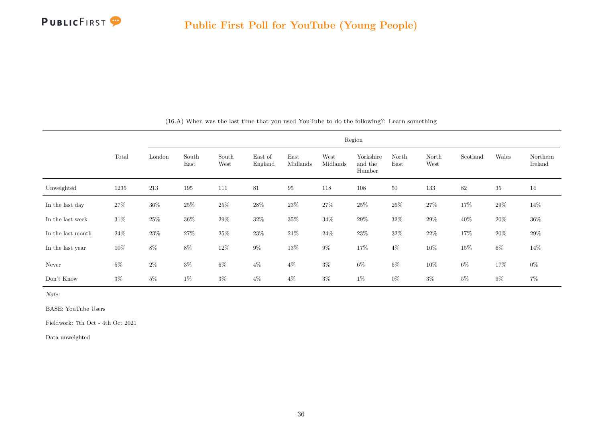

|                   |        |        |               |               |                    |                  |                  | Region                         |               |               |          |        |                     |
|-------------------|--------|--------|---------------|---------------|--------------------|------------------|------------------|--------------------------------|---------------|---------------|----------|--------|---------------------|
|                   | Total  | London | South<br>East | South<br>West | East of<br>England | East<br>Midlands | West<br>Midlands | Yorkshire<br>and the<br>Humber | North<br>East | North<br>West | Scotland | Wales  | Northern<br>Ireland |
| Unweighted        | 1235   | 213    | 195           | 111           | 81                 | $\rm 95$         | 118              | 108                            | 50            | 133           | 82       | 35     | 14                  |
| In the last day   | 27\%   | $36\%$ | $25\%$        | $25\%$        | $28\%$             | $23\%$           | $27\%$           | $25\%$                         | $26\%$        | $27\%$        | $17\%$   | $29\%$ | 14%                 |
| In the last week  | $31\%$ | 25\%   | $36\%$        | 29%           | 32%                | 35%              | $34\%$           | 29%                            | 32%           | 29%           | 40%      | 20%    | $36\%$              |
| In the last month | $24\%$ | 23\%   | 27\%          | 25\%          | $23\%$             | $21\%$           | $24\%$           | 23\%                           | $32\%$        | $22\%$        | 17%      | 20%    | $29\%$              |
| In the last year  | 10%    | $8\%$  | 8%            | $12\%$        | $9\%$              | $13\%$           | $9\%$            | $17\%$                         | $4\%$         | $10\%$        | 15%      | 6%     | 14%                 |
| Never             | $5\%$  | $2\%$  | $3\%$         | $6\%$         | $4\%$              | $4\%$            | $3\%$            | $6\%$                          | $6\%$         | $10\%$        | 6%       | $17\%$ | $0\%$               |
| Don't Know        | $3\%$  | $5\%$  | $1\%$         | $3\%$         | $4\%$              | $4\%$            | $3\%$            | $1\%$                          | $0\%$         | $3\%$         | $5\%$    | $9\%$  | $7\%$               |

(16.A) When was the last time that you used YouTube to do the following?: Learn something

Note:

BASE: YouTube Users

Fieldwork: 7th Oct - 4th Oct 2021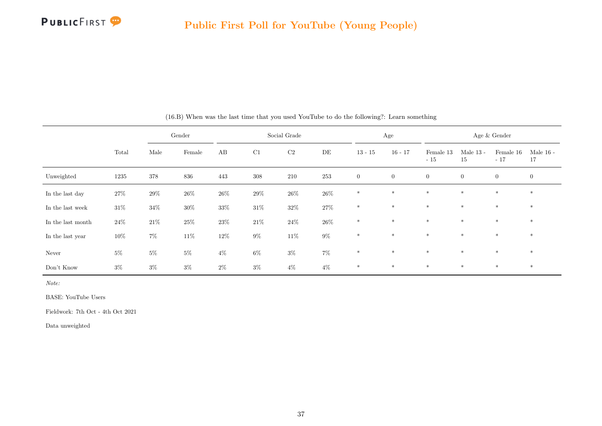

|                   |        |         | Gender          |                        |         | Social Grade |           |              | Age            |                    |                   | Age & Gender       |                   |
|-------------------|--------|---------|-----------------|------------------------|---------|--------------|-----------|--------------|----------------|--------------------|-------------------|--------------------|-------------------|
|                   | Total  | Male    | $\mbox{Female}$ | $\mathbf{A}\mathbf{B}$ | C1      | C2           | $\rm{DE}$ | $13 - 15$    | $16 - 17$      | Female 13<br>$-15$ | Male $13$ -<br>15 | Female 16<br>$-17$ | Male $16$ -<br>17 |
| Unweighted        | 1235   | $378\,$ | 836             | 443                    | $308\,$ | $210\,$      | $253\,$   | $\mathbf{0}$ | $\overline{0}$ | $\overline{0}$     | $\overline{0}$    | $\overline{0}$     | $\boldsymbol{0}$  |
| In the last day   | 27%    | $29\%$  | $26\%$          | $26\%$                 | $29\%$  | $26\%$       | $26\%$    | $\ast$       | $\ast$         | $\ast$             | $\ast$            | $\ast$             | $\ast$            |
| In the last week  | $31\%$ | $34\%$  | $30\%$          | $33\%$                 | $31\%$  | $32\%$       | $27\%$    | $\ast$       | $\ast$         | $\ast$             | $\ast$            | $\ast$             | $\ast$            |
| In the last month | $24\%$ | $21\%$  | $25\%$          | $23\%$                 | $21\%$  | $24\%$       | $26\%$    | $\ast$       | $\ast$         | $\ast$             | $\ast$            | $\ast$             | $\ast$            |
| In the last year  | $10\%$ | $7\%$   | $11\%$          | $12\%$                 | $9\%$   | $11\%$       | $9\%$     | $\ast$       | $\ast$         | $\ast$             | $\ast$            | $\ast$             | $\ast$            |
| Never             | $5\%$  | $5\%$   | $5\%$           | $4\%$                  | $6\%$   | $3\%$        | $7\%$     | $\ast$       | $\ast$         | $\ast$             | $\ast$            | $\ast$             | $\ast$            |
| Don't Know        | $3\%$  | $3\%$   | $3\%$           | $2\%$                  | $3\%$   | $4\%$        | $4\%$     | $\ast$       | $\ast$         | $\ast$             | $\ast$            | $\ast$             | $\ast$            |

(16.B) When was the last time that you used YouTube to do the following?: Learn something

BASE: YouTube Users

Fieldwork: 7th Oct - 4th Oct 2021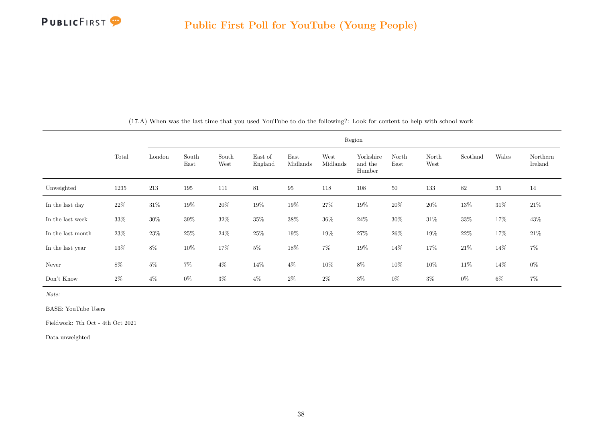

|                   |        |        |               |               |                    |                  |                  | Region                         |               |               |          |        |                     |
|-------------------|--------|--------|---------------|---------------|--------------------|------------------|------------------|--------------------------------|---------------|---------------|----------|--------|---------------------|
|                   | Total  | London | South<br>East | South<br>West | East of<br>England | East<br>Midlands | West<br>Midlands | Yorkshire<br>and the<br>Humber | North<br>East | North<br>West | Scotland | Wales  | Northern<br>Ireland |
| Unweighted        | 1235   | 213    | 195           | 111           | 81                 | $\rm 95$         | 118              | 108                            | 50            | 133           | 82       | 35     | 14                  |
| In the last day   | $22\%$ | $31\%$ | $19\%$        | $20\%$        | $19\%$             | $19\%$           | $27\%$           | $19\%$                         | $20\%$        | $20\%$        | $13\%$   | $31\%$ | $21\%$              |
| In the last week  | $33\%$ | $30\%$ | $39\%$        | $32\%$        | $35\%$             | $38\%$           | $36\%$           | $24\%$                         | $30\%$        | $31\%$        | $33\%$   | $17\%$ | $43\%$              |
| In the last month | $23\%$ | $23\%$ | $25\%$        | $24\%$        | $25\%$             | $19\%$           | $19\%$           | $27\%$                         | $26\%$        | $19\%$        | $22\%$   | 17%    | $21\%$              |
| In the last year  | $13\%$ | $8\%$  | $10\%$        | $17\%$        | $5\%$              | $18\%$           | $7\%$            | $19\%$                         | $14\%$        | $17\%$        | $21\%$   | $14\%$ | $7\%$               |
| Never             | $8\%$  | $5\%$  | $7\%$         | $4\%$         | 14%                | $4\%$            | $10\%$           | $8\%$                          | 10%           | 10%           | $11\%$   | 14%    | $0\%$               |
| Don't Know        | $2\%$  | $4\%$  | $0\%$         | $3\%$         | $4\%$              | $2\%$            | $2\%$            | $3\%$                          | $0\%$         | $3\%$         | $0\%$    | $6\%$  | $7\%$               |

(17.A) When was the last time that you used YouTube to do the following?: Look for content to help with school work

Note:

BASE: YouTube Users

Fieldwork: 7th Oct - 4th Oct 2021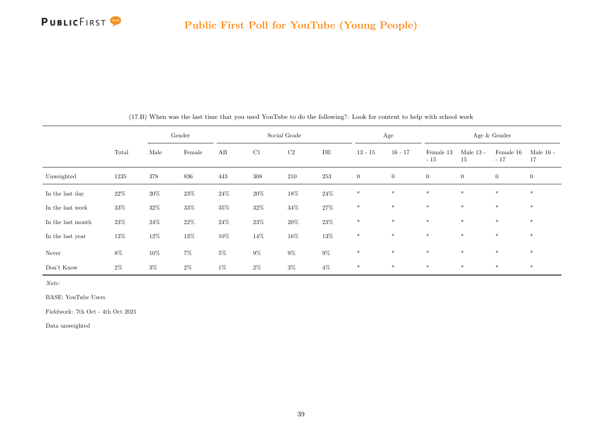

|                   |        |         | Gender |        |         | Social Grade |        |                  | Age          |                    |                   | Age & Gender       |                   |
|-------------------|--------|---------|--------|--------|---------|--------------|--------|------------------|--------------|--------------------|-------------------|--------------------|-------------------|
|                   | Total  | Male    | Female | AB     | C1      | $\rm C2$     | DE     | $13 - 15$        | $16 - 17$    | Female 13<br>$-15$ | Male $13$ -<br>15 | Female 16<br>$-17$ | Male $16$ -<br>17 |
| Unweighted        | 1235   | $378\,$ | 836    | 443    | $308\,$ | 210          | 253    | $\boldsymbol{0}$ | $\mathbf{0}$ | $\mathbf{0}$       | $\overline{0}$    | $\theta$           | $\overline{0}$    |
| In the last day   | $22\%$ | $20\%$  | $23\%$ | $24\%$ | $20\%$  | $18\%$       | 24\%   | $\ast$           | $*$          | $*$                | $*$               | $\ast$             | $\ast$            |
| In the last week  | $33\%$ | $32\%$  | $33\%$ | $35\%$ | $32\%$  | $34\%$       | $27\%$ | $\ast$           | $*$          | $*$                | $*$               | $*$                | $*$               |
| In the last month | $23\%$ | $24\%$  | $22\%$ | $24\%$ | $23\%$  | $20\%$       | $23\%$ | $*$              | $*$          | $*$                | $*$               | $*$                | $\ast$            |
| In the last year  | $13\%$ | $12\%$  | $13\%$ | $10\%$ | $14\%$  | $16\%$       | $13\%$ | $\ast$           | $*$          | $*$                | $*$               | $*$                | $*$               |
| Never             | $8\%$  | $10\%$  | $7\%$  | $5\%$  | $9\%$   | $9\%$        | $9\%$  | $*$              | $*$          | $*$                | $*$               | $*$                | $*$               |
| Don't Know        | $2\%$  | $3\%$   | $2\%$  | $1\%$  | $2\%$   | $3\%$        | $4\%$  | $\ast$           | $\ast$       | $\ast$             | $*$               | $*$                | $\ast$            |

(17.B) When was the last time that you used YouTube to do the following?: Look for content to help with school work

Note:

BASE: YouTube Users

Fieldwork: 7th Oct - 4th Oct 2021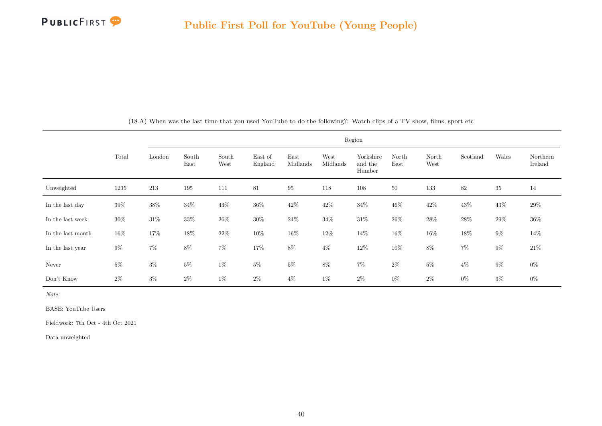

|                   |        |        |               |               |                    |                  |                  | Region                         |               |               |          |        |                     |
|-------------------|--------|--------|---------------|---------------|--------------------|------------------|------------------|--------------------------------|---------------|---------------|----------|--------|---------------------|
|                   | Total  | London | South<br>East | South<br>West | East of<br>England | East<br>Midlands | West<br>Midlands | Yorkshire<br>and the<br>Humber | North<br>East | North<br>West | Scotland | Wales  | Northern<br>Ireland |
| Unweighted        | 1235   | 213    | 195           | 111           | 81                 | $95\,$           | 118              | 108                            | $50\,$        | 133           | $82\,$   | 35     | 14                  |
| In the last day   | $39\%$ | 38%    | $34\%$        | 43\%          | $36\%$             | $42\%$           | 42\%             | 34%                            | 46%           | $42\%$        | 43\%     | 43\%   | $29\%$              |
| In the last week  | 30%    | $31\%$ | $33\%$        | $26\%$        | $30\%$             | $24\%$           | $34\%$           | $31\%$                         | $26\%$        | $28\%$        | $28\%$   | $29\%$ | $36\%$              |
| In the last month | $16\%$ | 17%    | $18\%$        | $22\%$        | $10\%$             | $16\%$           | $12\%$           | $14\%$                         | $16\%$        | $16\%$        | $18\%$   | $9\%$  | 14%                 |
| In the last year  | $9\%$  | $7\%$  | 8%            | $7\%$         | $17\%$             | $8\%$            | $4\%$            | $12\%$                         | 10%           | $8\%$         | $7\%$    | $9\%$  | $21\%$              |
| Never             | $5\%$  | $3\%$  | $5\%$         | $1\%$         | $5\%$              | $5\%$            | $8\%$            | $7\%$                          | $2\%$         | $5\%$         | $4\%$    | $9\%$  | $0\%$               |
| Don't Know        | $2\%$  | $3\%$  | $2\%$         | $1\%$         | $2\%$              | $4\%$            | $1\%$            | $2\%$                          | $0\%$         | $2\%$         | $0\%$    | $3\%$  | $0\%$               |

(18.A) When was the last time that you used YouTube to do the following?: Watch clips of a TV show, films, sport etc

Note:

BASE: YouTube Users

Fieldwork: 7th Oct - 4th Oct 2021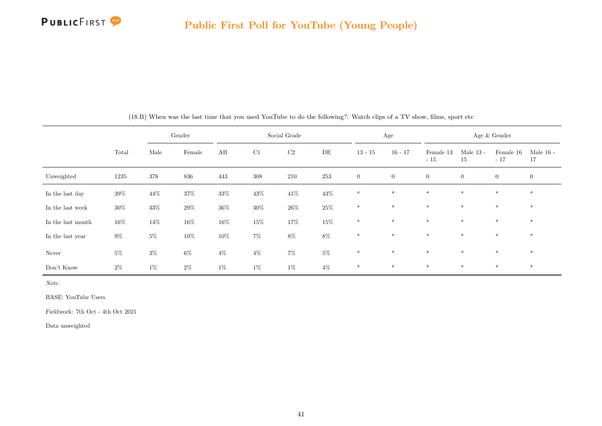

|                   |        |         | Gender |        |        | Social Grade |         |              | Age            |                    |                   | Age & Gender       |                   |
|-------------------|--------|---------|--------|--------|--------|--------------|---------|--------------|----------------|--------------------|-------------------|--------------------|-------------------|
|                   | Total  | Male    | Female | AB     | C1     | $\rm C2$     | DE      | $13 - 15$    | $16 - 17$      | Female 13<br>$-15$ | Male $13$ -<br>15 | Female 16<br>$-17$ | Male $16$ -<br>17 |
| Unweighted        | 1235   | $378\,$ | 836    | 443    | 308    | 210          | $253\,$ | $\mathbf{0}$ | $\overline{0}$ | $\overline{0}$     | $\overline{0}$    | $\overline{0}$     | $\boldsymbol{0}$  |
| In the last day   | $39\%$ | 44\%    | $37\%$ | $33\%$ | $43\%$ | $41\%$       | $43\%$  | $\ast$       | $*$            | $\ast$             | $*$               | $*$                | $*$               |
| In the last week  | $30\%$ | $33\%$  | $29\%$ | $36\%$ | $30\%$ | $26\%$       | $25\%$  | $\ast$       | $*$            | $\ast$             | $*$               | $*$                | $*$               |
| In the last month | $16\%$ | 14%     | $16\%$ | $16\%$ | $15\%$ | $17\%$       | $15\%$  | $\ast$       | $*$            | $\ast$             | $\ast$            | $*$                | $\ast$            |
| In the last year  | $9\%$  | $5\%$   | $10\%$ | $10\%$ | $7\%$  | $8\%$        | $8\%$   | $\ast$       | $*$            | $\ast$             | $\ast$            | $*$                | $\ast$            |
| Never             | $5\%$  | $3\%$   | $6\%$  | $4\%$  | $4\%$  | $7\%$        | $5\%$   | $*$          | $\ast$         | $\ast$             | $*$               | $*$                | $*$               |
| Don't Know        | $2\%$  | $1\%$   | $2\%$  | $1\%$  | $1\%$  | $1\%$        | $4\%$   | $\ast$       | $*$            | $*$                | $\ast$            | $*$                | $*$               |

(18.B) When was the last time that you used YouTube to do the following?: Watch clips of a TV show, films, sport etc

Note:

BASE: YouTube Users

Fieldwork: 7th Oct - 4th Oct 2021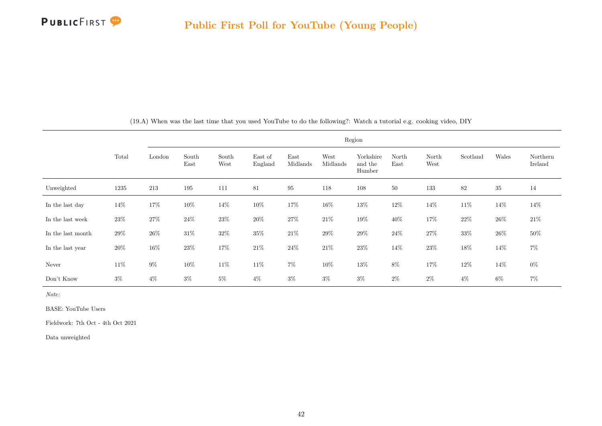

|                   |        |        |               |               |                    |                  |                  | Region                         |               |               |          |        |                     |
|-------------------|--------|--------|---------------|---------------|--------------------|------------------|------------------|--------------------------------|---------------|---------------|----------|--------|---------------------|
|                   | Total  | London | South<br>East | South<br>West | East of<br>England | East<br>Midlands | West<br>Midlands | Yorkshire<br>and the<br>Humber | North<br>East | North<br>West | Scotland | Wales  | Northern<br>Ireland |
| Unweighted        | 1235   | 213    | 195           | 111           | 81                 | $95\,$           | 118              | 108                            | $50\,$        | 133           | 82       | $35\,$ | 14                  |
| In the last day   | 14%    | 17%    | $10\%$        | 14%           | $10\%$             | $17\%$           | 16%              | $13\%$                         | $12\%$        | 14\%          | $11\%$   | 14\%   | 14%                 |
| In the last week  | 23\%   | $27\%$ | $24\%$        | $23\%$        | $20\%$             | $27\%$           | $21\%$           | $19\%$                         | 40\%          | $17\%$        | $22\%$   | $26\%$ | $21\%$              |
| In the last month | $29\%$ | $26\%$ | $31\%$        | $32\%$        | $35\%$             | $21\%$           | $29\%$           | $29\%$                         | $24\%$        | $27\%$        | $33\%$   | $26\%$ | $50\%$              |
| In the last year  | 20%    | $16\%$ | $23\%$        | 17%           | $21\%$             | $24\%$           | $21\%$           | $23\%$                         | $14\%$        | $23\%$        | 18%      | 14\%   | $7\%$               |
| Never             | 11\%   | $9\%$  | $10\%$        | $11\%$        | $11\%$             | $7\%$            | $10\%$           | $13\%$                         | $8\%$         | $17\%$        | $12\%$   | 14\%   | $0\%$               |
| Don't Know        | $3\%$  | $4\%$  | $3\%$         | $5\%$         | $4\%$              | $3\%$            | $3\%$            | $3\%$                          | $2\%$         | $2\%$         | $4\%$    | $6\%$  | $7\%$               |

(19.A) When was the last time that you used YouTube to do the following?: Watch a tutorial e.g. cooking video, DIY

Note:

BASE: YouTube Users

Fieldwork: 7th Oct - 4th Oct 2021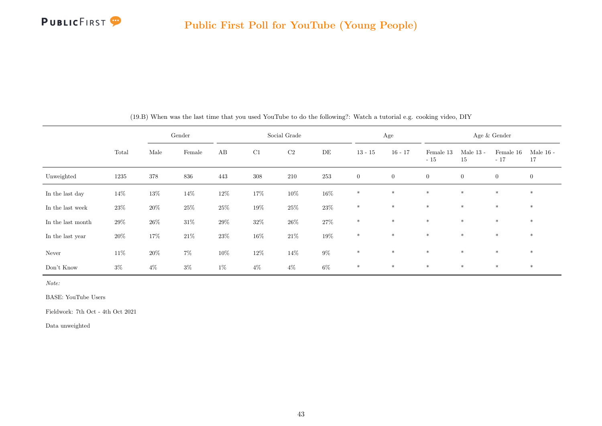

|                   |        |        | Gender |        |        | Social Grade |        |                | Age              |                    |                   | Age & Gender       |                   |
|-------------------|--------|--------|--------|--------|--------|--------------|--------|----------------|------------------|--------------------|-------------------|--------------------|-------------------|
|                   | Total  | Male   | Female | AB     | C1     | C2           | DE     | $13 - 15$      | $16 - 17$        | Female 13<br>$-15$ | Male $13$ -<br>15 | Female 16<br>$-17$ | Male $16$ -<br>17 |
| Unweighted        | 1235   | 378    | 836    | 443    | 308    | 210          | 253    | $\overline{0}$ | $\boldsymbol{0}$ | $\overline{0}$     | $\overline{0}$    | $\overline{0}$     | $\overline{0}$    |
| In the last day   | $14\%$ | $13\%$ | $14\%$ | $12\%$ | $17\%$ | $10\%$       | $16\%$ | $\ast$         | $\ast$           | $\ast$             | $\ast$            | $\ast$             | $\ast$            |
| In the last week  | $23\%$ | $20\%$ | $25\%$ | $25\%$ | $19\%$ | $25\%$       | $23\%$ | $*$            | $*$              | $*$                | $*$               | $\ast$             | $*$               |
| In the last month | $29\%$ | $26\%$ | $31\%$ | $29\%$ | $32\%$ | $26\%$       | $27\%$ | $\ast$         | $*$              | $*$                | $\ast$            | $\ast$             | $\ast$            |
| In the last year  | $20\%$ | 17%    | $21\%$ | $23\%$ | $16\%$ | $21\%$       | $19\%$ | $\ast$         | $*$              | $*$                | $*$               | $\ast$             | $*$               |
| Never             | $11\%$ | $20\%$ | $7\%$  | $10\%$ | $12\%$ | $14\%$       | $9\%$  | $\ast$         | $*$              | $*$                | $*$               | $*$                | $*$               |
| Don't Know        | $3\%$  | $4\%$  | $3\%$  | $1\%$  | $4\%$  | $4\%$        | $6\%$  | $\ast$         | $\ast$           | $\ast$             | $\ast$            | $\ast$             | $\ast$            |

(19.B) When was the last time that you used YouTube to do the following?: Watch a tutorial e.g. cooking video, DIY

Note:

BASE: YouTube Users

Fieldwork: 7th Oct - 4th Oct 2021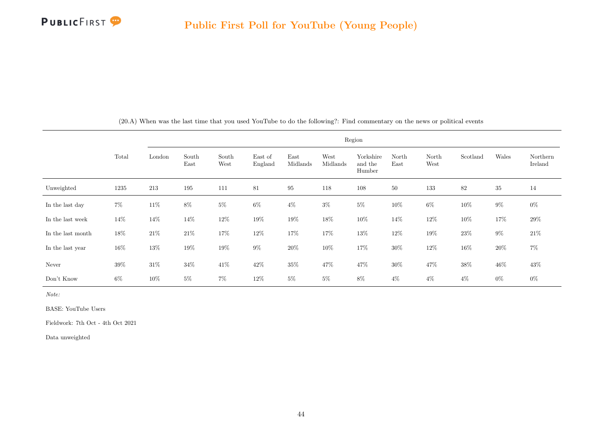

|                   |       |        |               |               |                    |                  | Region           |                                |               |               |          |        |                     |
|-------------------|-------|--------|---------------|---------------|--------------------|------------------|------------------|--------------------------------|---------------|---------------|----------|--------|---------------------|
|                   | Total | London | South<br>East | South<br>West | East of<br>England | East<br>Midlands | West<br>Midlands | Yorkshire<br>and the<br>Humber | North<br>East | North<br>West | Scotland | Wales  | Northern<br>Ireland |
| Unweighted        | 1235  | 213    | 195           | 111           | 81                 | $\rm 95$         | 118              | 108                            | 50            | 133           | 82       | $35\,$ | 14                  |
| In the last day   | $7\%$ | $11\%$ | $8\%$         | $5\%$         | $6\%$              | $4\%$            | $3\%$            | $5\%$                          | $10\%$        | $6\%$         | $10\%$   | $9\%$  | $0\%$               |
| In the last week  | 14\%  | $14\%$ | $14\%$        | $12\%$        | $19\%$             | $19\%$           | $18\%$           | $10\%$                         | 14\%          | $12\%$        | $10\%$   | 17%    | $29\%$              |
| In the last month | 18%   | $21\%$ | $21\%$        | $17\%$        | $12\%$             | $17\%$           | 17%              | $13\%$                         | $12\%$        | $19\%$        | $23\%$   | $9\%$  | $21\%$              |
| In the last year  | 16%   | 13%    | $19\%$        | $19\%$        | $9\%$              | $20\%$           | $10\%$           | 17%                            | $30\%$        | $12\%$        | 16%      | $20\%$ | $7\%$               |
| Never             | 39%   | $31\%$ | $34\%$        | $41\%$        | $42\%$             | $35\%$           | 47%              | $47\%$                         | $30\%$        | $47\%$        | $38\%$   | $46\%$ | 43\%                |
| Don't Know        | $6\%$ | 10%    | $5\%$         | $7\%$         | 12\%               | $5\%$            | $5\%$            | $8\%$                          | $4\%$         | $4\%$         | $4\%$    | $0\%$  | $0\%$               |

(20.A) When was the last time that you used YouTube to do the following?: Find commentary on the news or political events

Note:

BASE: YouTube Users

Fieldwork: 7th Oct - 4th Oct 2021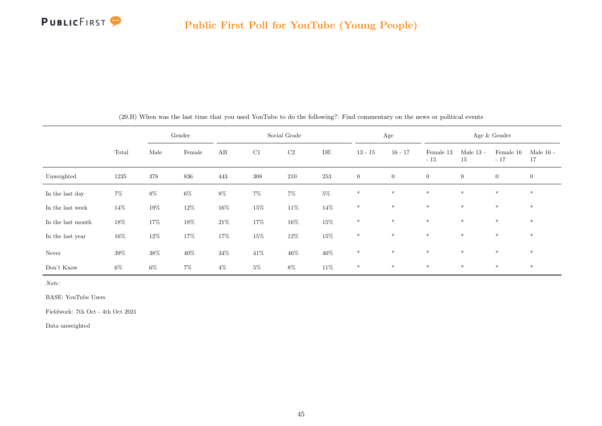

|                   |        |         | Gender |        |         | Social Grade |        |                | Age          |                    |                   | Age $\&$ Gender    |                   |
|-------------------|--------|---------|--------|--------|---------|--------------|--------|----------------|--------------|--------------------|-------------------|--------------------|-------------------|
|                   | Total  | Male    | Female | AB     | C1      | $\rm C2$     | DE     | $13 - 15$      | $16 - 17$    | Female 13<br>$-15$ | Male $13$ -<br>15 | Female 16<br>$-17$ | Male $16$ -<br>17 |
| Unweighted        | 1235   | $378\,$ | 836    | 443    | $308\,$ | $210\,$      | 253    | $\overline{0}$ | $\mathbf{0}$ | $\overline{0}$     | $\overline{0}$    | $\overline{0}$     | $\overline{0}$    |
| In the last day   | $7\%$  | $8\%$   | $6\%$  | $8\%$  | $7\%$   | $7\%$        | $5\%$  | $\ast$         | $\ast$       | $*$                | $*$               | $*$                | $*$               |
| In the last week  | $14\%$ | $19\%$  | $12\%$ | $16\%$ | $15\%$  | $11\%$       | $14\%$ | $\ast$         | $*$          | $*$                | $\ast$            | $\ast$             | $\ast$            |
| In the last month | $18\%$ | 17%     | $18\%$ | $21\%$ | 17%     | $16\%$       | $15\%$ | $\ast$         | $*$          | $*$                | $\ast$            | $*$                | $\ast$            |
| In the last year  | $16\%$ | $12\%$  | 17%    | 17%    | $15\%$  | $12\%$       | $15\%$ | $\ast$         | $\ast$       | $\ast$             | $*$               | $\ast$             | $\ast$            |
| Never             | $39\%$ | $38\%$  | $40\%$ | $34\%$ | $41\%$  | $46\%$       | 40\%   | $\ast$         | $*$          | $*$                | $*$               | $*$                | $\ast$            |
| Don't Know        | $6\%$  | $6\%$   | $7\%$  | $4\%$  | $5\%$   | $8\%$        | $11\%$ | $\ast$         | $\ast$       | $*$                | $*$               | $\ast$             | $\ast$            |

(20.B) When was the last time that you used YouTube to do the following?: Find commentary on the news or political events

Note:

BASE: YouTube Users

Fieldwork: 7th Oct - 4th Oct 2021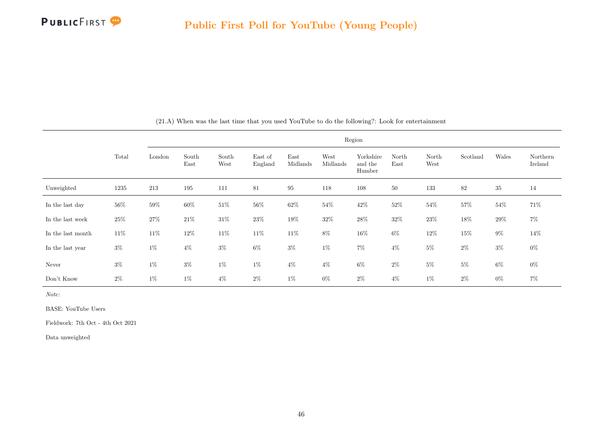

|                   |       |        |               |               |                    |                  | Region           |                                |               |               |          |        |                     |
|-------------------|-------|--------|---------------|---------------|--------------------|------------------|------------------|--------------------------------|---------------|---------------|----------|--------|---------------------|
|                   | Total | London | South<br>East | South<br>West | East of<br>England | East<br>Midlands | West<br>Midlands | Yorkshire<br>and the<br>Humber | North<br>East | North<br>West | Scotland | Wales  | Northern<br>Ireland |
| Unweighted        | 1235  | 213    | 195           | 111           | 81                 | $\rm 95$         | 118              | 108                            | 50            | 133           | 82       | 35     | 14                  |
| In the last day   | 56%   | 59%    | $60\%$        | $51\%$        | 56%                | $62\%$           | 54%              | $42\%$                         | 52\%          | 54%           | 57%      | $54\%$ | 71%                 |
| In the last week  | 25\%  | $27\%$ | $21\%$        | $31\%$        | 23\%               | $19\%$           | 32\%             | 28\%                           | 32\%          | 23\%          | 18%      | 29%    | $7\%$               |
| In the last month | 11\%  | $11\%$ | $12\%$        | $11\%$        | $11\%$             | $11\%$           | $8\%$            | $16\%$                         | $6\%$         | $12\%$        | 15%      | $9\%$  | 14%                 |
| In the last year  | $3\%$ | $1\%$  | $4\%$         | $3\%$         | $6\%$              | $3\%$            | $1\%$            | $7\%$                          | $4\%$         | $5\%$         | $2\%$    | $3\%$  | $0\%$               |
| Never             | $3\%$ | $1\%$  | $3\%$         | $1\%$         | $1\%$              | $4\%$            | $4\%$            | $6\%$                          | $2\%$         | $5\%$         | $5\%$    | $6\%$  | $0\%$               |
| Don't Know        | $2\%$ | $1\%$  | $1\%$         | $4\%$         | $2\%$              | $1\%$            | $0\%$            | $2\%$                          | $4\%$         | $1\%$         | $2\%$    | $0\%$  | $7\%$               |

(21.A) When was the last time that you used YouTube to do the following?: Look for entertainment

Note:

BASE: YouTube Users

Fieldwork: 7th Oct - 4th Oct 2021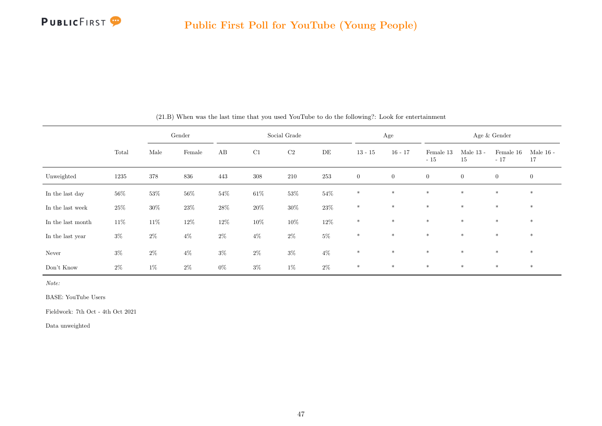

|                   |        | Gender |        |        |         | Social Grade |           |                | Age            |                    |                   | Age $\&$ Gender    |                   |
|-------------------|--------|--------|--------|--------|---------|--------------|-----------|----------------|----------------|--------------------|-------------------|--------------------|-------------------|
|                   | Total  | Male   | Female | AB     | C1      | $\rm C2$     | $\rm{DE}$ | $13 - 15$      | $16 - 17$      | Female 13<br>$-15$ | Male $13$ -<br>15 | Female 16<br>$-17$ | Male $16$ -<br>17 |
| Unweighted        | 1235   | 378    | 836    | 443    | $308\,$ | 210          | 253       | $\overline{0}$ | $\overline{0}$ | $\overline{0}$     | $\overline{0}$    | $\overline{0}$     | $\overline{0}$    |
| In the last day   | $56\%$ | $53\%$ | $56\%$ | $54\%$ | $61\%$  | $53\%$       | $54\%$    | $\ast$         | $\ast$         | $\ast$             | $\ast$            | $*$                | $\ast$            |
| In the last week  | $25\%$ | $30\%$ | $23\%$ | $28\%$ | $20\%$  | $30\%$       | $23\%$    | $\ast$         | $\ast$         | $\ast$             | $\ast$            | $\ast$             | $\ast$            |
| In the last month | $11\%$ | $11\%$ | $12\%$ | $12\%$ | $10\%$  | $10\%$       | $12\%$    | $\ast$         | $\ast$         | $*$                | $*$               | $*$                | $\ast$            |
| In the last year  | $3\%$  | $2\%$  | $4\%$  | $2\%$  | $4\%$   | $2\%$        | $5\%$     | $\ast$         | $\ast$         | $\ast$             | $\ast$            | $\ast$             | $\ast$            |
| Never             | $3\%$  | $2\%$  | $4\%$  | $3\%$  | $2\%$   | $3\%$        | $4\%$     | $\ast$         | $\ast$         | $*$                | $*$               | $*$                | $\ast$            |
| Don't Know        | $2\%$  | $1\%$  | $2\%$  | $0\%$  | $3\%$   | $1\%$        | $2\%$     | $\ast$         | $*$            | $\ast$             | $*$               | $\ast$             | $\ast$            |

(21.B) When was the last time that you used YouTube to do the following?: Look for entertainment

Note:

BASE: YouTube Users

Fieldwork: 7th Oct - 4th Oct 2021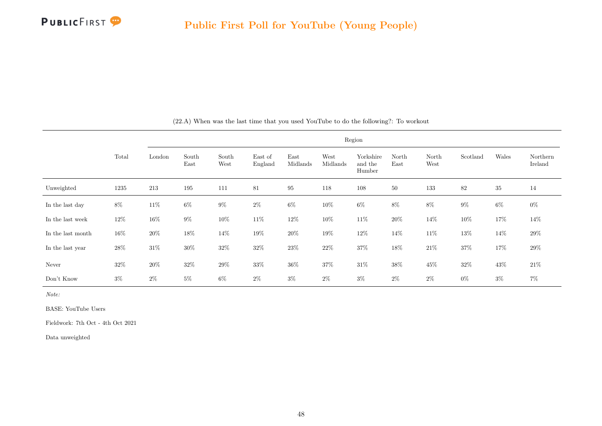|                   |        |        |               |               |                    |                  |                  | Region                         |               |               |          |        |                     |
|-------------------|--------|--------|---------------|---------------|--------------------|------------------|------------------|--------------------------------|---------------|---------------|----------|--------|---------------------|
|                   | Total  | London | South<br>East | South<br>West | East of<br>England | East<br>Midlands | West<br>Midlands | Yorkshire<br>and the<br>Humber | North<br>East | North<br>West | Scotland | Wales  | Northern<br>Ireland |
| Unweighted        | 1235   | 213    | 195           | 111           | 81                 | $\rm 95$         | 118              | 108                            | $50\,$        | 133           | 82       | 35     | 14                  |
| In the last day   | $8\%$  | $11\%$ | $6\%$         | $9\%$         | $2\%$              | $6\%$            | $10\%$           | $6\%$                          | $8\%$         | $8\%$         | $9\%$    | $6\%$  | $0\%$               |
| In the last week  | 12\%   | 16%    | $9\%$         | $10\%$        | 11\%               | 12\%             | 10%              | 11\%                           | 20%           | 14\%          | 10%      | 17%    | 14%                 |
| In the last month | $16\%$ | $20\%$ | $18\%$        | $14\%$        | $19\%$             | $20\%$           | $19\%$           | $12\%$                         | $14\%$        | $11\%$        | $13\%$   | 14%    | $29\%$              |
| In the last year  | $28\%$ | $31\%$ | $30\%$        | $32\%$        | $32\%$             | $23\%$           | $22\%$           | $37\%$                         | $18\%$        | $21\%$        | $37\%$   | $17\%$ | $29\%$              |
| Never             | $32\%$ | 20%    | $32\%$        | $29\%$        | $33\%$             | $36\%$           | 37%              | $31\%$                         | $38\%$        | $45\%$        | $32\%$   | 43%    | $21\%$              |
| Don't Know        | $3\%$  | $2\%$  | $5\%$         | $6\%$         | $2\%$              | $3\%$            | $2\%$            | $3\%$                          | $2\%$         | $2\%$         | $0\%$    | $3\%$  | $7\%$               |

(22.A) When was the last time that you used YouTube to do the following?: To workout

Note:

BASE: YouTube Users

Fieldwork: 7th Oct - 4th Oct 2021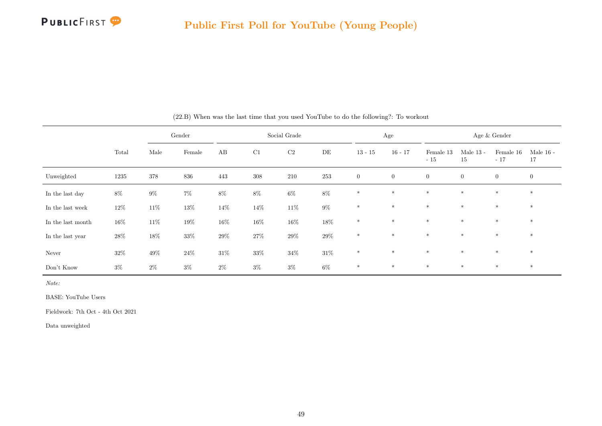

|                   |        | Gender  |        |        | Social Grade |          |           | Age            |                  |                    |                   | Age $\&$ Gender    |                   |
|-------------------|--------|---------|--------|--------|--------------|----------|-----------|----------------|------------------|--------------------|-------------------|--------------------|-------------------|
|                   | Total  | Male    | Female | AB     | $\rm C1$     | $\rm C2$ | $\rm{DE}$ | $13 - 15$      | $16 - 17$        | Female 13<br>$-15$ | Male $13$ -<br>15 | Female 16<br>$-17$ | Male $16$ -<br>17 |
| Unweighted        | 1235   | $378\,$ | 836    | 443    | $308\,$      | $210\,$  | 253       | $\overline{0}$ | $\boldsymbol{0}$ | $\boldsymbol{0}$   | $\boldsymbol{0}$  | $\overline{0}$     | $\overline{0}$    |
| In the last day   | $8\%$  | $9\%$   | $7\%$  | $8\%$  | $8\%$        | $6\%$    | $8\%$     | $\ast$         | $\ast$           | $\ast$             | $\ast$            | $\ast$             | $\ast$            |
| In the last week  | $12\%$ | $11\%$  | $13\%$ | $14\%$ | $14\%$       | $11\%$   | $9\%$     | $\ast$         | $\ast$           | $*$                | $*$               | $*$                | $\ast$            |
| In the last month | 16%    | $11\%$  | $19\%$ | $16\%$ | $16\%$       | $16\%$   | $18\%$    | $\ast$         | $\ast$           | $\ast$             | $\ast$            | $\ast$             | $\ast$            |
| In the last year  | $28\%$ | $18\%$  | $33\%$ | $29\%$ | $27\%$       | $29\%$   | $29\%$    | $\ast$         | $*$              | $*$                | $*$               | $\ast$             | $\ast$            |
| Never             | $32\%$ | $49\%$  | $24\%$ | $31\%$ | $33\%$       | $34\%$   | $31\%$    | $*$            | $*$              | $*$                | $*$               | $*$                | $*$               |
| Don't Know        | $3\%$  | $2\%$   | $3\%$  | $2\%$  | $3\%$        | $3\%$    | $6\%$     | $*$            | $\ast$           | $\ast$             | $*$               | $\ast$             | $\ast$            |

(22.B) When was the last time that you used YouTube to do the following?: To workout

BASE: YouTube Users

Fieldwork: 7th Oct - 4th Oct 2021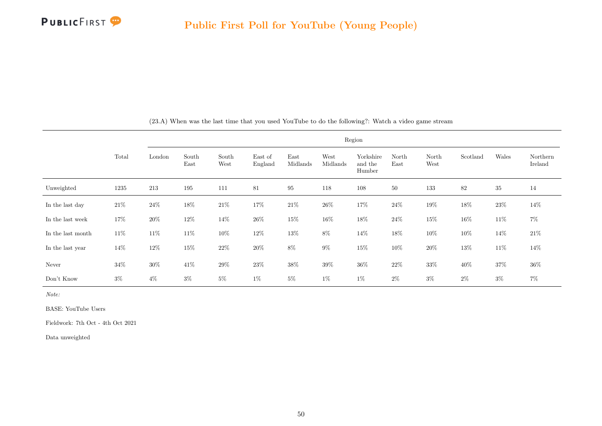

|                   |        |        |               |               |                    |                  |                  | Region                         |               |               |          |        |                     |
|-------------------|--------|--------|---------------|---------------|--------------------|------------------|------------------|--------------------------------|---------------|---------------|----------|--------|---------------------|
|                   | Total  | London | South<br>East | South<br>West | East of<br>England | East<br>Midlands | West<br>Midlands | Yorkshire<br>and the<br>Humber | North<br>East | North<br>West | Scotland | Wales  | Northern<br>Ireland |
| Unweighted        | 1235   | 213    | 195           | 111           | 81                 | 95               | 118              | 108                            | 50            | 133           | 82       | $35\,$ | 14                  |
| In the last day   | $21\%$ | $24\%$ | $18\%$        | $21\%$        | 17%                | $21\%$           | $26\%$           | 17%                            | $24\%$        | $19\%$        | $18\%$   | $23\%$ | 14%                 |
| In the last week  | 17%    | $20\%$ | $12\%$        | 14%           | $26\%$             | $15\%$           | $16\%$           | $18\%$                         | $24\%$        | $15\%$        | 16%      | 11\%   | $7\%$               |
| In the last month | 11\%   | 11\%   | 11\%          | $10\%$        | $12\%$             | $13\%$           | $8\%$            | $14\%$                         | $18\%$        | 10%           | 10%      | 14\%   | $21\%$              |
| In the last year  | $14\%$ | $12\%$ | $15\%$        | $22\%$        | $20\%$             | $8\%$            | $9\%$            | $15\%$                         | $10\%$        | $20\%$        | $13\%$   | 11\%   | $14\%$              |
| Never             | $34\%$ | $30\%$ | $41\%$        | $29\%$        | $23\%$             | $38\%$           | $39\%$           | $36\%$                         | $22\%$        | $33\%$        | $40\%$   | $37\%$ | $36\%$              |
| Don't Know        | $3\%$  | $4\%$  | $3\%$         | $5\%$         | $1\%$              | $5\%$            | $1\%$            | $1\%$                          | $2\%$         | $3\%$         | $2\%$    | $3\%$  | $7\%$               |

(23.A) When was the last time that you used YouTube to do the following?: Watch a video game stream

Note:

BASE: YouTube Users

Fieldwork: 7th Oct - 4th Oct 2021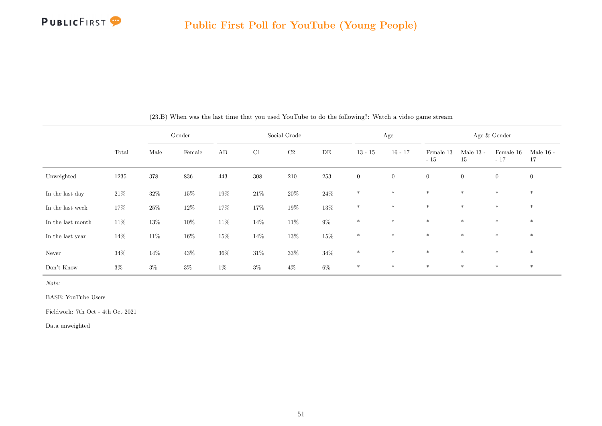

|                   |        |        | Gender |        |        | Social Grade |        |                | Age              |                    |                   | Age & Gender       |                   |
|-------------------|--------|--------|--------|--------|--------|--------------|--------|----------------|------------------|--------------------|-------------------|--------------------|-------------------|
|                   | Total  | Male   | Female | AB     | C1     | $\rm C2$     | DE     | $13 - 15$      | $16 - 17$        | Female 13<br>$-15$ | Male $13$ -<br>15 | Female 16<br>$-17$ | Male $16$ -<br>17 |
| Unweighted        | 1235   | 378    | 836    | 443    | 308    | 210          | 253    | $\overline{0}$ | $\boldsymbol{0}$ | $\overline{0}$     | $\overline{0}$    | $\overline{0}$     | $\boldsymbol{0}$  |
| In the last day   | $21\%$ | $32\%$ | $15\%$ | $19\%$ | $21\%$ | $20\%$       | $24\%$ | $\ast$         | $\ast$           | $\ast$             | $*$               | $\ast$             | $*$               |
| In the last week  | 17%    | $25\%$ | $12\%$ | 17%    | $17\%$ | $19\%$       | $13\%$ | $\ast$         | $\ast$           | $*$                | $\ast$            | $\ast$             | $*$               |
| In the last month | $11\%$ | $13\%$ | $10\%$ | $11\%$ | $14\%$ | $11\%$       | $9\%$  | $\ast$         | $\ast$           | $*$                | $\ast$            | $\ast$             | $*$               |
| In the last year  | $14\%$ | $11\%$ | $16\%$ | $15\%$ | 14\%   | $13\%$       | $15\%$ | $\ast$         | $\ast$           | $*$                | $*$               | $\ast$             | $*$               |
| Never             | $34\%$ | 14%    | $43\%$ | $36\%$ | $31\%$ | $33\%$       | $34\%$ | $\ast$         | $\ast$           | $*$                | $\ast$            | $\ast$             | $\ast$            |
| Don't Know        | $3\%$  | $3\%$  | $3\%$  | $1\%$  | $3\%$  | $4\%$        | $6\%$  | $\ast$         | $\ast$           | $\ast$             | $*$               | $\ast$             | $*$               |

(23.B) When was the last time that you used YouTube to do the following?: Watch a video game stream

Note:

BASE: YouTube Users

Fieldwork: 7th Oct - 4th Oct 2021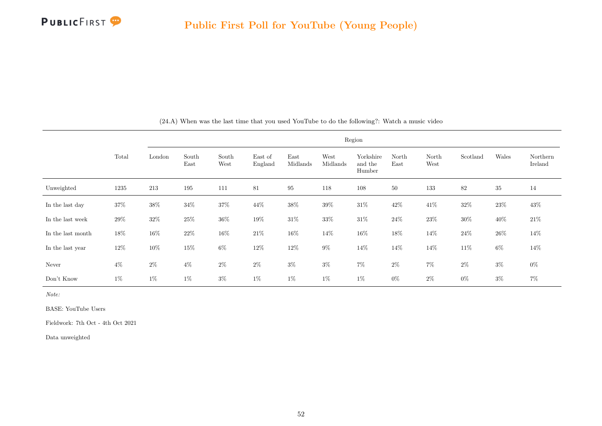

|                   |       |        |               |               |                    |                  | Region           |                                |               |               |          |        |                     |
|-------------------|-------|--------|---------------|---------------|--------------------|------------------|------------------|--------------------------------|---------------|---------------|----------|--------|---------------------|
|                   | Total | London | South<br>East | South<br>West | East of<br>England | East<br>Midlands | West<br>Midlands | Yorkshire<br>and the<br>Humber | North<br>East | North<br>West | Scotland | Wales  | Northern<br>Ireland |
| Unweighted        | 1235  | 213    | 195           | 111           | 81                 | $\rm 95$         | 118              | 108                            | 50            | 133           | 82       | 35     | 14                  |
| In the last day   | 37%   | $38\%$ | $34\%$        | $37\%$        | $44\%$             | $38\%$           | 39%              | $31\%$                         | $42\%$        | $41\%$        | 32\%     | $23\%$ | $43\%$              |
| In the last week  | 29%   | $32\%$ | $25\%$        | $36\%$        | $19\%$             | $31\%$           | $33\%$           | $31\%$                         | $24\%$        | $23\%$        | $30\%$   | 40%    | $21\%$              |
| In the last month | 18%   | $16\%$ | $22\%$        | $16\%$        | $21\%$             | $16\%$           | 14%              | $16\%$                         | $18\%$        | 14%           | $24\%$   | 26\%   | 14%                 |
| In the last year  | 12\%  | $10\%$ | $15\%$        | $6\%$         | $12\%$             | $12\%$           | $9\%$            | $14\%$                         | $14\%$        | $14\%$        | $11\%$   | $6\%$  | 14%                 |
| Never             | $4\%$ | $2\%$  | $4\%$         | $2\%$         | $2\%$              | $3\%$            | $3\%$            | $7\%$                          | $2\%$         | $7\%$         | $2\%$    | $3\%$  | $0\%$               |
| Don't Know        | $1\%$ | $1\%$  | $1\%$         | $3\%$         | $1\%$              | 1%               | $1\%$            | $1\%$                          | $0\%$         | $2\%$         | $0\%$    | $3\%$  | $7\%$               |

(24.A) When was the last time that you used YouTube to do the following?: Watch a music video

Note:

BASE: YouTube Users

Fieldwork: 7th Oct - 4th Oct 2021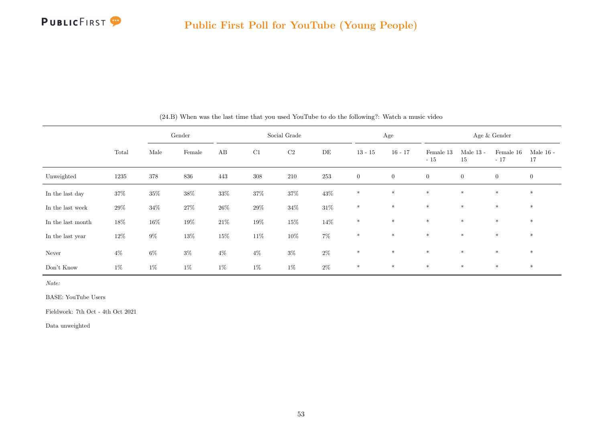

|                   |        |        | Gender |        |         | Social Grade |        |                | Age            |                    |                   | Age & Gender       |                   |
|-------------------|--------|--------|--------|--------|---------|--------------|--------|----------------|----------------|--------------------|-------------------|--------------------|-------------------|
|                   | Total  | Male   | Female | AB     | C1      | $\rm C2$     | DE     | $13 - 15$      | $16 - 17$      | Female 13<br>$-15$ | Male $13$ -<br>15 | Female 16<br>$-17$ | Male $16$ -<br>17 |
| Unweighted        | 1235   | 378    | 836    | 443    | $308\,$ | 210          | 253    | $\overline{0}$ | $\overline{0}$ | $\overline{0}$     | $\overline{0}$    | $\overline{0}$     | $\overline{0}$    |
| In the last day   | 37%    | $35\%$ | $38\%$ | $33\%$ | $37\%$  | $37\%$       | $43\%$ | $\ast$         | $\ast$         | $\ast$             | $\ast$            | $\ast$             | $\ast$            |
| In the last week  | 29%    | $34\%$ | $27\%$ | $26\%$ | $29\%$  | $34\%$       | $31\%$ | $\ast$         | $\ast$         | $\ast$             | $\ast$            | $\ast$             | $\ast$            |
| In the last month | $18\%$ | $16\%$ | $19\%$ | 21\%   | $19\%$  | $15\%$       | 14%    | $\ast$         | $\ast$         | $*$                | $*$               | $*$                | $\ast$            |
| In the last year  | 12\%   | $9\%$  | $13\%$ | $15\%$ | $11\%$  | $10\%$       | $7\%$  | $\ast$         | $\ast$         | $\ast$             | $\ast$            | $\ast$             | $\ast$            |
| Never             | $4\%$  | $6\%$  | $3\%$  | $4\%$  | $4\%$   | $3\%$        | $2\%$  | $\ast$         | $\ast$         | $*$                | $*$               | $*$                | $*$               |
| Don't Know        | $1\%$  | $1\%$  | $1\%$  | $1\%$  | $1\%$   | $1\%$        | $2\%$  | $*$            | $*$            | $*$                | $*$               | $*$                | $*$               |

(24.B) When was the last time that you used YouTube to do the following?: Watch a music video

Note:

BASE: YouTube Users

Fieldwork: 7th Oct - 4th Oct 2021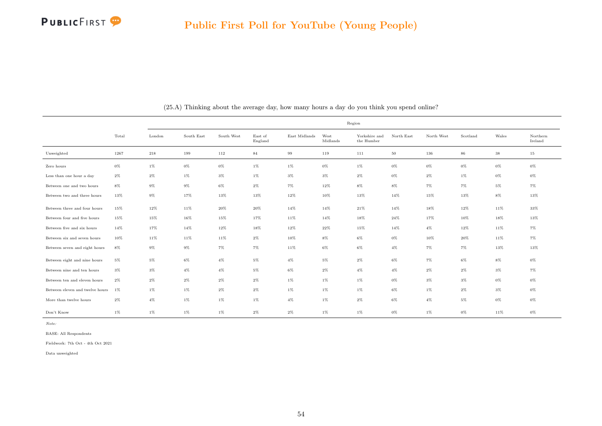

|                                 |        |        |            |            |                    |               |                  | Region                                       |            |            |          |        |                     |
|---------------------------------|--------|--------|------------|------------|--------------------|---------------|------------------|----------------------------------------------|------------|------------|----------|--------|---------------------|
|                                 | Total  | London | South East | South West | East of<br>England | East Midlands | West<br>Midlands | Yorkshire and<br>the $\operatorname{Humber}$ | North East | North West | Scotland | Wales  | Northern<br>Ireland |
| Unweighted                      | 1267   | 218    | 199        | 112        | 84                 | $\,99$        | 119              | 111                                          | 50         | 136        | 86       | $38\,$ | 15                  |
| Zero hours                      | $0\%$  | $1\%$  | 0%         | $0\%$      | 1%                 | 1%            | $0\%$            | $1\%$                                        | $0\%$      | $0\%$      | $0\%$    | $0\%$  | $0\%$               |
| Less than one hour a day        | $2\%$  | $2\%$  | $1\%$      | $3\%$      | $1\%$              | $3\%$         | $3\%$            | $2\%$                                        | $0\%$      | $2\%$      | $1\%$    | $0\%$  | $0\%$               |
| Between one and two hours       | $8\%$  | $9\%$  | $9\%$      | $6\%$      | $2\%$              | 7%            | 12%              | $8\%$                                        | $8\%$      | $7\%$      | $7\%$    | $5\%$  | $7\%$               |
| Between two and three hours     | $13\%$ | $9\%$  | 17%        | 13%        | 13%                | 12%           | 10%              | 13%                                          | 14%        | 15%        | 13%      | $8\%$  | 13%                 |
| Between three and four hours    | 15%    | $12\%$ | $11\%$     | $20\%$     | $20\%$             | 14%           | 14%              | 21%                                          | 14%        | 18%        | $12\%$   | 11%    | $33\%$              |
| Between four and five hours     | 15%    | 15%    | 16%        | 15%        | 17%                | 11%           | 14%              | 18%                                          | 24%        | 17%        | 10%      | 18%    | 13%                 |
| Between five and six hours      | 14%    | 17%    | 14%        | $12\%$     | 18%                | 12%           | 22%              | 15%                                          | 14%        | $4\%$      | 12%      | 11%    | 7%                  |
| Between six and seven hours     | $10\%$ | 11%    | $11\%$     | 11%        | $2\%$              | 10%           | $8\%$            | $6\%$                                        | $0\%$      | 10%        | 20%      | 11%    | 7%                  |
| Between seven and eight hours   | $8\%$  | $9\%$  | $9\%$      | $7\%$      | 7%                 | $11\%$        | $6\%$            | 6%                                           | $4\%$      | $7\%$      | $7\%$    | 13%    | 13%                 |
| Between eight and nine hours    | $5\%$  | $5\%$  | $6\%$      | $4\%$      | $5\%$              | $4\%$         | $5\%$            | $2\%$                                        | $6\%$      | 7%         | $6\%$    | $8\%$  | $0\%$               |
| Between nine and ten hours      | $3\%$  | $3\%$  | 4%         | $4\%$      | $5\%$              | $6\%$         | $2\%$            | $4\%$                                        | $4\%$      | $2\%$      | $2\%$    | $3\%$  | $7\%$               |
| Between ten and eleven hours    | $2\%$  | $2\%$  | $2\%$      | $2\%$      | $2\%$              | 1%            | $1\%$            | $1\%$                                        | $0\%$      | $3\%$      | $3\%$    | $0\%$  | $0\%$               |
| Between eleven and twelve hours | $1\%$  | $1\%$  | $1\%$      | $2\%$      | $2\%$              | $1\%$         | $1\%$            | $1\%$                                        | $6\%$      | $1\%$      | $2\%$    | $3\%$  | $0\%$               |
| More than twelve hours          | $2\%$  | $4\%$  | $1\%$      | $1\%$      | 1%                 | $4\%$         | $1\%$            | $2\%$                                        | $6\%$      | $4\%$      | 5%       | $0\%$  | $0\%$               |
| Don't Know                      | $1\%$  | $1\%$  | $1\%$      | $1\%$      | $2\%$              | $2\%$         | $1\%$            | $1\%$                                        | $0\%$      | $1\%$      | $0\%$    | 11%    | $0\%$               |

(25.A) Thinking about the average day, how many hours a day do you think you spend online?

BASE: All Respondents

Fieldwork: 7th Oct - 4th Oct 2021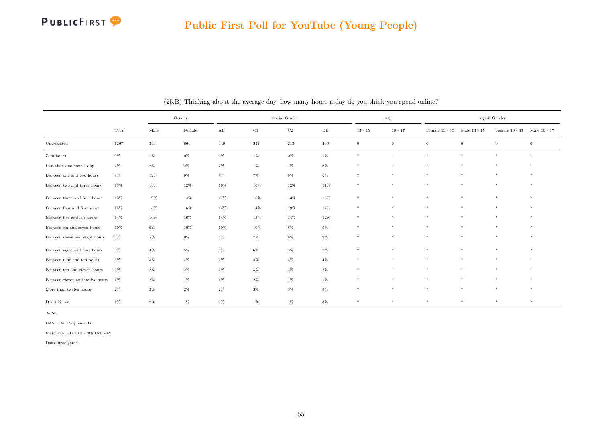

|                                 |        | Gender |        |                        | Social Grade |                |           | $_{\rm Age}$   |                  |                             | Age & Gender |                             |                |
|---------------------------------|--------|--------|--------|------------------------|--------------|----------------|-----------|----------------|------------------|-----------------------------|--------------|-----------------------------|----------------|
|                                 | Total  | Male   | Female | $\mathbf{A}\mathbf{B}$ | C1           | C <sub>2</sub> | $\rm{DE}$ | $13 - 15$      | $16 - 17$        | Female 13 - 15 Male 13 - 15 |              | Female 16 - 17 Male 16 - 17 |                |
| Unweighted                      | 1267   | 383    | 861    | 446                    | 321          | $213\,$        | 266       | $\overline{0}$ | $\boldsymbol{0}$ | $\overline{0}$              | $\mathbf{0}$ | $\,0\,$                     | $\overline{0}$ |
| Zero hours                      | $0\%$  | 1%     | $0\%$  | $0\%$                  | $1\%$        | $0\%$          | $1\%$     | $\ast$         | $\ast$           | $\ast$                      | $\ast$       | $\ast$                      | $\ast$         |
| Less than one hour a day        | $2\%$  | $2\%$  | $2\%$  | $2\%$                  | $1\%$        | $1\%$          | $3\%$     | $\ast$         | $\ast$           | $\ast$                      | $\ast$       | $\ast$                      | $\ast$         |
| Between one and two hours       | $8\%$  | $12\%$ | $6\%$  | $9\%$                  | $7\%$        | $9\%$          | $6\%$     | $\ast$         | $\ast$           | $\ast$                      | $\ast$       | $\ast$                      | $\ast$         |
| Between two and three hours     | $13\%$ | 14%    | $12\%$ | 16%                    | $10\%$       | $12\%$         | $11\%$    | $\ast$         | $\ast$           | $\ast$                      | $\ast$       | $\ast$                      | $\ast$         |
| Between three and four hours    | 15%    | 19%    | 14%    | 17%                    | 16%          | 13%            | 13%       | $\ast$         | $\ast$           | $\ast$                      | ×            | $\ast$                      | $\ast$         |
| Between four and five hours     | 15%    | 15%    | 16%    | 14%                    | 14%          | 19%            | 17%       | $\ast$         | $\ast$           | $\ast$                      | $\ast$       | $\ast$                      | $\star$        |
| Between five and six hours      | 14%    | $10\%$ | 16%    | 14%                    | 15%          | 14%            | $12\%$    | $\ast$         | $\ast$           | $\ast$                      | $\ast$       | $\ast$                      | $\ast$         |
| Between six and seven hours     | 10%    | $9\%$  | 10%    | 10%                    | 10%          | 8%             | $9\%$     | $\ast$         | $\ast$           | $\ast$                      | $\ast$       | $\ast$                      | $\ast$         |
| Between seven and eight hours   | 8%     | $5\%$  | $9\%$  | $8\%$                  | $7\%$        | 8%             | $9\%$     | $\ast$         | $\ast$           | $\ast$                      | $\ast$       | $\ast$                      | $\ast$         |
| Between eight and nine hours    | $5\%$  | $4\%$  | $5\%$  | $4\%$                  | $6\%$        | $3\%$          | $7\%$     | $\ast$         | $\ast$           | $\ast$                      | $\ast$       | $\ast$                      | $\ast$         |
| Between nine and ten hours      | $3\%$  | $3\%$  | $4\%$  | $2\%$                  | $4\%$        | $4\%$          | $4\%$     | $\ast$         | $\ast$           | $\ast$                      | $\ast$       | $\ast$                      | $\ast$         |
| Between ten and eleven hours    | $2\%$  | $2\%$  | $2\%$  | 1%                     | $3\%$        | $2\%$          | $2\%$     | $\ast$         | $\ast$           | $\ast$                      | $\ast$       | $\ast$                      | $\star$        |
| Between eleven and twelve hours | 1%     | $2\%$  | $1\%$  | $1\%$                  | $2\%$        | $1\%$          | $1\%$     | $\ast$         | $\ast$           | $\ast$                      | $\ast$       | $\ast$                      | $\ast$         |
| More than twelve hours          | $2\%$  | $2\%$  | $2\%$  | $2\%$                  | $3\%$        | $3\%$          | $3\%$     | $\ast$         | $\ast$           | $\ast$                      | $\ast$       | $\ast$                      | $\ast$         |
| Don't Know                      | $1\%$  | $2\%$  | 1%     | 0%                     | 1%           | 1%             | 3%        | $\ast$         | $\ast$           | $\ast$                      | $\ast$       | $\ast$                      | $\ast$         |

(25.B) Thinking about the average day, how many hours a day do you think you spend online?

BASE: All Respondents

Fieldwork: 7th Oct - 4th Oct 2021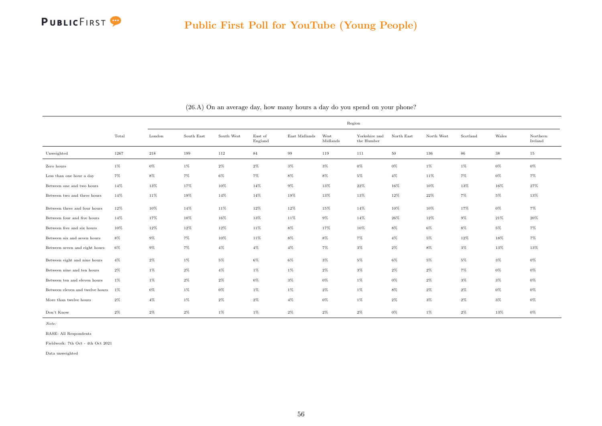

|                                 |        |        |            |            |                    |               |                  | Region                      |            |            |          |        |                     |
|---------------------------------|--------|--------|------------|------------|--------------------|---------------|------------------|-----------------------------|------------|------------|----------|--------|---------------------|
|                                 | Total  | London | South East | South West | East of<br>England | East Midlands | West<br>Midlands | Yorkshire and<br>the Humber | North East | North West | Scotland | Wales  | Northern<br>Ireland |
| Unweighted                      | 1267   | 218    | 199        | $112\,$    | 84                 | 99            | 119              | 111                         | $50\,$     | 136        | 86       | 38     | 15                  |
| Zero hours                      | $1\%$  | $0\%$  | $1\%$      | $2\%$      | $2\%$              | $3\%$         | 3%               | $0\%$                       | $0\%$      | $1\%$      | $1\%$    | $0\%$  | $0\%$               |
| Less than one hour a day        | $7\%$  | $8\%$  | $7\%$      | $6\%$      | $7\%$              | $8\%$         | 8%               | $5\%$                       | $4\%$      | 11%        | $7\%$    | $0\%$  | $7\%$               |
| Between one and two hours       | 14%    | 13%    | 17%        | 10%        | 14%                | $9\%$         | 13%              | 22%                         | 16%        | 10%        | 13%      | 16%    | $27\%$              |
| Between two and three hours     | 14%    | 11%    | 19%        | 14%        | $14\%$             | 19%           | 13%              | $13\%$                      | $12\%$     | $22\%$     | $7\%$    | $5\%$  | $13\%$              |
| Between three and four hours    | $12\%$ | $10\%$ | 14%        | 11%        | 12%                | $12\%$        | 15%              | 14%                         | 10%        | 10%        | 17%      | $0\%$  | $7\%$               |
| Between four and five hours     | 14%    | 17%    | 10%        | 16%        | $13\%$             | 11%           | $9\%$            | 14%                         | 26%        | 12%        | $9\%$    | $21\%$ | 20%                 |
| Between five and six hours      | 10%    | 12%    | 12%        | 12%        | 11%                | 8%            | 17%              | 10%                         | $8\%$      | $6\%$      | $8\%$    | $5\%$  | $7\%$               |
| Between six and seven hours     | $8\%$  | $9\%$  | $7\%$      | $10\%$     | 11%                | $8\%$         | 8%               | 7%                          | $4\%$      | $5\%$      | 12%      | 18%    | $7\%$               |
| Between seven and eight hours   | $6\%$  | $9\%$  | $7\%$      | $4\%$      | $4\%$              | $4\%$         | 7%               | $3\%$                       | $2\%$      | $8\%$      | $3\%$    | 13%    | 13%                 |
| Between eight and nine hours    | $4\%$  | $2\%$  | $1\%$      | $5\%$      | $6\%$              | 6%            | 3%               | $5\%$                       | $6\%$      | $5\%$      | $5\%$    | $3\%$  | $0\%$               |
| Between nine and ten hours      | $2\%$  | $1\%$  | $2\%$      | $4\%$      | $1\%$              | $1\%$         | $2\%$            | $3\%$                       | $2\%$      | $2\%$      | $7\%$    | $0\%$  | $0\%$               |
| Between ten and eleven hours    | $1\%$  | $1\%$  | $2\%$      | $2\%$      | $0\%$              | $3\%$         | $0\%$            | $1\%$                       | $0\%$      | $2\%$      | $3\%$    | $3\%$  | $0\%$               |
| Between eleven and twelve hours | 1%     | $0\%$  | $1\%$      | $0\%$      | $1\%$              | 1%            | $2\%$            | $1\%$                       | $8\%$      | $2\%$      | $2\%$    | $0\%$  | $0\%$               |
| More than twelve hours          | $2\%$  | $4\%$  | $1\%$      | $2\%$      | $2\%$              | $4\%$         | 0%               | $1\%$                       | $2\%$      | $3\%$      | $2\%$    | $3\%$  | $0\%$               |
| Don't Know                      | $2\%$  | $2\%$  | $2\%$      | $1\%$      | $1\%$              | $2\%$         | $2\%$            | $2\%$                       | $0\%$      | 1%         | $2\%$    | 13%    | $0\%$               |

(26.A) On an average day, how many hours a day do you spend on your phone?

BASE: All Respondents

Fieldwork: 7th Oct - 4th Oct 2021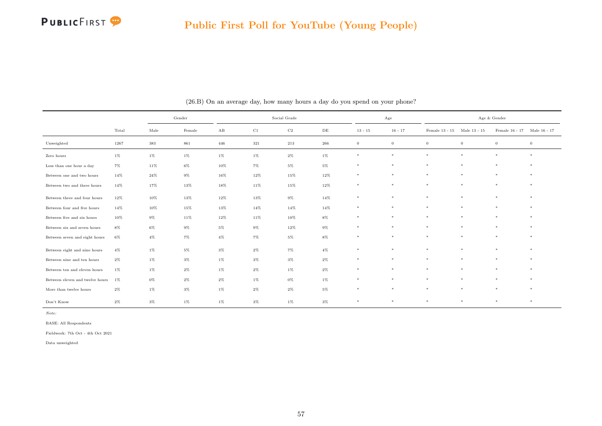

|                                 |       | Gender |        | Social Grade<br>$\rm C1$<br>$\mathbf{A}\mathbf{B}$<br>$\rm C2$<br>$13 - 15$<br>DE |       |        | Age   |              |              | Age & Gender                |              |                             |         |
|---------------------------------|-------|--------|--------|-----------------------------------------------------------------------------------|-------|--------|-------|--------------|--------------|-----------------------------|--------------|-----------------------------|---------|
|                                 | Total | Male   | Female |                                                                                   |       |        |       |              | $16 - 17$    | Female 13 - 15 Male 13 - 15 |              | Female 16 - 17 Male 16 - 17 |         |
| Unweighted                      | 1267  | 383    | 861    | 446                                                                               | 321   | 213    | 266   | $\mathbf{0}$ | $\mathbf{0}$ | $\mathbf{0}$                | $\mathbf{0}$ | $\overline{0}$              | $\,0\,$ |
| Zero hours                      | $1\%$ | $1\%$  | $1\%$  | $1\%$                                                                             | $1\%$ | $2\%$  | $1\%$ | $*$          | $\ast$       | $\ast$                      | $\ast$       | $\ast$                      | $\ast$  |
| Less than one hour a day        | 7%    | 11%    | 6%     | 10%                                                                               | $7\%$ | 5%     | $5\%$ | $\ast$       | $\ast$       | $\ast$                      | $\ast$       | $\ast$                      | $\ast$  |
| Between one and two hours       | 14%   | 24%    | $9\%$  | 16%                                                                               | 12%   | 15%    | 12%   | $\ast$       | $\ast$       | $\ast$                      | $\ast$       | $\ast$                      | $\ast$  |
| Between two and three hours     | 14%   | 17%    | 13%    | 18%                                                                               | 11%   | 15%    | 12%   | $\ast$       | $\ast$       | $\ast$                      | $\ast$       | $\ast$                      | $\ast$  |
| Between three and four hours    | 12%   | 10%    | 13%    | 12%                                                                               | 13%   | $9\%$  | 14%   | $\ast$       | $\ast$       | $\ast$                      | $\ast$       | $\ast$                      | $\ast$  |
| Between four and five hours     | 14%   | 10%    | 15%    | 13%                                                                               | 14%   | $14\%$ | 14%   | $\ast$       | $\ast$       | $\ast$                      | $\ast$       | $\ast$                      | $\ast$  |
| Between five and six hours      | 10%   | $9\%$  | 11%    | 12%                                                                               | 11%   | 10%    | 8%    | $\ast$       | $\ast$       | $\ast$                      | $\ast$       | $\ast$                      | $\ast$  |
| Between six and seven hours     | $8\%$ | $6\%$  | $9\%$  | $5\%$                                                                             | $9\%$ | $12\%$ | $9\%$ | $\ast$       | $\ast$       | $\ast$                      | $\ast$       | $\ast$                      | $\ast$  |
| Between seven and eight hours   | 6%    | $4\%$  | $7\%$  | $4\%$                                                                             | $7\%$ | 5%     | 8%    | $\ast$       | $\ast$       | $\ast$                      | $\ast$       | $\ast$                      | $\ast$  |
| Between eight and nine hours    | $4\%$ | $1\%$  | $5\%$  | $3\%$                                                                             | $2\%$ | 7%     | $4\%$ | $*$          | $\ast$       | $\ast$                      | $\ast$       | $\ast$                      | $\ast$  |
| Between nine and ten hours      | $2\%$ | $1\%$  | 3%     | 1%                                                                                | $3\%$ | $3\%$  | $2\%$ | $\ast$       | $\ast$       | $\ast$                      | $\ast$       | $\ast$                      | $\ast$  |
| Between ten and eleven hours    | 1%    | $1\%$  | $2\%$  | 1%                                                                                | $2\%$ | 1%     | 2%    | $\ast$       | $\ast$       | $\ast$                      | $\ast$       | $\ast$                      | $\ast$  |
| Between eleven and twelve hours | $1\%$ | $0\%$  | $2\%$  | $2\%$                                                                             | $1\%$ | $0\%$  | $1\%$ | $\ast$       | $\ast$       | $\ast$                      | $\ast$       | $\ast$                      | $\ast$  |
| More than twelve hours          | $2\%$ | $1\%$  | $3\%$  | $1\%$                                                                             | $2\%$ | $2\%$  | $5\%$ | $\ast$       | $\ast$       | $\ast$                      | $\ast$       | $\ast$                      | $\ast$  |
| Don't Know                      | $2\%$ | $3\%$  | $1\%$  | 1%                                                                                | $3\%$ | $1\%$  | $3\%$ | $\ast$       | $\ast$       | $\ast$                      | $\ast$       | $\ast$                      | $\ast$  |

(26.B) On an average day, how many hours a day do you spend on your phone?

BASE: All Respondents

Fieldwork: 7th Oct - 4th Oct 2021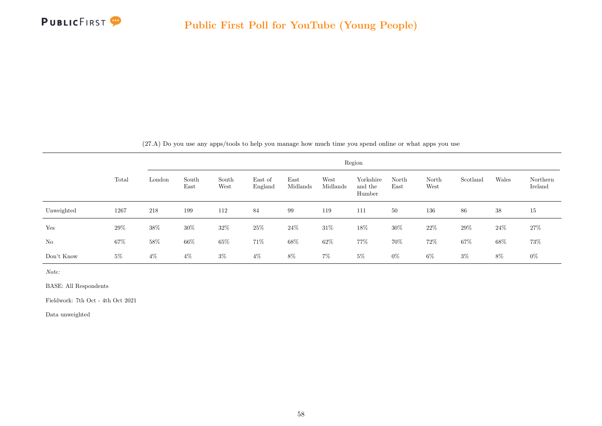

|  |  | (27.A) Do you use any apps/tools to help you manage how much time you spend online or what apps you use |  |  |  |  |  |  |  |  |  |  |  |  |  |  |  |
|--|--|---------------------------------------------------------------------------------------------------------|--|--|--|--|--|--|--|--|--|--|--|--|--|--|--|
|--|--|---------------------------------------------------------------------------------------------------------|--|--|--|--|--|--|--|--|--|--|--|--|--|--|--|

|            |       |        |               |               |                    |                  |                  | Region                         |               |               |          |        |                     |
|------------|-------|--------|---------------|---------------|--------------------|------------------|------------------|--------------------------------|---------------|---------------|----------|--------|---------------------|
|            | Total | London | South<br>East | South<br>West | East of<br>England | East<br>Midlands | West<br>Midlands | Yorkshire<br>and the<br>Humber | North<br>East | North<br>West | Scotland | Wales  | Northern<br>Ireland |
| Unweighted | 1267  | 218    | 199           | 112           | 84                 | 99               | 119              | 111                            | 50            | 136           | 86       | 38     | 15                  |
| Yes        | 29%   | 38%    | $30\%$        | 32%           | 25\%               | $24\%$           | $31\%$           | $18\%$                         | $30\%$        | $22\%$        | 29%      | $24\%$ | 27\%                |
| No         | 67%   | 58%    | 66%           | $65\%$        | $71\%$             | 68%              | 62\%             | 77%                            | 70%           | $72\%$        | 67%      | $68\%$ | 73%                 |
| Don't Know | $5\%$ | $4\%$  | $4\%$         | $3\%$         | $4\%$              | 8%               | $7\%$            | $5\%$                          | $0\%$         | $6\%$         | $3\%$    | 8%     | $0\%$               |

BASE: All Respondents

Fieldwork: 7th Oct - 4th Oct 2021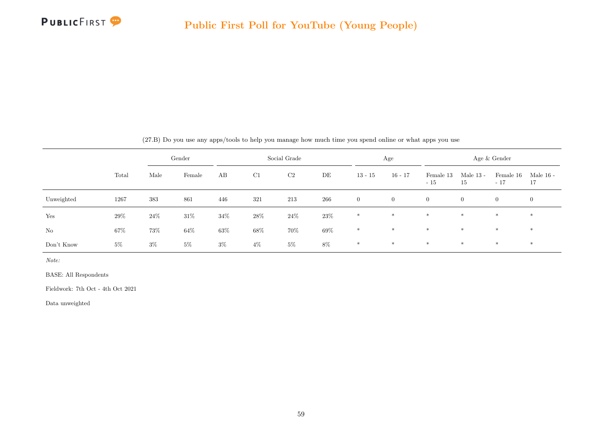

|            |       |        | Gender |        |       | Social Grade |        |              | Age            |                    |                   | Age & Gender       |                 |
|------------|-------|--------|--------|--------|-------|--------------|--------|--------------|----------------|--------------------|-------------------|--------------------|-----------------|
|            | Total | Male   | Female | AB     | C1    | C2           | DE     | $13 - 15$    | $16 - 17$      | Female 13<br>$-15$ | Male $13$ -<br>15 | Female 16<br>$-17$ | Male 16 -<br>17 |
| Unweighted | 1267  | 383    | 861    | 446    | 321   | 213          | 266    | $\mathbf{0}$ | $\overline{0}$ | $\overline{0}$     | $\overline{0}$    | $\overline{0}$     | $\overline{0}$  |
| Yes        | 29%   | $24\%$ | $31\%$ | $34\%$ | 28\%  | $24\%$       | 23\%   | $*$          | $*$            | $\ast$             | $*$               | $*$                | $*$             |
| No         | 67%   | 73%    | 64%    | $63\%$ | 68%   | 70%          | $69\%$ | $*$          | $*$            | $\ast$             | $*$               | $\ast$             | $*$             |
| Don't Know | $5\%$ | $3\%$  | $5\%$  | $3\%$  | $4\%$ | $5\%$        | $8\%$  | $*$          | $*$            | $*$                | $*$               | $*$                | $*$             |

(27.B) Do you use any apps/tools to help you manage how much time you spend online or what apps you use

Note:

BASE: All Respondents

Fieldwork: 7th Oct - 4th Oct 2021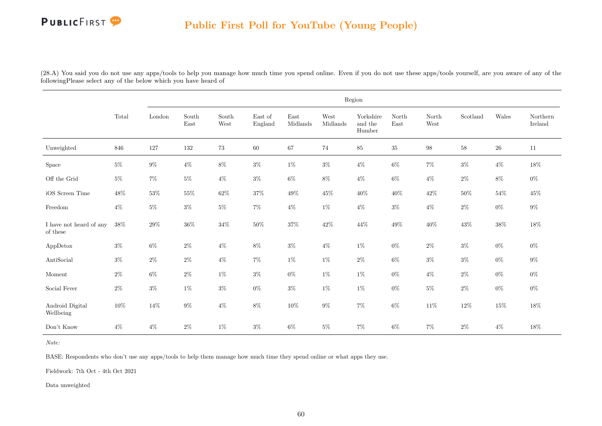# PUBLICFIRST<sup>9</sup>

### Public First Poll for YouTube (Young People)

(28.A) You said you do not use any apps/tools to help you manage how much time you spend online. Even if you do not use these apps/tools yourself, are you aware of any of the followingPlease select any of the below which you have heard of

|                                     |       |         |                                |               |                    |                  |                  | Region                         |               |               |          |        |                     |
|-------------------------------------|-------|---------|--------------------------------|---------------|--------------------|------------------|------------------|--------------------------------|---------------|---------------|----------|--------|---------------------|
|                                     | Total | London  | $\operatorname{South}$<br>East | South<br>West | East of<br>England | East<br>Midlands | West<br>Midlands | Yorkshire<br>and the<br>Humber | North<br>East | North<br>West | Scotland | Wales  | Northern<br>Ireland |
| Unweighted                          | 846   | $127\,$ | 132                            | $73\,$        | $60\,$             | 67               | 74               | $85\,$                         | $35\,$        | $98\,$        | 58       | $26\,$ | $11\,$              |
| Space                               | $5\%$ | $9\%$   | $4\%$                          | $8\%$         | $3\%$              | $1\%$            | $3\%$            | $4\%$                          | $6\%$         | $7\%$         | $3\%$    | $4\%$  | 18%                 |
| Off the Grid                        | $5\%$ | $7\%$   | $5\%$                          | $4\%$         | $3\%$              | $6\%$            | $8\%$            | $4\%$                          | $6\%$         | $4\%$         | $2\%$    | $8\%$  | $0\%$               |
| iOS Screen Time                     | 48%   | $53\%$  | $55\%$                         | $62\%$        | $37\%$             | $49\%$           | 45%              | $40\%$                         | $40\%$        | $42\%$        | $50\%$   | $54\%$ | $45\%$              |
| $\operatorname{Freedom}$            | $4\%$ | $5\%$   | $3\%$                          | $5\%$         | $7\%$              | $4\%$            | $1\%$            | $4\%$                          | $3\%$         | $4\%$         | $2\%$    | $0\%$  | $9\%$               |
| I have not heard of any<br>of these | 38%   | $29\%$  | $36\%$                         | $34\%$        | $50\%$             | $37\%$           | $42\%$           | $44\%$                         | $49\%$        | $40\%$        | $43\%$   | $38\%$ | $18\%$              |
| AppDetox                            | $3\%$ | $6\%$   | $2\%$                          | $4\%$         | $8\%$              | $3\%$            | $4\%$            | $1\%$                          | $0\%$         | $2\%$         | $3\%$    | $0\%$  | $0\%$               |
| AntiSocial                          | $3\%$ | $2\%$   | $2\%$                          | $4\%$         | $7\%$              | $1\%$            | $1\%$            | $2\%$                          | $6\%$         | $3\%$         | $3\%$    | $0\%$  | $9\%$               |
| Moment                              | $2\%$ | $6\%$   | $2\%$                          | $1\%$         | $3\%$              | $0\%$            | $1\%$            | $1\%$                          | $0\%$         | $4\%$         | $2\%$    | $0\%$  | $0\%$               |
| Social Fever                        | $2\%$ | $3\%$   | $1\%$                          | $3\%$         | $0\%$              | $3\%$            | $1\%$            | $1\%$                          | $0\%$         | $5\%$         | $2\%$    | $0\%$  | $0\%$               |
| Android Digital<br>Wellbeing        | 10%   | $14\%$  | $9\%$                          | $4\%$         | $8\%$              | $10\%$           | $9\%$            | $7\%$                          | $6\%$         | $11\%$        | 12%      | $15\%$ | 18%                 |
| Don't Know                          | $4\%$ | $4\%$   | $2\%$                          | $1\%$         | $3\%$              | $6\%$            | $5\%$            | $7\%$                          | $6\%$         | $7\%$         | $2\%$    | $4\%$  | 18%                 |

Note:

BASE: Respondents who don't use any apps/tools to help them manage how much time they spend online or what apps they use.

Fieldwork: 7th Oct - 4th Oct 2021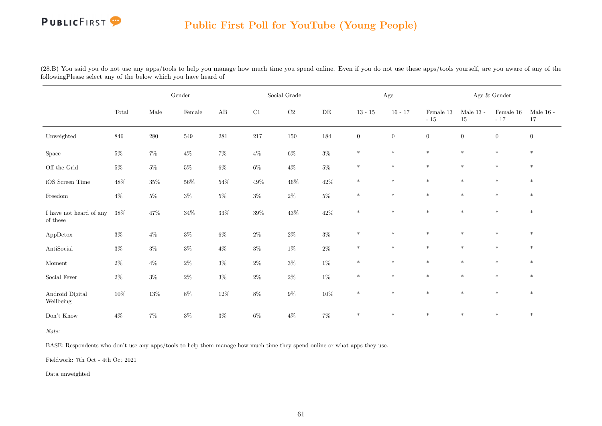# PUBLICFIRST<sup>9</sup>

### Public First Poll for YouTube (Young People)

(28.B) You said you do not use any apps/tools to help you manage how much time you spend online. Even if you do not use these apps/tools yourself, are you aware of any of the followingPlease select any of the below which you have heard of

|                                             |        |        | $\operatorname{Gender}$ |                        |          | Social Grade |           |                | $\rm Age$      |                    |                   | Age $\&$ Gender    |                        |
|---------------------------------------------|--------|--------|-------------------------|------------------------|----------|--------------|-----------|----------------|----------------|--------------------|-------------------|--------------------|------------------------|
|                                             | Total  | Male   | Female                  | $\mathbf{A}\mathbf{B}$ | $\rm C1$ | $\rm C2$     | $\rm{DE}$ | $13$ - $15\,$  | $16 - 17$      | Female 13<br>$-15$ | Male $13$ -<br>15 | Female 16<br>$-17$ | Male $16$ - $\,$<br>17 |
| Unweighted                                  | 846    | 280    | 549                     | $281\,$                | 217      | 150          | 184       | $\overline{0}$ | $\overline{0}$ | $\overline{0}$     | $\overline{0}$    | $\overline{0}$     | $\overline{0}$         |
| Space                                       | $5\%$  | $7\%$  | $4\%$                   | $7\%$                  | $4\%$    | $6\%$        | $3\%$     | $\ast$         | $\ast$         | $\ast$             | $\ast$            | $\ast$             | $\ast$                 |
| Off the Grid                                | $5\%$  | $5\%$  | $5\%$                   | $6\%$                  | $6\%$    | $4\%$        | $5\%$     | $\ast$         | $\ast$         | $\ast$             | $\ast$            | $\ast$             | $\ast$                 |
| iOS Screen Time                             | $48\%$ | $35\%$ | $56\%$                  | $54\%$                 | $49\%$   | $46\%$       | $42\%$    | $\ast$         | $\ast$         | $\ast$             | $\ast$            | $\ast$             | $\ast$                 |
| $\operatorname{Freedom}$                    | $4\%$  | $5\%$  | $3\%$                   | $5\%$                  | $3\%$    | $2\%$        | $5\%$     | $\ast$         | $\ast$         | $\ast$             | $\ast$            | $\ast$             | $\ast$                 |
| I have not heard of any<br>of these         | $38\%$ | $47\%$ | $34\%$                  | $33\%$                 | $39\%$   | $43\%$       | $42\%$    | $\ast$         | $\ast$         | $\ast$             | $\ast$            | $\ast$             | $\ast$                 |
| AppDetox                                    | $3\%$  | $4\%$  | $3\%$                   | $6\%$                  | $2\%$    | $2\%$        | $3\%$     | $\ast$         | $*$            | $\ast$             | $*$               | $*$                | $\ast$                 |
| $\label{eq:antiSocial} \textsc{AntiSocial}$ | $3\%$  | $3\%$  | $3\%$                   | $4\%$                  | $3\%$    | $1\%$        | $2\%$     | $\ast$         | $\ast$         | $\ast$             | $\ast$            | $\ast$             | $\ast$                 |
| Moment                                      | $2\%$  | $4\%$  | $2\%$                   | $3\%$                  | $2\%$    | $3\%$        | $1\%$     | $\ast$         | $\ast$         | $\ast$             | $\ast$            | $\ast$             | $\ast$                 |
| Social Fever                                | $2\%$  | $3\%$  | $2\%$                   | $3\%$                  | $2\%$    | $2\%$        | $1\%$     | $\ast$         | $\ast$         | $\ast$             | $\ast$            | $\ast$             | $\ast$                 |
| Android Digital<br>Wellbeing                | $10\%$ | $13\%$ | $8\%$                   | $12\%$                 | $8\%$    | $9\%$        | $10\%$    | $\ast$         | $\ast$         | $\ast$             | $\ast$            | $\ast$             | $\ast$                 |
| Don't Know                                  | $4\%$  | $7\%$  | $3\%$                   | $3\%$                  | $6\%$    | $4\%$        | $7\%$     | $\ast$         | $\ast$         | $\ast$             | $*$               | $*$                | $\ast$                 |

Note:

BASE: Respondents who don't use any apps/tools to help them manage how much time they spend online or what apps they use.

Fieldwork: 7th Oct - 4th Oct 2021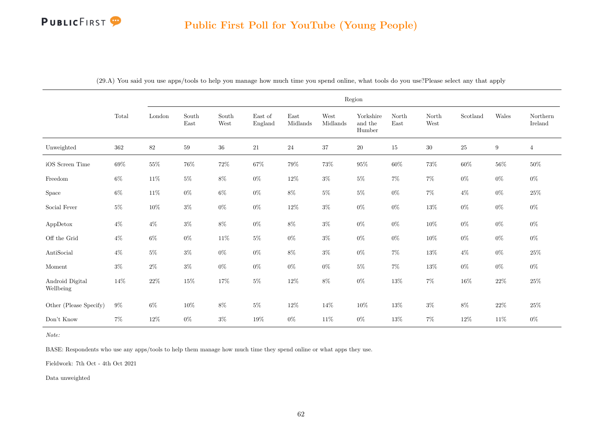# **PUBLICFIRST**

|                              |         |        |                                |                                |                    |                  |                  | Region                         |               |               |          |                  |                     |
|------------------------------|---------|--------|--------------------------------|--------------------------------|--------------------|------------------|------------------|--------------------------------|---------------|---------------|----------|------------------|---------------------|
|                              | Total   | London | South<br>$\operatorname{East}$ | $\operatorname{South}$<br>West | East of<br>England | East<br>Midlands | West<br>Midlands | Yorkshire<br>and the<br>Humber | North<br>East | North<br>West | Scotland | Wales            | Northern<br>Ireland |
| Unweighted                   | $362\,$ | $82\,$ | $59\,$                         | $36\,$                         | $21\,$             | $24\,$           | 37               | $20\,$                         | $15\,$        | $30\,$        | $25\,$   | $\boldsymbol{9}$ | $\overline{4}$      |
| iOS Screen Time              | $69\%$  | $55\%$ | $76\%$                         | $72\%$                         | $67\%$             | $79\%$           | $73\%$           | $95\%$                         | $60\%$        | $73\%$        | $60\%$   | $56\%$           | $50\%$              |
| Freedom                      | $6\%$   | $11\%$ | $5\%$                          | $8\%$                          | $0\%$              | $12\%$           | $3\%$            | $5\%$                          | $7\%$         | $7\%$         | $0\%$    | $0\%$            | $0\%$               |
| ${\rm Space}$                | $6\%$   | $11\%$ | $0\%$                          | $6\%$                          | $0\%$              | $8\%$            | $5\%$            | $5\%$                          | $0\%$         | $7\%$         | $4\%$    | $0\%$            | $25\%$              |
| Social Fever                 | $5\%$   | $10\%$ | $3\%$                          | $0\%$                          | $0\%$              | $12\%$           | $3\%$            | $0\%$                          | $0\%$         | $13\%$        | $0\%$    | $0\%$            | $0\%$               |
| AppDetox                     | $4\%$   | $4\%$  | $3\%$                          | $8\%$                          | $0\%$              | $8\%$            | $3\%$            | $0\%$                          | $0\%$         | $10\%$        | $0\%$    | $0\%$            | $0\%$               |
| Off the Grid                 | $4\%$   | $6\%$  | $0\%$                          | $11\%$                         | $5\%$              | $0\%$            | $3\%$            | $0\%$                          | $0\%$         | $10\%$        | $0\%$    | $0\%$            | $0\%$               |
| AntiSocial                   | $4\%$   | $5\%$  | $3\%$                          | $0\%$                          | $0\%$              | $8\%$            | $3\%$            | $0\%$                          | $7\%$         | 13%           | $4\%$    | $0\%$            | $25\%$              |
| Moment                       | $3\%$   | $2\%$  | $3\%$                          | $0\%$                          | $0\%$              | $0\%$            | $0\%$            | $5\%$                          | $7\%$         | $13\%$        | $0\%$    | $0\%$            | $0\%$               |
| Android Digital<br>Wellbeing | $14\%$  | $22\%$ | $15\%$                         | $17\%$                         | $5\%$              | $12\%$           | $8\%$            | $0\%$                          | $13\%$        | $7\%$         | 16%      | $22\%$           | $25\%$              |
| Other (Please Specify)       | $9\%$   | $6\%$  | 10%                            | 8%                             | $5\%$              | $12\%$           | 14%              | $10\%$                         | 13%           | $3\%$         | $8\%$    | $22\%$           | 25%                 |
| Don't Know                   | $7\%$   | $12\%$ | $0\%$                          | $3\%$                          | 19%                | $0\%$            | 11\%             | $0\%$                          | 13%           | $7\%$         | 12%      | $11\%$           | $0\%$               |

(29.A) You said you use apps/tools to help you manage how much time you spend online, what tools do you use?Please select any that apply

#### Note:

BASE: Respondents who use any apps/tools to help them manage how much time they spend online or what apps they use.

Fieldwork: 7th Oct - 4th Oct 2021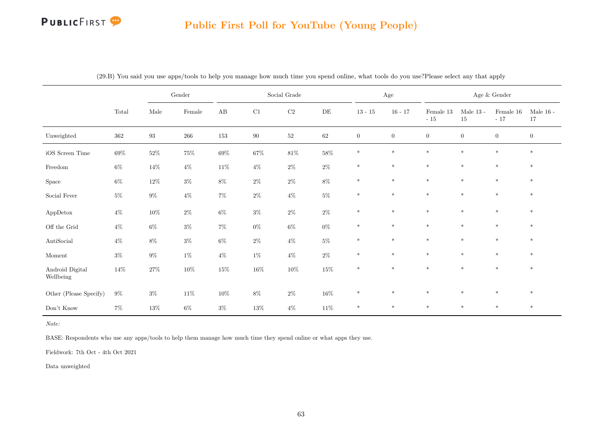# **PUBLICFIRST**

#### Public First Poll for YouTube (Young People)

|                                             |                                 |                   | Gender          |                        |          | Social Grade |          |                | Age              |                    |                      | Age $\&$ Gender    |                   |
|---------------------------------------------|---------------------------------|-------------------|-----------------|------------------------|----------|--------------|----------|----------------|------------------|--------------------|----------------------|--------------------|-------------------|
|                                             | $\operatorname{\mathsf{Total}}$ | $\rm Male$        | $\mbox{Female}$ | $\mathbf{A}\mathbf{B}$ | $\rm C1$ | $\rm C2$     | $\rm DE$ | $13 - 15$      | $16 - 17$        | Female 13<br>$-15$ | Male 13 - $\,$<br>15 | Female 16<br>$-17$ | Male $16$ -<br>17 |
| Unweighted                                  | $362\,$                         | $\boldsymbol{93}$ | $266\,$         | $153\,$                | $90\,$   | $52\,$       | $62\,$   | $\overline{0}$ | $\boldsymbol{0}$ | $\boldsymbol{0}$   | $\boldsymbol{0}$     | $\theta$           | $\boldsymbol{0}$  |
| iOS Screen Time                             | $69\%$                          | $52\%$            | $75\%$          | $69\%$                 | $67\%$   | $81\%$       | $58\%$   | $\ast$         | $\ast$           | $\ast$             | $\ast$               | $\ast$             | $\ast$            |
| $\operatorname{Freedom}$                    | $6\%$                           | $14\%$            | $4\%$           | $11\%$                 | $4\%$    | $2\%$        | $2\%$    | $\ast$         | $\ast$           | $\ast$             | $\ast$               | $\ast$             | $\ast$            |
| ${\rm Space}$                               | $6\%$                           | $12\%$            | $3\%$           | $8\%$                  | $2\%$    | $2\%$        | $8\%$    | $\ast$         | $\ast$           | $\ast$             | $\ast$               | $\ast$             | $*$               |
| Social Fever                                | $5\%$                           | $9\%$             | $4\%$           | $7\%$                  | $2\%$    | $4\%$        | $5\%$    | $\ast$         | $\ast$           | $\ast$             | $\ast$               | $\ast$             | $\ast$            |
| AppDetox                                    | $4\%$                           | $10\%$            | $2\%$           | $6\%$                  | $3\%$    | $2\%$        | $2\%$    | $\ast$         | $\ast$           | $*$                | $\ast$               | $*$                | $*$               |
| $\mathop{\rm Off}$ the Grid                 | $4\%$                           | $6\%$             | $3\%$           | $7\%$                  | $0\%$    | $6\%$        | $0\%$    | $\ast$         | $\ast$           | $\ast$             | $\ast$               | $\ast$             | $*$               |
| $\label{eq:antiSocial} \textsc{AntiSocial}$ | $4\%$                           | $8\%$             | $3\%$           | $6\%$                  | $2\%$    | $4\%$        | $5\%$    | $\ast$         | $\ast$           | $\ast$             | $\ast$               | $\ast$             | $\ast$            |
| Moment                                      | $3\%$                           | $9\%$             | $1\%$           | $4\%$                  | $1\%$    | $4\%$        | $2\%$    | $\ast$         | $\ast$           | $\ast$             | $\ast$               | $*$                | $\ast$            |
| Android Digital<br>Wellbeing                | $14\%$                          | $27\%$            | $10\%$          | $15\%$                 | $16\%$   | $10\%$       | $15\%$   | $\ast$         | $\ast$           | $\ast$             | $\ast$               | $\ast$             | $\ast$            |
| Other (Please Specify)                      | $9\%$                           | $3\%$             | $11\%$          | $10\%$                 | $8\%$    | $2\%$        | $16\%$   | $\ast$         | $\ast$           | $\ast$             | $\ast$               | $\ast$             | $\ast$            |
| Don't Know                                  | $7\%$                           | $13\%$            | $6\%$           | $3\%$                  | $13\%$   | $4\%$        | $11\%$   | $\ast$         | $\ast$           | $*$                | $\ast$               | $*$                | $\ast$            |

(29.B) You said you use apps/tools to help you manage how much time you spend online, what tools do you use?Please select any that apply

Note:

BASE: Respondents who use any apps/tools to help them manage how much time they spend online or what apps they use.

Fieldwork: 7th Oct - 4th Oct 2021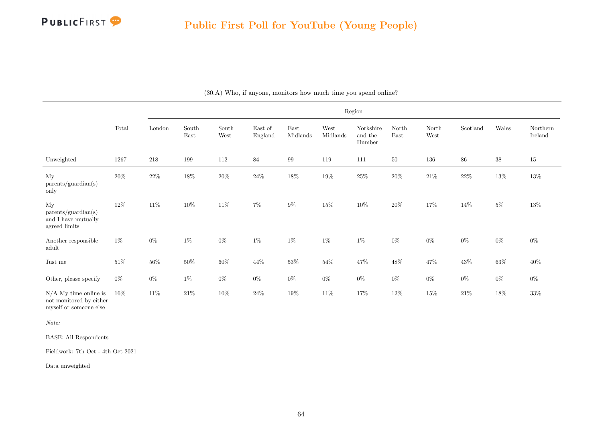

|                                                                              |          |         |               |                                                 |                    |                                   |                  | Region                         |               |               |                           |        |                     |
|------------------------------------------------------------------------------|----------|---------|---------------|-------------------------------------------------|--------------------|-----------------------------------|------------------|--------------------------------|---------------|---------------|---------------------------|--------|---------------------|
|                                                                              | Total    | London  | South<br>East | $\operatorname{South}$<br>$\operatorname{West}$ | East of<br>England | $\operatorname{East}$<br>Midlands | West<br>Midlands | Yorkshire<br>and the<br>Humber | North<br>East | North<br>West | $\operatorname{Scotland}$ | Wales  | Northern<br>Ireland |
| Unweighted                                                                   | $1267\,$ | $218\,$ | 199           | $112\,$                                         | $84\,$             | $\,99$                            | 119              | 111                            | $50\,$        | 136           | $86\,$                    | $38\,$ | $15\,$              |
| My<br>parents/guardian(s)<br>only                                            | $20\%$   | $22\%$  | $18\%$        | $20\%$                                          | $24\%$             | $18\%$                            | $19\%$           | $25\%$                         | $20\%$        | $21\%$        | $22\%$                    | $13\%$ | $13\%$              |
| My<br>parents/quardian(s)<br>and $\rm I$ have mutually<br>agreed limits      | $12\%$   | $11\%$  | $10\%$        | $11\%$                                          | $7\%$              | $9\%$                             | $15\%$           | $10\%$                         | $20\%$        | 17%           | $14\%$                    | $5\%$  | $13\%$              |
| Another responsible<br>adult                                                 | $1\%$    | $0\%$   | $1\%$         | $0\%$                                           | $1\%$              | $1\%$                             | $1\%$            | $1\%$                          | $0\%$         | $0\%$         | $0\%$                     | $0\%$  | $0\%$               |
| Just me                                                                      | $51\%$   | $56\%$  | $50\%$        | $60\%$                                          | 44%                | $53\%$                            | $54\%$           | $47\%$                         | $48\%$        | 47\%          | $43\%$                    | $63\%$ | $40\%$              |
| Other, please specify                                                        | $0\%$    | $0\%$   | $1\%$         | $0\%$                                           | $0\%$              | $0\%$                             | $0\%$            | $0\%$                          | $0\%$         | $0\%$         | $0\%$                     | $0\%$  | $0\%$               |
| $N/A$ My time online is<br>not monitored by either<br>myself or someone else | $16\%$   | $11\%$  | $21\%$        | $10\%$                                          | $24\%$             | $19\%$                            | $11\%$           | $17\%$                         | $12\%$        | $15\%$        | $21\%$                    | $18\%$ | $33\%$              |

(30.A) Who, if anyone, monitors how much time you spend online?

BASE: All Respondents

Fieldwork: 7th Oct - 4th Oct 2021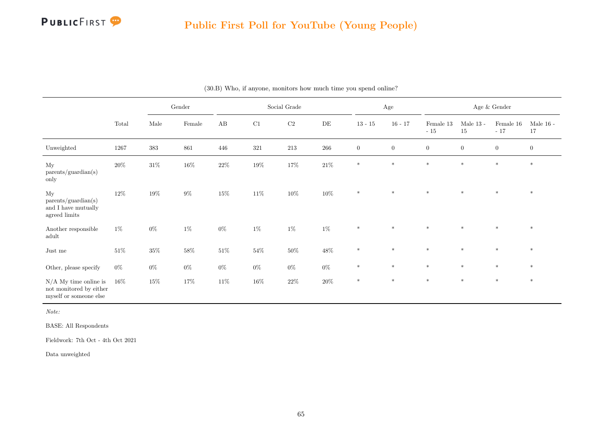

## Public First Poll for YouTube (Young People)

|                                                                              |        |        | Gender |           |         | Social Grade |           |                | $\rm Age$      |                    |                   | Age $\&$ Gender      |                        |
|------------------------------------------------------------------------------|--------|--------|--------|-----------|---------|--------------|-----------|----------------|----------------|--------------------|-------------------|----------------------|------------------------|
|                                                                              | Total  | Male   | Female | AB        | C1      | C2           | $\rm{DE}$ | $13 - 15$      | $16 - 17$      | Female 13<br>$-15$ | Male $13$ -<br>15 | Female $16$<br>$-17$ | Male $16$ - $\,$<br>17 |
| Unweighted                                                                   | 1267   | 383    | 861    | $\!446\!$ | $321\,$ | 213          | $266\,$   | $\overline{0}$ | $\overline{0}$ | $\overline{0}$     | $\boldsymbol{0}$  | $\overline{0}$       | $\boldsymbol{0}$       |
| My<br>parents/guardian(s)<br>only                                            | $20\%$ | $31\%$ | $16\%$ | $22\%$    | $19\%$  | $17\%$       | $21\%$    | $\ast$         | $\ast$         | $\ast$             | $\ast$            | $*$                  | $\ast$                 |
| My<br>parents/guardian(s)<br>and I have mutually<br>agreed limits            | $12\%$ | $19\%$ | $9\%$  | $15\%$    | $11\%$  | $10\%$       | $10\%$    | $*$            | $*$            | $\ast$             | $*$               | $*$                  | $\ast$                 |
| Another responsible<br>adult                                                 | $1\%$  | $0\%$  | $1\%$  | $0\%$     | $1\%$   | $1\%$        | $1\%$     | $\ast$         | $\ast$         | $\ast$             | $\ast$            | $\ast$               | $\ast$                 |
| Just me                                                                      | $51\%$ | $35\%$ | $58\%$ | $51\%$    | $54\%$  | $50\%$       | $48\%$    | $\ast$         | $\ast$         | $\ast$             | $\ast$            | $\ast$               | $\ast$                 |
| Other, please specify                                                        | $0\%$  | $0\%$  | $0\%$  | $0\%$     | $0\%$   | $0\%$        | $0\%$     | $*$            | $*$            | $\ast$             | $\ast$            | $\ast$               | $\ast$                 |
| $N/A$ My time online is<br>not monitored by either<br>myself or someone else | $16\%$ | $15\%$ | $17\%$ | $11\%$    | $16\%$  | $22\%$       | $20\%$    | $\ast$         | $\ast$         | $\ast$             | $\ast$            | $\ast$               | $*$                    |

(30.B) Who, if anyone, monitors how much time you spend online?

Note:

BASE: All Respondents

Fieldwork: 7th Oct - 4th Oct 2021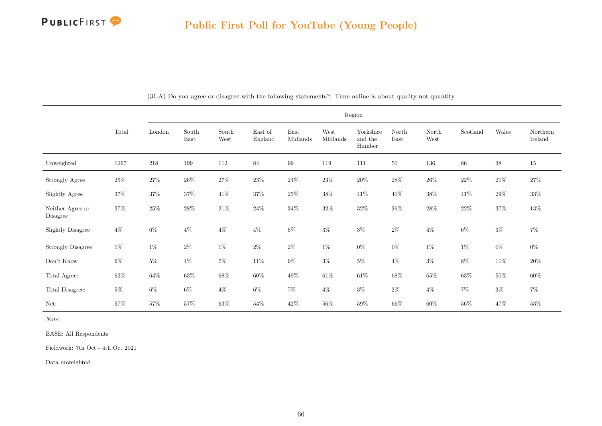

|                              |        |         |               |               |                    |                  |                  | Region                         |               |               |          |        |                     |
|------------------------------|--------|---------|---------------|---------------|--------------------|------------------|------------------|--------------------------------|---------------|---------------|----------|--------|---------------------|
|                              | Total  | London  | South<br>East | South<br>West | East of<br>England | East<br>Midlands | West<br>Midlands | Yorkshire<br>and the<br>Humber | North<br>East | North<br>West | Scotland | Wales  | Northern<br>Ireland |
| Unweighted                   | 1267   | $218\,$ | 199           | 112           | 84                 | $\,99$           | 119              | 111                            | $50\,$        | 136           | 86       | $38\,$ | 15                  |
| Strongly Agree               | $25\%$ | $27\%$  | $26\%$        | $27\%$        | $23\%$             | $24\%$           | $23\%$           | $20\%$                         | $28\%$        | $26\%$        | $22\%$   | $21\%$ | $27\%$              |
| Slightly Agree               | $37\%$ | $37\%$  | 37%           | $41\%$        | $37\%$             | $25\%$           | $38\%$           | $41\%$                         | $40\%$        | $38\%$        | 41%      | $29\%$ | $33\%$              |
| Neither Agree or<br>Disagree | $27\%$ | $25\%$  | $28\%$        | $21\%$        | $24\%$             | $34\%$           | $32\%$           | $32\%$                         | $26\%$        | $28\%$        | $22\%$   | $37\%$ | $13\%$              |
| <b>Slightly Disagree</b>     | $4\%$  | $6\%$   | $4\%$         | $4\%$         | $4\%$              | $5\%$            | $3\%$            | $3\%$                          | $2\%$         | $4\%$         | $6\%$    | $3\%$  | $7\%$               |
| <b>Strongly Disagree</b>     | $1\%$  | $1\%$   | $2\%$         | $1\%$         | $2\%$              | $2\%$            | $1\%$            | $0\%$                          | $0\%$         | $1\%$         | $1\%$    | $0\%$  | $0\%$               |
| Don't Know                   | $6\%$  | $5\%$   | $4\%$         | $7\%$         | $11\%$             | $9\%$            | $3\%$            | $5\%$                          | $4\%$         | $3\%$         | 8%       | $11\%$ | $20\%$              |
| Total Agree:                 | $62\%$ | $64\%$  | $63\%$        | $68\%$        | $60\%$             | $49\%$           | $61\%$           | $61\%$                         | $68\%$        | $65\%$        | $63\%$   | 50%    | $60\%$              |
| Total Disagree:              | $5\%$  | $6\%$   | $6\%$         | $4\%$         | $6\%$              | $7\%$            | $4\%$            | $3\%$                          | $2\%$         | $4\%$         | $7\%$    | $3\%$  | $7\%$               |
| Net:                         | $57\%$ | $57\%$  | $57\%$        | $63\%$        | $54\%$             | $42\%$           | $56\%$           | $59\%$                         | $66\%$        | $60\%$        | $56\%$   | 47%    | $53\%$              |

(31.A) Do you agree or disagree with the following statements?: Time online is about quality not quantity

Note:

BASE: All Respondents

Fieldwork: 7th Oct - 4th Oct 2021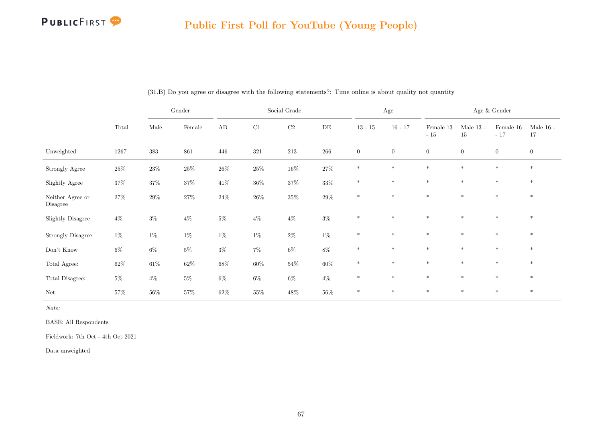

|                              |          |        | Gender |        |        | Social Grade |         |                | $\rm Age$      |                    |                   | Age $\&$ Gender    |                   |
|------------------------------|----------|--------|--------|--------|--------|--------------|---------|----------------|----------------|--------------------|-------------------|--------------------|-------------------|
|                              | Total    | Male   | Female | AB     | C1     | C2           | DE      | $13 - 15$      | $16 - 17$      | Female 13<br>$-15$ | Male $13$ -<br>15 | Female 16<br>$-17$ | Male $16$ -<br>17 |
| Unweighted                   | $1267\,$ | 383    | 861    | 446    | 321    | 213          | $266\,$ | $\overline{0}$ | $\overline{0}$ | $\overline{0}$     | $\overline{0}$    | $\overline{0}$     | $\mathbf{0}$      |
| Strongly Agree               | $25\%$   | $23\%$ | $25\%$ | $26\%$ | $25\%$ | $16\%$       | $27\%$  | $\ast$         | $\ast$         | $\ast$             | $\ast$            | $\ast$             | $*$               |
| Slightly Agree               | $37\%$   | $37\%$ | $37\%$ | $41\%$ | $36\%$ | $37\%$       | $33\%$  | $\ast$         | $\ast$         | $\ast$             | $\ast$            | $\ast$             | $\ast$            |
| Neither Agree or<br>Disagree | $27\%$   | $29\%$ | $27\%$ | $24\%$ | $26\%$ | $35\%$       | $29\%$  | $\ast$         | $\ast$         | $\ast$             | $\ast$            | $\ast$             | $*$               |
| Slightly Disagree            | $4\%$    | $3\%$  | $4\%$  | $5\%$  | $4\%$  | $4\%$        | $3\%$   | $\ast$         | $\ast$         | $\ast$             | $\ast$            | $\ast$             | $\ast$            |
| <b>Strongly Disagree</b>     | $1\%$    | $1\%$  | $1\%$  | $1\%$  | $1\%$  | $2\%$        | $1\%$   | $*$            | $\ast$         | $\ast$             | $\ast$            | $\ast$             | $\ast$            |
| Don't Know                   | $6\%$    | $6\%$  | $5\%$  | $3\%$  | $7\%$  | $6\%$        | $8\%$   | $\ast$         | $\ast$         | $\ast$             | $\ast$            | $\ast$             | $\ast$            |
| Total Agree:                 | $62\%$   | $61\%$ | $62\%$ | $68\%$ | $60\%$ | $54\%$       | $60\%$  | $\ast$         | $\ast$         | $\ast$             | $\ast$            | $\ast$             | $*$               |
| Total Disagree:              | $5\%$    | $4\%$  | $5\%$  | $6\%$  | $6\%$  | $6\%$        | $4\%$   | $*$            | $\ast$         | $\ast$             | $\ast$            | $\ast$             | $*$               |
| Net:                         | $57\%$   | $56\%$ | $57\%$ | $62\%$ | $55\%$ | $48\%$       | $56\%$  | $\ast$         | $\ast$         | $\ast$             | $*$               | $*$                | $*$               |

(31.B) Do you agree or disagree with the following statements?: Time online is about quality not quantity

Note:

BASE: All Respondents

Fieldwork: 7th Oct - 4th Oct 2021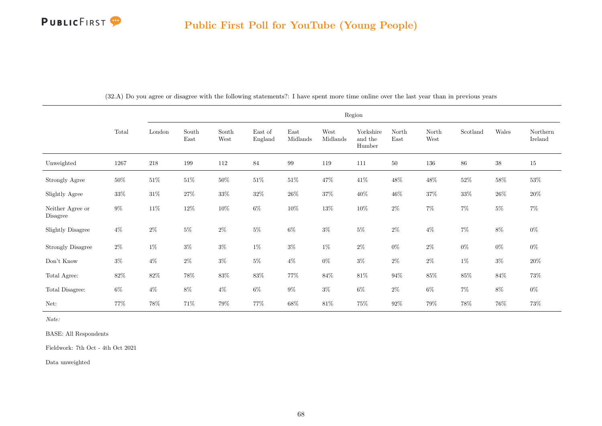

|                              |        |         |               |                                |                    |                  |                  | Region                         |               |               |          |        |                     |
|------------------------------|--------|---------|---------------|--------------------------------|--------------------|------------------|------------------|--------------------------------|---------------|---------------|----------|--------|---------------------|
|                              | Total  | London  | South<br>East | $\operatorname{South}$<br>West | East of<br>England | East<br>Midlands | West<br>Midlands | Yorkshire<br>and the<br>Humber | North<br>East | North<br>West | Scotland | Wales  | Northern<br>Ireland |
| Unweighted                   | 1267   | $218\,$ | 199           | 112                            | 84                 | $\,99$           | 119              | 111                            | $50\,$        | 136           | 86       | $38\,$ | $15\,$              |
| Strongly Agree               | $50\%$ | $51\%$  | $51\%$        | $50\%$                         | $51\%$             | $51\%$           | $47\%$           | $41\%$                         | $48\%$        | $48\%$        | $52\%$   | $58\%$ | $53\%$              |
| Slightly Agree               | $33\%$ | $31\%$  | 27%           | $33\%$                         | $32\%$             | $26\%$           | $37\%$           | $40\%$                         | $46\%$        | $37\%$        | $33\%$   | $26\%$ | $20\%$              |
| Neither Agree or<br>Disagree | $9\%$  | $11\%$  | $12\%$        | $10\%$                         | $6\%$              | $10\%$           | $13\%$           | $10\%$                         | $2\%$         | $7\%$         | $7\%$    | $5\%$  | $7\%$               |
| <b>Slightly Disagree</b>     | $4\%$  | $2\%$   | $5\%$         | $2\%$                          | $5\%$              | $6\%$            | $3\%$            | $5\%$                          | $2\%$         | $4\%$         | $7\%$    | $8\%$  | $0\%$               |
| Strongly Disagree            | $2\%$  | $1\%$   | $3\%$         | $3\%$                          | $1\%$              | $3\%$            | $1\%$            | $2\%$                          | $0\%$         | $2\%$         | $0\%$    | $0\%$  | $0\%$               |
| Don't Know                   | $3\%$  | $4\%$   | $2\%$         | $3\%$                          | $5\%$              | $4\%$            | $0\%$            | $3\%$                          | $2\%$         | $2\%$         | $1\%$    | $3\%$  | $20\%$              |
| Total Agree:                 | $82\%$ | $82\%$  | 78%           | $83\%$                         | $83\%$             | 77%              | $84\%$           | $81\%$                         | $94\%$        | $85\%$        | $85\%$   | $84\%$ | 73%                 |
| Total Disagree:              | $6\%$  | $4\%$   | $8\%$         | $4\%$                          | $6\%$              | $9\%$            | $3\%$            | $6\%$                          | $2\%$         | $6\%$         | $7\%$    | $8\%$  | $0\%$               |
| Net:                         | 77%    | $78\%$  | 71%           | 79%                            | $77\%$             | $68\%$           | $81\%$           | $75\%$                         | 92%           | 79%           | $78\%$   | $76\%$ | $73\%$              |

(32.A) Do you agree or disagree with the following statements?: I have spent more time online over the last year than in previous years

Note:

BASE: All Respondents

Fieldwork: 7th Oct - 4th Oct 2021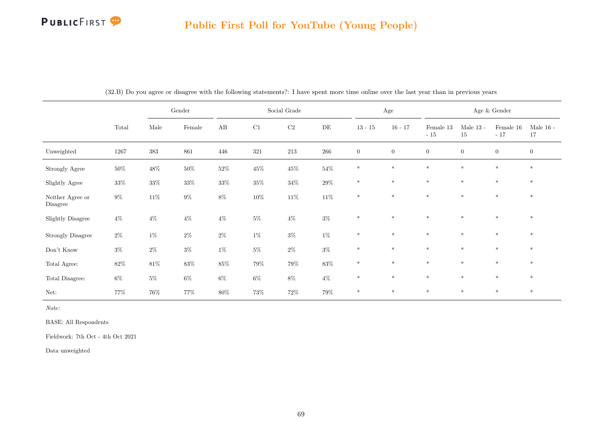# **PUBLICFIRST**

# Public First Poll for YouTube (Young People)

|                              |          |         | $\operatorname{Gender}$ |        |         | Social Grade |           |              | $\rm Age$    |                    |                   | Age $\&$ Gender    |                   |
|------------------------------|----------|---------|-------------------------|--------|---------|--------------|-----------|--------------|--------------|--------------------|-------------------|--------------------|-------------------|
|                              | Total    | Male    | Female                  | AB     | C1      | $\rm{C2}$    | $\rm{DE}$ | $13 - 15$    | $16 - 17$    | Female 13<br>$-15$ | Male $13$ -<br>15 | Female 16<br>$-17$ | Male $16$ -<br>17 |
| Unweighted                   | $1267\,$ | $383\,$ | 861                     | 446    | $321\,$ | $213\,$      | $266\,$   | $\mathbf{0}$ | $\mathbf{0}$ | $\boldsymbol{0}$   | $\overline{0}$    | $\overline{0}$     | $\boldsymbol{0}$  |
| Strongly Agree               | $50\%$   | $48\%$  | $50\%$                  | $52\%$ | $45\%$  | $45\%$       | $54\%$    | $\ast$       | $\ast$       | $\ast$             | $\ast$            | $\ast$             | $*$               |
| Slightly Agree               | $33\%$   | $33\%$  | $33\%$                  | $33\%$ | $35\%$  | $34\%$       | $29\%$    | $\ast$       | $\ast$       | $\ast$             | $\ast$            | $\ast$             | $\ast$            |
| Neither Agree or<br>Disagree | $9\%$    | $11\%$  | $9\%$                   | $8\%$  | $10\%$  | $11\%$       | $11\%$    | $\ast$       | $\ast$       | $\ast$             | $*$               | $\ast$             | $*$               |
| <b>Slightly Disagree</b>     | $4\%$    | $4\%$   | $4\%$                   | $4\%$  | $5\%$   | $4\%$        | $3\%$     | $*$          | $\ast$       | $*$                | $*$               | $*$                | $*$               |
| Strongly Disagree            | $2\%$    | $1\%$   | $2\%$                   | $2\%$  | $1\%$   | $3\%$        | $1\%$     | $\ast$       | $\ast$       | $\ast$             | $\ast$            | $\ast$             | $\ast$            |
| Don't Know                   | $3\%$    | $2\%$   | $3\%$                   | $1\%$  | $5\%$   | $2\%$        | $3\%$     | $\ast$       | $\ast$       | $\ast$             | $\ast$            | $\ast$             | $*$               |
| Total Agree:                 | $82\%$   | $81\%$  | $83\%$                  | $85\%$ | $79\%$  | $79\%$       | $83\%$    | $\ast$       | $\ast$       | $\ast$             | $\ast$            | $*$                | $*$               |
| Total Disagree:              | $6\%$    | $5\%$   | $6\%$                   | $6\%$  | $6\%$   | $8\%$        | $4\%$     | $\ast$       | $\ast$       | $\ast$             | $\ast$            | $\ast$             | $\ast$            |
| Net:                         | 77%      | $76\%$  | 77%                     | $80\%$ | 73%     | $72\%$       | $79\%$    | $\ast$       | $\ast$       | $*$                | $*$               | $*$                | $*$               |

(32.B) Do you agree or disagree with the following statements?: I have spent more time online over the last year than in previous years

Note:

BASE: All Respondents

Fieldwork: 7th Oct - 4th Oct 2021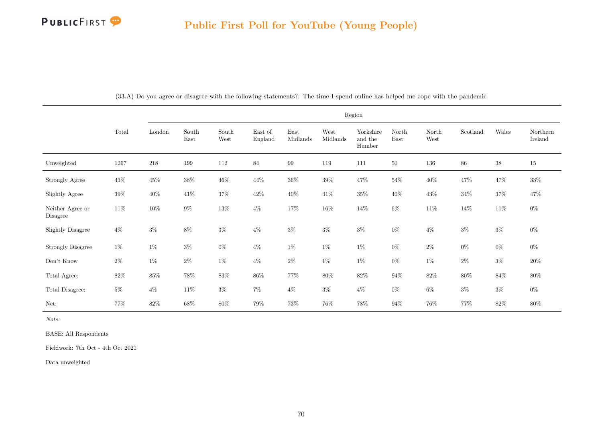

|                              |        |         |               |               |                    |                  |                  | Region                         |               |               |          |        |                     |
|------------------------------|--------|---------|---------------|---------------|--------------------|------------------|------------------|--------------------------------|---------------|---------------|----------|--------|---------------------|
|                              | Total  | London  | South<br>East | South<br>West | East of<br>England | East<br>Midlands | West<br>Midlands | Yorkshire<br>and the<br>Humber | North<br>East | North<br>West | Scotland | Wales  | Northern<br>Ireland |
| Unweighted                   | 1267   | $218\,$ | 199           | 112           | 84                 | $\,99$           | 119              | 111                            | $50\,$        | $136\,$       | $86\,$   | $38\,$ | $15\,$              |
| Strongly Agree               | $43\%$ | $45\%$  | $38\%$        | $46\%$        | 44\%               | $36\%$           | $39\%$           | $47\%$                         | $54\%$        | $40\%$        | $47\%$   | $47\%$ | $33\%$              |
| Slightly Agree               | $39\%$ | $40\%$  | $41\%$        | $37\%$        | $42\%$             | $40\%$           | $41\%$           | $35\%$                         | $40\%$        | $43\%$        | $34\%$   | $37\%$ | 47%                 |
| Neither Agree or<br>Disagree | $11\%$ | $10\%$  | $9\%$         | $13\%$        | $4\%$              | $17\%$           | $16\%$           | $14\%$                         | $6\%$         | $11\%$        | $14\%$   | $11\%$ | $0\%$               |
| <b>Slightly Disagree</b>     | $4\%$  | $3\%$   | $8\%$         | $3\%$         | $4\%$              | $3\%$            | $3\%$            | $3\%$                          | $0\%$         | $4\%$         | $3\%$    | $3\%$  | $0\%$               |
| <b>Strongly Disagree</b>     | $1\%$  | $1\%$   | $3\%$         | $0\%$         | $4\%$              | $1\%$            | $1\%$            | $1\%$                          | $0\%$         | $2\%$         | $0\%$    | $0\%$  | $0\%$               |
| Don't Know                   | $2\%$  | $1\%$   | $2\%$         | $1\%$         | $4\%$              | $2\%$            | $1\%$            | $1\%$                          | $0\%$         | $1\%$         | $2\%$    | $3\%$  | $20\%$              |
| Total Agree:                 | $82\%$ | $85\%$  | 78%           | $83\%$        | $86\%$             | 77%              | 80%              | $82\%$                         | $94\%$        | $82\%$        | $80\%$   | $84\%$ | $80\%$              |
| Total Disagree:              | $5\%$  | $4\%$   | $11\%$        | $3\%$         | $7\%$              | $4\%$            | $3\%$            | $4\%$                          | $0\%$         | $6\%$         | $3\%$    | $3\%$  | $0\%$               |
| Net:                         | 77%    | $82\%$  | $68\%$        | 80%           | $79\%$             | 73%              | 76%              | 78\%                           | $94\%$        | 76%           | $77\%$   | $82\%$ | $80\%$              |

(33.A) Do you agree or disagree with the following statements?: The time I spend online has helped me cope with the pandemic

Note:

BASE: All Respondents

Fieldwork: 7th Oct - 4th Oct 2021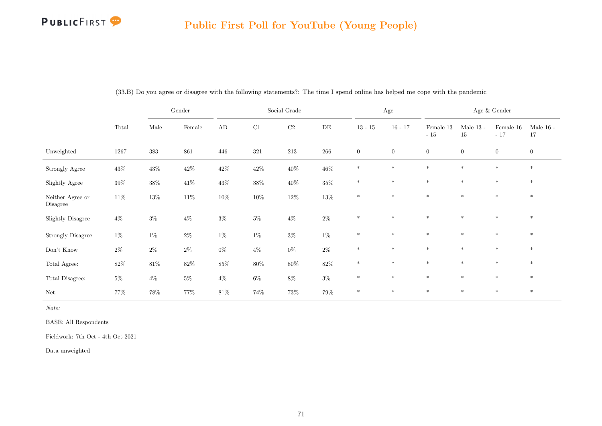# **PUBLICFIRST**

# Public First Poll for YouTube (Young People)

|                              |        | Gender     |        | Social Grade |          |          |           | $\rm Age$    |              | Age $\&$ Gender    |                   |                    |                   |
|------------------------------|--------|------------|--------|--------------|----------|----------|-----------|--------------|--------------|--------------------|-------------------|--------------------|-------------------|
|                              | Total  | $\rm Male$ | Female | AB           | $\rm C1$ | $\rm C2$ | $\rm{DE}$ | $13 - 15$    | $16 - 17$    | Female 13<br>$-15$ | Male $13$ -<br>15 | Female 16<br>$-17$ | Male $16$ -<br>17 |
| Unweighted                   | 1267   | 383        | 861    | 446          | 321      | $213\,$  | $266\,$   | $\mathbf{0}$ | $\mathbf{0}$ | $\overline{0}$     | $\overline{0}$    | $\overline{0}$     | $\mathbf{0}$      |
| Strongly Agree               | $43\%$ | $43\%$     | $42\%$ | $42\%$       | $42\%$   | $40\%$   | $46\%$    | $\ast$       | $\ast$       | $*$                | $\ast$            | $\ast$             | $*$               |
| Slightly Agree               | $39\%$ | $38\%$     | $41\%$ | $43\%$       | $38\%$   | $40\%$   | $35\%$    | $*$          | $\ast$       | $*$                | $\ast$            | $*$                | $*$               |
| Neither Agree or<br>Disagree | $11\%$ | $13\%$     | $11\%$ | $10\%$       | $10\%$   | $12\%$   | $13\%$    | $\ast$       | $\ast$       | $\ast$             | $\ast$            | $\ast$             | $\ast$            |
| <b>Slightly Disagree</b>     | $4\%$  | $3\%$      | $4\%$  | $3\%$        | $5\%$    | $4\%$    | $2\%$     | $\ast$       | $\ast$       | $\ast$             | $\ast$            | $\ast$             | $\ast$            |
| <b>Strongly Disagree</b>     | $1\%$  | $1\%$      | $2\%$  | $1\%$        | $1\%$    | $3\%$    | $1\%$     | $*$          | $\ast$       | $\ast$             | $\ast$            | $\ast$             | $*$               |
| Don't Know                   | $2\%$  | $2\%$      | $2\%$  | $0\%$        | $4\%$    | $0\%$    | $2\%$     | $\ast$       | $\ast$       | $\ast$             | $\ast$            | $\ast$             | $\ast$            |
| Total Agree:                 | $82\%$ | $81\%$     | $82\%$ | $85\%$       | $80\%$   | $80\%$   | $82\%$    | $\ast$       | $\ast$       | $\ast$             | $\ast$            | $\ast$             | $*$               |
| Total Disagree:              | $5\%$  | $4\%$      | $5\%$  | $4\%$        | $6\%$    | $8\%$    | $3\%$     | $*$          | $\ast$       | $\ast$             | $\ast$            | $\ast$             | $\ast$            |
| Net:                         | $77\%$ | $78\%$     | $77\%$ | $81\%$       | $74\%$   | $73\%$   | $79\%$    | $\ast$       | $*$          | $*$                | $*$               | $*$                | $*$               |

(33.B) Do you agree or disagree with the following statements?: The time I spend online has helped me cope with the pandemic

Note:

BASE: All Respondents

Fieldwork: 7th Oct - 4th Oct 2021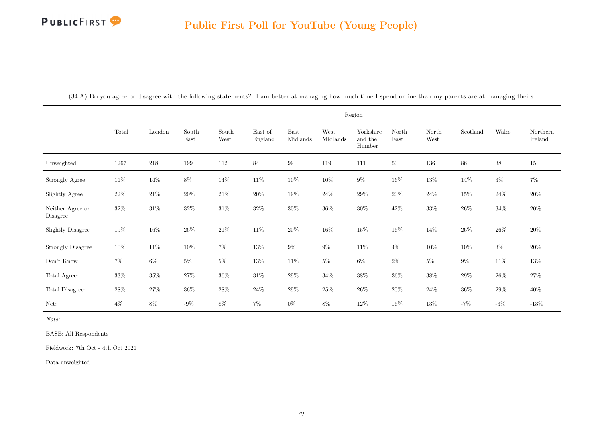|                              |        |        |               |               |                    |                  |                  | Region                         |               |               |          |        |                     |
|------------------------------|--------|--------|---------------|---------------|--------------------|------------------|------------------|--------------------------------|---------------|---------------|----------|--------|---------------------|
|                              | Total  | London | South<br>East | South<br>West | East of<br>England | East<br>Midlands | West<br>Midlands | Yorkshire<br>and the<br>Humber | North<br>East | North<br>West | Scotland | Wales  | Northern<br>Ireland |
| Unweighted                   | 1267   | 218    | 199           | 112           | 84                 | 99               | 119              | 111                            | $50\,$        | 136           | 86       | $38\,$ | $15\,$              |
| Strongly Agree               | $11\%$ | $14\%$ | $8\%$         | $14\%$        | $11\%$             | $10\%$           | 10%              | $9\%$                          | $16\%$        | $13\%$        | $14\%$   | $3\%$  | $7\%$               |
| Slightly Agree               | $22\%$ | $21\%$ | $20\%$        | $21\%$        | $20\%$             | $19\%$           | $24\%$           | $29\%$                         | $20\%$        | $24\%$        | $15\%$   | $24\%$ | $20\%$              |
| Neither Agree or<br>Disagree | $32\%$ | $31\%$ | $32\%$        | $31\%$        | $32\%$             | $30\%$           | $36\%$           | $30\%$                         | $42\%$        | $33\%$        | $26\%$   | $34\%$ | $20\%$              |
| Slightly Disagree            | $19\%$ | $16\%$ | $26\%$        | $21\%$        | $11\%$             | $20\%$           | $16\%$           | $15\%$                         | $16\%$        | $14\%$        | $26\%$   | $26\%$ | $20\%$              |
| <b>Strongly Disagree</b>     | $10\%$ | $11\%$ | $10\%$        | $7\%$         | $13\%$             | $9\%$            | $9\%$            | $11\%$                         | $4\%$         | $10\%$        | $10\%$   | $3\%$  | $20\%$              |
| Don't Know                   | $7\%$  | $6\%$  | $5\%$         | $5\%$         | $13\%$             | $11\%$           | $5\%$            | $6\%$                          | $2\%$         | $5\%$         | $9\%$    | $11\%$ | $13\%$              |
| Total Agree:                 | 33%    | $35\%$ | $27\%$        | $36\%$        | $31\%$             | $29\%$           | $34\%$           | $38\%$                         | $36\%$        | $38\%$        | $29\%$   | $26\%$ | $27\%$              |
| Total Disagree:              | 28\%   | $27\%$ | $36\%$        | $28\%$        | $24\%$             | $29\%$           | $25\%$           | $26\%$                         | $20\%$        | $24\%$        | $36\%$   | $29\%$ | 40\%                |
| Net:                         | $4\%$  | $8\%$  | $-9\%$        | $8\%$         | $7\%$              | $0\%$            | $8\%$            | 12\%                           | $16\%$        | 13%           | $-7%$    | $-3\%$ | $-13%$              |

(34.A) Do you agree or disagree with the following statements?: I am better at managing how much time I spend online than my parents are at managing theirs

Note:

BASE: All Respondents

Fieldwork: 7th Oct - 4th Oct 2021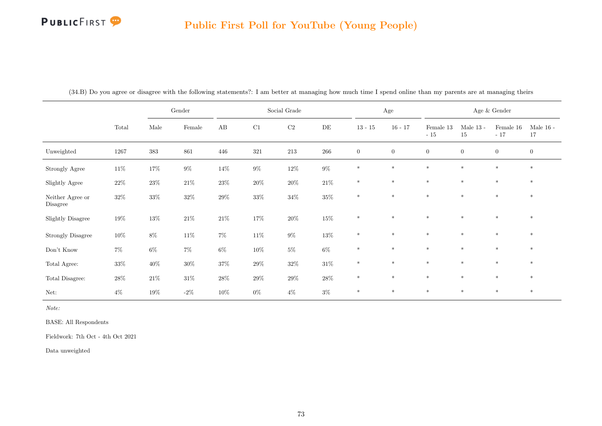#### Public First Poll for YouTube (Young People)

|                              |        |        | $\operatorname{Gender}$ |        |         | Social Grade |        |              | Age          |                    |                   | Age $\&$ Gender    |                   |
|------------------------------|--------|--------|-------------------------|--------|---------|--------------|--------|--------------|--------------|--------------------|-------------------|--------------------|-------------------|
|                              | Total  | Male   | Female                  | AB     | C1      | $\rm C2$     | DE     | $13 - 15$    | $16 - 17$    | Female 13<br>$-15$ | Male $13$ -<br>15 | Female 16<br>$-17$ | Male $16$ -<br>17 |
| Unweighted                   | 1267   | 383    | 861                     | 446    | $321\,$ | 213          | 266    | $\mathbf{0}$ | $\mathbf{0}$ | $\boldsymbol{0}$   | $\boldsymbol{0}$  | $\overline{0}$     | $\mathbf{0}$      |
| Strongly Agree               | $11\%$ | $17\%$ | $9\%$                   | $14\%$ | $9\%$   | $12\%$       | $9\%$  | $\ast$       | $\ast$       | $\ast$             | $\ast$            | $\ast$             | $\ast$            |
| Slightly Agree               | $22\%$ | $23\%$ | $21\%$                  | $23\%$ | $20\%$  | $20\%$       | $21\%$ | $\ast$       | $\ast$       | $\ast$             | $\ast$            | $\ast$             | $\ast$            |
| Neither Agree or<br>Disagree | $32\%$ | $33\%$ | $32\%$                  | $29\%$ | $33\%$  | $34\%$       | $35\%$ | $\ast$       | $\ast$       | $\ast$             | $*$               | $*$                | $*$               |
| <b>Slightly Disagree</b>     | $19\%$ | $13\%$ | $21\%$                  | $21\%$ | $17\%$  | $20\%$       | $15\%$ | $\ast$       | $*$          | $\ast$             | $\ast$            | $\ast$             | $*$               |
| <b>Strongly Disagree</b>     | $10\%$ | $8\%$  | $11\%$                  | $7\%$  | $11\%$  | $9\%$        | $13\%$ | $\ast$       | $\ast$       | $*$                | $\ast$            | $*$                | $\ast$            |
| Don't Know                   | $7\%$  | $6\%$  | $7\%$                   | $6\%$  | $10\%$  | $5\%$        | $6\%$  | $*$          | $*$          | $*$                | $*$               | $*$                | $*$               |
| Total Agree:                 | $33\%$ | $40\%$ | $30\%$                  | $37\%$ | $29\%$  | $32\%$       | $31\%$ | $\ast$       | $\ast$       | $\ast$             | $\ast$            | $\ast$             | $*$               |
| Total Disagree:              | $28\%$ | $21\%$ | $31\%$                  | $28\%$ | $29\%$  | $29\%$       | $28\%$ | $\ast$       | $\ast$       | $\ast$             | $\ast$            | $\ast$             | $\ast$            |
| Net:                         | $4\%$  | $19\%$ | $-2\%$                  | $10\%$ | $0\%$   | $4\%$        | $3\%$  | $\ast$       | $\ast$       | $\ast$             | $*$               | $*$                | $*$               |

(34.B) Do you agree or disagree with the following statements?: I am better at managing how much time I spend online than my parents are at managing theirs

Note:

BASE: All Respondents

Fieldwork: 7th Oct - 4th Oct 2021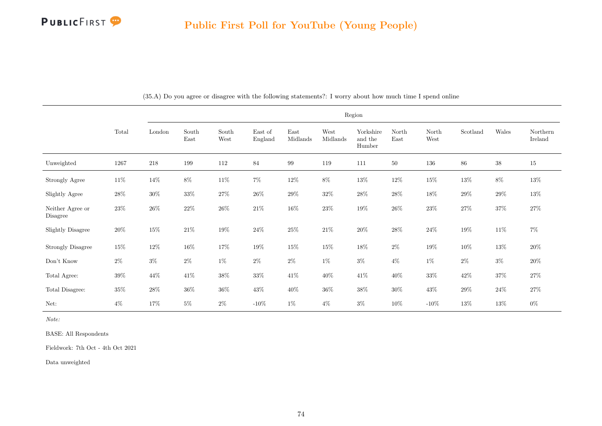

|                              |          |        |               |               |                    |                  |                  | Region                         |               |               |          |        |                     |
|------------------------------|----------|--------|---------------|---------------|--------------------|------------------|------------------|--------------------------------|---------------|---------------|----------|--------|---------------------|
|                              | Total    | London | South<br>East | South<br>West | East of<br>England | East<br>Midlands | West<br>Midlands | Yorkshire<br>and the<br>Humber | North<br>East | North<br>West | Scotland | Wales  | Northern<br>Ireland |
| Unweighted                   | $1267\,$ | 218    | 199           | 112           | 84                 | $99\,$           | 119              | 111                            | 50            | 136           | 86       | $38\,$ | 15                  |
| Strongly Agree               | $11\%$   | $14\%$ | $8\%$         | $11\%$        | $7\%$              | $12\%$           | $8\%$            | $13\%$                         | $12\%$        | $15\%$        | $13\%$   | $8\%$  | $13\%$              |
| Slightly Agree               | $28\%$   | $30\%$ | $33\%$        | $27\%$        | $26\%$             | $29\%$           | $32\%$           | $28\%$                         | $28\%$        | $18\%$        | $29\%$   | $29\%$ | $13\%$              |
| Neither Agree or<br>Disagree | $23\%$   | $26\%$ | $22\%$        | $26\%$        | $21\%$             | $16\%$           | $23\%$           | $19\%$                         | $26\%$        | $23\%$        | $27\%$   | $37\%$ | $27\%$              |
| <b>Slightly Disagree</b>     | $20\%$   | $15\%$ | $21\%$        | $19\%$        | $24\%$             | $25\%$           | $21\%$           | $20\%$                         | $28\%$        | $24\%$        | $19\%$   | $11\%$ | $7\%$               |
| <b>Strongly Disagree</b>     | $15\%$   | $12\%$ | $16\%$        | 17%           | $19\%$             | $15\%$           | $15\%$           | $18\%$                         | $2\%$         | $19\%$        | $10\%$   | $13\%$ | $20\%$              |
| Don't Know                   | $2\%$    | $3\%$  | $2\%$         | $1\%$         | $2\%$              | $2\%$            | $1\%$            | $3\%$                          | $4\%$         | $1\%$         | $2\%$    | $3\%$  | $20\%$              |
| Total Agree:                 | $39\%$   | 44\%   | $41\%$        | $38\%$        | $33\%$             | $41\%$           | $40\%$           | $41\%$                         | $40\%$        | $33\%$        | $42\%$   | $37\%$ | $27\%$              |
| Total Disagree:              | $35\%$   | $28\%$ | $36\%$        | $36\%$        | $43\%$             | $40\%$           | $36\%$           | $38\%$                         | $30\%$        | $43\%$        | $29\%$   | $24\%$ | $27\%$              |
| Net:                         | $4\%$    | $17\%$ | $5\%$         | $2\%$         | $-10\%$            | $1\%$            | $4\%$            | $3\%$                          | 10%           | $-10\%$       | 13%      | $13\%$ | $0\%$               |

(35.A) Do you agree or disagree with the following statements?: I worry about how much time I spend online

Note:

BASE: All Respondents

Fieldwork: 7th Oct - 4th Oct 2021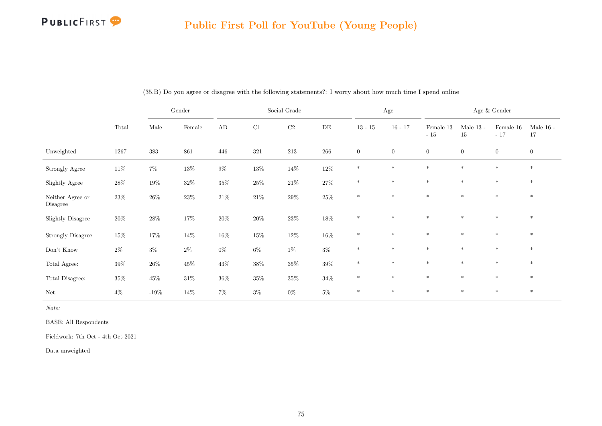

### Public First Poll for YouTube (Young People)

|                              |        |         | $\operatorname{Gender}$ |        |          | Social Grade |        |                  | Age          |                    |                   | Age $\&$ Gender    |                   |
|------------------------------|--------|---------|-------------------------|--------|----------|--------------|--------|------------------|--------------|--------------------|-------------------|--------------------|-------------------|
|                              | Total  | Male    | Female                  | AB     | $\rm C1$ | $\rm C2$     | DE     | $13 - 15$        | $16 - 17$    | Female 13<br>$-15$ | Male $13$ -<br>15 | Female 16<br>$-17$ | Male $16$ -<br>17 |
| Unweighted                   | 1267   | 383     | 861                     | 446    | 321      | $213\,$      | 266    | $\boldsymbol{0}$ | $\mathbf{0}$ | $\overline{0}$     | $\overline{0}$    | $\overline{0}$     | $\mathbf{0}$      |
| Strongly Agree               | $11\%$ | $7\%$   | $13\%$                  | $9\%$  | $13\%$   | $14\%$       | $12\%$ | $*$              | $\ast$       | $\ast$             | $\ast$            | $\ast$             | $\ast$            |
| Slightly Agree               | $28\%$ | $19\%$  | $32\%$                  | $35\%$ | $25\%$   | $21\%$       | $27\%$ | $\ast$           | $\ast$       | $\ast$             | $\ast$            | $\ast$             | $\ast$            |
| Neither Agree or<br>Disagree | $23\%$ | $26\%$  | $23\%$                  | $21\%$ | $21\%$   | $29\%$       | $25\%$ | $\ast$           | $\ast$       | $\ast$             | $\ast$            | $\ast$             | $\ast$            |
| <b>Slightly Disagree</b>     | $20\%$ | $28\%$  | $17\%$                  | $20\%$ | $20\%$   | $23\%$       | $18\%$ | $\ast$           | $\ast$       | $\ast$             | $\ast$            | $\ast$             | $\ast$            |
| <b>Strongly Disagree</b>     | $15\%$ | $17\%$  | 14\%                    | $16\%$ | $15\%$   | $12\%$       | $16\%$ | $*$              | $\ast$       | $*$                | $\ast$            | $\ast$             | $*$               |
| Don't Know                   | $2\%$  | $3\%$   | $2\%$                   | $0\%$  | $6\%$    | $1\%$        | $3\%$  | $\ast$           | $\ast$       | $\ast$             | $\ast$            | $\ast$             | $*$               |
| Total Agree:                 | $39\%$ | $26\%$  | $45\%$                  | $43\%$ | $38\%$   | $35\%$       | $39\%$ | $\ast$           | $\ast$       | $\ast$             | $\ast$            | $\ast$             | $*$               |
| Total Disagree:              | $35\%$ | $45\%$  | $31\%$                  | $36\%$ | $35\%$   | $35\%$       | $34\%$ | $\ast$           | $\ast$       | $\ast$             | $\ast$            | $\ast$             | $\ast$            |
| Net:                         | $4\%$  | $-19\%$ | $14\%$                  | $7\%$  | $3\%$    | $0\%$        | $5\%$  | $\ast$           | $*$          | $*$                | $*$               | $*$                | $*$               |

(35.B) Do you agree or disagree with the following statements?: I worry about how much time I spend online

Note:

BASE: All Respondents

Fieldwork: 7th Oct - 4th Oct 2021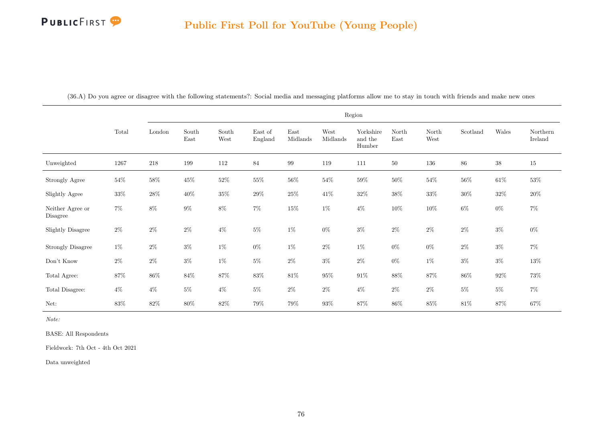|                              |        |         |               |               |                    |                  |                  | Region                         |               |               |          |        |                     |
|------------------------------|--------|---------|---------------|---------------|--------------------|------------------|------------------|--------------------------------|---------------|---------------|----------|--------|---------------------|
|                              | Total  | London  | South<br>East | South<br>West | East of<br>England | East<br>Midlands | West<br>Midlands | Yorkshire<br>and the<br>Humber | North<br>East | North<br>West | Scotland | Wales  | Northern<br>Ireland |
| Unweighted                   | 1267   | $218\,$ | 199           | 112           | 84                 | 99               | 119              | 111                            | 50            | 136           | 86       | $38\,$ | $15\,$              |
| Strongly Agree               | $54\%$ | $58\%$  | $45\%$        | $52\%$        | $55\%$             | $56\%$           | $54\%$           | $59\%$                         | $50\%$        | $54\%$        | $56\%$   | $61\%$ | $53\%$              |
| Slightly Agree               | $33\%$ | $28\%$  | $40\%$        | $35\%$        | $29\%$             | $25\%$           | $41\%$           | $32\%$                         | $38\%$        | $33\%$        | $30\%$   | $32\%$ | $20\%$              |
| Neither Agree or<br>Disagree | $7\%$  | $8\%$   | $9\%$         | $8\%$         | $7\%$              | $15\%$           | $1\%$            | $4\%$                          | $10\%$        | $10\%$        | $6\%$    | $0\%$  | $7\%$               |
| <b>Slightly Disagree</b>     | $2\%$  | $2\%$   | $2\%$         | $4\%$         | $5\%$              | $1\%$            | $0\%$            | $3\%$                          | $2\%$         | $2\%$         | $2\%$    | $3\%$  | $0\%$               |
| <b>Strongly Disagree</b>     | $1\%$  | $2\%$   | $3\%$         | $1\%$         | $0\%$              | $1\%$            | $2\%$            | $1\%$                          | $0\%$         | $0\%$         | $2\%$    | $3\%$  | $7\%$               |
| Don't Know                   | $2\%$  | $2\%$   | $3\%$         | $1\%$         | $5\%$              | $2\%$            | $3\%$            | $2\%$                          | $0\%$         | $1\%$         | $3\%$    | $3\%$  | $13\%$              |
| Total Agree:                 | $87\%$ | $86\%$  | $84\%$        | $87\%$        | $83\%$             | $81\%$           | $95\%$           | $91\%$                         | $88\%$        | $87\%$        | $86\%$   | $92\%$ | 73%                 |
| Total Disagree:              | $4\%$  | $4\%$   | $5\%$         | $4\%$         | $5\%$              | $2\%$            | $2\%$            | $4\%$                          | $2\%$         | $2\%$         | $5\%$    | $5\%$  | $7\%$               |
| Net:                         | $83\%$ | $82\%$  | $80\%$        | $82\%$        | $79\%$             | $79\%$           | $93\%$           | $87\%$                         | $86\%$        | $85\%$        | $81\%$   | $87\%$ | $67\%$              |

(36.A) Do you agree or disagree with the following statements?: Social media and messaging platforms allow me to stay in touch with friends and make new ones

Note:

BASE: All Respondents

Fieldwork: 7th Oct - 4th Oct 2021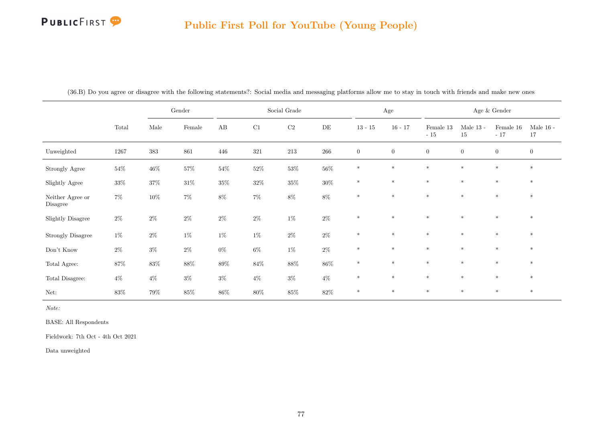# Public First Poll for YouTube (Young People)

|                              |          |        | $\operatorname{Gender}$ |        |        | Social Grade |           |                  | Age          |                    |                   | Age $\&$ Gender    |                   |
|------------------------------|----------|--------|-------------------------|--------|--------|--------------|-----------|------------------|--------------|--------------------|-------------------|--------------------|-------------------|
|                              | Total    | Male   | Female                  | AB     | C1     | $\rm C2$     | $\rm{DE}$ | $13 - 15$        | $16 - 17$    | Female 13<br>$-15$ | Male $13$ -<br>15 | Female 16<br>$-17$ | Male $16$ -<br>17 |
| Unweighted                   | $1267\,$ | 383    | 861                     | 446    | 321    | $213\,$      | $266\,$   | $\boldsymbol{0}$ | $\mathbf{0}$ | $\boldsymbol{0}$   | $\overline{0}$    | $\boldsymbol{0}$   | $\boldsymbol{0}$  |
| Strongly Agree               | $54\%$   | $46\%$ | $57\%$                  | $54\%$ | $52\%$ | $53\%$       | $56\%$    | $\ast$           | $\ast$       | $*$                | $\ast$            | $\ast$             | $\ast$            |
| Slightly Agree               | $33\%$   | $37\%$ | $31\%$                  | $35\%$ | $32\%$ | $35\%$       | $30\%$    | $\ast$           | $\ast$       | $*$                | $*$               | $\ast$             | $\ast$            |
| Neither Agree or<br>Disagree | $7\%$    | $10\%$ | $7\%$                   | $8\%$  | $7\%$  | $8\%$        | $8\%$     | $\ast$           | $\ast$       | $*$                | $*$               | $\ast$             | $\ast$            |
| Slightly Disagree            | $2\%$    | $2\%$  | $2\%$                   | $2\%$  | $2\%$  | $1\%$        | $2\%$     | $\ast$           | $\ast$       | $*$                | $\ast$            | $\ast$             | $\ast$            |
| <b>Strongly Disagree</b>     | $1\%$    | $2\%$  | $1\%$                   | $1\%$  | $1\%$  | $2\%$        | $2\%$     | $\ast$           | $\ast$       | $\ast$             | $\ast$            | $\ast$             | $\ast$            |
| Don't Know                   | $2\%$    | $3\%$  | $2\%$                   | $0\%$  | $6\%$  | $1\%$        | $2\%$     | $\ast$           | $\ast$       | $*$                | $\ast$            | $*$                | $*$               |
| Total Agree:                 | $87\%$   | $83\%$ | $88\%$                  | $89\%$ | $84\%$ | $88\%$       | $86\%$    | $\ast$           | $\ast$       | $\ast$             | $\ast$            | $\ast$             | $\ast$            |
| Total Disagree:              | $4\%$    | $4\%$  | $3\%$                   | $3\%$  | $4\%$  | $3\%$        | $4\%$     | $\ast$           | $\ast$       | $\ast$             | $\ast$            | $\ast$             | $\ast$            |
| Net:                         | $83\%$   | $79\%$ | $85\%$                  | $86\%$ | $80\%$ | $85\%$       | $82\%$    | $*$              | $\ast$       | $\ast$             | $\ast$            | $\ast$             | $\ast$            |

(36.B) Do you agree or disagree with the following statements?: Social media and messaging platforms allow me to stay in touch with friends and make new ones

Note:

BASE: All Respondents

Fieldwork: 7th Oct - 4th Oct 2021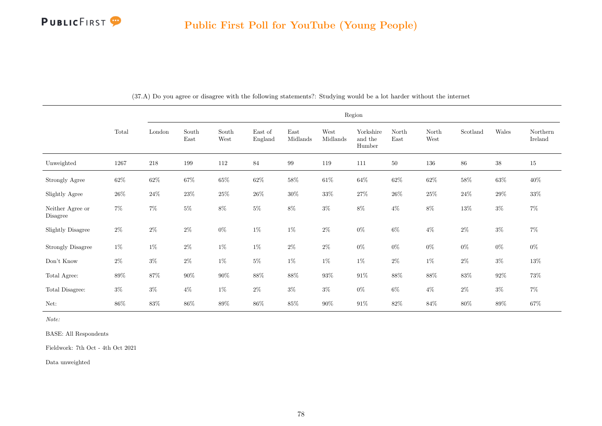

|                              |        |         |               |               |                    |                  |                  | Region                         |               |               |          |        |                     |
|------------------------------|--------|---------|---------------|---------------|--------------------|------------------|------------------|--------------------------------|---------------|---------------|----------|--------|---------------------|
|                              | Total  | London  | South<br>East | South<br>West | East of<br>England | East<br>Midlands | West<br>Midlands | Yorkshire<br>and the<br>Humber | North<br>East | North<br>West | Scotland | Wales  | Northern<br>Ireland |
| Unweighted                   | 1267   | $218\,$ | 199           | 112           | 84                 | $\,99$           | 119              | 111                            | $50\,$        | 136           | 86       | $38\,$ | 15                  |
| Strongly Agree               | $62\%$ | $62\%$  | 67%           | $65\%$        | $62\%$             | $58\%$           | $61\%$           | $64\%$                         | $62\%$        | $62\%$        | $58\%$   | $63\%$ | $40\%$              |
| Slightly Agree               | $26\%$ | $24\%$  | 23\%          | $25\%$        | $26\%$             | $30\%$           | $33\%$           | $27\%$                         | $26\%$        | $25\%$        | $24\%$   | $29\%$ | $33\%$              |
| Neither Agree or<br>Disagree | $7\%$  | $7\%$   | $5\%$         | $8\%$         | $5\%$              | $8\%$            | $3\%$            | $8\%$                          | $4\%$         | $8\%$         | $13\%$   | $3\%$  | $7\%$               |
| <b>Slightly Disagree</b>     | $2\%$  | $2\%$   | $2\%$         | $0\%$         | $1\%$              | $1\%$            | $2\%$            | $0\%$                          | $6\%$         | $4\%$         | $2\%$    | $3\%$  | $7\%$               |
| <b>Strongly Disagree</b>     | $1\%$  | $1\%$   | $2\%$         | $1\%$         | $1\%$              | $2\%$            | $2\%$            | $0\%$                          | $0\%$         | $0\%$         | $0\%$    | $0\%$  | $0\%$               |
| Don't Know                   | $2\%$  | $3\%$   | $2\%$         | $1\%$         | $5\%$              | $1\%$            | $1\%$            | $1\%$                          | $2\%$         | $1\%$         | $2\%$    | $3\%$  | $13\%$              |
| Total Agree:                 | $89\%$ | 87%     | $90\%$        | $90\%$        | $88\%$             | $88\%$           | $93\%$           | $91\%$                         | $88\%$        | $88\%$        | 83%      | $92\%$ | 73%                 |
| Total Disagree:              | $3\%$  | $3\%$   | $4\%$         | $1\%$         | $2\%$              | $3\%$            | $3\%$            | $0\%$                          | $6\%$         | $4\%$         | $2\%$    | $3\%$  | $7\%$               |
| Net:                         | $86\%$ | $83\%$  | $86\%$        | $89\%$        | $86\%$             | $85\%$           | $90\%$           | $91\%$                         | $82\%$        | $84\%$        | 80%      | $89\%$ | $67\%$              |

(37.A) Do you agree or disagree with the following statements?: Studying would be a lot harder without the internet

Note:

BASE: All Respondents

Fieldwork: 7th Oct - 4th Oct 2021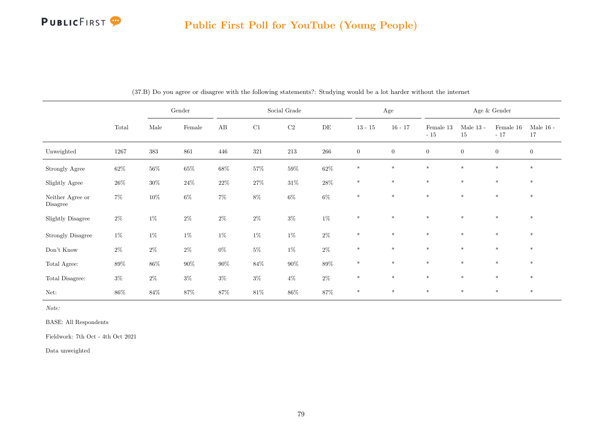### Public First Poll for YouTube (Young People)

|                              |        |        | Gender  |        |         | Social Grade |           |                  | $\rm Age$        |                    |                   | Age $\&$ Gender    |                   |
|------------------------------|--------|--------|---------|--------|---------|--------------|-----------|------------------|------------------|--------------------|-------------------|--------------------|-------------------|
|                              | Total  | Male   | Female  | AB     | C1      | $\rm C2$     | $\rm{DE}$ | $13 - 15$        | $16 - 17$        | Female 13<br>$-15$ | Male $13$ -<br>15 | Female 16<br>$-17$ | Male $16$ -<br>17 |
| Unweighted                   | 1267   | 383    | $861\,$ | 446    | $321\,$ | $213\,$      | $266\,$   | $\boldsymbol{0}$ | $\boldsymbol{0}$ | $\overline{0}$     | $\boldsymbol{0}$  | $\theta$           | $\boldsymbol{0}$  |
| Strongly Agree               | $62\%$ | $56\%$ | $65\%$  | $68\%$ | $57\%$  | $59\%$       | $62\%$    | $\ast$           | $\ast$           | $\ast$             | $\ast$            | $\ast$             | $\ast$            |
| Slightly Agree               | $26\%$ | $30\%$ | $24\%$  | $22\%$ | $27\%$  | $31\%$       | $28\%$    | $*$              | $\ast$           | $\ast$             | $\ast$            | $\ast$             | $*$               |
| Neither Agree or<br>Disagree | $7\%$  | $10\%$ | $6\%$   | $7\%$  | $8\%$   | $6\%$        | $6\%$     | $\ast$           | $\ast$           | $\ast$             | $\ast$            | $\ast$             | $\ast$            |
| <b>Slightly Disagree</b>     | $2\%$  | $1\%$  | $2\%$   | $2\%$  | $2\%$   | $3\%$        | $1\%$     | $\ast$           | $\ast$           | $\ast$             | $\ast$            | $\ast$             | $\ast$            |
| <b>Strongly Disagree</b>     | $1\%$  | $1\%$  | $1\%$   | $1\%$  | $1\%$   | $1\%$        | $2\%$     | $\ast$           | $\ast$           | $\ast$             | $\ast$            | $\ast$             | $\ast$            |
| Don't Know                   | $2\%$  | $2\%$  | $2\%$   | $0\%$  | $5\%$   | $1\%$        | $2\%$     | $\ast$           | $\ast$           | $\ast$             | $\ast$            | $\ast$             | $*$               |
| Total Agree:                 | $89\%$ | $86\%$ | $90\%$  | $90\%$ | $84\%$  | $90\%$       | $89\%$    | $\ast$           | $\ast$           | $\ast$             | $\ast$            | $\ast$             | $*$               |
| Total Disagree:              | $3\%$  | $2\%$  | $3\%$   | $3\%$  | $3\%$   | $4\%$        | $2\%$     | $\ast$           | $\ast$           | $\ast$             | $\ast$            | $\ast$             | $*$               |
| Net:                         | $86\%$ | $84\%$ | $87\%$  | $87\%$ | $81\%$  | $86\%$       | $87\%$    | $\ast$           | $*$              | $\ast$             | $\ast$            | $*$                | $*$               |

(37.B) Do you agree or disagree with the following statements?: Studying would be a lot harder without the internet

Note:

BASE: All Respondents

Fieldwork: 7th Oct - 4th Oct 2021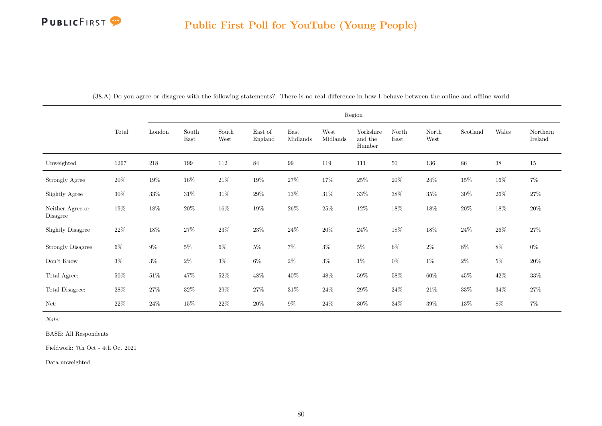

|                              |        |        |               |               |                    |                  |                  | Region                         |               |               |          |        |                     |
|------------------------------|--------|--------|---------------|---------------|--------------------|------------------|------------------|--------------------------------|---------------|---------------|----------|--------|---------------------|
|                              | Total  | London | South<br>East | South<br>West | East of<br>England | East<br>Midlands | West<br>Midlands | Yorkshire<br>and the<br>Humber | North<br>East | North<br>West | Scotland | Wales  | Northern<br>Ireland |
| Unweighted                   | 1267   | 218    | 199           | 112           | 84                 | 99               | 119              | 111                            | $50\,$        | 136           | 86       | $38\,$ | 15                  |
| Strongly Agree               | $20\%$ | $19\%$ | $16\%$        | $21\%$        | $19\%$             | $27\%$           | 17%              | $25\%$                         | $20\%$        | $24\%$        | 15%      | $16\%$ | $7\%$               |
| Slightly Agree               | $30\%$ | $33\%$ | $31\%$        | $31\%$        | $29\%$             | 13%              | $31\%$           | $33\%$                         | $38\%$        | $35\%$        | $30\%$   | $26\%$ | $27\%$              |
| Neither Agree or<br>Disagree | $19\%$ | $18\%$ | $20\%$        | $16\%$        | $19\%$             | $26\%$           | $25\%$           | $12\%$                         | $18\%$        | $18\%$        | $20\%$   | $18\%$ | $20\%$              |
| <b>Slightly Disagree</b>     | $22\%$ | $18\%$ | $27\%$        | $23\%$        | $23\%$             | $24\%$           | $20\%$           | $24\%$                         | $18\%$        | $18\%$        | $24\%$   | $26\%$ | $27\%$              |
| Strongly Disagree            | $6\%$  | $9\%$  | $5\%$         | $6\%$         | $5\%$              | $7\%$            | $3\%$            | $5\%$                          | $6\%$         | $2\%$         | $8\%$    | $8\%$  | $0\%$               |
| Don't Know                   | $3\%$  | $3\%$  | $2\%$         | $3\%$         | $6\%$              | $2\%$            | $3\%$            | $1\%$                          | $0\%$         | $1\%$         | $2\%$    | $5\%$  | $20\%$              |
| Total Agree:                 | $50\%$ | $51\%$ | 47%           | $52\%$        | $48\%$             | $40\%$           | $48\%$           | $59\%$                         | $58\%$        | $60\%$        | $45\%$   | $42\%$ | $33\%$              |
| Total Disagree:              | $28\%$ | $27\%$ | $32\%$        | $29\%$        | $27\%$             | $31\%$           | $24\%$           | $29\%$                         | $24\%$        | $21\%$        | $33\%$   | $34\%$ | $27\%$              |
| Net:                         | $22\%$ | $24\%$ | 15%           | $22\%$        | $20\%$             | $9\%$            | $24\%$           | $30\%$                         | $34\%$        | $39\%$        | 13%      | 8%     | $7\%$               |

(38.A) Do you agree or disagree with the following statements?: There is no real difference in how I behave between the online and offline world

Note:

BASE: All Respondents

Fieldwork: 7th Oct - 4th Oct 2021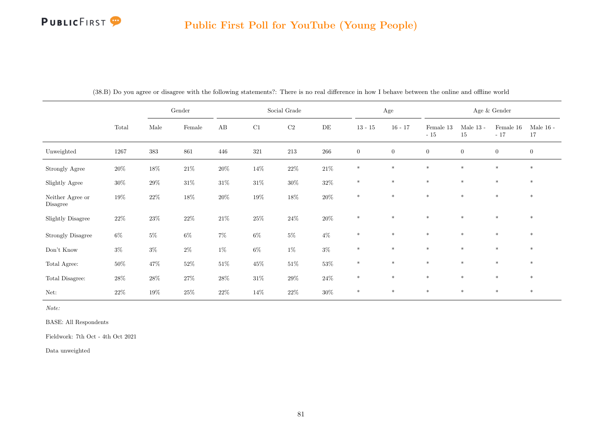# Public First Poll for YouTube (Young People)

|                              |          |        | $\operatorname{Gender}$ |          |         | Social Grade |         |                  | Age              |                    |                   | Age $\&$ Gender      |                   |
|------------------------------|----------|--------|-------------------------|----------|---------|--------------|---------|------------------|------------------|--------------------|-------------------|----------------------|-------------------|
|                              | Total    | Male   | Female                  | $\rm AB$ | C1      | $\rm C2$     | DE      | $13 - 15$        | $16 - 17$        | Female 13<br>$-15$ | Male $13$ -<br>15 | Female $16$<br>$-17$ | Male $16$ -<br>17 |
| Unweighted                   | $1267\,$ | 383    | 861                     | 446      | $321\,$ | $213\,$      | $266\,$ | $\boldsymbol{0}$ | $\boldsymbol{0}$ | $\boldsymbol{0}$   | $\overline{0}$    | $\theta$             | $\boldsymbol{0}$  |
| Strongly Agree               | $20\%$   | $18\%$ | $21\%$                  | $20\%$   | $14\%$  | $22\%$       | $21\%$  | $\ast$           | $\ast$           | $*$                | $\ast$            | $*$                  | $*$               |
| Slightly Agree               | $30\%$   | $29\%$ | $31\%$                  | $31\%$   | $31\%$  | $30\%$       | $32\%$  | $\ast$           | $\ast$           | $\ast$             | $\ast$            | $\ast$               | $\ast$            |
| Neither Agree or<br>Disagree | $19\%$   | $22\%$ | $18\%$                  | $20\%$   | $19\%$  | $18\%$       | $20\%$  | $\ast$           | $\ast$           | $*$                | $\ast$            | $*$                  | $\ast$            |
| <b>Slightly Disagree</b>     | $22\%$   | $23\%$ | $22\%$                  | $21\%$   | $25\%$  | $24\%$       | $20\%$  | $\ast$           | $*$              | $*$                | $\ast$            | $*$                  | $\ast$            |
| <b>Strongly Disagree</b>     | $6\%$    | $5\%$  | $6\%$                   | $7\%$    | $6\%$   | $5\%$        | $4\%$   | $\ast$           | $\ast$           | $\ast$             | $\ast$            | $*$                  | $\ast$            |
| Don't Know                   | $3\%$    | $3\%$  | $2\%$                   | $1\%$    | $6\%$   | $1\%$        | $3\%$   | $\ast$           | $\ast$           | $*$                | $*$               | $*$                  | $\ast$            |
| Total Agree:                 | $50\%$   | $47\%$ | $52\%$                  | $51\%$   | $45\%$  | $51\%$       | $53\%$  | $\ast$           | $\ast$           | $\ast$             | $\ast$            | $\ast$               | $\ast$            |
| Total Disagree:              | $28\%$   | $28\%$ | $27\%$                  | $28\%$   | $31\%$  | $29\%$       | $24\%$  | $\ast$           | $\ast$           | $*$                | $\ast$            | $*$                  | $*$               |
| Net:                         | $22\%$   | $19\%$ | $25\%$                  | $22\%$   | 14%     | $22\%$       | $30\%$  | $\ast$           | $\ast$           | $*$                | $\ast$            | $*$                  | $\ast$            |

(38.B) Do you agree or disagree with the following statements?: There is no real difference in how I behave between the online and offline world

Note:

BASE: All Respondents

Fieldwork: 7th Oct - 4th Oct 2021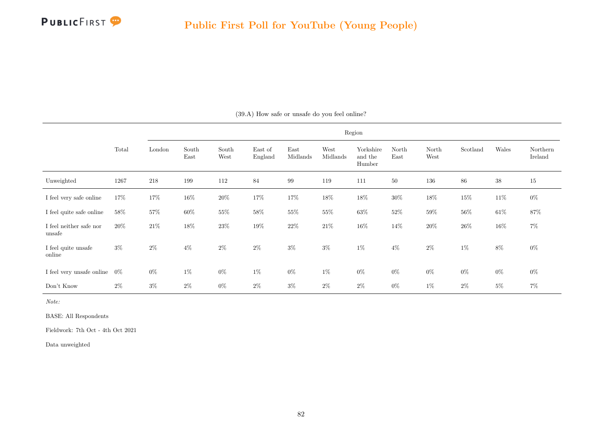

|                                   |       |        |               |               |                    |                  |                  | Region                         |               |               |          |        |                     |
|-----------------------------------|-------|--------|---------------|---------------|--------------------|------------------|------------------|--------------------------------|---------------|---------------|----------|--------|---------------------|
|                                   | Total | London | South<br>East | South<br>West | East of<br>England | East<br>Midlands | West<br>Midlands | Yorkshire<br>and the<br>Humber | North<br>East | North<br>West | Scotland | Wales  | Northern<br>Ireland |
| Unweighted                        | 1267  | 218    | 199           | 112           | 84                 | $\,99$           | 119              | 111                            | 50            | 136           | 86       | $38\,$ | 15                  |
| I feel very safe online           | 17%   | $17\%$ | 16\%          | $20\%$        | 17%                | $17\%$           | $18\%$           | $18\%$                         | 30%           | $18\%$        | 15%      | $11\%$ | $0\%$               |
| I feel quite safe online          | 58\%  | $57\%$ | $60\%$        | $55\%$        | $58\%$             | $55\%$           | $55\%$           | $63\%$                         | $52\%$        | $59\%$        | 56%      | $61\%$ | $87\%$              |
| I feel neither safe nor<br>unsafe | 20%   | 21\%   | $18\%$        | $23\%$        | $19\%$             | $22\%$           | $21\%$           | $16\%$                         | 14%           | $20\%$        | 26\%     | $16\%$ | $7\%$               |
| I feel quite unsafe<br>online     | $3\%$ | $2\%$  | $4\%$         | $2\%$         | $2\%$              | $3\%$            | $3\%$            | $1\%$                          | $4\%$         | $2\%$         | 1%       | 8%     | $0\%$               |
| I feel very unsafe online $0\%$   |       | $0\%$  | $1\%$         | $0\%$         | $1\%$              | $0\%$            | $1\%$            | $0\%$                          | $0\%$         | $0\%$         | $0\%$    | $0\%$  | $0\%$               |
| Don't Know                        | $2\%$ | $3\%$  | $2\%$         | $0\%$         | $2\%$              | $3\%$            | $2\%$            | $2\%$                          | $0\%$         | $1\%$         | $2\%$    | $5\%$  | $7\%$               |

(39.A) How safe or unsafe do you feel online?

Note:

BASE: All Respondents

Fieldwork: 7th Oct - 4th Oct 2021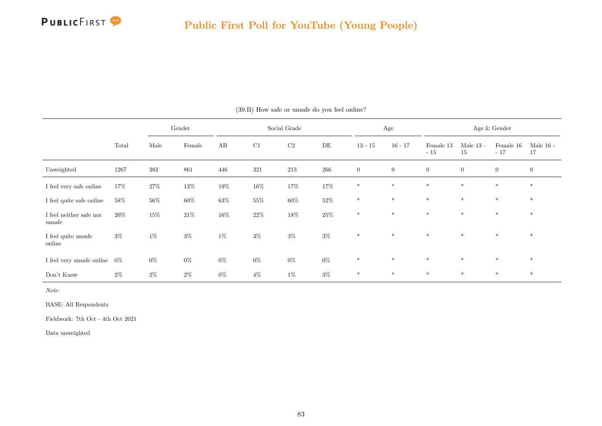

|                                     |        |        | Gender |        |        | Social Grade |         |                | Age            |                    |                   | Age & Gender       |                   |
|-------------------------------------|--------|--------|--------|--------|--------|--------------|---------|----------------|----------------|--------------------|-------------------|--------------------|-------------------|
|                                     | Total  | Male   | Female | AB     | C1     | $\rm C2$     | DE      | $13 - 15$      | $16 - 17$      | Female 13<br>$-15$ | Male $13$ -<br>15 | Female 16<br>$-17$ | Male $16$ -<br>17 |
| Unweighted                          | 1267   | 383    | 861    | 446    | 321    | $213\,$      | $266\,$ | $\overline{0}$ | $\overline{0}$ | $\overline{0}$     | $\boldsymbol{0}$  | $\overline{0}$     | $\overline{0}$    |
| I feel very safe online             | $17\%$ | $27\%$ | $13\%$ | $19\%$ | $16\%$ | $17\%$       | 17%     | $*$            | $*$            | $\ast$             | $*$               | $*$                | $\ast$            |
| I feel quite safe online            | 58%    | $56\%$ | $60\%$ | $63\%$ | $55\%$ | $60\%$       | $52\%$  | $\ast$         | $*$            | $\ast$             | $*$               | $*$                | $\ast$            |
| I feel neither safe nor<br>unsafe   | 20%    | $15\%$ | $21\%$ | $16\%$ | $22\%$ | $18\%$       | $25\%$  | $*$            | $*$            | $*$                | $*$               | $*$                | $*$               |
| $\rm I$ feel quite unsafe<br>online | $3\%$  | $1\%$  | $3\%$  | $1\%$  | $3\%$  | $3\%$        | $3\%$   | $*$            | $*$            | $*$                | $*$               | $*$                | $*$               |
| I feel very unsafe online $0\%$     |        | $0\%$  | $0\%$  | $0\%$  | $0\%$  | $0\%$        | $0\%$   | $*$            | $*$            | $*$                | $*$               | $\ast$             | $\ast$            |
| Don't Know                          | $2\%$  | $2\%$  | $2\%$  | $0\%$  | $4\%$  | $1\%$        | $3\%$   | $*$            | $\ast$         | $*$                | $*$               | $*$                | $\ast$            |

(39.B) How safe or unsafe do you feel online?

Note:

BASE: All Respondents

Fieldwork: 7th Oct - 4th Oct 2021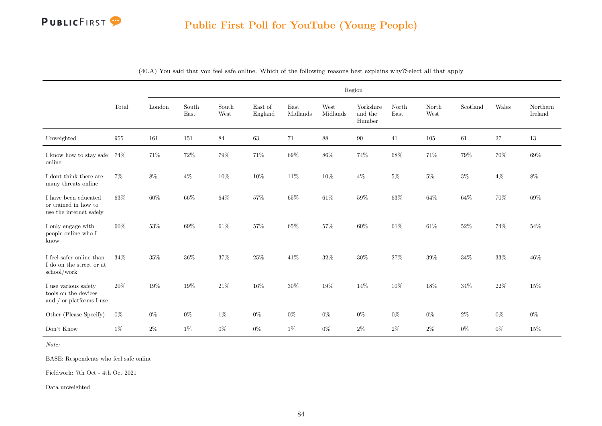

### Public First Poll for YouTube (Young People)

|                                                                             |                    |        |               |               |                    |                  |                  | Region                         |               |               |          |        |                     |
|-----------------------------------------------------------------------------|--------------------|--------|---------------|---------------|--------------------|------------------|------------------|--------------------------------|---------------|---------------|----------|--------|---------------------|
|                                                                             | Total              | London | South<br>East | South<br>West | East of<br>England | East<br>Midlands | West<br>Midlands | Yorkshire<br>and the<br>Humber | North<br>East | North<br>West | Scotland | Wales  | Northern<br>Ireland |
| Unweighted                                                                  | $\boldsymbol{955}$ | 161    | 151           | 84            | 63                 | 71               | 88               | 90                             | 41            | $105\,$       | 61       | 27     | 13                  |
| I know how to stay safe<br>online                                           | 74%                | $71\%$ | $72\%$        | $79\%$        | $71\%$             | $69\%$           | $86\%$           | $74\%$                         | 68%           | $71\%$        | $79\%$   | 70%    | $69\%$              |
| I dont think there are<br>many threats online                               | $7\%$              | 8%     | $4\%$         | 10%           | 10%                | 11%              | 10%              | $4\%$                          | 5%            | $5\%$         | $3\%$    | $4\%$  | 8%                  |
| I have been educated<br>or trained in how to<br>use the internet safely     | 63%                | 60%    | $66\%$        | 64%           | $57\%$             | 65%              | $61\%$           | $59\%$                         | 63%           | $64\%$        | 64%      | 70%    | 69%                 |
| I only engage with<br>people online who I<br>know                           | 60%                | $53\%$ | $69\%$        | $61\%$        | $57\%$             | $65\%$           | 57%              | $60\%$                         | 61%           | $61\%$        | $52\%$   | 74%    | $54\%$              |
| I feel safer online than<br>${\rm I}$ do on the street or at<br>school/work | $34\%$             | 35%    | $36\%$        | $37\%$        | $25\%$             | $41\%$           | $32\%$           | $30\%$                         | 27%           | $39\%$        | $34\%$   | $33\%$ | 46%                 |
| I use various safety<br>tools on the devices<br>and $/$ or platforms I use  | 20%                | 19%    | 19%           | $21\%$        | 16%                | $30\%$           | 19%              | 14%                            | 10%           | 18%           | $34\%$   | 22%    | 15%                 |
| Other (Please Specify)                                                      | $0\%$              | $0\%$  | $0\%$         | $1\%$         | $0\%$              | $0\%$            | $0\%$            | $0\%$                          | $0\%$         | $0\%$         | $2\%$    | $0\%$  | $0\%$               |
| Don't Know                                                                  | $1\%$              | $2\%$  | $1\%$         | $0\%$         | $0\%$              | $1\%$            | $0\%$            | $2\%$                          | $2\%$         | $2\%$         | $0\%$    | $0\%$  | 15%                 |

(40.A) You said that you feel safe online. Which of the following reasons best explains why?Select all that apply

Note:

BASE: Respondents who feel safe online

Fieldwork: 7th Oct - 4th Oct 2021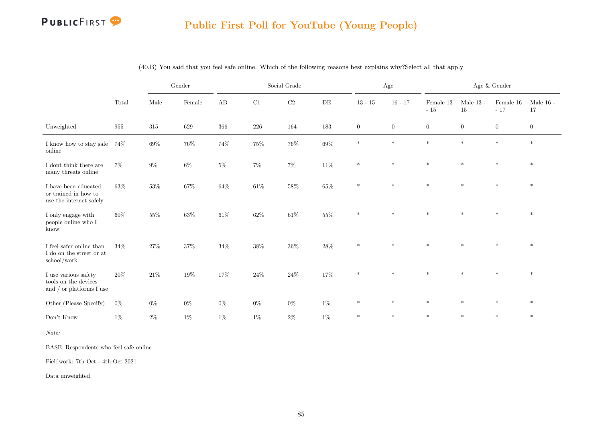

### Public First Poll for YouTube (Young People)

|                                                                             |        |         | $\operatorname{Gender}$ |          |          | Social Grade |           |                | Age              |                    |                       | Age $\&$ Gender    |                       |
|-----------------------------------------------------------------------------|--------|---------|-------------------------|----------|----------|--------------|-----------|----------------|------------------|--------------------|-----------------------|--------------------|-----------------------|
|                                                                             | Total  | Male    | Female                  | $\rm AB$ | $\rm C1$ | $\rm C2$     | $\rm{DE}$ | $13 - 15$      | $16 - 17$        | Female 13<br>$-15$ | Male $13$ -<br>$15\,$ | Female 16<br>$-17$ | Male $16$ -<br>$17\,$ |
| Unweighted                                                                  | 955    | $315\,$ | 629                     | $366\,$  | $226\,$  | 164          | 183       | $\overline{0}$ | $\boldsymbol{0}$ | $\boldsymbol{0}$   | $\boldsymbol{0}$      | $\boldsymbol{0}$   | $\overline{0}$        |
| I know how to stay safe<br>online                                           | $74\%$ | $69\%$  | $76\%$                  | $74\%$   | $75\%$   | $76\%$       | $69\%$    | $\ast$         | $\ast$           | $*$                | $\ast$                | $\ast$             | $\ast$                |
| I dont think there are<br>many threats online                               | $7\%$  | $9\%$   | $6\%$                   | $5\%$    | $7\%$    | $7\%$        | $11\%$    | $\ast$         | $\ast$           | $*$                | $\ast$                | $\ast$             | $\ast$                |
| I have been educated<br>or trained in how to<br>use the internet safely     | 63%    | $53\%$  | $67\%$                  | 64%      | $61\%$   | $58\%$       | $65\%$    | $\ast$         | $\ast$           | $\ast$             | $\ast$                | $\ast$             | $\ast$                |
| I only engage with<br>people online who $\rm I$<br>know                     | $60\%$ | $55\%$  | $63\%$                  | $61\%$   | $62\%$   | $61\%$       | $55\%$    | $\ast$         | $\ast$           | $\ast$             | $\star$               | $\star$            | $\ast$                |
| I feel safer online than<br>${\rm I}$ do on the street or at<br>school/work | 34%    | $27\%$  | $37\%$                  | $34\%$   | $38\%$   | $36\%$       | $28\%$    | $\ast$         | $\ast$           | $\ast$             | $\star$               | $\ast$             | $\ast$                |
| I use various safety<br>tools on the devices<br>and $/$ or platforms I use  | 20%    | $21\%$  | 19%                     | $17\%$   | 24%      | $24\%$       | $17\%$    | $\ast$         | $\ast$           | $*$                | $\ast$                | $\ast$             | $\ast$                |
| Other (Please Specify)                                                      | $0\%$  | $0\%$   | $0\%$                   | $0\%$    | $0\%$    | $0\%$        | $1\%$     | $\ast$         | $\ast$           | $\ast$             | $\ast$                | $\ast$             | $*$                   |
| Don't Know                                                                  | $1\%$  | $2\%$   | $1\%$                   | $1\%$    | $1\%$    | $2\%$        | $1\%$     | $\ast$         | $\ast$           | $*$                | $\ast$                | $\ast$             | $*$                   |

(40.B) You said that you feel safe online. Which of the following reasons best explains why?Select all that apply

Note:

BASE: Respondents who feel safe online

Fieldwork: 7th Oct - 4th Oct 2021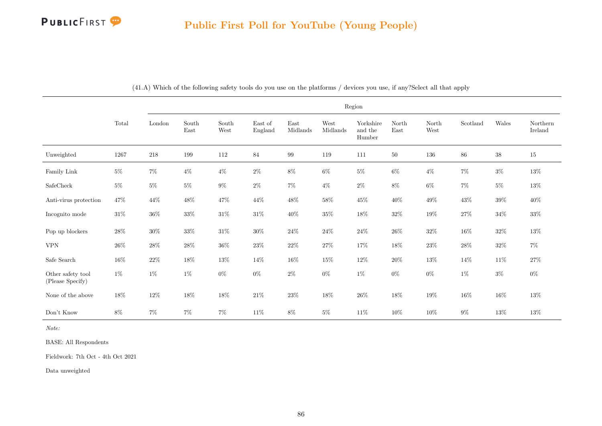

|                                       |          |         |               |                                |                    |                  |                  | Region                         |               |               |          |        |                     |
|---------------------------------------|----------|---------|---------------|--------------------------------|--------------------|------------------|------------------|--------------------------------|---------------|---------------|----------|--------|---------------------|
|                                       | Total    | London  | South<br>East | $\operatorname{South}$<br>West | East of<br>England | East<br>Midlands | West<br>Midlands | Yorkshire<br>and the<br>Humber | North<br>East | North<br>West | Scotland | Wales  | Northern<br>Ireland |
| Unweighted                            | $1267\,$ | $218\,$ | 199           | 112                            | $\bf 84$           | 99               | 119              | 111                            | 50            | 136           | $86\,$   | $38\,$ | 15                  |
| Family Link                           | $5\%$    | $7\%$   | $4\%$         | $4\%$                          | $2\%$              | $8\%$            | $6\%$            | $5\%$                          | $6\%$         | $4\%$         | $7\%$    | $3\%$  | $13\%$              |
| SafeCheck                             | $5\%$    | $5\%$   | $5\%$         | $9\%$                          | $2\%$              | $7\%$            | $4\%$            | $2\%$                          | $8\%$         | $6\%$         | $7\%$    | $5\%$  | $13\%$              |
| Anti-virus protection                 | 47\%     | 44\%    | $48\%$        | $47\%$                         | 44\%               | $48\%$           | $58\%$           | $45\%$                         | $40\%$        | $49\%$        | $43\%$   | $39\%$ | $40\%$              |
| Incognito mode                        | $31\%$   | $36\%$  | $33\%$        | $31\%$                         | $31\%$             | $40\%$           | $35\%$           | $18\%$                         | $32\%$        | $19\%$        | $27\%$   | $34\%$ | $33\%$              |
| Pop up blockers                       | $28\%$   | $30\%$  | $33\%$        | $31\%$                         | $30\%$             | $24\%$           | $24\%$           | $24\%$                         | $26\%$        | $32\%$        | $16\%$   | $32\%$ | $13\%$              |
| <b>VPN</b>                            | $26\%$   | $28\%$  | $28\%$        | $36\%$                         | $23\%$             | $22\%$           | $27\%$           | $17\%$                         | $18\%$        | $23\%$        | $28\%$   | $32\%$ | $7\%$               |
| Safe Search                           | $16\%$   | $22\%$  | $18\%$        | $13\%$                         | 14\%               | $16\%$           | $15\%$           | $12\%$                         | $20\%$        | 13%           | 14%      | $11\%$ | $27\%$              |
| Other safety tool<br>(Please Specify) | $1\%$    | $1\%$   | $1\%$         | $0\%$                          | $0\%$              | $2\%$            | $0\%$            | $1\%$                          | $0\%$         | $0\%$         | $1\%$    | $3\%$  | $0\%$               |
| None of the above                     | $18\%$   | $12\%$  | $18\%$        | $18\%$                         | $21\%$             | $23\%$           | $18\%$           | $26\%$                         | $18\%$        | $19\%$        | $16\%$   | $16\%$ | $13\%$              |
| Don't Know                            | $8\%$    | $7\%$   | $7\%$         | $7\%$                          | $11\%$             | $8\%$            | $5\%$            | $11\%$                         | $10\%$        | 10%           | $9\%$    | $13\%$ | $13\%$              |

(41.A) Which of the following safety tools do you use on the platforms / devices you use, if any?Select all that apply

Note:

BASE: All Respondents

Fieldwork: 7th Oct - 4th Oct 2021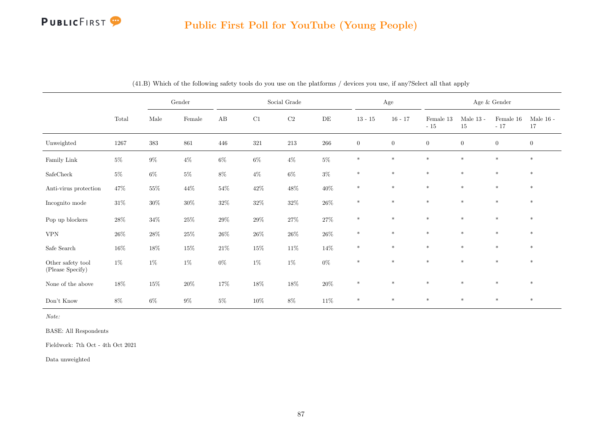# Public First Poll for YouTube (Young People)

|                                       |          |        | Gender |        |        | Social Grade |           |                | Age            |                    |                   | Age $\&$ Gender    |                   |
|---------------------------------------|----------|--------|--------|--------|--------|--------------|-----------|----------------|----------------|--------------------|-------------------|--------------------|-------------------|
|                                       | Total    | Male   | Female | AB     | C1     | $\rm C2$     | $\rm{DE}$ | $13 - 15$      | $16 - 17$      | Female 13<br>$-15$ | Male $13$ -<br>15 | Female 16<br>$-17$ | Male $16$ -<br>17 |
| Unweighted                            | $1267\,$ | 383    | 861    | 446    | 321    | 213          | 266       | $\overline{0}$ | $\overline{0}$ | $\overline{0}$     | $\overline{0}$    | $\overline{0}$     | $\overline{0}$    |
| Family ${\rm Link}$                   | $5\%$    | $9\%$  | $4\%$  | $6\%$  | $6\%$  | $4\%$        | $5\%$     | $\ast$         | $\ast$         | $\ast$             | $\ast$            | $\ast$             | $*$               |
| $\operatorname{SafeCheck}$            | $5\%$    | $6\%$  | $5\%$  | $8\%$  | $4\%$  | $6\%$        | $3\%$     | $\ast$         | $\ast$         | $\ast$             | $\ast$            | $\ast$             | $\ast$            |
| Anti-virus protection                 | $47\%$   | $55\%$ | $44\%$ | $54\%$ | $42\%$ | $48\%$       | $40\%$    | $\ast$         | $\ast$         | $\ast$             | $\ast$            | $\ast$             | $\ast$            |
| Incognito mode                        | $31\%$   | $30\%$ | $30\%$ | $32\%$ | $32\%$ | $32\%$       | $26\%$    | $\ast$         | $\ast$         | $\ast$             | $\ast$            | $\ast$             | $\ast$            |
| Pop up blockers                       | $28\%$   | $34\%$ | $25\%$ | $29\%$ | $29\%$ | $27\%$       | $27\%$    | $\ast$         | $\ast$         | $\ast$             | $\ast$            | $\ast$             | $\ast$            |
| <b>VPN</b>                            | $26\%$   | $28\%$ | $25\%$ | $26\%$ | $26\%$ | $26\%$       | $26\%$    | $\ast$         | $\ast$         | $\ast$             | $\ast$            | $\ast$             | $\ast$            |
| Safe Search                           | $16\%$   | $18\%$ | $15\%$ | $21\%$ | $15\%$ | $11\%$       | 14%       | $\ast$         | $\ast$         | $\ast$             | $\ast$            | $\ast$             | $\ast$            |
| Other safety tool<br>(Please Specify) | $1\%$    | $1\%$  | $1\%$  | $0\%$  | $1\%$  | $1\%$        | $0\%$     | $\ast$         | $\ast$         | $\ast$             | $\ast$            | $\ast$             | $\ast$            |
| None of the above                     | $18\%$   | $15\%$ | $20\%$ | $17\%$ | $18\%$ | $18\%$       | $20\%$    | $\ast$         | $\ast$         | $*$                | $\ast$            | $\ast$             | $*$               |
| Don't Know                            | $8\%$    | $6\%$  | $9\%$  | $5\%$  | $10\%$ | $8\%$        | $11\%$    | $\ast$         | $\ast$         | $\ast$             | $\ast$            | $\ast$             | $\ast$            |

(41.B) Which of the following safety tools do you use on the platforms / devices you use, if any?Select all that apply

Note:

BASE: All Respondents

Fieldwork: 7th Oct - 4th Oct 2021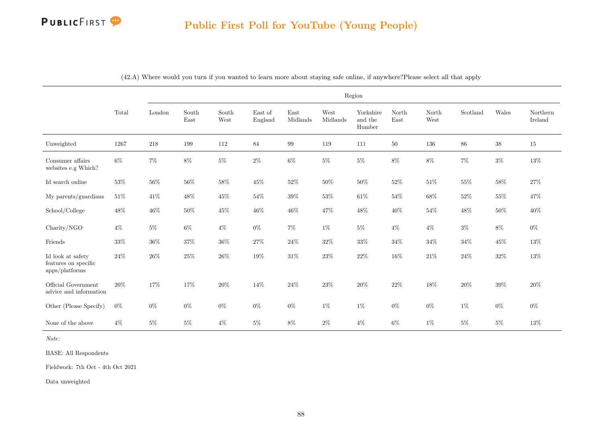

|                                                             |        |        |               |               |                    |                  |                  | Region                         |               |               |          |        |                     |
|-------------------------------------------------------------|--------|--------|---------------|---------------|--------------------|------------------|------------------|--------------------------------|---------------|---------------|----------|--------|---------------------|
|                                                             | Total  | London | South<br>East | South<br>West | East of<br>England | East<br>Midlands | West<br>Midlands | Yorkshire<br>and the<br>Humber | North<br>East | North<br>West | Scotland | Wales  | Northern<br>Ireland |
| Unweighted                                                  | 1267   | 218    | 199           | $112\,$       | $\bf 84$           | $\,99$           | 119              | 111                            | 50            | 136           | $86\,$   | 38     | 15                  |
| Consumer affairs<br>websites e.g Which?                     | $6\%$  | $7\%$  | $8\%$         | $5\%$         | $2\%$              | $6\%$            | $5\%$            | $5\%$                          | $8\%$         | $8\%$         | $7\%$    | $3\%$  | $13\%$              |
| Id search online                                            | 53%    | $56\%$ | $56\%$        | $58\%$        | $45\%$             | $52\%$           | $50\%$           | $50\%$                         | 52%           | $51\%$        | 55%      | $58\%$ | $27\%$              |
| My parents/guardians                                        | $51\%$ | $41\%$ | $48\%$        | $45\%$        | 54%                | $39\%$           | $53\%$           | $61\%$                         | 54%           | $68\%$        | 52%      | $55\%$ | 47%                 |
| School/College                                              | $48\%$ | 46%    | $50\%$        | 45%           | $46\%$             | 46%              | $47\%$           | $48\%$                         | 40%           | $54\%$        | 48%      | $50\%$ | $40\%$              |
| Charity/NGO                                                 | $4\%$  | $5\%$  | $6\%$         | $4\%$         | $0\%$              | $7\%$            | $1\%$            | $5\%$                          | $4\%$         | $4\%$         | $3\%$    | $8\%$  | $0\%$               |
| Friends                                                     | $33\%$ | $36\%$ | $37\%$        | $36\%$        | $27\%$             | $24\%$           | $32\%$           | $33\%$                         | 34%           | $34\%$        | $34\%$   | $45\%$ | $13\%$              |
| Id look at safety<br>features on specific<br>apps/plotforms | 24\%   | $26\%$ | $25\%$        | $26\%$        | 19%                | $31\%$           | $23\%$           | $22\%$                         | 16%           | $21\%$        | $24\%$   | $32\%$ | 13%                 |
| Official Government<br>advice and information               | 20%    | $17\%$ | 17%           | $20\%$        | 14%                | $24\%$           | $23\%$           | $20\%$                         | 22%           | $18\%$        | $20\%$   | $39\%$ | $20\%$              |
| Other (Please Specify)                                      | $0\%$  | $0\%$  | $0\%$         | $0\%$         | $0\%$              | $0\%$            | $1\%$            | $1\%$                          | $0\%$         | $0\%$         | $1\%$    | $0\%$  | $0\%$               |
| None of the above                                           | $4\%$  | $5\%$  | $5\%$         | $4\%$         | $5\%$              | $8\%$            | $2\%$            | $4\%$                          | $6\%$         | $1\%$         | $5\%$    | $5\%$  | 13%                 |

(42.A) Where would you turn if you wanted to learn more about staying safe online, if anywhere?Please select all that apply

Note:

BASE: All Respondents

Fieldwork: 7th Oct - 4th Oct 2021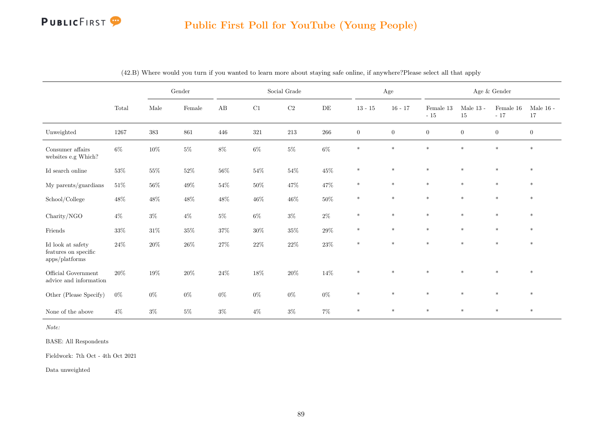

# Public First Poll for YouTube (Young People)

|                                                             |        |         | Gender |        |        | Social Grade |         |                | $\rm Age$      |                    |                   | Age $\&$ Gender    |                   |
|-------------------------------------------------------------|--------|---------|--------|--------|--------|--------------|---------|----------------|----------------|--------------------|-------------------|--------------------|-------------------|
|                                                             | Total  | Male    | Female | AB     | C1     | $\rm C2$     | DE      | $13 - 15$      | $16 - 17$      | Female 13<br>$-15$ | Male $13$ -<br>15 | Female 16<br>$-17$ | Male $16$ -<br>17 |
| Unweighted                                                  | 1267   | $383\,$ | 861    | 446    | 321    | $213\,$      | $266\,$ | $\overline{0}$ | $\overline{0}$ | $\overline{0}$     | $\overline{0}$    | $\overline{0}$     | $\overline{0}$    |
| Consumer affairs<br>websites $\rm e.g$ Which?               | $6\%$  | $10\%$  | $5\%$  | $8\%$  | $6\%$  | $5\%$        | $6\%$   | $\ast$         | $\ast$         | $\ast$             | $*$               | $\ast$             | $*$               |
| Id search online                                            | $53\%$ | $55\%$  | $52\%$ | $56\%$ | $54\%$ | $54\%$       | $45\%$  | $\ast$         | $\ast$         | $\ast$             | $\ast$            | $\ast$             | $\ast$            |
| My parents/guardians                                        | $51\%$ | $56\%$  | $49\%$ | $54\%$ | $50\%$ | 47\%         | $47\%$  | $\ast$         | $\ast$         | $\ast$             | $\ast$            | $\ast$             | $\ast$            |
| School/College                                              | $48\%$ | $48\%$  | $48\%$ | $48\%$ | $46\%$ | $46\%$       | $50\%$  | $\ast$         | $\ast$         | $\ast$             | $\ast$            | $\ast$             | $\ast$            |
| Charity/NGO                                                 | $4\%$  | $3\%$   | $4\%$  | $5\%$  | $6\%$  | $3\%$        | $2\%$   | $\ast$         | $\ast$         | $\ast$             | $*$               | $*$                | $\ast$            |
| Friends                                                     | $33\%$ | $31\%$  | $35\%$ | $37\%$ | $30\%$ | $35\%$       | $29\%$  | $\ast$         | $\ast$         | $\ast$             | $\ast$            | $\ast$             | $\ast$            |
| Id look at safety<br>features on specific<br>apps/platforms | $24\%$ | $20\%$  | $26\%$ | $27\%$ | $22\%$ | $22\%$       | $23\%$  | $\ast$         | $\ast$         | $\ast$             | $\ast$            | $\ast$             | $*$               |
| Official Government<br>advice and information               | 20%    | $19\%$  | $20\%$ | $24\%$ | $18\%$ | $20\%$       | $14\%$  | $\ast$         | $\ast$         | $\ast$             | $\ast$            | $\ast$             | $\ast$            |
| Other (Please Specify)                                      | $0\%$  | $0\%$   | $0\%$  | $0\%$  | $0\%$  | $0\%$        | $0\%$   | $\ast$         | $\ast$         | $\ast$             | $\ast$            | $\ast$             | $\ast$            |
| None of the above                                           | $4\%$  | $3\%$   | $5\%$  | $3\%$  | $4\%$  | $3\%$        | $7\%$   | $\ast$         | $\ast$         | $\ast$             | $\ast$            | $\ast$             | $\ast$            |

(42.B) Where would you turn if you wanted to learn more about staying safe online, if anywhere?Please select all that apply

Note:

BASE: All Respondents

Fieldwork: 7th Oct - 4th Oct 2021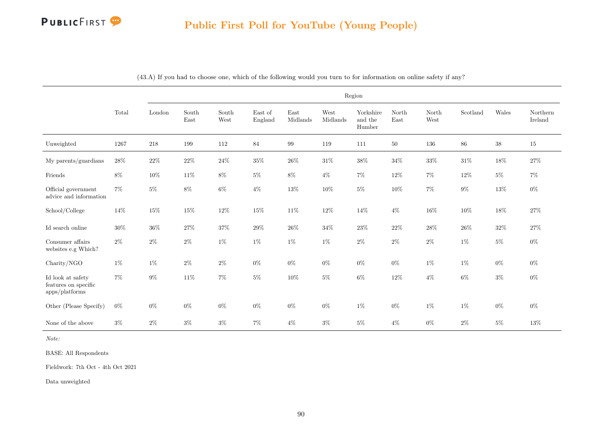

|                                                             |          |        |                                |               |                    |                  |                  | Region                         |               |               |          |        |                     |
|-------------------------------------------------------------|----------|--------|--------------------------------|---------------|--------------------|------------------|------------------|--------------------------------|---------------|---------------|----------|--------|---------------------|
|                                                             | Total    | London | $\operatorname{South}$<br>East | South<br>West | East of<br>England | East<br>Midlands | West<br>Midlands | Yorkshire<br>and the<br>Humber | North<br>East | North<br>West | Scotland | Wales  | Northern<br>Ireland |
| Unweighted                                                  | $1267\,$ | 218    | 199                            | $112\,$       | $\bf 84$           | $\,99$           | 119              | 111                            | 50            | 136           | $86\,$   | 38     | 15                  |
| My parents/guardians                                        | $28\%$   | $22\%$ | $22\%$                         | $24\%$        | $35\%$             | $26\%$           | $31\%$           | $38\%$                         | $34\%$        | $33\%$        | $31\%$   | 18%    | $27\%$              |
| Friends                                                     | $8\%$    | 10%    | 11%                            | $8\%$         | $5\%$              | $8\%$            | $4\%$            | $7\%$                          | 12%           | $7\%$         | 12%      | $5\%$  | $7\%$               |
| Official government<br>advice and information               | $7\%$    | $5\%$  | $8\%$                          | $6\%$         | $4\%$              | $13\%$           | $10\%$           | $5\%$                          | $10\%$        | $7\%$         | $9\%$    | $13\%$ | $0\%$               |
| School/College                                              | 14%      | $15\%$ | $15\%$                         | $12\%$        | $15\%$             | $11\%$           | $12\%$           | $14\%$                         | $4\%$         | $16\%$        | $10\%$   | $18\%$ | $27\%$              |
| Id search online                                            | $30\%$   | $36\%$ | $27\%$                         | $37\%$        | $29\%$             | $26\%$           | $34\%$           | $23\%$                         | $22\%$        | $28\%$        | $26\%$   | $32\%$ | $27\%$              |
| Consumer affairs<br>websites e.g Which?                     | $2\%$    | $2\%$  | $2\%$                          | $1\%$         | $1\%$              | $1\%$            | $1\%$            | $2\%$                          | $2\%$         | $2\%$         | $1\%$    | $5\%$  | $0\%$               |
| Charity/NGO                                                 | $1\%$    | $1\%$  | $2\%$                          | $2\%$         | $0\%$              | $0\%$            | $0\%$            | $0\%$                          | $0\%$         | $1\%$         | $1\%$    | $0\%$  | $0\%$               |
| Id look at safety<br>features on specific<br>apps/plotforms | $7\%$    | $9\%$  | $11\%$                         | $7\%$         | $5\%$              | $10\%$           | $5\%$            | $6\%$                          | 12%           | $4\%$         | $6\%$    | $3\%$  | $0\%$               |
| Other (Please Specify)                                      | $0\%$    | $0\%$  | $0\%$                          | $0\%$         | $0\%$              | $0\%$            | $0\%$            | $1\%$                          | $0\%$         | $1\%$         | $1\%$    | $0\%$  | $0\%$               |
| None of the above                                           | $3\%$    | $2\%$  | $3\%$                          | $3\%$         | $7\%$              | $4\%$            | $3\%$            | $5\%$                          | $4\%$         | $0\%$         | $2\%$    | $5\%$  | 13%                 |

(43.A) If you had to choose one, which of the following would you turn to for information on online safety if any?

Note:

BASE: All Respondents

Fieldwork: 7th Oct - 4th Oct 2021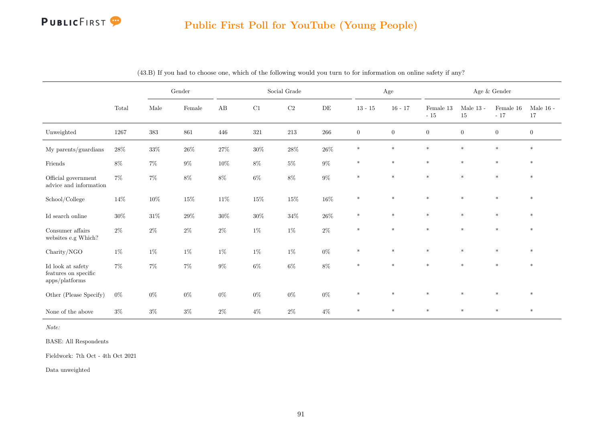

# Public First Poll for YouTube (Young People)

|                                                             |        |        | $\operatorname{Gender}$ |        |        | Social Grade |         |                | $\rm Age$    |                    | Age $\&$ Gender        |                    |                   |
|-------------------------------------------------------------|--------|--------|-------------------------|--------|--------|--------------|---------|----------------|--------------|--------------------|------------------------|--------------------|-------------------|
|                                                             | Total  | Male   | Female                  | AB     | C1     | $\rm C2$     | DE      | $13 - 15$      | $16 - 17$    | Female 13<br>$-15$ | Male $13$ - $\,$<br>15 | Female 16<br>$-17$ | Male $16$ -<br>17 |
| Unweighted                                                  | 1267   | 383    | 861                     | 446    | 321    | $213\,$      | $266\,$ | $\overline{0}$ | $\mathbf{0}$ | $\boldsymbol{0}$   | $\overline{0}$         | $\overline{0}$     | $\overline{0}$    |
| My parents/guardians                                        | $28\%$ | $33\%$ | $26\%$                  | $27\%$ | $30\%$ | $28\%$       | $26\%$  | $\ast$         | $\ast$       | $\ast$             | $\ast$                 | $\ast$             | $\ast$            |
| Friends                                                     | $8\%$  | $7\%$  | $9\%$                   | $10\%$ | $8\%$  | $5\%$        | $9\%$   | $\ast$         | $\ast$       | $\ast$             | $\ast$                 | $\ast$             | $\ast$            |
| Official government<br>advice and information               | $7\%$  | $7\%$  | $8\%$                   | $8\%$  | $6\%$  | $8\%$        | $9\%$   | $\ast$         | $\ast$       | $\ast$             | $\ast$                 | $\ast$             | $\ast$            |
| School/College                                              | 14%    | $10\%$ | $15\%$                  | $11\%$ | $15\%$ | $15\%$       | $16\%$  | $\ast$         | $\ast$       | $\ast$             | $\ast$                 | $\ast$             | $\ast$            |
| Id search online                                            | $30\%$ | $31\%$ | $29\%$                  | $30\%$ | $30\%$ | $34\%$       | $26\%$  | $\ast$         | $*$          | $\ast$             | $\ast$                 | $*$                | $\ast$            |
| Consumer affairs<br>websites e.g Which?                     | $2\%$  | $2\%$  | $2\%$                   | $2\%$  | $1\%$  | $1\%$        | $2\%$   | $\ast$         | $\ast$       | $\ast$             | $\ast$                 | $\ast$             | $\ast$            |
| Charity/NGO                                                 | $1\%$  | $1\%$  | $1\%$                   | $1\%$  | $1\%$  | $1\%$        | $0\%$   | $\ast$         | $\ast$       | $\ast$             | $\ast$                 | $\ast$             | $\ast$            |
| Id look at safety<br>features on specific<br>apps/plotforms | $7\%$  | 7%     | $7\%$                   | $9\%$  | $6\%$  | $6\%$        | $8\%$   | $\ast$         | $\ast$       | $\ast$             | $\ast$                 | $\ast$             | $\ast$            |
| Other (Please Specify)                                      | $0\%$  | $0\%$  | $0\%$                   | $0\%$  | $0\%$  | $0\%$        | $0\%$   | $\ast$         | $\ast$       | $\ast$             | $\ast$                 | $\ast$             | $\ast$            |
| None of the above                                           | $3\%$  | $3\%$  | $3\%$                   | $2\%$  | $4\%$  | $2\%$        | $4\%$   | $*$            | $\ast$       | $\ast$             | $*$                    | $*$                | $\ast$            |

(43.B) If you had to choose one, which of the following would you turn to for information on online safety if any?

Note:

BASE: All Respondents

Fieldwork: 7th Oct - 4th Oct 2021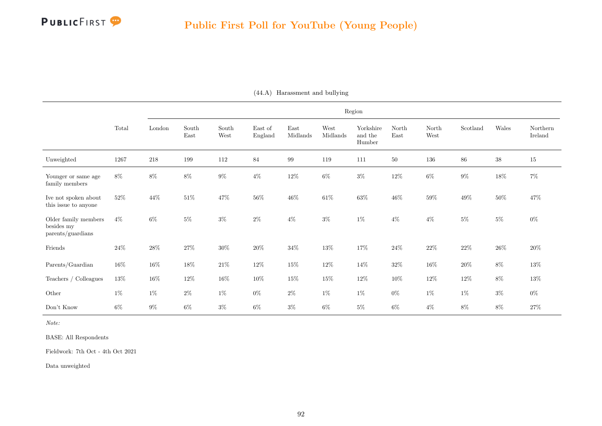|                                                         |        |         |                                |               |                    |                  |                  | Region                         |               |               |          |             |                     |
|---------------------------------------------------------|--------|---------|--------------------------------|---------------|--------------------|------------------|------------------|--------------------------------|---------------|---------------|----------|-------------|---------------------|
|                                                         | Total  | London  | $\operatorname{South}$<br>East | South<br>West | East of<br>England | East<br>Midlands | West<br>Midlands | Yorkshire<br>and the<br>Humber | North<br>East | North<br>West | Scotland | $\rm Wales$ | Northern<br>Ireland |
| Unweighted                                              | 1267   | $218\,$ | 199                            | 112           | 84                 | 99               | 119              | 111                            | $50\,$        | 136           | 86       | $38\,$      | $15\,$              |
| Younger or same age<br>family members                   | $8\%$  | $8\%$   | $8\%$                          | $9\%$         | $4\%$              | $12\%$           | $6\%$            | $3\%$                          | $12\%$        | $6\%$         | $9\%$    | $18\%$      | $7\%$               |
| Ive not spoken about<br>this issue to anyone            | $52\%$ | 44\%    | $51\%$                         | 47%           | $56\%$             | $46\%$           | $61\%$           | $63\%$                         | $46\%$        | $59\%$        | $49\%$   | $50\%$      | $47\%$              |
| Older family members<br>besides my<br>parents/guardians | $4\%$  | $6\%$   | $5\%$                          | $3\%$         | $2\%$              | $4\%$            | $3\%$            | $1\%$                          | $4\%$         | $4\%$         | $5\%$    | $5\%$       | $0\%$               |
| Friends                                                 | $24\%$ | $28\%$  | $27\%$                         | $30\%$        | $20\%$             | $34\%$           | $13\%$           | $17\%$                         | $24\%$        | $22\%$        | $22\%$   | $26\%$      | $20\%$              |
| Parents/Guardian                                        | $16\%$ | $16\%$  | $18\%$                         | $21\%$        | $12\%$             | $15\%$           | $12\%$           | 14%                            | $32\%$        | $16\%$        | $20\%$   | $8\%$       | 13%                 |
| Teachers / Colleagues                                   | $13\%$ | $16\%$  | $12\%$                         | $16\%$        | $10\%$             | $15\%$           | $15\%$           | $12\%$                         | $10\%$        | $12\%$        | $12\%$   | $8\%$       | $13\%$              |
| Other                                                   | $1\%$  | $1\%$   | $2\%$                          | $1\%$         | $0\%$              | $2\%$            | $1\%$            | $1\%$                          | $0\%$         | $1\%$         | $1\%$    | $3\%$       | $0\%$               |
| Don't Know                                              | $6\%$  | $9\%$   | $6\%$                          | $3\%$         | $6\%$              | $3\%$            | $6\%$            | $5\%$                          | $6\%$         | $4\%$         | 8%       | $8\%$       | $27\%$              |

(44.A) Harassment and bullying

Note:

BASE: All Respondents

Fieldwork: 7th Oct - 4th Oct 2021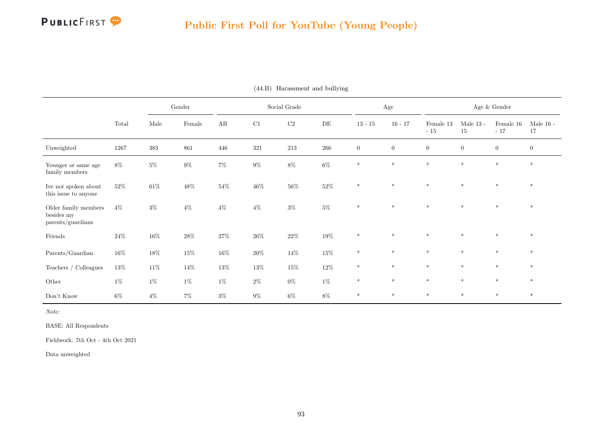

|                                                         |        |        | Gender |          |         | Social Grade |           |                | Age            |                    |                   | Age $\&$ Gender    |                   |
|---------------------------------------------------------|--------|--------|--------|----------|---------|--------------|-----------|----------------|----------------|--------------------|-------------------|--------------------|-------------------|
|                                                         | Total  | Male   | Female | $\rm AB$ | C1      | $\rm C2$     | $\rm{DE}$ | $13 - 15$      | $16 - 17$      | Female 13<br>$-15$ | Male $13$ -<br>15 | Female 16<br>$-17$ | Male $16$ -<br>17 |
| Unweighted                                              | 1267   | 383    | 861    | 446      | $321\,$ | $213\,$      | $266\,$   | $\overline{0}$ | $\overline{0}$ | $\overline{0}$     | $\overline{0}$    | $\overline{0}$     | $\overline{0}$    |
| Younger or same age<br>family members                   | $8\%$  | $5\%$  | $9\%$  | $7\%$    | $9\%$   | $8\%$        | $6\%$     | $\ast$         | $*$            | $*$                | $\ast$            | $\ast$             | $\ast$            |
| Ive not spoken about<br>this issue to anyone            | $52\%$ | $61\%$ | $48\%$ | $54\%$   | $46\%$  | $56\%$       | $52\%$    | $*$            | $\ast$         | $*$                | $\ast$            | $\ast$             | $\ast$            |
| Older family members<br>besides my<br>parents/guardians | $4\%$  | $3\%$  | $4\%$  | $4\%$    | $4\%$   | $3\%$        | $5\%$     | $\ast$         | $\star$        | $\ast$             | $\star$           | $\ast$             | $\ast$            |
| Friends                                                 | $24\%$ | $16\%$ | $28\%$ | $27\%$   | $26\%$  | $22\%$       | $19\%$    | $\ast$         | $\ast$         | $*$                | $\ast$            | $\ast$             | $*$               |
| Parents/Guardian                                        | $16\%$ | $18\%$ | $15\%$ | $16\%$   | $20\%$  | $14\%$       | $15\%$    | $\ast$         | $\ast$         | $\ast$             | $\ast$            | $\ast$             | $*$               |
| Teachers $/$ Colleagues                                 | $13\%$ | $11\%$ | $14\%$ | $13\%$   | $13\%$  | $15\%$       | $12\%$    | $\ast$         | $\ast$         | $\ast$             | $\ast$            | $\ast$             | $\ast$            |
| Other                                                   | $1\%$  | $1\%$  | $1\%$  | $1\%$    | $2\%$   | $0\%$        | $1\%$     | $\ast$         | $\ast$         | $\ast$             | $\ast$            | $\ast$             | $\ast$            |
| Don't Know                                              | $6\%$  | $4\%$  | $7\%$  | $3\%$    | $9\%$   | $6\%$        | 8%        | $\ast$         | $\ast$         | $\ast$             | $\ast$            | $\ast$             | $\ast$            |

(44.B) Harassment and bullying

Note:

BASE: All Respondents

Fieldwork: 7th Oct - 4th Oct 2021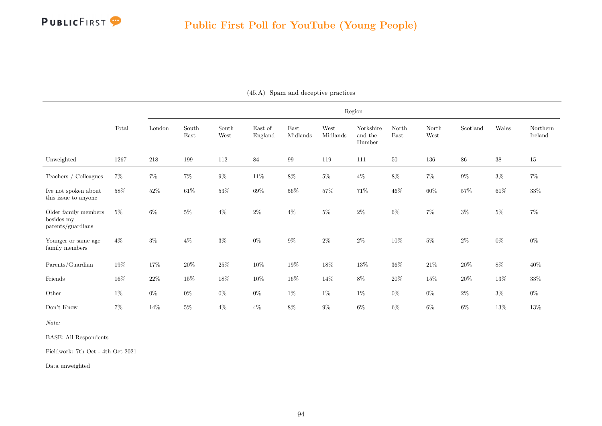|                                                         |        |         |               |               |                    |                  |                  | Region                         |               |               |          |        |                     |
|---------------------------------------------------------|--------|---------|---------------|---------------|--------------------|------------------|------------------|--------------------------------|---------------|---------------|----------|--------|---------------------|
|                                                         | Total  | London  | South<br>East | South<br>West | East of<br>England | East<br>Midlands | West<br>Midlands | Yorkshire<br>and the<br>Humber | North<br>East | North<br>West | Scotland | Wales  | Northern<br>Ireland |
| Unweighted                                              | 1267   | $218\,$ | 199           | 112           | 84                 | 99               | 119              | 111                            | $50\,$        | 136           | 86       | $38\,$ | $15\,$              |
| Teachers / Colleagues                                   | $7\%$  | $7\%$   | $7\%$         | $9\%$         | $11\%$             | $8\%$            | $5\%$            | $4\%$                          | $8\%$         | $7\%$         | $9\%$    | $3\%$  | $7\%$               |
| Ive not spoken about<br>this issue to anyone            | 58%    | $52\%$  | $61\%$        | $53\%$        | $69\%$             | $56\%$           | $57\%$           | $71\%$                         | $46\%$        | $60\%$        | $57\%$   | $61\%$ | $33\%$              |
| Older family members<br>besides my<br>parents/guardians | $5\%$  | $6\%$   | $5\%$         | $4\%$         | $2\%$              | $4\%$            | $5\%$            | $2\%$                          | $6\%$         | $7\%$         | $3\%$    | $5\%$  | $7\%$               |
| Younger or same age<br>family members                   | $4\%$  | $3\%$   | $4\%$         | $3\%$         | $0\%$              | $9\%$            | $2\%$            | $2\%$                          | $10\%$        | $5\%$         | $2\%$    | $0\%$  | $0\%$               |
| Parents/Guardian                                        | 19%    | 17%     | $20\%$        | $25\%$        | $10\%$             | $19\%$           | $18\%$           | $13\%$                         | $36\%$        | $21\%$        | $20\%$   | $8\%$  | $40\%$              |
| Friends                                                 | $16\%$ | $22\%$  | $15\%$        | $18\%$        | $10\%$             | $16\%$           | 14%              | $8\%$                          | $20\%$        | $15\%$        | $20\%$   | $13\%$ | $33\%$              |
| Other                                                   | $1\%$  | $0\%$   | $0\%$         | $0\%$         | $0\%$              | $1\%$            | $1\%$            | $1\%$                          | $0\%$         | $0\%$         | $2\%$    | $3\%$  | $0\%$               |
| Don't Know                                              | $7\%$  | 14%     | $5\%$         | $4\%$         | $4\%$              | $8\%$            | $9\%$            | $6\%$                          | $6\%$         | $6\%$         | $6\%$    | $13\%$ | $13\%$              |

(45.A) Spam and deceptive practices

Note:

BASE: All Respondents

Fieldwork: 7th Oct - 4th Oct 2021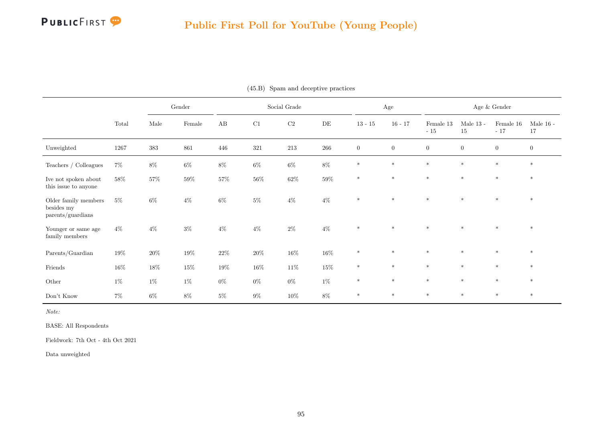

|                                                                               |        |        | Gender |        |         | Social Grade |           |                | Age              |                    |                   | Age $\&$ Gender    |                   |
|-------------------------------------------------------------------------------|--------|--------|--------|--------|---------|--------------|-----------|----------------|------------------|--------------------|-------------------|--------------------|-------------------|
|                                                                               | Total  | Male   | Female | AB     | C1      | C2           | $\rm{DE}$ | $13 - 15$      | $16 - 17$        | Female 13<br>$-15$ | Male $13$ -<br>15 | Female 16<br>$-17$ | Male $16$ -<br>17 |
| Unweighted                                                                    | 1267   | 383    | 861    | 446    | $321\,$ | $213\,$      | $266\,$   | $\overline{0}$ | $\boldsymbol{0}$ | $\overline{0}$     | $\overline{0}$    | $\overline{0}$     | $\overline{0}$    |
| Teachers / Colleagues                                                         | $7\%$  | $8\%$  | $6\%$  | $8\%$  | $6\%$   | $6\%$        | $8\%$     | $\ast$         | $*$              | $\ast$             | $\ast$            | $\ast$             | $*$               |
| Ive not spoken about $% \left\vert \cdot \right\vert$<br>this issue to anyone | $58\%$ | $57\%$ | $59\%$ | $57\%$ | $56\%$  | $62\%$       | $59\%$    | $\ast$         | $\ast$           | $\ast$             | $\ast$            | $\ast$             | $\ast$            |
| Older family members<br>besides my<br>parents/guardians                       | $5\%$  | $6\%$  | $4\%$  | $6\%$  | $5\%$   | $4\%$        | $4\%$     | $\ast$         | $\ast$           | $\ast$             | $\star$           | $\ast$             | $*$               |
| Younger or same age<br>$\operatorname{family}$ members                        | $4\%$  | $4\%$  | $3\%$  | $4\%$  | $4\%$   | $2\%$        | $4\%$     | $\ast$         | $\ast$           | $\ast$             | $\ast$            | $\ast$             | $\ast$            |
| Parents/Guardian                                                              | $19\%$ | $20\%$ | $19\%$ | $22\%$ | $20\%$  | $16\%$       | $16\%$    | $\ast$         | $\ast$           | $\ast$             | $\ast$            | $*$                | $*$               |
| Friends                                                                       | $16\%$ | 18%    | $15\%$ | 19%    | $16\%$  | $11\%$       | $15\%$    | $\ast$         | $\ast$           | $\ast$             | $\ast$            | $\ast$             | $\ast$            |
| Other                                                                         | $1\%$  | $1\%$  | $1\%$  | $0\%$  | $0\%$   | $0\%$        | $1\%$     | $\ast$         | $\ast$           | $*$                | $\ast$            | $\ast$             | $\ast$            |
| Don't Know                                                                    | $7\%$  | $6\%$  | $8\%$  | $5\%$  | $9\%$   | $10\%$       | 8%        | $\ast$         | $\ast$           | $\ast$             | $\ast$            | $*$                | $\ast$            |

(45.B) Spam and deceptive practices

Note:

BASE: All Respondents

Fieldwork: 7th Oct - 4th Oct 2021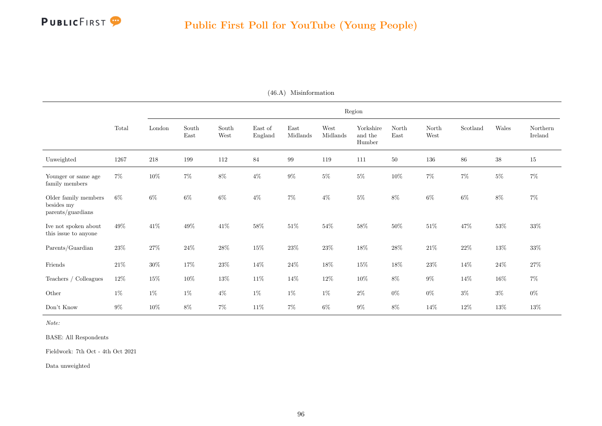|                                                         |        |        |               |               |                    |                  |                  | Region                         |               |               |          |        |                     |
|---------------------------------------------------------|--------|--------|---------------|---------------|--------------------|------------------|------------------|--------------------------------|---------------|---------------|----------|--------|---------------------|
|                                                         | Total  | London | South<br>East | South<br>West | East of<br>England | East<br>Midlands | West<br>Midlands | Yorkshire<br>and the<br>Humber | North<br>East | North<br>West | Scotland | Wales  | Northern<br>Ireland |
| Unweighted                                              | 1267   | 218    | 199           | 112           | 84                 | 99               | 119              | 111                            | $50\,$        | 136           | $86\,$   | $38\,$ | 15                  |
| Younger or same age<br>family members                   | $7\%$  | $10\%$ | $7\%$         | $8\%$         | $4\%$              | $9\%$            | $5\%$            | $5\%$                          | $10\%$        | $7\%$         | $7\%$    | $5\%$  | $7\%$               |
| Older family members<br>besides my<br>parents/guardians | $6\%$  | $6\%$  | $6\%$         | $6\%$         | $4\%$              | $7\%$            | $4\%$            | $5\%$                          | $8\%$         | $6\%$         | $6\%$    | $8\%$  | $7\%$               |
| Ive not spoken about<br>this issue to anyone            | 49%    | $41\%$ | 49%           | $41\%$        | 58%                | $51\%$           | $54\%$           | $58\%$                         | $50\%$        | $51\%$        | 47%      | $53\%$ | $33\%$              |
| Parents/Guardian                                        | $23\%$ | $27\%$ | $24\%$        | $28\%$        | $15\%$             | $23\%$           | $23\%$           | $18\%$                         | $28\%$        | $21\%$        | $22\%$   | $13\%$ | $33\%$              |
| $\operatorname{Friends}$                                | $21\%$ | $30\%$ | 17%           | $23\%$        | 14\%               | $24\%$           | $18\%$           | $15\%$                         | $18\%$        | $23\%$        | 14%      | $24\%$ | $27\%$              |
| Teachers / Colleagues                                   | $12\%$ | $15\%$ | $10\%$        | $13\%$        | $11\%$             | 14%              | $12\%$           | $10\%$                         | $8\%$         | $9\%$         | $14\%$   | $16\%$ | $7\%$               |
| Other                                                   | $1\%$  | $1\%$  | $1\%$         | $4\%$         | $1\%$              | $1\%$            | $1\%$            | $2\%$                          | $0\%$         | $0\%$         | $3\%$    | $3\%$  | $0\%$               |
| Don't Know                                              | $9\%$  | $10\%$ | $8\%$         | $7\%$         | $11\%$             | $7\%$            | $6\%$            | $9\%$                          | $8\%$         | 14\%          | $12\%$   | $13\%$ | $13\%$              |

(46.A) Misinformation

Note:

BASE: All Respondents

Fieldwork: 7th Oct - 4th Oct 2021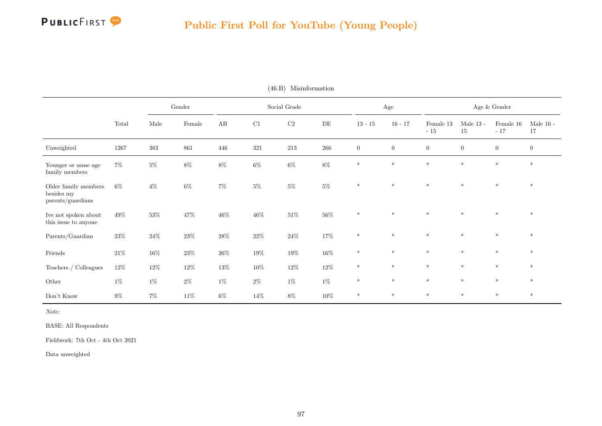

|                                                         |        |        | Gender |        |        | Social Grade |        |                  | Age              |                    |                   | Age $\&$ Gender    |                   |
|---------------------------------------------------------|--------|--------|--------|--------|--------|--------------|--------|------------------|------------------|--------------------|-------------------|--------------------|-------------------|
|                                                         | Total  | Male   | Female | AB     | C1     | $\rm{C2}$    | DE     | $13 - 15$        | $16 - 17$        | Female 13<br>$-15$ | Male $13$ -<br>15 | Female 16<br>$-17$ | Male $16$ -<br>17 |
| Unweighted                                              | 1267   | 383    | 861    | 446    | 321    | 213          | 266    | $\boldsymbol{0}$ | $\boldsymbol{0}$ | $\boldsymbol{0}$   | $\boldsymbol{0}$  | $\overline{0}$     | $\boldsymbol{0}$  |
| Younger or same age<br>family members                   | $7\%$  | $5\%$  | $8\%$  | $8\%$  | $6\%$  | $6\%$        | $8\%$  | $\ast$           | $\ast$           | $\ast$             | $\ast$            | $*$                | $\ast$            |
| Older family members<br>besides my<br>parents/guardians | $6\%$  | $4\%$  | $6\%$  | $7\%$  | $5\%$  | $5\%$        | $5\%$  | $\ast$           | $*$              | $*$                | $\ast$            | $\ast$             | $*$               |
| Ive not spoken about<br>this issue to anyone            | 49%    | $53\%$ | $47\%$ | $46\%$ | $46\%$ | $51\%$       | $56\%$ | $\ast$           | $\ast$           | $*$                | $\ast$            | $\ast$             | $\ast$            |
| Parents/Guardian                                        | $23\%$ | $24\%$ | $23\%$ | $28\%$ | $22\%$ | $24\%$       | $17\%$ | $\ast$           | $\ast$           | $\ast$             | $\ast$            | $\ast$             | $*$               |
| Friends                                                 | $21\%$ | $16\%$ | $23\%$ | $26\%$ | $19\%$ | $19\%$       | $16\%$ | $\ast$           | $*$              | $*$                | $\ast$            | $\ast$             | $*$               |
| Teachers / Colleagues                                   | $12\%$ | $12\%$ | $12\%$ | $13\%$ | $10\%$ | $12\%$       | $12\%$ | $\ast$           | $\ast$           | $*$                | $\ast$            | $\ast$             | $\ast$            |
| Other                                                   | $1\%$  | $1\%$  | $2\%$  | $1\%$  | $2\%$  | $1\%$        | $1\%$  | $\ast$           | $\ast$           | $\ast$             | $\ast$            | $\ast$             | $\ast$            |
| Don't Know                                              | $9\%$  | $7\%$  | $11\%$ | $6\%$  | $14\%$ | $8\%$        | $10\%$ | $\ast$           | $\ast$           | $*$                | $\ast$            | $\ast$             | $*$               |

(46.B) Misinformation

Note:

BASE: All Respondents

Fieldwork: 7th Oct - 4th Oct 2021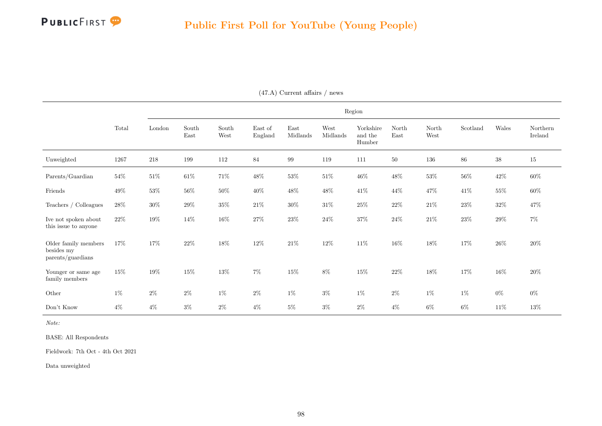|                                                         |        |        |               |                                |                    |                  |                  | Region                         |               |               |          |        |                     |
|---------------------------------------------------------|--------|--------|---------------|--------------------------------|--------------------|------------------|------------------|--------------------------------|---------------|---------------|----------|--------|---------------------|
|                                                         | Total  | London | South<br>East | $\operatorname{South}$<br>West | East of<br>England | East<br>Midlands | West<br>Midlands | Yorkshire<br>and the<br>Humber | North<br>East | North<br>West | Scotland | Wales  | Northern<br>Ireland |
| Unweighted                                              | 1267   | 218    | 199           | 112                            | 84                 | 99               | 119              | 111                            | $50\,$        | 136           | 86       | $38\,$ | $15\,$              |
| Parents/Guardian                                        | $54\%$ | $51\%$ | $61\%$        | 71%                            | $48\%$             | $53\%$           | $51\%$           | $46\%$                         | $48\%$        | $53\%$        | $56\%$   | $42\%$ | $60\%$              |
| Friends                                                 | 49\%   | $53\%$ | $56\%$        | $50\%$                         | $40\%$             | $48\%$           | $48\%$           | $41\%$                         | 44\%          | $47\%$        | 41%      | $55\%$ | $60\%$              |
| Teachers / Colleagues                                   | $28\%$ | $30\%$ | $29\%$        | $35\%$                         | $21\%$             | $30\%$           | $31\%$           | $25\%$                         | $22\%$        | $21\%$        | $23\%$   | $32\%$ | 47%                 |
| Ive not spoken about<br>this issue to anyone            | $22\%$ | $19\%$ | 14%           | $16\%$                         | $27\%$             | $23\%$           | $24\%$           | $37\%$                         | $24\%$        | $21\%$        | $23\%$   | $29\%$ | $7\%$               |
| Older family members<br>besides my<br>parents/guardians | 17%    | $17\%$ | $22\%$        | $18\%$                         | $12\%$             | $21\%$           | $12\%$           | $11\%$                         | $16\%$        | $18\%$        | 17%      | $26\%$ | $20\%$              |
| Younger or same age<br>family members                   | $15\%$ | $19\%$ | 15%           | $13\%$                         | $7\%$              | $15\%$           | 8%               | $15\%$                         | $22\%$        | $18\%$        | 17%      | $16\%$ | $20\%$              |
| Other                                                   | $1\%$  | $2\%$  | $2\%$         | $1\%$                          | $2\%$              | $1\%$            | $3\%$            | $1\%$                          | $2\%$         | $1\%$         | $1\%$    | $0\%$  | $0\%$               |
| Don't Know                                              | $4\%$  | $4\%$  | $3\%$         | $2\%$                          | $4\%$              | $5\%$            | $3\%$            | $2\%$                          | $4\%$         | $6\%$         | $6\%$    | $11\%$ | $13\%$              |

(47.A) Current affairs / news

Note:

BASE: All Respondents

Fieldwork: 7th Oct - 4th Oct 2021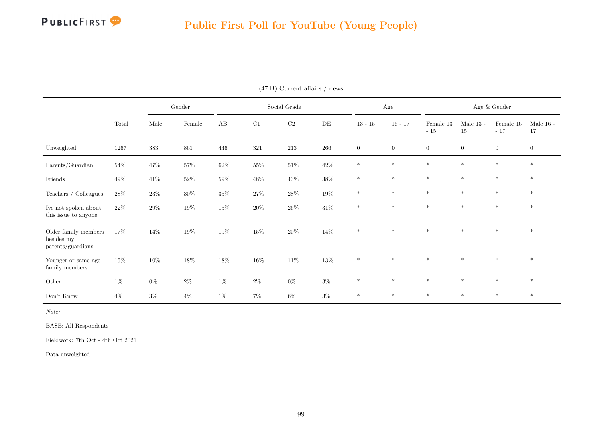

### Public First Poll for YouTube (Young People)

|                                                         |        |        | Gender |        |        | Social Grade |        |                  | Age              |                    |                   | Age $\&$ Gender    |                   |
|---------------------------------------------------------|--------|--------|--------|--------|--------|--------------|--------|------------------|------------------|--------------------|-------------------|--------------------|-------------------|
|                                                         | Total  | Male   | Female | AB     | C1     | $\rm C2$     | DE     | $13 - 15$        | $16 - 17$        | Female 13<br>$-15$ | Male $13$ -<br>15 | Female 16<br>$-17$ | Male $16$ -<br>17 |
| Unweighted                                              | 1267   | 383    | 861    | 446    | 321    | $213\,$      | 266    | $\boldsymbol{0}$ | $\boldsymbol{0}$ | $\boldsymbol{0}$   | $\boldsymbol{0}$  | $\overline{0}$     | $\overline{0}$    |
| Parents/Guardian                                        | $54\%$ | $47\%$ | $57\%$ | $62\%$ | $55\%$ | $51\%$       | $42\%$ | $\ast$           | $\ast$           | $*$                | $*$               | $*$                | $*$               |
| Friends                                                 | $49\%$ | $41\%$ | $52\%$ | $59\%$ | $48\%$ | $43\%$       | $38\%$ | $\ast$           | $\ast$           | $\ast$             | $\ast$            | $\ast$             | $\ast$            |
| Teachers / Colleagues                                   | $28\%$ | $23\%$ | $30\%$ | $35\%$ | $27\%$ | $28\%$       | $19\%$ | $\ast$           | $\ast$           | $\ast$             | $\ast$            | $*$                | $\ast$            |
| Ive not spoken about<br>this issue to anyone            | $22\%$ | $29\%$ | $19\%$ | $15\%$ | $20\%$ | $26\%$       | $31\%$ | $\ast$           | $\ast$           | $\ast$             | $\ast$            | $\ast$             | $\ast$            |
| Older family members<br>besides my<br>parents/guardians | 17%    | $14\%$ | $19\%$ | $19\%$ | $15\%$ | $20\%$       | $14\%$ | $\ast$           | $\ast$           | $*$                | $*$               | $\ast$             | $\ast$            |
| Younger or same age<br>family members                   | 15%    | $10\%$ | $18\%$ | $18\%$ | $16\%$ | $11\%$       | $13\%$ | $\ast$           | $\ast$           | $\ast$             | $\ast$            | $\ast$             | $\ast$            |
| Other                                                   | $1\%$  | $0\%$  | $2\%$  | $1\%$  | $2\%$  | $0\%$        | $3\%$  | $\ast$           | $\ast$           | $\ast$             | $\ast$            | $*$                | $\ast$            |
| Don't Know                                              | $4\%$  | $3\%$  | $4\%$  | $1\%$  | $7\%$  | $6\%$        | $3\%$  | $*$              | $\ast$           | $\ast$             | $\ast$            | $*$                | $*$               |

(47.B) Current affairs / news

Note:

BASE: All Respondents

Fieldwork: 7th Oct - 4th Oct 2021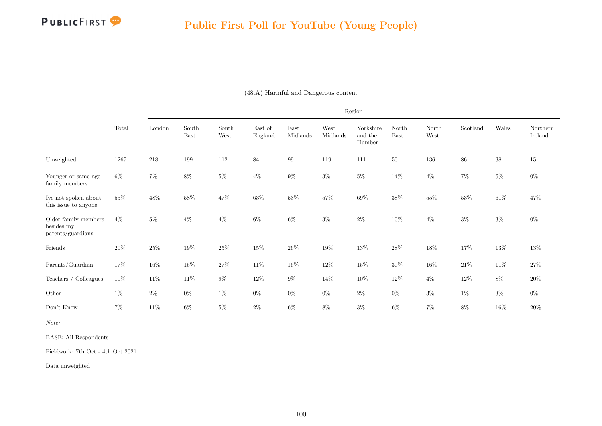|                                                         |        |        |               |               |                    |                  |                  | Region                         |               |               |          |        |                     |
|---------------------------------------------------------|--------|--------|---------------|---------------|--------------------|------------------|------------------|--------------------------------|---------------|---------------|----------|--------|---------------------|
|                                                         | Total  | London | South<br>East | South<br>West | East of<br>England | East<br>Midlands | West<br>Midlands | Yorkshire<br>and the<br>Humber | North<br>East | North<br>West | Scotland | Wales  | Northern<br>Ireland |
| Unweighted                                              | 1267   | 218    | 199           | 112           | 84                 | 99               | 119              | 111                            | $50\,$        | 136           | $86\,$   | $38\,$ | 15                  |
| Younger or same age<br>family members                   | $6\%$  | $7\%$  | $8\%$         | $5\%$         | $4\%$              | $9\%$            | $3\%$            | $5\%$                          | 14\%          | $4\%$         | $7\%$    | $5\%$  | $0\%$               |
| Ive not spoken about<br>this issue to anyone            | 55%    | $48\%$ | $58\%$        | 47\%          | $63\%$             | $53\%$           | 57%              | $69\%$                         | $38\%$        | $55\%$        | $53\%$   | $61\%$ | 47%                 |
| Older family members<br>besides my<br>parents/guardians | $4\%$  | $5\%$  | $4\%$         | $4\%$         | $6\%$              | $6\%$            | $3\%$            | $2\%$                          | $10\%$        | $4\%$         | $3\%$    | $3\%$  | $0\%$               |
| Friends                                                 | $20\%$ | $25\%$ | $19\%$        | $25\%$        | $15\%$             | $26\%$           | $19\%$           | $13\%$                         | $28\%$        | $18\%$        | $17\%$   | $13\%$ | $13\%$              |
| Parents/Guardian                                        | 17%    | $16\%$ | $15\%$        | $27\%$        | $11\%$             | $16\%$           | $12\%$           | $15\%$                         | $30\%$        | $16\%$        | $21\%$   | $11\%$ | $27\%$              |
| Teachers / Colleagues                                   | $10\%$ | $11\%$ | $11\%$        | $9\%$         | $12\%$             | $9\%$            | 14%              | $10\%$                         | $12\%$        | $4\%$         | $12\%$   | $8\%$  | $20\%$              |
| Other                                                   | $1\%$  | $2\%$  | $0\%$         | $1\%$         | $0\%$              | $0\%$            | $0\%$            | $2\%$                          | $0\%$         | $3\%$         | $1\%$    | $3\%$  | $0\%$               |
| Don't Know                                              | $7\%$  | $11\%$ | $6\%$         | $5\%$         | $2\%$              | $6\%$            | $8\%$            | $3\%$                          | $6\%$         | $7\%$         | $8\%$    | $16\%$ | $20\%$              |

(48.A) Harmful and Dangerous content

Note:

BASE: All Respondents

Fieldwork: 7th Oct - 4th Oct 2021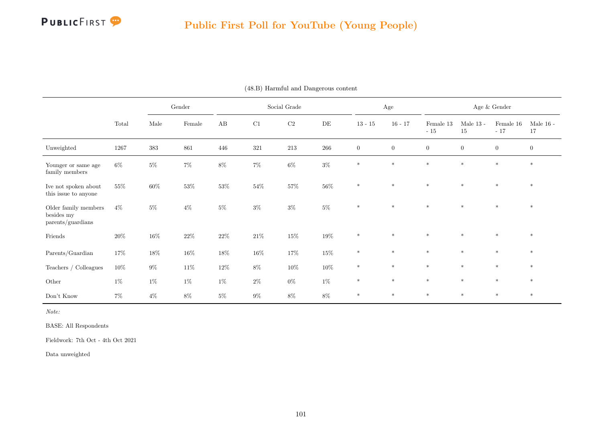

|                                                         |          |         | Gender |        |         | Social Grade |           |                | Age            |                    |                   | Age $\&$ Gender    |                   |
|---------------------------------------------------------|----------|---------|--------|--------|---------|--------------|-----------|----------------|----------------|--------------------|-------------------|--------------------|-------------------|
|                                                         | Total    | Male    | Female | AB     | C1      | C2           | $\rm{DE}$ | $13 - 15$      | $16 - 17$      | Female 13<br>$-15$ | Male $13$ -<br>15 | Female 16<br>$-17$ | Male $16$ -<br>17 |
| Unweighted                                              | $1267\,$ | $383\,$ | 861    | 446    | $321\,$ | $213\,$      | $266\,$   | $\overline{0}$ | $\overline{0}$ | $\boldsymbol{0}$   | $\boldsymbol{0}$  | $\overline{0}$     | $\overline{0}$    |
| Younger or same age<br>family members                   | $6\%$    | $5\%$   | $7\%$  | $8\%$  | $7\%$   | $6\%$        | $3\%$     | $\ast$         | $\ast$         | $*$                | $\ast$            | $\ast$             | $\ast$            |
| Ive not spoken about<br>this issue to anyone            | 55%      | $60\%$  | $53\%$ | $53\%$ | $54\%$  | $57\%$       | $56\%$    | $\ast$         | $\ast$         | $*$                | $\star$           | $\ast$             | $\ast$            |
| Older family members<br>besides my<br>parents/guardians | $4\%$    | $5\%$   | $4\%$  | $5\%$  | $3\%$   | $3\%$        | $5\%$     | $\ast$         | $\ast$         | $\ast$             | $\ast$            | $\ast$             | $*$               |
| Friends                                                 | $20\%$   | $16\%$  | $22\%$ | $22\%$ | $21\%$  | $15\%$       | $19\%$    | $\ast$         | $\ast$         | $*$                | $*$               | $\ast$             | $*$               |
| Parents/Guardian                                        | $17\%$   | $18\%$  | $16\%$ | $18\%$ | $16\%$  | $17\%$       | $15\%$    | $*$            | $\ast$         | $*$                | $\ast$            | $\ast$             | $*$               |
| Teachers $/$ Colleagues                                 | $10\%$   | $9\%$   | $11\%$ | $12\%$ | $8\%$   | $10\%$       | $10\%$    | $\ast$         | $\ast$         | $\ast$             | $\ast$            | $\ast$             | $\ast$            |
| Other                                                   | $1\%$    | $1\%$   | $1\%$  | $1\%$  | $2\%$   | $0\%$        | $1\%$     | $\ast$         | $\ast$         | $\ast$             | $\ast$            | $\ast$             | $\ast$            |
| Don't Know                                              | $7\%$    | $4\%$   | $8\%$  | $5\%$  | $9\%$   | $8\%$        | 8%        | $\ast$         | $\ast$         | $\ast$             | $\ast$            | $\ast$             | $\ast$            |

(48.B) Harmful and Dangerous content

Note:

BASE: All Respondents

Fieldwork: 7th Oct - 4th Oct 2021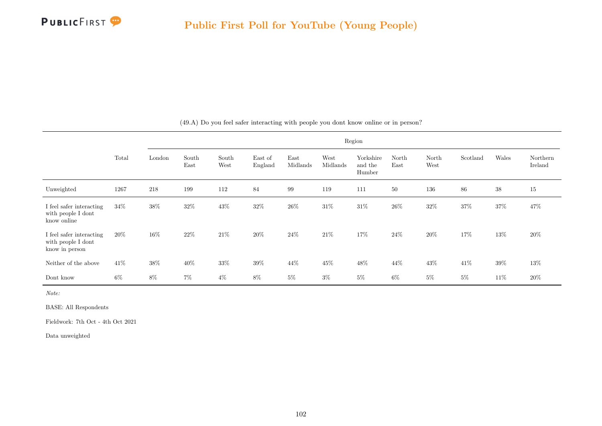

|                                                                  |       |                                |               |               |                    |                  |                  | Region                         |               |               |          |        |                     |
|------------------------------------------------------------------|-------|--------------------------------|---------------|---------------|--------------------|------------------|------------------|--------------------------------|---------------|---------------|----------|--------|---------------------|
|                                                                  | Total | $\mathop{\rm London}\nolimits$ | South<br>East | South<br>West | East of<br>England | East<br>Midlands | West<br>Midlands | Yorkshire<br>and the<br>Humber | North<br>East | North<br>West | Scotland | Wales  | Northern<br>Ireland |
| Unweighted                                                       | 1267  | 218                            | 199           | 112           | 84                 | 99               | 119              | 111                            | 50            | 136           | 86       | $38\,$ | $15\,$              |
| I feel safer interacting<br>with people I dont<br>know online    | 34\%  | $38\%$                         | $32\%$        | $43\%$        | $32\%$             | $26\%$           | $31\%$           | $31\%$                         | $26\%$        | $32\%$        | $37\%$   | $37\%$ | $47\%$              |
| I feel safer interacting<br>with people I dont<br>know in person | 20%   | $16\%$                         | $22\%$        | $21\%$        | $20\%$             | $24\%$           | $21\%$           | $17\%$                         | $24\%$        | $20\%$        | $17\%$   | $13\%$ | $20\%$              |
| Neither of the above                                             | 41\%  | $38\%$                         | 40%           | $33\%$        | $39\%$             | $44\%$           | 45%              | $48\%$                         | 44\%          | $43\%$        | 41\%     | $39\%$ | 13%                 |
| Dont know                                                        | $6\%$ | $8\%$                          | $7\%$         | $4\%$         | $8\%$              | $5\%$            | $3\%$            | $5\%$                          | $6\%$         | $5\%$         | $5\%$    | 11\%   | 20%                 |

(49.A) Do you feel safer interacting with people you dont know online or in person?

Note:

BASE: All Respondents

Fieldwork: 7th Oct - 4th Oct 2021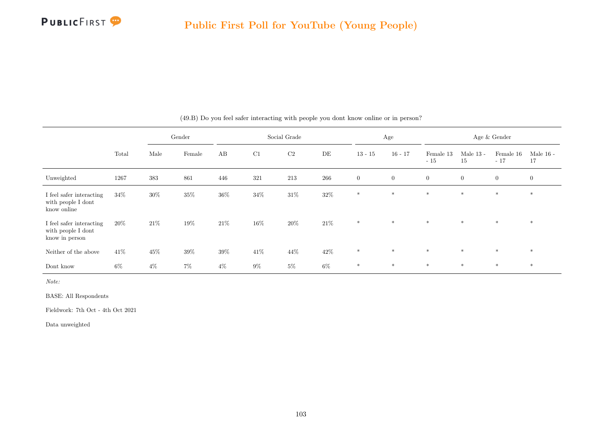|                                                                  |        |        | Gender |        |        | Social Grade |        |                | Age              |                    |                   | Age & Gender       |                   |
|------------------------------------------------------------------|--------|--------|--------|--------|--------|--------------|--------|----------------|------------------|--------------------|-------------------|--------------------|-------------------|
|                                                                  | Total  | Male   | Female | AB     | C1     | C2           | DE     | $13 - 15$      | $16 - 17$        | Female 13<br>$-15$ | Male $13$ -<br>15 | Female 16<br>$-17$ | Male $16$ -<br>17 |
| Unweighted                                                       | 1267   | 383    | 861    | 446    | 321    | 213          | 266    | $\overline{0}$ | $\boldsymbol{0}$ | $\overline{0}$     | $\overline{0}$    | $\overline{0}$     | $\overline{0}$    |
| I feel safer interacting<br>with people I dont<br>know online    | $34\%$ | $30\%$ | $35\%$ | $36\%$ | $34\%$ | $31\%$       | $32\%$ | $\ast$         | $\ast$           | $\ast$             | $*$               | $\ast$             | $\ast$            |
| I feel safer interacting<br>with people I dont<br>know in person | $20\%$ | 21\%   | 19%    | $21\%$ | $16\%$ | $20\%$       | $21\%$ | $\ast$         | $\ast$           | $\ast$             | $*$               | $\ast$             | $\ast$            |
| Neither of the above                                             | 41\%   | $45\%$ | 39%    | $39\%$ | 41\%   | 44\%         | 42\%   | $\ast$         | $*$              | $*$                | $*$               | $*$                | $*$               |
| Dont know                                                        | $6\%$  | $4\%$  | $7\%$  | $4\%$  | $9\%$  | $5\%$        | $6\%$  | $\ast$         | $\ast$           | $\ast$             | $\ast$            | $\ast$             | $*$               |

(49.B) Do you feel safer interacting with people you dont know online or in person?

Note:

BASE: All Respondents

Fieldwork: 7th Oct - 4th Oct 2021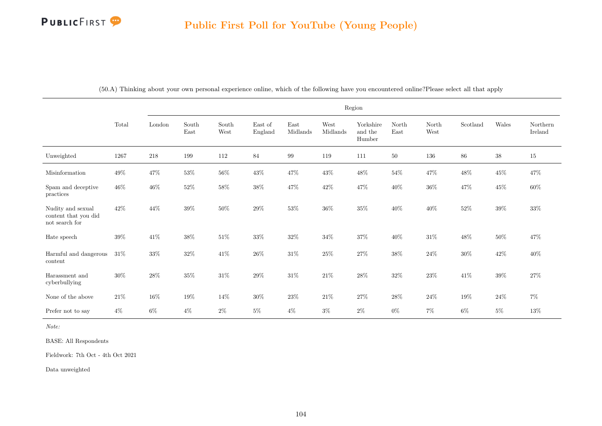|                                                             |        |         |               |               |                    |                                   |                  | Region                         |               |               |          |        |                     |
|-------------------------------------------------------------|--------|---------|---------------|---------------|--------------------|-----------------------------------|------------------|--------------------------------|---------------|---------------|----------|--------|---------------------|
|                                                             | Total  | London  | South<br>East | South<br>West | East of<br>England | $\operatorname{East}$<br>Midlands | West<br>Midlands | Yorkshire<br>and the<br>Humber | North<br>East | North<br>West | Scotland | Wales  | Northern<br>Ireland |
| Unweighted                                                  | 1267   | $218\,$ | 199           | 112           | $84\,$             | 99                                | 119              | 111                            | 50            | 136           | 86       | $38\,$ | 15                  |
| Misinformation                                              | $49\%$ | $47\%$  | $53\%$        | $56\%$        | $43\%$             | $47\%$                            | $43\%$           | $48\%$                         | $54\%$        | $47\%$        | $48\%$   | $45\%$ | 47%                 |
| Spam and deceptive<br>practices                             | $46\%$ | $46\%$  | $52\%$        | $58\%$        | $38\%$             | 47%                               | $42\%$           | $47\%$                         | $40\%$        | $36\%$        | 47%      | $45\%$ | $60\%$              |
| Nudity and sexual<br>content that you did<br>not search for | 42%    | $44\%$  | $39\%$        | $50\%$        | $29\%$             | $53\%$                            | $36\%$           | $35\%$                         | 40%           | $40\%$        | $52\%$   | $39\%$ | $33\%$              |
| Hate speech                                                 | 39%    | $41\%$  | 38%           | $51\%$        | $33\%$             | $32\%$                            | 34%              | $37\%$                         | 40%           | $31\%$        | $48\%$   | $50\%$ | 47%                 |
| Harmful and dangerous<br>content                            | $31\%$ | $33\%$  | $32\%$        | $41\%$        | $26\%$             | $31\%$                            | $25\%$           | $27\%$                         | $38\%$        | $24\%$        | $30\%$   | $42\%$ | $40\%$              |
| Harassment and<br>cyberbullying                             | $30\%$ | $28\%$  | $35\%$        | $31\%$        | $29\%$             | $31\%$                            | $21\%$           | $28\%$                         | $32\%$        | $23\%$        | $41\%$   | $39\%$ | $27\%$              |
| None of the above                                           | $21\%$ | $16\%$  | $19\%$        | $14\%$        | $30\%$             | $23\%$                            | $21\%$           | $27\%$                         | $28\%$        | $24\%$        | $19\%$   | $24\%$ | $7\%$               |
| Prefer not to say                                           | $4\%$  | $6\%$   | $4\%$         | $2\%$         | $5\%$              | $4\%$                             | $3\%$            | $2\%$                          | $0\%$         | $7\%$         | 6%       | $5\%$  | $13\%$              |

(50.A) Thinking about your own personal experience online, which of the following have you encountered online?Please select all that apply

Note:

BASE: All Respondents

Fieldwork: 7th Oct - 4th Oct 2021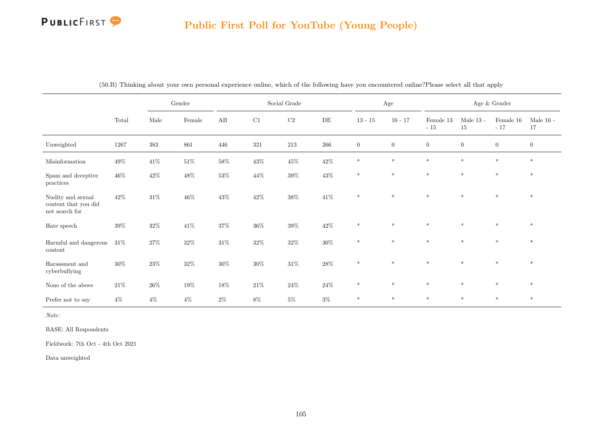# Public First Poll for YouTube (Young People)

|                                                                              |        |         | Gender |        |        | Social Grade |           |                | Age              |                   |                      | Age $\&$ Gender     |                   |
|------------------------------------------------------------------------------|--------|---------|--------|--------|--------|--------------|-----------|----------------|------------------|-------------------|----------------------|---------------------|-------------------|
|                                                                              | Total  | Male    | Female | AB     | C1     | $\rm C2$     | $\rm{DE}$ | $13 - 15$      | $16 - 17$        | Female 13<br>- 15 | Male 13 - $\,$<br>15 | Female $16$<br>- 17 | Male $16$ -<br>17 |
| Unweighted                                                                   | 1267   | $383\,$ | 861    | 446    | 321    | 213          | $266\,$   | $\overline{0}$ | $\boldsymbol{0}$ | $\boldsymbol{0}$  | $\overline{0}$       | $\overline{0}$      | $\mathbf{0}$      |
| Misinformation                                                               | $49\%$ | $41\%$  | $51\%$ | $58\%$ | $43\%$ | $45\%$       | $42\%$    | $\ast$         | $\ast$           | $\ast$            | $\ast$               | $\ast$              | $*$               |
| Spam and deceptive<br>practices                                              | $46\%$ | $42\%$  | $48\%$ | $53\%$ | $44\%$ | $39\%$       | $43\%$    | $\ast$         | $\ast$           | $\ast$            | $\ast$               | $\ast$              | $\ast$            |
| Nudity and sexual<br>content that you did<br>$\operatorname{not}$ search for | 42\%   | $31\%$  | $46\%$ | $43\%$ | $42\%$ | $38\%$       | $41\%$    | $\ast$         | $\ast$           | $\ast$            | $\ast$               | $\ast$              | $\ast$            |
| Hate speech                                                                  | $39\%$ | $32\%$  | $41\%$ | $37\%$ | $36\%$ | $39\%$       | $42\%$    | $\ast$         | $\ast$           | $*$               | $\ast$               | $\ast$              | $*$               |
| Harmful and dangerous<br>content                                             | $31\%$ | $27\%$  | $32\%$ | $31\%$ | $32\%$ | $32\%$       | $30\%$    | $\ast$         | $\ast$           | $*$               | $\ast$               | $\ast$              | $\ast$            |
| Harassment and<br>cyberbullying                                              | $30\%$ | $23\%$  | $32\%$ | $30\%$ | $30\%$ | $31\%$       | $28\%$    | $\ast$         | $\ast$           | $\ast$            | $\ast$               | $\ast$              | $\ast$            |
| None of the above                                                            | $21\%$ | $26\%$  | $19\%$ | $18\%$ | $21\%$ | $24\%$       | $24\%$    | $\ast$         | $\ast$           | $\ast$            | $\ast$               | $*$                 | $*$               |
| Prefer not to say                                                            | $4\%$  | $4\%$   | $4\%$  | $2\%$  | $8\%$  | $5\%$        | $3\%$     | $\ast$         | $\ast$           | $\ast$            | $\ast$               | $\ast$              | $*$               |

(50.B) Thinking about your own personal experience online, which of the following have you encountered online?Please select all that apply

Note:

BASE: All Respondents

Fieldwork: 7th Oct - 4th Oct 2021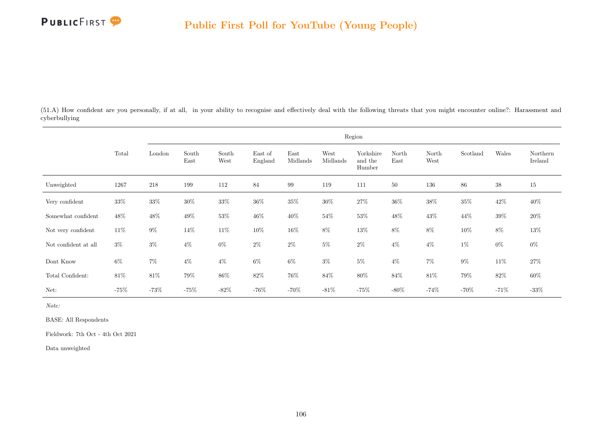

(51.A) How confident are you personally, if at all, in your ability to recognise and effectively deal with the following threats that you might encounter online?: Harassment and cyberbullying

|                      |        |         |               |               |                    |                  |                  | Region                         |               |               |          |        |                     |
|----------------------|--------|---------|---------------|---------------|--------------------|------------------|------------------|--------------------------------|---------------|---------------|----------|--------|---------------------|
|                      | Total  | London  | South<br>East | South<br>West | East of<br>England | East<br>Midlands | West<br>Midlands | Yorkshire<br>and the<br>Humber | North<br>East | North<br>West | Scotland | Wales  | Northern<br>Ireland |
| Unweighted           | 1267   | 218     | 199           | 112           | 84                 | 99               | 119              | 111                            | $50\,$        | 136           | 86       | $38\,$ | 15                  |
| Very confident       | $33\%$ | $33\%$  | $30\%$        | $33\%$        | $36\%$             | $35\%$           | $30\%$           | $27\%$                         | $36\%$        | $38\%$        | $35\%$   | $42\%$ | $40\%$              |
| Somewhat confident   | 48\%   | $48\%$  | 49%           | $53\%$        | $46\%$             | $40\%$           | 54\%             | $53\%$                         | $48\%$        | $43\%$        | 44\%     | $39\%$ | $20\%$              |
| Not very confident   | $11\%$ | $9\%$   | $14\%$        | $11\%$        | $10\%$             | $16\%$           | $8\%$            | $13\%$                         | $8\%$         | $8\%$         | $10\%$   | $8\%$  | $13\%$              |
| Not confident at all | $3\%$  | $3\%$   | $4\%$         | $0\%$         | $2\%$              | $2\%$            | $5\%$            | $2\%$                          | $4\%$         | $4\%$         | $1\%$    | $0\%$  | $0\%$               |
| Dont Know            | $6\%$  | $7\%$   | $4\%$         | $4\%$         | $6\%$              | $6\%$            | $3\%$            | $5\%$                          | $4\%$         | $7\%$         | $9\%$    | $11\%$ | $27\%$              |
| Total Confident:     | 81\%   | $81\%$  | $79\%$        | $86\%$        | $82\%$             | $76\%$           | $84\%$           | $80\%$                         | $84\%$        | $81\%$        | $79\%$   | $82\%$ | $60\%$              |
| Net:                 | $-75%$ | $-73\%$ | $-75%$        | $-82%$        | $-76\%$            | $-70%$           | $-81\%$          | $-75\%$                        | $-80\%$       | $-74%$        | $-70\%$  | $-71%$ | $-33\%$             |

Note:

BASE: All Respondents

Fieldwork: 7th Oct - 4th Oct 2021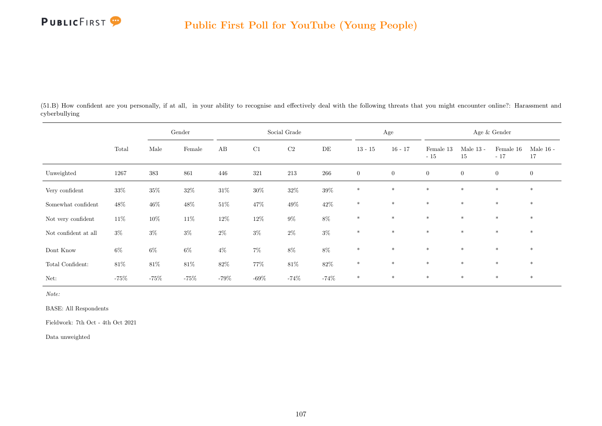

(51.B) How confident are you personally, if at all, in your ability to recognise and effectively deal with the following threats that you might encounter online?: Harassment and cyberbullying

|                      |        |         | Gender |        |         | Social Grade |         |                | Age            |                    |                   | Age & Gender       |                   |
|----------------------|--------|---------|--------|--------|---------|--------------|---------|----------------|----------------|--------------------|-------------------|--------------------|-------------------|
|                      | Total  | Male    | Female | AB     | C1      | $\rm C2$     | DE      | $13 - 15$      | $16 - 17$      | Female 13<br>$-15$ | Male $13$ -<br>15 | Female 16<br>$-17$ | Male $16$ -<br>17 |
| Unweighted           | 1267   | $383\,$ | 861    | 446    | 321     | $213\,$      | $266\,$ | $\overline{0}$ | $\overline{0}$ | $\overline{0}$     | $\overline{0}$    | $\overline{0}$     | $\boldsymbol{0}$  |
| Very confident       | $33\%$ | $35\%$  | $32\%$ | $31\%$ | $30\%$  | $32\%$       | $39\%$  | $\ast$         | $\ast$         | $\ast$             | $\ast$            | $*$                | $\ast$            |
| Somewhat confident   | $48\%$ | $46\%$  | $48\%$ | $51\%$ | 47%     | $49\%$       | $42\%$  | $\ast$         | $\ast$         | $\ast$             | $\ast$            | $\ast$             | $\ast$            |
| Not very confident   | $11\%$ | $10\%$  | $11\%$ | $12\%$ | $12\%$  | $9\%$        | $8\%$   | $\ast$         | $\ast$         | $\ast$             | $*$               | $\ast$             | $\ast$            |
| Not confident at all | $3\%$  | $3\%$   | $3\%$  | $2\%$  | $3\%$   | $2\%$        | $3\%$   | $\ast$         | $*$            | $*$                | $*$               | $*$                | $*$               |
| $\rm{Dont}$<br>Know  | $6\%$  | $6\%$   | $6\%$  | $4\%$  | $7\%$   | $8\%$        | $8\%$   | $*$            | $\ast$         | $*$                | $\ast$            | $*$                | $\ast$            |
| Total Confident:     | 81\%   | $81\%$  | $81\%$ | $82\%$ | $77\%$  | $81\%$       | $82\%$  | $\ast$         | $\ast$         | $\ast$             | $*$               | $*$                | $\ast$            |
| Net:                 | $-75%$ | $-75%$  | $-75%$ | $-79%$ | $-69\%$ | $-74\%$      | $-74%$  | $\ast$         | $*$            | $*$                | $\ast$            | $*$                | $*$               |

Note:

BASE: All Respondents

Fieldwork: 7th Oct - 4th Oct 2021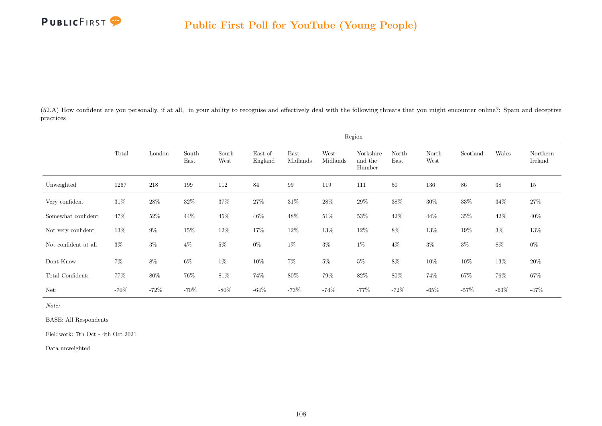

(52.A) How confident are you personally, if at all, in your ability to recognise and effectively deal with the following threats that you might encounter online?: Spam and deceptive practices

|                      |         |         |               |               |                    |                  |                  | Region                         |               |               |          |         |                     |
|----------------------|---------|---------|---------------|---------------|--------------------|------------------|------------------|--------------------------------|---------------|---------------|----------|---------|---------------------|
|                      | Total   | London  | South<br>East | South<br>West | East of<br>England | East<br>Midlands | West<br>Midlands | Yorkshire<br>and the<br>Humber | North<br>East | North<br>West | Scotland | Wales   | Northern<br>Ireland |
| Unweighted           | 1267    | $218\,$ | 199           | 112           | 84                 | 99               | 119              | 111                            | 50            | 136           | 86       | $38\,$  | 15                  |
| Very confident       | $31\%$  | $28\%$  | $32\%$        | $37\%$        | $27\%$             | $31\%$           | $28\%$           | $29\%$                         | $38\%$        | $30\%$        | $33\%$   | $34\%$  | $27\%$              |
| Somewhat confident   | $47\%$  | $52\%$  | $44\%$        | $45\%$        | $46\%$             | $48\%$           | $51\%$           | $53\%$                         | $42\%$        | $44\%$        | $35\%$   | $42\%$  | $40\%$              |
| Not very confident   | 13%     | $9\%$   | $15\%$        | $12\%$        | $17\%$             | $12\%$           | $13\%$           | $12\%$                         | $8\%$         | $13\%$        | $19\%$   | $3\%$   | $13\%$              |
| Not confident at all | $3\%$   | $3\%$   | $4\%$         | $5\%$         | $0\%$              | $1\%$            | $3\%$            | $1\%$                          | $4\%$         | $3\%$         | $3\%$    | $8\%$   | $0\%$               |
| Dont Know            | $7\%$   | $8\%$   | $6\%$         | $1\%$         | $10\%$             | $7\%$            | $5\%$            | $5\%$                          | $8\%$         | $10\%$        | $10\%$   | $13\%$  | 20%                 |
| Total Confident:     | 77%     | $80\%$  | 76\%          | $81\%$        | 74%                | $80\%$           | 79%              | $82\%$                         | $80\%$        | 74%           | $67\%$   | 76%     | $67\%$              |
| Net:                 | $-70\%$ | $-72\%$ | $-70\%$       | $-80\%$       | $-64%$             | $-73%$           | $-74%$           | $-77\%$                        | $-72%$        | $-65%$        | $-57%$   | $-63\%$ | $-47%$              |

Note:

BASE: All Respondents

Fieldwork: 7th Oct - 4th Oct 2021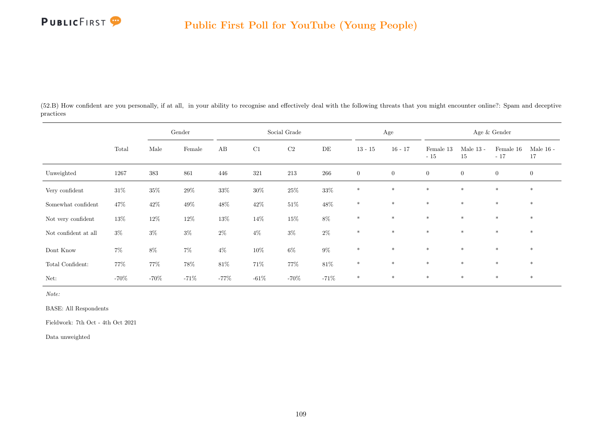

(52.B) How confident are you personally, if at all, in your ability to recognise and effectively deal with the following threats that you might encounter online?: Spam and deceptive practices

|                      |         |         | Gender |        |        | Social Grade |           |                | Age          |                    |                   | Age & Gender           |                   |
|----------------------|---------|---------|--------|--------|--------|--------------|-----------|----------------|--------------|--------------------|-------------------|------------------------|-------------------|
|                      | Total   | Male    | Female | AB     | C1     | $\rm C2$     | $\rm{DE}$ | $13 - 15$      | $16 - 17$    | Female 13<br>$-15$ | Male $13$ -<br>15 | Female $16\,$<br>$-17$ | Male $16$ -<br>17 |
| Unweighted           | 1267    | $383\,$ | 861    | 446    | 321    | 213          | 266       | $\overline{0}$ | $\mathbf{0}$ | $\overline{0}$     | $\overline{0}$    | $\overline{0}$         | $\overline{0}$    |
| Very confident       | $31\%$  | $35\%$  | $29\%$ | $33\%$ | $30\%$ | $25\%$       | $33\%$    | $\ast$         | $*$          | $*$                | $\ast$            | $*$                    | $\ast$            |
| Somewhat confident   | 47%     | $42\%$  | $49\%$ | $48\%$ | $42\%$ | $51\%$       | $48\%$    | $\ast$         | $*$          | $*$                | $\ast$            | $*$                    | $\ast$            |
| Not very confident   | $13\%$  | $12\%$  | $12\%$ | $13\%$ | $14\%$ | $15\%$       | $8\%$     | $\ast$         | $\ast$       | $*$                | $\ast$            | $\ast$                 | $\ast$            |
| Not confident at all | $3\%$   | $3\%$   | $3\%$  | $2\%$  | $4\%$  | $3\%$        | $2\%$     | $\ast$         | $*$          | $*$                | $\ast$            | $\ast$                 | $*$               |
| Dont Know            | $7\%$   | $8\%$   | $7\%$  | $4\%$  | $10\%$ | $6\%$        | $9\%$     | $\ast$         | $*$          | $*$                | $\ast$            | $\ast$                 | $\ast$            |
| Total Confident:     | 77%     | $77\%$  | $78\%$ | $81\%$ | $71\%$ | 77%          | $81\%$    | $*$            | $*$          | $*$                | $\ast$            | $\ast$                 | $*$               |
| Net:                 | $-70\%$ | $-70\%$ | $-71%$ | $-77%$ | $-61%$ | $-70%$       | $-71\%$   | $\ast$         | $\ast$       | $\ast$             | $*$               | $\ast$                 | $\ast$            |

Note:

BASE: All Respondents

Fieldwork: 7th Oct - 4th Oct 2021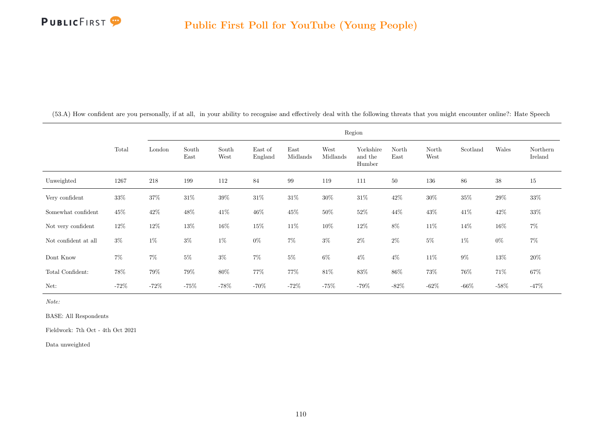

|                      |         |         |               |               |                    |                  |                  | Region                         |               |               |          |        |                     |
|----------------------|---------|---------|---------------|---------------|--------------------|------------------|------------------|--------------------------------|---------------|---------------|----------|--------|---------------------|
|                      | Total   | London  | South<br>East | South<br>West | East of<br>England | East<br>Midlands | West<br>Midlands | Yorkshire<br>and the<br>Humber | North<br>East | North<br>West | Scotland | Wales  | Northern<br>Ireland |
| Unweighted           | 1267    | $218\,$ | 199           | 112           | 84                 | 99               | 119              | 111                            | 50            | 136           | 86       | 38     | $15\,$              |
| Very confident       | $33\%$  | $37\%$  | $31\%$        | $39\%$        | $31\%$             | $31\%$           | $30\%$           | $31\%$                         | $42\%$        | $30\%$        | $35\%$   | $29\%$ | $33\%$              |
| Somewhat confident   | $45\%$  | $42\%$  | $48\%$        | $41\%$        | $46\%$             | $45\%$           | $50\%$           | $52\%$                         | $44\%$        | $43\%$        | $41\%$   | $42\%$ | $33\%$              |
| Not very confident   | $12\%$  | $12\%$  | $13\%$        | $16\%$        | $15\%$             | $11\%$           | $10\%$           | $12\%$                         | $8\%$         | $11\%$        | 14%      | $16\%$ | $7\%$               |
| Not confident at all | $3\%$   | $1\%$   | $3\%$         | $1\%$         | $0\%$              | $7\%$            | $3\%$            | $2\%$                          | $2\%$         | $5\%$         | $1\%$    | $0\%$  | $7\%$               |
| Dont Know            | $7\%$   | $7\%$   | $5\%$         | $3\%$         | $7\%$              | $5\%$            | $6\%$            | $4\%$                          | $4\%$         | $11\%$        | $9\%$    | $13\%$ | $20\%$              |
| Total Confident:     | 78%     | 79%     | 79%           | $80\%$        | 77%                | 77%              | $81\%$           | $83\%$                         | $86\%$        | $73\%$        | $76\%$   | 71%    | $67\%$              |
| Net:                 | $-72\%$ | $-72\%$ | $-75%$        | $-78\%$       | $-70%$             | $-72\%$          | $-75%$           | $-79\%$                        | $-82%$        | $-62%$        | $-66%$   | $-58%$ | $-47%$              |

(53.A) How confident are you personally, if at all, in your ability to recognise and effectively deal with the following threats that you might encounter online?: Hate Speech

Note:

BASE: All Respondents

Fieldwork: 7th Oct - 4th Oct 2021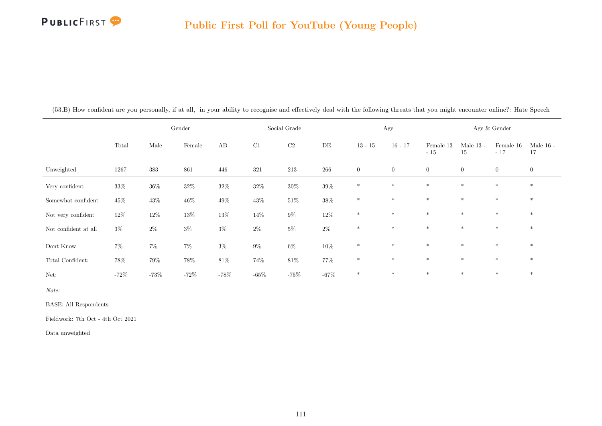

|                                            |         |         | Gender |        |        | Social Grade |           | Age            |                |                    |                   | Age $\&$ Gender    |                   |
|--------------------------------------------|---------|---------|--------|--------|--------|--------------|-----------|----------------|----------------|--------------------|-------------------|--------------------|-------------------|
|                                            | Total   | Male    | Female | AB     | C1     | C2           | $\rm{DE}$ | $13 - 15$      | $16 - 17$      | Female 13<br>$-15$ | Male $13$ -<br>15 | Female 16<br>$-17$ | Male $16$ -<br>17 |
| Unweighted                                 | 1267    | $383\,$ | 861    | 446    | 321    | $213\,$      | 266       | $\overline{0}$ | $\overline{0}$ | $\overline{0}$     | $\overline{0}$    | $\overline{0}$     | $\overline{0}$    |
| Very confident                             | $33\%$  | $36\%$  | $32\%$ | $32\%$ | $32\%$ | $30\%$       | $39\%$    | $\ast$         | $*$            | $*$                | $*$               | $\ast$             | $\ast$            |
| Somewhat confident                         | $45\%$  | $43\%$  | $46\%$ | $49\%$ | $43\%$ | $51\%$       | $38\%$    | $\ast$         | $\ast$         | $*$                | $*$               | $*$                | $*$               |
| Not very confident                         | $12\%$  | $12\%$  | $13\%$ | $13\%$ | $14\%$ | $9\%$        | $12\%$    | $\ast$         | $\ast$         | $\ast$             | $\ast$            | $\ast$             | $\ast$            |
| Not confident at all                       | $3\%$   | $2\%$   | $3\%$  | $3\%$  | $2\%$  | $5\%$        | $2\%$     | $\ast$         | $\ast$         | $\ast$             | $\ast$            | $\ast$             | $\ast$            |
| Dont Know                                  | $7\%$   | $7\%$   | $7\%$  | $3\%$  | $9\%$  | $6\%$        | $10\%$    | $\ast$         | $\ast$         | $*$                | $\ast$            | $\ast$             | $\ast$            |
| $\operatorname{\mathsf{Total}}$ Confident: | $78\%$  | $79\%$  | $78\%$ | $81\%$ | 74%    | $81\%$       | $77\%$    | $*$            | $*$            | $*$                | $*$               | $*$                | $*$               |
| Net:                                       | $-72\%$ | $-73%$  | $-72%$ | $-78%$ | $-65%$ | $-75%$       | $-67\%$   | $\ast$         | $\ast$         | $\ast$             | $\ast$            | $\ast$             | $\ast$            |

(53.B) How confident are you personally, if at all, in your ability to recognise and effectively deal with the following threats that you might encounter online?: Hate Speech

Note:

BASE: All Respondents

Fieldwork: 7th Oct - 4th Oct 2021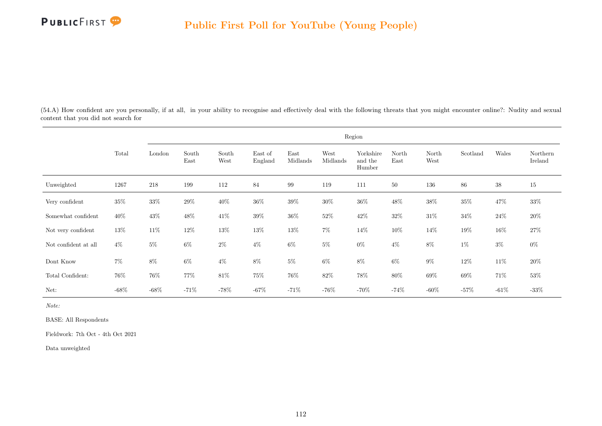

(54.A) How confident are you personally, if at all, in your ability to recognise and effectively deal with the following threats that you might encounter online?: Nudity and sexual content that you did not search for

|                      |         |         |               |               |                    |                  |                  | Region                         |               |               |          |        |                     |
|----------------------|---------|---------|---------------|---------------|--------------------|------------------|------------------|--------------------------------|---------------|---------------|----------|--------|---------------------|
|                      | Total   | London  | South<br>East | South<br>West | East of<br>England | East<br>Midlands | West<br>Midlands | Yorkshire<br>and the<br>Humber | North<br>East | North<br>West | Scotland | Wales  | Northern<br>Ireland |
| Unweighted           | 1267    | $218\,$ | 199           | 112           | 84                 | 99               | 119              | 111                            | 50            | 136           | 86       | $38\,$ | 15                  |
| Very confident       | $35\%$  | $33\%$  | $29\%$        | 40%           | $36\%$             | $39\%$           | $30\%$           | $36\%$                         | $48\%$        | $38\%$        | $35\%$   | 47\%   | 33%                 |
| Somewhat confident   | 40%     | $43\%$  | $48\%$        | $41\%$        | $39\%$             | $36\%$           | $52\%$           | $42\%$                         | $32\%$        | $31\%$        | $34\%$   | $24\%$ | $20\%$              |
| Not very confident   | $13\%$  | $11\%$  | $12\%$        | $13\%$        | $13\%$             | $13\%$           | $7\%$            | $14\%$                         | $10\%$        | $14\%$        | $19\%$   | $16\%$ | $27\%$              |
| Not confident at all | $4\%$   | $5\%$   | $6\%$         | $2\%$         | $4\%$              | $6\%$            | $5\%$            | $0\%$                          | $4\%$         | $8\%$         | $1\%$    | $3\%$  | $0\%$               |
| Dont Know            | $7\%$   | $8\%$   | $6\%$         | $4\%$         | $8\%$              | $5\%$            | $6\%$            | $8\%$                          | $6\%$         | $9\%$         | $12\%$   | 11\%   | $20\%$              |
| Total Confident:     | 76%     | $76\%$  | 77%           | $81\%$        | 75%                | 76%              | 82\%             | $78\%$                         | 80%           | $69\%$        | 69%      | 71%    | $53\%$              |
| Net:                 | $-68\%$ | $-68\%$ | $-71%$        | $-78\%$       | $-67%$             | $-71%$           | $-76\%$          | $-70%$                         | $-74\%$       | $-60\%$       | $-57%$   | $-61%$ | $-33\%$             |

Note:

BASE: All Respondents

Fieldwork: 7th Oct - 4th Oct 2021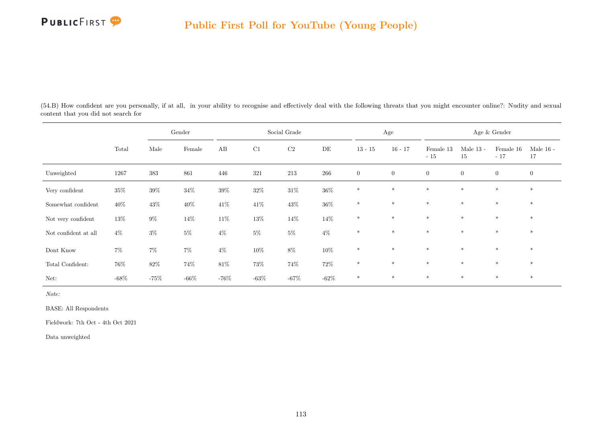

(54.B) How confident are you personally, if at all, in your ability to recognise and effectively deal with the following threats that you might encounter online?: Nudity and sexual content that you did not search for

|                      |         |         | Gender  |         |        | Social Grade |         |                | Age            |                    |                   | Age & Gender       |                   |
|----------------------|---------|---------|---------|---------|--------|--------------|---------|----------------|----------------|--------------------|-------------------|--------------------|-------------------|
|                      | Total   | Male    | Female  | AB      | C1     | C2           | DE      | $13 - 15$      | $16 - 17$      | Female 13<br>$-15$ | Male $13$ -<br>15 | Female 16<br>$-17$ | Male $16$ -<br>17 |
| Unweighted           | 1267    | $383\,$ | 861     | 446     | 321    | 213          | 266     | $\overline{0}$ | $\overline{0}$ | $\boldsymbol{0}$   | $\overline{0}$    | $\overline{0}$     | $\overline{0}$    |
| Very confident       | $35\%$  | $39\%$  | $34\%$  | $39\%$  | $32\%$ | $31\%$       | $36\%$  | $\ast$         | $*$            | $*$                | $\ast$            | $\ast$             | $\ast$            |
| Somewhat confident   | $40\%$  | $43\%$  | $40\%$  | $41\%$  | $41\%$ | $43\%$       | $36\%$  | $\ast$         | $\ast$         | $*$                | $\ast$            | $\ast$             | $\ast$            |
| Not very confident   | 13%     | $9\%$   | $14\%$  | $11\%$  | $13\%$ | $14\%$       | 14%     | $\ast$         | $*$            | $*$                | $\ast$            | $\ast$             | $\ast$            |
| Not confident at all | $4\%$   | $3\%$   | $5\%$   | $4\%$   | $5\%$  | $5\%$        | $4\%$   | $*$            | $*$            | $*$                | $*$               | $\ast$             | $*$               |
| $\rm{Dont}$<br>Know  | $7\%$   | $7\%$   | $7\%$   | $4\%$   | $10\%$ | $8\%$        | $10\%$  | $\ast$         | $*$            | $*$                | $\ast$            | $\ast$             | $\ast$            |
| Total Confident:     | 76%     | $82\%$  | $74\%$  | $81\%$  | $73\%$ | $74\%$       | $72\%$  | $\ast$         | $*$            | $*$                | $\ast$            | $\ast$             | $*$               |
| Net:                 | $-68\%$ | $-75%$  | $-66\%$ | $-76\%$ | $-63%$ | $-67\%$      | $-62\%$ | $\ast$         | $\ast$         | $\ast$             | $\ast$            | $\ast$             | $\ast$            |

Note:

BASE: All Respondents

Fieldwork: 7th Oct - 4th Oct 2021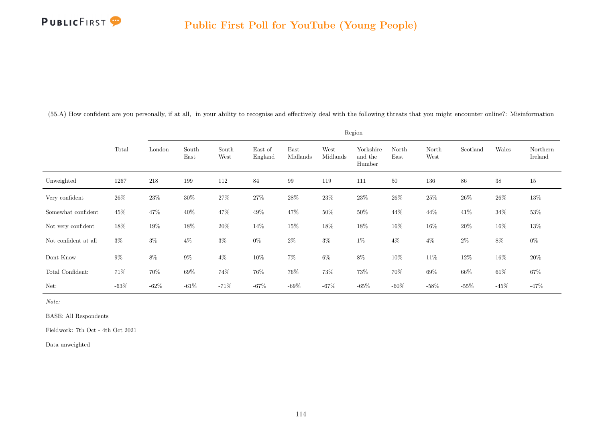

|                      |          |         |               |               |                    |                  |                  | Region                         |               |               |          |        |                     |
|----------------------|----------|---------|---------------|---------------|--------------------|------------------|------------------|--------------------------------|---------------|---------------|----------|--------|---------------------|
|                      | Total    | London  | South<br>East | South<br>West | East of<br>England | East<br>Midlands | West<br>Midlands | Yorkshire<br>and the<br>Humber | North<br>East | North<br>West | Scotland | Wales  | Northern<br>Ireland |
| Unweighted           | 1267     | 218     | 199           | 112           | 84                 | 99               | 119              | 111                            | 50            | 136           | 86       | 38     | $15\,$              |
| Very confident       | 26\%     | $23\%$  | $30\%$        | $27\%$        | $27\%$             | $28\%$           | $23\%$           | $23\%$                         | $26\%$        | $25\%$        | $26\%$   | $26\%$ | 13%                 |
| Somewhat confident   | 45%      | 47%     | 40%           | $47\%$        | 49%                | 47\%             | 50%              | $50\%$                         | 44%           | $44\%$        | 41\%     | $34\%$ | $53\%$              |
| Not very confident   | 18%      | $19\%$  | 18%           | $20\%$        | $14\%$             | $15\%$           | $18\%$           | $18\%$                         | 16\%          | $16\%$        | $20\%$   | $16\%$ | 13%                 |
| Not confident at all | $3\%$    | $3\%$   | $4\%$         | $3\%$         | $0\%$              | $2\%$            | $3\%$            | $1\%$                          | $4\%$         | $4\%$         | $2\%$    | $8\%$  | $0\%$               |
| Dont Know            | $9\%$    | $8\%$   | $9\%$         | $4\%$         | $10\%$             | $7\%$            | $6\%$            | $8\%$                          | $10\%$        | $11\%$        | $12\%$   | $16\%$ | $20\%$              |
| Total Confident:     | 71%      | 70%     | 69%           | 74%           | 76%                | 76%              | $73\%$           | $73\%$                         | $70\%$        | $69\%$        | 66%      | $61\%$ | $67\%$              |
| Net:                 | -63 $\%$ | $-62\%$ | $-61%$        | $-71%$        | $-67\%$            | $-69\%$          | $-67%$           | $-65%$                         | $-60\%$       | $-58%$        | $-55%$   | $-45%$ | $-47%$              |

(55.A) How confident are you personally, if at all, in your ability to recognise and effectively deal with the following threats that you might encounter online?: Misinformation

Note:

BASE: All Respondents

Fieldwork: 7th Oct - 4th Oct 2021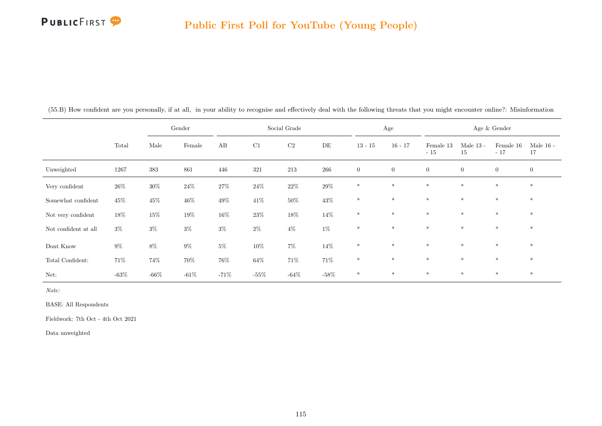

|                      |         |         | Gender |        |        | Social Grade |         |                | Age            |                    |                   | Age & Gender       |                   |
|----------------------|---------|---------|--------|--------|--------|--------------|---------|----------------|----------------|--------------------|-------------------|--------------------|-------------------|
|                      | Total   | Male    | Female | AB     | C1     | $\rm C2$     | DE      | $13 - 15$      | $16 - 17$      | Female 13<br>$-15$ | Male $13$ -<br>15 | Female 16<br>$-17$ | Male $16$ -<br>17 |
| Unweighted           | 1267    | 383     | 861    | 446    | 321    | 213          | 266     | $\overline{0}$ | $\overline{0}$ | $\overline{0}$     | $\overline{0}$    | $\overline{0}$     | $\overline{0}$    |
| Very confident       | 26\%    | $30\%$  | $24\%$ | $27\%$ | $24\%$ | $22\%$       | $29\%$  | $*$            | $*$            | $\ast$             | $\ast$            | $\ast$             | $\ast$            |
| Somewhat confident   | $45\%$  | $45\%$  | $46\%$ | $49\%$ | $41\%$ | $50\%$       | $43\%$  | $*$            | $*$            | $\ast$             | $\ast$            | $\ast$             | $\ast$            |
| Not very confident   | 18%     | $15\%$  | $19\%$ | $16\%$ | $23\%$ | $18\%$       | $14\%$  | $*$            | $*$            | $\ast$             | $\ast$            | $*$                | $\ast$            |
| Not confident at all | $3\%$   | $3\%$   | $3\%$  | $3\%$  | $2\%$  | $4\%$        | $1\%$   | $\ast$         | $*$            | $\ast$             | $\ast$            | $\ast$             | $\ast$            |
| Dont Know            | $9\%$   | $8\%$   | $9\%$  | $5\%$  | $10\%$ | $7\%$        | $14\%$  | $\ast$         | $*$            | $\ast$             | $\ast$            | $\ast$             | $\ast$            |
| Total Confident:     | 71%     | 74%     | 70%    | 76%    | $64\%$ | $71\%$       | $71\%$  | $*$            | $\ast$         | $*$                | $\ast$            | $*$                | $*$               |
| Net:                 | $-63\%$ | $-66\%$ | $-61%$ | $-71%$ | $-55%$ | $-64%$       | $-58\%$ | $*$            | $*$            | $*$                | $\ast$            | $\ast$             | $\ast$            |

(55.B) How confident are you personally, if at all, in your ability to recognise and effectively deal with the following threats that you might encounter online?: Misinformation

Note:

BASE: All Respondents

Fieldwork: 7th Oct - 4th Oct 2021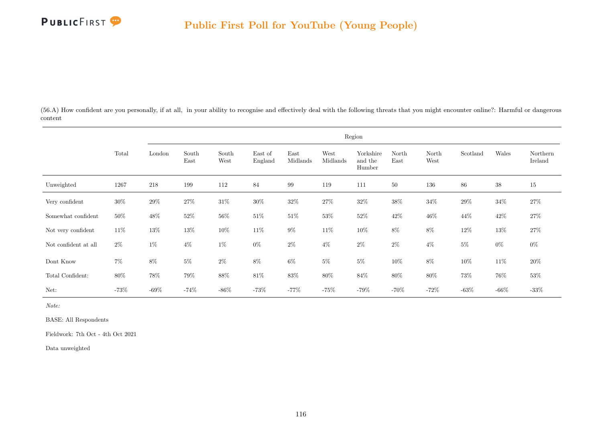

(56.A) How confident are you personally, if at all, in your ability to recognise and effectively deal with the following threats that you might encounter online?: Harmful or dangerous content

|                      |        |         |               |               |                    |                   |                  | Region                         |               |               |          |         |                     |
|----------------------|--------|---------|---------------|---------------|--------------------|-------------------|------------------|--------------------------------|---------------|---------------|----------|---------|---------------------|
|                      | Total  | London  | South<br>East | South<br>West | East of<br>England | East<br>Midlands  | West<br>Midlands | Yorkshire<br>and the<br>Humber | North<br>East | North<br>West | Scotland | Wales   | Northern<br>Ireland |
| Unweighted           | 1267   | $218\,$ | 199           | 112           | 84                 | $\boldsymbol{99}$ | 119              | 111                            | 50            | 136           | $86\,$   | $38\,$  | 15                  |
| Very confident       | $30\%$ | $29\%$  | $27\%$        | $31\%$        | $30\%$             | $32\%$            | $27\%$           | $32\%$                         | $38\%$        | $34\%$        | $29\%$   | $34\%$  | $27\%$              |
| Somewhat confident   | $50\%$ | $48\%$  | $52\%$        | $56\%$        | $51\%$             | $51\%$            | $53\%$           | $52\%$                         | $42\%$        | $46\%$        | 44\%     | $42\%$  | $27\%$              |
| Not very confident   | $11\%$ | $13\%$  | $13\%$        | $10\%$        | $11\%$             | $9\%$             | $11\%$           | $10\%$                         | $8\%$         | $8\%$         | $12\%$   | $13\%$  | $27\%$              |
| Not confident at all | $2\%$  | $1\%$   | $4\%$         | $1\%$         | $0\%$              | $2\%$             | $4\%$            | $2\%$                          | $2\%$         | $4\%$         | $5\%$    | $0\%$   | $0\%$               |
| Dont Know            | $7\%$  | $8\%$   | $5\%$         | $2\%$         | $8\%$              | $6\%$             | $5\%$            | $5\%$                          | $10\%$        | $8\%$         | $10\%$   | 11\%    | 20%                 |
| Total Confident:     | $80\%$ | $78\%$  | 79%           | $88\%$        | $81\%$             | $83\%$            | 80%              | $84\%$                         | $80\%$        | $80\%$        | 73%      | 76%     | $53\%$              |
| Net:                 | $-73%$ | -69 $%$ | $-74\%$       | $-86\%$       | $-73%$             | $-77%$            | $-75%$           | $-79%$                         | $-70\%$       | $-72%$        | $-63%$   | $-66\%$ | $-33\%$             |

Note:

BASE: All Respondents

Fieldwork: 7th Oct - 4th Oct 2021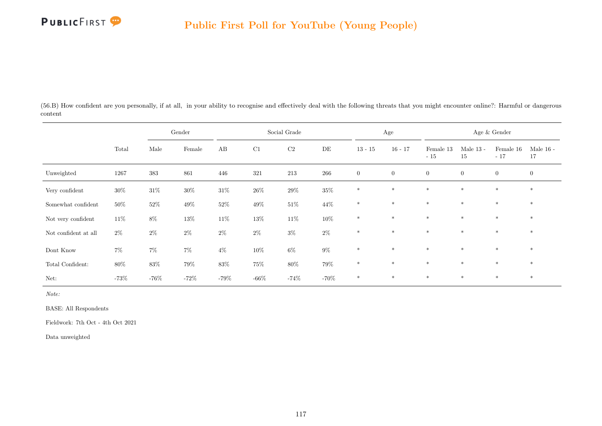

(56.B) How confident are you personally, if at all, in your ability to recognise and effectively deal with the following threats that you might encounter online?: Harmful or dangerous content

|                      |         |         | Gender |         |         | Social Grade |         |                | Age            |                    |                   | Age & Gender       |                   |
|----------------------|---------|---------|--------|---------|---------|--------------|---------|----------------|----------------|--------------------|-------------------|--------------------|-------------------|
|                      | Total   | Male    | Female | AB      | C1      | C2           | DE      | $13 - 15$      | $16 - 17$      | Female 13<br>$-15$ | Male $13$ -<br>15 | Female 16<br>$-17$ | Male $16$ -<br>17 |
| Unweighted           | 1267    | 383     | 861    | 446     | 321     | 213          | 266     | $\overline{0}$ | $\overline{0}$ | $\boldsymbol{0}$   | $\overline{0}$    | $\overline{0}$     | $\overline{0}$    |
| Very confident       | $30\%$  | $31\%$  | $30\%$ | $31\%$  | $26\%$  | $29\%$       | $35\%$  | $\ast$         | $*$            | $\ast$             | $\ast$            | $\ast$             | $\ast$            |
| Somewhat confident   | 50%     | $52\%$  | $49\%$ | $52\%$  | $49\%$  | $51\%$       | $44\%$  | $\ast$         | $\ast$         | $\ast$             | $\ast$            | $\ast$             | $\ast$            |
| Not very confident   | $11\%$  | $8\%$   | $13\%$ | $11\%$  | $13\%$  | $11\%$       | $10\%$  | $\ast$         | $*$            | $*$                | $\ast$            | $\ast$             | $\ast$            |
| Not confident at all | $2\%$   | $2\%$   | $2\%$  | $2\%$   | $2\%$   | $3\%$        | $2\%$   | $\ast$         | $*$            | $\ast$             | $\ast$            | $\ast$             | $*$               |
| $\rm{Dont}$<br>Know  | $7\%$   | $7\%$   | $7\%$  | $4\%$   | $10\%$  | $6\%$        | $9\%$   | $\ast$         | $*$            | $\ast$             | $\ast$            | $\ast$             | $\ast$            |
| Total Confident:     | 80%     | $83\%$  | $79\%$ | $83\%$  | $75\%$  | $80\%$       | $79\%$  | $*$            | $*$            | $*$                | $\ast$            | $\ast$             | $*$               |
| Net:                 | $-73\%$ | $-76\%$ | $-72%$ | $-79\%$ | $-66\%$ | $-74%$       | $-70\%$ | $\ast$         | $\ast$         | $\ast$             | $*$               | $\ast$             | $\ast$            |

Note:

BASE: All Respondents

Fieldwork: 7th Oct - 4th Oct 2021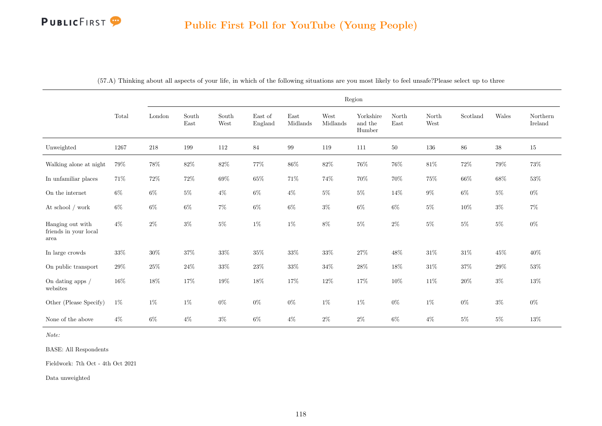# PUBLICFIRST<sup>9</sup>

|                                                   |        |         |               |               |                            |                  |                  | Region                         |               |               |          |        |                     |
|---------------------------------------------------|--------|---------|---------------|---------------|----------------------------|------------------|------------------|--------------------------------|---------------|---------------|----------|--------|---------------------|
|                                                   | Total  | London  | South<br>East | South<br>West | East of<br>${\bf England}$ | East<br>Midlands | West<br>Midlands | Yorkshire<br>and the<br>Humber | North<br>East | North<br>West | Scotland | Wales  | Northern<br>Ireland |
| Unweighted                                        | 1267   | $218\,$ | 199           | 112           | $84\,$                     | $99\,$           | 119              | 111                            | $50\,$        | 136           | $86\,$   | $38\,$ | $15\,$              |
| Walking alone at night                            | $79\%$ | $78\%$  | $82\%$        | $82\%$        | 77%                        | $86\%$           | $82\%$           | $76\%$                         | $76\%$        | $81\%$        | $72\%$   | 79%    | 73%                 |
| In unfamiliar places                              | 71%    | $72\%$  | $72\%$        | $69\%$        | $65\%$                     | $71\%$           | 74%              | 70%                            | 70%           | $75\%$        | $66\%$   | $68\%$ | $53\%$              |
| On the internet                                   | $6\%$  | $6\%$   | $5\%$         | $4\%$         | $6\%$                      | $4\%$            | $5\%$            | $5\%$                          | 14%           | $9\%$         | $6\%$    | $5\%$  | $0\%$               |
| At school / work                                  | $6\%$  | $6\%$   | $6\%$         | $7\%$         | $6\%$                      | $6\%$            | $3\%$            | $6\%$                          | $6\%$         | $5\%$         | $10\%$   | $3\%$  | $7\%$               |
| Hanging out with<br>friends in your local<br>area | $4\%$  | $2\%$   | $3\%$         | $5\%$         | $1\%$                      | $1\%$            | $8\%$            | $5\%$                          | $2\%$         | $5\%$         | $5\%$    | $5\%$  | $0\%$               |
| In large crowds                                   | $33\%$ | $30\%$  | 37%           | 33%           | 35%                        | 33%              | 33%              | 27%                            | 48%           | $31\%$        | 31%      | 45%    | 40%                 |
| On public transport                               | $29\%$ | $25\%$  | $24\%$        | $33\%$        | $23\%$                     | $33\%$           | $34\%$           | $28\%$                         | 18%           | $31\%$        | 37%      | $29\%$ | $53\%$              |
| On dating apps /<br>websites                      | 16%    | 18%     | $17\%$        | $19\%$        | 18%                        | $17\%$           | $12\%$           | $17\%$                         | 10%           | $11\%$        | $20\%$   | $3\%$  | $13\%$              |
| Other (Please Specify)                            | $1\%$  | $1\%$   | $1\%$         | $0\%$         | $0\%$                      | $0\%$            | $1\%$            | $1\%$                          | $0\%$         | $1\%$         | $0\%$    | $3\%$  | $0\%$               |
| None of the above                                 | $4\%$  | $6\%$   | $4\%$         | $3\%$         | $6\%$                      | $4\%$            | $2\%$            | $2\%$                          | $6\%$         | $4\%$         | $5\%$    | $5\%$  | 13%                 |

(57.A) Thinking about all aspects of your life, in which of the following situations are you most likely to feel unsafe?Please select up to three

Note:

BASE: All Respondents

Fieldwork: 7th Oct - 4th Oct 2021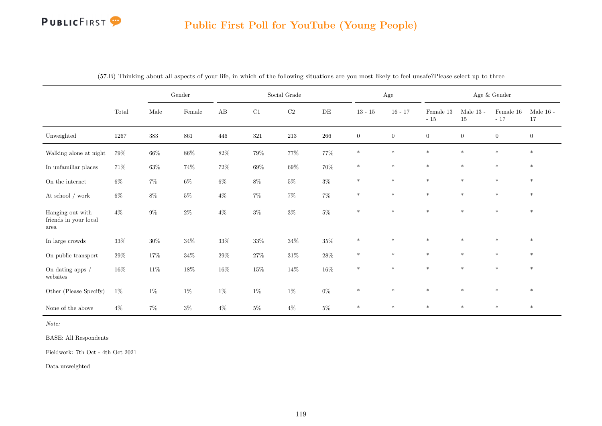# PUBLICFIRST<sup>9</sup>

#### Public First Poll for YouTube (Young People)

|                                                   |                |         | $\operatorname{Gender}$ |        |        | Social Grade |        |                  | $\rm{Age}$       |                    |                   | Age $\&$ Gender    |                   |
|---------------------------------------------------|----------------|---------|-------------------------|--------|--------|--------------|--------|------------------|------------------|--------------------|-------------------|--------------------|-------------------|
|                                                   | $\mbox{Total}$ | Male    | $\mbox{Female}$         | AB     | C1     | $\rm C2$     | DE     | $13 - 15$        | $16 - 17$        | Female 13<br>$-15$ | Male $13$ -<br>15 | Female 16<br>$-17$ | Male $16$ -<br>17 |
| Unweighted                                        | 1267           | $383\,$ | 861                     | 446    | 321    | 213          | 266    | $\boldsymbol{0}$ | $\boldsymbol{0}$ | $\boldsymbol{0}$   | $\overline{0}$    | $\overline{0}$     | $\boldsymbol{0}$  |
| Walking alone at night                            | $79\%$         | $66\%$  | $86\%$                  | $82\%$ | $79\%$ | $77\%$       | $77\%$ | $\ast$           | $\ast$           | $\ast$             | $\ast$            | $\ast$             | $\ast$            |
| In unfamiliar places                              | 71%            | $63\%$  | $74\%$                  | $72\%$ | $69\%$ | $69\%$       | 70%    | $\ast$           | $\ast$           | $\ast$             | $\ast$            | $\ast$             | $*$               |
| On the internet                                   | $6\%$          | $7\%$   | $6\%$                   | $6\%$  | $8\%$  | $5\%$        | $3\%$  | $\ast$           | $\ast$           | $\ast$             | $\ast$            | $\ast$             | $\ast$            |
| At school $/$ work                                | $6\%$          | $8\%$   | $5\%$                   | $4\%$  | $7\%$  | $7\%$        | $7\%$  | $\ast$           | $\ast$           | $\ast$             | $\ast$            | $\ast$             | $\ast$            |
| Hanging out with<br>friends in your local<br>area | $4\%$          | $9\%$   | $2\%$                   | $4\%$  | $3\%$  | $3\%$        | $5\%$  | $\ast$           | $\ast$           | $\ast$             | $\ast$            | $\ast$             | $\ast$            |
| In large crowds                                   | $33\%$         | $30\%$  | $34\%$                  | $33\%$ | $33\%$ | $34\%$       | $35\%$ | $\ast$           | $\ast$           | $\ast$             | $\ast$            | $\ast$             | $\ast$            |
| On public transport                               | $29\%$         | $17\%$  | $34\%$                  | $29\%$ | $27\%$ | $31\%$       | $28\%$ | $\ast$           | $\ast$           | $\ast$             | $\ast$            | $\ast$             | $\ast$            |
| On dating apps $\slash$<br>websites               | $16\%$         | $11\%$  | $18\%$                  | $16\%$ | $15\%$ | $14\%$       | $16\%$ | $\ast$           | $\ast$           | $\ast$             | $\ast$            | $\ast$             | $\ast$            |
| Other (Please Specify)                            | $1\%$          | $1\%$   | $1\%$                   | $1\%$  | $1\%$  | $1\%$        | $0\%$  | $\ast$           | $\ast$           | $\ast$             | $\ast$            | $\ast$             | $\ast$            |
| None of the above                                 | $4\%$          | $7\%$   | $3\%$                   | $4\%$  | $5\%$  | $4\%$        | $5\%$  | $\ast$           | $\ast$           | $*$                | $\ast$            | $\ast$             | $*$               |

(57.B) Thinking about all aspects of your life, in which of the following situations are you most likely to feel unsafe?Please select up to three

Note:

BASE: All Respondents

Fieldwork: 7th Oct - 4th Oct 2021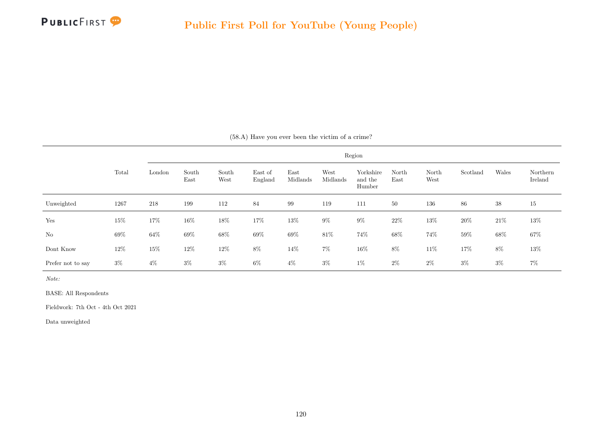

|                   |        |        |               |               |                    |                  |                  | Region                         |               |               |          |        |                     |
|-------------------|--------|--------|---------------|---------------|--------------------|------------------|------------------|--------------------------------|---------------|---------------|----------|--------|---------------------|
|                   | Total  | London | South<br>East | South<br>West | East of<br>England | East<br>Midlands | West<br>Midlands | Yorkshire<br>and the<br>Humber | North<br>East | North<br>West | Scotland | Wales  | Northern<br>Ireland |
| Unweighted        | 1267   | 218    | 199           | 112           | 84                 | 99               | 119              | 111                            | 50            | 136           | 86       | $38\,$ | 15                  |
| Yes               | $15\%$ | $17\%$ | 16%           | $18\%$        | $17\%$             | $13\%$           | $9\%$            | $9\%$                          | $22\%$        | $13\%$        | $20\%$   | $21\%$ | $13\%$              |
| No                | $69\%$ | $64\%$ | $69\%$        | $68\%$        | $69\%$             | $69\%$           | 81\%             | 74%                            | $68\%$        | 74%           | $59\%$   | 68%    | $67\%$              |
| Dont Know         | $12\%$ | $15\%$ | 12%           | $12\%$        | $8\%$              | $14\%$           | $7\%$            | $16\%$                         | $8\%$         | $11\%$        | 17%      | $8\%$  | $13\%$              |
| Prefer not to say | $3\%$  | $4\%$  | $3\%$         | $3\%$         | $6\%$              | $4\%$            | $3\%$            | $1\%$                          | $2\%$         | $2\%$         | $3\%$    | $3\%$  | $7\%$               |

Note:

BASE: All Respondents

Fieldwork: 7th Oct - 4th Oct 2021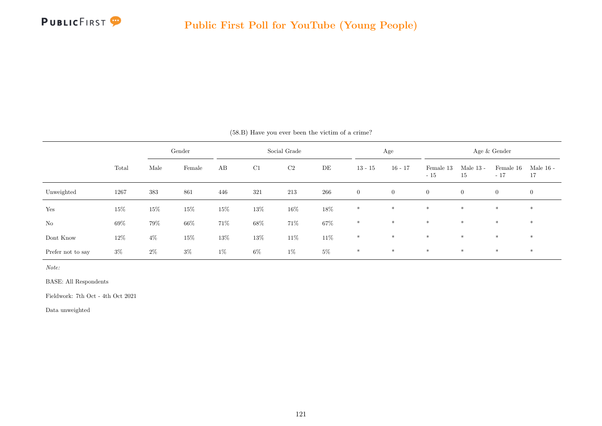

|                   |       |       | Gender |        |        | Social Grade   |        |                | Age            |                    |                   | Age & Gender       |                   |
|-------------------|-------|-------|--------|--------|--------|----------------|--------|----------------|----------------|--------------------|-------------------|--------------------|-------------------|
|                   | Total | Male  | Female | AB     | C1     | C <sub>2</sub> | DE     | $13 - 15$      | $16 - 17$      | Female 13<br>$-15$ | Male $13$ -<br>15 | Female 16<br>$-17$ | Male $16$ -<br>17 |
| Unweighted        | 1267  | 383   | 861    | 446    | 321    | 213            | 266    | $\overline{0}$ | $\overline{0}$ | $\overline{0}$     | $\overline{0}$    | $\overline{0}$     | $\overline{0}$    |
| Yes               | 15%   | 15%   | 15%    | $15\%$ | 13%    | $16\%$         | $18\%$ | $\ast$         | $*$            | $*$                | $*$               | $*$                | $*$               |
| No                | 69%   | 79%   | 66%    | 71%    | $68\%$ | $71\%$         | $67\%$ | $\ast$         | $*$            | $\ast$             | $*$               | $*$                | $*$               |
| Dont Know         | 12\%  | $4\%$ | 15%    | 13%    | 13%    | $11\%$         | $11\%$ | $\ast$         | $\ast$         | $\ast$             | $\ast$            | $\ast$             | $*$               |
| Prefer not to say | $3\%$ | $2\%$ | $3\%$  | $1\%$  | $6\%$  | $1\%$          | $5\%$  | $\ast$         | $\ast$         | $\ast$             | $\ast$            | $*$                | $*$               |

(58.B) Have you ever been the victim of a crime?

Note:

BASE: All Respondents

Fieldwork: 7th Oct - 4th Oct 2021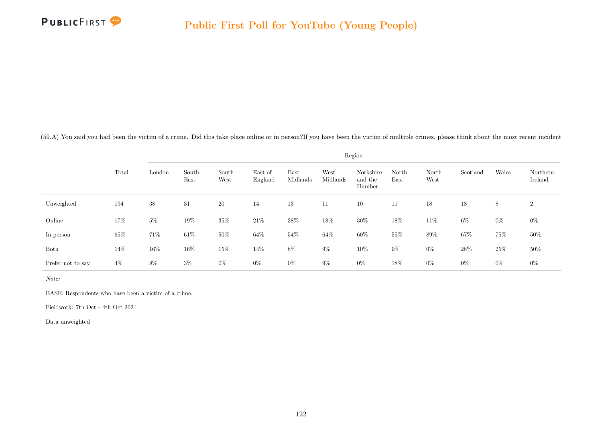

(59.A) You said you had been the victim of a crime. Did this take place online or in person?If you have been the victim of multiple crimes, please think about the most recent incident

|                   |        |        |               |               |                    |                  |                  | Region                         |               |               |          |        |                     |
|-------------------|--------|--------|---------------|---------------|--------------------|------------------|------------------|--------------------------------|---------------|---------------|----------|--------|---------------------|
|                   | Total  | London | South<br>East | South<br>West | East of<br>England | East<br>Midlands | West<br>Midlands | Yorkshire<br>and the<br>Humber | North<br>East | North<br>West | Scotland | Wales  | Northern<br>Ireland |
| Unweighted        | 194    | 38     | 31            | 20            | 14                 | 13               | 11               | 10                             | 11            | 18            | 18       | 8      | $\boldsymbol{2}$    |
| Online            | 17%    | $5\%$  | 19%           | $35\%$        | $21\%$             | 38%              | 18%              | $30\%$                         | 18%           | $11\%$        | $6\%$    | $0\%$  | $0\%$               |
| In person         | $65\%$ | 71\%   | $61\%$        | $50\%$        | $64\%$             | $54\%$           | $64\%$           | $60\%$                         | $55\%$        | $89\%$        | 67%      | 75%    | $50\%$              |
| Both              | 14%    | 16%    | 16%           | 15%           | $14\%$             | $8\%$            | $9\%$            | $10\%$                         | $9\%$         | $0\%$         | $28\%$   | $25\%$ | $50\%$              |
| Prefer not to say | $4\%$  | 8%     | $3\%$         | $0\%$         | $0\%$              | $0\%$            | $9\%$            | $0\%$                          | 18%           | $0\%$         | $0\%$    | $0\%$  | $0\%$               |

Note:

BASE: Respondents who have been a victim of a crime.

Fieldwork: 7th Oct - 4th Oct 2021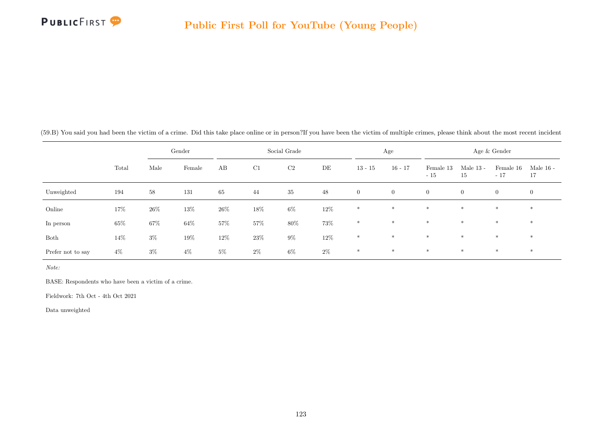

(59.B) You said you had been the victim of a crime. Did this take place online or in person?If you have been the victim of multiple crimes, please think about the most recent incident

|                   |        |        | Gender |        |        | Social Grade   |        |                | Age            |                    |                   | Age & Gender       |                   |
|-------------------|--------|--------|--------|--------|--------|----------------|--------|----------------|----------------|--------------------|-------------------|--------------------|-------------------|
|                   | Total  | Male   | Female | AB     | C1     | C <sub>2</sub> | DE     | $13 - 15$      | $16 - 17$      | Female 13<br>$-15$ | Male $13$ -<br>15 | Female 16<br>$-17$ | Male $16$ -<br>17 |
| Unweighted        | 194    | 58     | 131    | 65     | 44     | 35             | 48     | $\overline{0}$ | $\overline{0}$ | $\overline{0}$     | $\overline{0}$    | $\overline{0}$     | $\overline{0}$    |
| Online            | 17%    | $26\%$ | $13\%$ | $26\%$ | 18%    | $6\%$          | $12\%$ | $*$            | $\ast$         | $*$                | $*$               | $\ast$             | $\ast$            |
| In person         | $65\%$ | $67\%$ | $64\%$ | $57\%$ | 57%    | $80\%$         | $73\%$ | $*$            | $*$            | $*$                | $*$               | $*$                | $*$               |
| Both              | 14\%   | $3\%$  | 19%    | $12\%$ | $23\%$ | $9\%$          | $12\%$ | $*$            | $*$            | $\ast$             | $*$               | $*$                | $*$               |
| Prefer not to say | $4\%$  | $3\%$  | $4\%$  | $5\%$  | $2\%$  | $6\%$          | $2\%$  | $*$            | $\ast$         | $\ast$             | $*$               | $*$                | $\ast$            |

Note:

BASE: Respondents who have been a victim of a crime.

Fieldwork: 7th Oct - 4th Oct 2021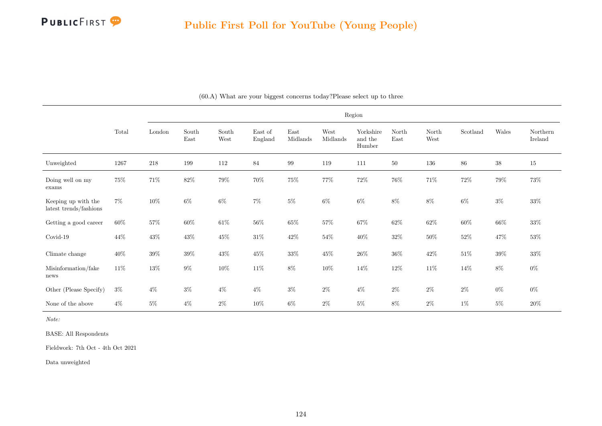

|                                               |          |         |               |               |                    |                  |                  | Region                         |               |               |          |        |                     |
|-----------------------------------------------|----------|---------|---------------|---------------|--------------------|------------------|------------------|--------------------------------|---------------|---------------|----------|--------|---------------------|
|                                               | Total    | London  | South<br>East | South<br>West | East of<br>England | East<br>Midlands | West<br>Midlands | Yorkshire<br>and the<br>Humber | North<br>East | North<br>West | Scotland | Wales  | Northern<br>Ireland |
| Unweighted                                    | $1267\,$ | $218\,$ | 199           | 112           | $\bf 84$           | $\rm 99$         | 119              | 111                            | $50\,$        | $136\,$       | $86\,$   | $38\,$ | $15\,$              |
| Doing well on my<br>exams                     | $75\%$   | $71\%$  | $82\%$        | $79\%$        | 70%                | $75\%$           | 77%              | $72\%$                         | $76\%$        | $71\%$        | $72\%$   | $79\%$ | $73\%$              |
| Keeping up with the<br>latest trends/fashions | $7\%$    | $10\%$  | $6\%$         | $6\%$         | $7\%$              | $5\%$            | $6\%$            | $6\%$                          | $8\%$         | $8\%$         | $6\%$    | $3\%$  | $33\%$              |
| Getting a good career                         | $60\%$   | $57\%$  | $60\%$        | $61\%$        | $56\%$             | $65\%$           | $57\%$           | $67\%$                         | $62\%$        | $62\%$        | $60\%$   | $66\%$ | $33\%$              |
| Covid-19                                      | 44\%     | $43\%$  | $43\%$        | $45\%$        | $31\%$             | $42\%$           | $54\%$           | $40\%$                         | $32\%$        | $50\%$        | $52\%$   | 47%    | $53\%$              |
| Climate change                                | $40\%$   | $39\%$  | $39\%$        | $43\%$        | $45\%$             | $33\%$           | $45\%$           | $26\%$                         | $36\%$        | $42\%$        | $51\%$   | $39\%$ | $33\%$              |
| Misinformation/fake<br>news                   | $11\%$   | $13\%$  | $9\%$         | $10\%$        | $11\%$             | $8\%$            | $10\%$           | 14\%                           | $12\%$        | $11\%$        | $14\%$   | $8\%$  | $0\%$               |
| Other (Please Specify)                        | $3\%$    | $4\%$   | $3\%$         | $4\%$         | $4\%$              | $3\%$            | $2\%$            | $4\%$                          | $2\%$         | $2\%$         | $2\%$    | $0\%$  | $0\%$               |
| None of the above                             | $4\%$    | $5\%$   | $4\%$         | $2\%$         | $10\%$             | $6\%$            | $2\%$            | $5\%$                          | $8\%$         | $2\%$         | $1\%$    | $5\%$  | $20\%$              |

(60.A) What are your biggest concerns today?Please select up to three

Note:

BASE: All Respondents

Fieldwork: 7th Oct - 4th Oct 2021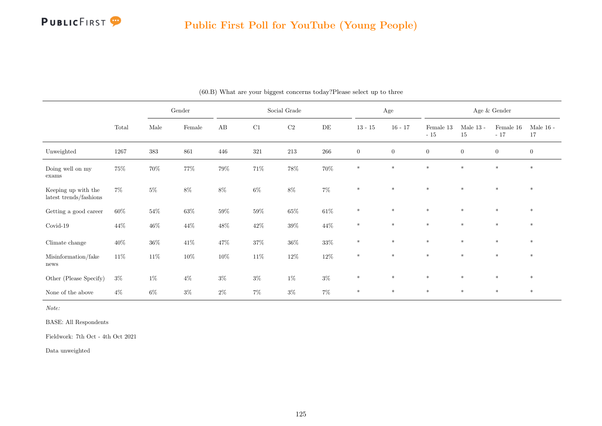

#### Public First Poll for YouTube (Young People)

|                                               |        |        | Gender |          |        | Social Grade |        |                  | $\rm Age$        |                    |                        | Age $\&$ Gender    |                        |
|-----------------------------------------------|--------|--------|--------|----------|--------|--------------|--------|------------------|------------------|--------------------|------------------------|--------------------|------------------------|
|                                               | Total  | Male   | Female | $\rm AB$ | C1     | $\rm C2$     | DE     | $13 - 15$        | $16 - 17$        | Female 13<br>$-15$ | Male $13$ - $\,$<br>15 | Female 16<br>$-17$ | Male $16$ - $\,$<br>17 |
| Unweighted                                    | 1267   | 383    | 861    | 446      | 321    | 213          | 266    | $\boldsymbol{0}$ | $\boldsymbol{0}$ | $\boldsymbol{0}$   | $\boldsymbol{0}$       | $\boldsymbol{0}$   | $\boldsymbol{0}$       |
| Doing well on my<br>exams                     | 75%    | $70\%$ | 77%    | $79\%$   | $71\%$ | $78\%$       | $70\%$ | $\ast$           | $\ast$           | $\ast$             | $\ast$                 | $\ast$             | $\ast$                 |
| Keeping up with the<br>latest trends/fashions | $7\%$  | $5\%$  | $8\%$  | $8\%$    | $6\%$  | $8\%$        | $7\%$  | $\ast$           | $\ast$           | $\ast$             | $*$                    | $*$                | $*$                    |
| Getting a good career                         | $60\%$ | $54\%$ | $63\%$ | $59\%$   | $59\%$ | $65\%$       | $61\%$ | $\ast$           | $\ast$           | $\ast$             | $\ast$                 | $*$                | $\ast$                 |
| Covid-19                                      | 44\%   | $46\%$ | $44\%$ | $48\%$   | $42\%$ | $39\%$       | $44\%$ | $*$              | $\ast$           | $\ast$             | $\ast$                 | $\ast$             | $*$                    |
| Climate change                                | $40\%$ | $36\%$ | $41\%$ | $47\%$   | $37\%$ | $36\%$       | $33\%$ | $\ast$           | $\ast$           | $\ast$             | $\ast$                 | $\ast$             | $*$                    |
| Misinformation/fake<br>news                   | $11\%$ | $11\%$ | $10\%$ | $10\%$   | $11\%$ | $12\%$       | $12\%$ | $\ast$           | $\ast$           | $*$                | $\ast$                 | $*$                | $\ast$                 |
| Other (Please Specify)                        | $3\%$  | $1\%$  | $4\%$  | $3\%$    | $3\%$  | $1\%$        | $3\%$  | $\ast$           | $\ast$           | $\ast$             | $\ast$                 | $\ast$             | $\ast$                 |
| None of the above                             | $4\%$  | $6\%$  | $3\%$  | $2\%$    | $7\%$  | $3\%$        | $7\%$  | $\ast$           | $\ast$           | $\ast$             | $*$                    | $*$                | $*$                    |

(60.B) What are your biggest concerns today?Please select up to three

Note:

BASE: All Respondents

Fieldwork: 7th Oct - 4th Oct 2021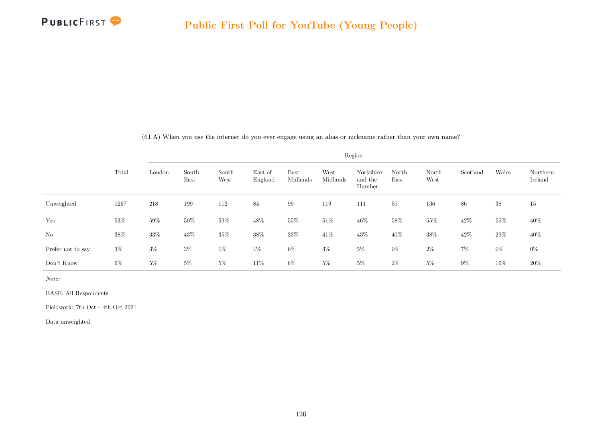

| $(61.A)$ When you use the internet do you ever engage using an alias or nickname rather than your own name? |  |  |  |  |  |  |  |  |  |  |  |  |  |  |  |  |  |  |  |
|-------------------------------------------------------------------------------------------------------------|--|--|--|--|--|--|--|--|--|--|--|--|--|--|--|--|--|--|--|
|-------------------------------------------------------------------------------------------------------------|--|--|--|--|--|--|--|--|--|--|--|--|--|--|--|--|--|--|--|

|                   |        |        |               |               |                    |                  |                  | Region                         |               |               |          |        |                     |
|-------------------|--------|--------|---------------|---------------|--------------------|------------------|------------------|--------------------------------|---------------|---------------|----------|--------|---------------------|
|                   | Total  | London | South<br>East | South<br>West | East of<br>England | East<br>Midlands | West<br>Midlands | Yorkshire<br>and the<br>Humber | North<br>East | North<br>West | Scotland | Wales  | Northern<br>Ireland |
| Unweighted        | 1267   | 218    | 199           | 112           | 84                 | 99               | 119              | 111                            | 50            | 136           | 86       | 38     | 15                  |
| Yes               | $53\%$ | $59\%$ | $50\%$        | $59\%$        | 48%                | $55\%$           | $51\%$           | 46\%                           | $58\%$        | 55%           | 42\%     | 55%    | $40\%$              |
| No                | $38\%$ | $33\%$ | 43%           | $35\%$        | $38\%$             | $33\%$           | $41\%$           | 43%                            | 40%           | $38\%$        | 42\%     | $29\%$ | 40%                 |
| Prefer not to say | $3\%$  | $3\%$  | $3\%$         | $1\%$         | $4\%$              | $6\%$            | $3\%$            | $5\%$                          | $0\%$         | $2\%$         | $7\%$    | $0\%$  | $0\%$               |
| Don't Know        | 6%     | $5\%$  | $5\%$         | $5\%$         | 11\%               | $6\%$            | $5\%$            | $5\%$                          | $2\%$         | $5\%$         | $9\%$    | 16%    | 20%                 |

Note:

BASE: All Respondents

Fieldwork: 7th Oct - 4th Oct 2021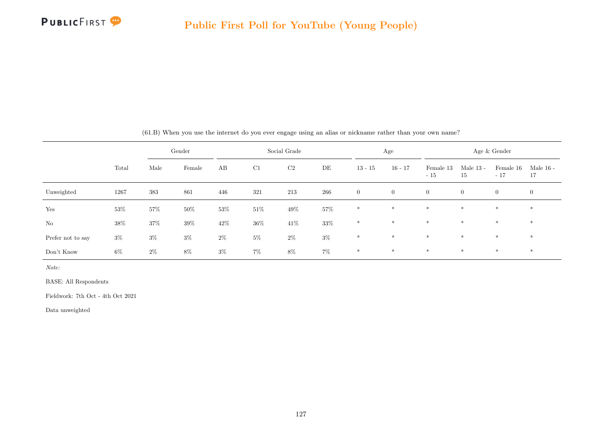

|                   |        |       | Gender |        |        | Social Grade   |        |                | Age            |                    |                   | Age & Gender       |                   |
|-------------------|--------|-------|--------|--------|--------|----------------|--------|----------------|----------------|--------------------|-------------------|--------------------|-------------------|
|                   | Total  | Male  | Female | AB     | C1     | C <sub>2</sub> | DE     | $13 - 15$      | $16 - 17$      | Female 13<br>$-15$ | Male $13$ -<br>15 | Female 16<br>$-17$ | Male $16$ -<br>17 |
| Unweighted        | 1267   | 383   | 861    | 446    | 321    | 213            | 266    | $\overline{0}$ | $\overline{0}$ | $\overline{0}$     | $\overline{0}$    | $\overline{0}$     | $\overline{0}$    |
| Yes               | $53\%$ | 57%   | $50\%$ | 53%    | $51\%$ | $49\%$         | $57\%$ | $*$            | $*$            | $*$                | $*$               | $*$                | $\ast$            |
| No                | 38\%   | 37%   | 39%    | $42\%$ | $36\%$ | $41\%$         | $33\%$ | $*$            | $*$            | $*$                | $*$               | $*$                | $*$               |
| Prefer not to say | $3\%$  | $3\%$ | $3\%$  | $2\%$  | $5\%$  | $2\%$          | $3\%$  | $\ast$         | $\ast$         | $*$                | $*$               | $*$                | $*$               |
| Don't Know        | $6\%$  | $2\%$ | $8\%$  | $3\%$  | $7\%$  | $8\%$          | $7\%$  | $*$            | $\ast$         | $*$                | $*$               | $\ast$             | $*$               |

(61.B) When you use the internet do you ever engage using an alias or nickname rather than your own name?

Note:

BASE: All Respondents

Fieldwork: 7th Oct - 4th Oct 2021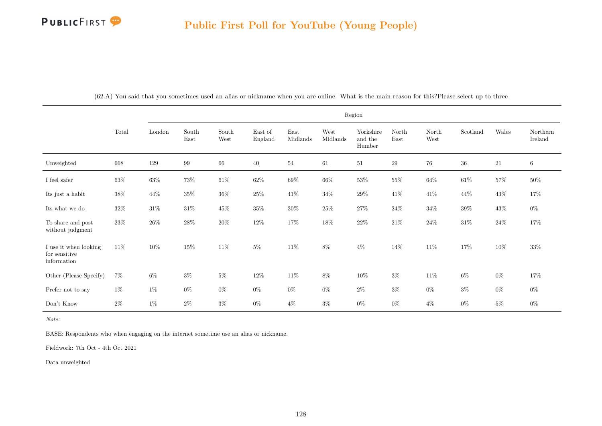

|                                                       |        |        |               |               |                    |                  |                  | Region                         |               |               |          |        |                     |
|-------------------------------------------------------|--------|--------|---------------|---------------|--------------------|------------------|------------------|--------------------------------|---------------|---------------|----------|--------|---------------------|
|                                                       | Total  | London | South<br>East | South<br>West | East of<br>England | East<br>Midlands | West<br>Midlands | Yorkshire<br>and the<br>Humber | North<br>East | North<br>West | Scotland | Wales  | Northern<br>Ireland |
| Unweighted                                            | 668    | 129    | 99            | 66            | 40                 | 54               | 61               | 51                             | 29            | 76            | 36       | 21     | 6                   |
| I feel safer                                          | $63\%$ | $63\%$ | $73\%$        | $61\%$        | $62\%$             | $69\%$           | $66\%$           | $53\%$                         | $55\%$        | $64\%$        | $61\%$   | $57\%$ | $50\%$              |
| Its just a habit                                      | $38\%$ | 44\%   | $35\%$        | $36\%$        | $25\%$             | $41\%$           | $34\%$           | $29\%$                         | $41\%$        | $41\%$        | $44\%$   | $43\%$ | 17%                 |
| Its what we do                                        | $32\%$ | $31\%$ | $31\%$        | 45\%          | $35\%$             | $30\%$           | $25\%$           | $27\%$                         | $24\%$        | $34\%$        | $39\%$   | 43\%   | $0\%$               |
| To share and post<br>without judgment                 | $23\%$ | $26\%$ | $28\%$        | $20\%$        | $12\%$             | $17\%$           | $18\%$           | $22\%$                         | $21\%$        | $24\%$        | $31\%$   | $24\%$ | $17\%$              |
| I use it when looking<br>for sensitive<br>information | $11\%$ | $10\%$ | $15\%$        | $11\%$        | $5\%$              | $11\%$           | $8\%$            | $4\%$                          | $14\%$        | $11\%$        | $17\%$   | $10\%$ | $33\%$              |
| Other (Please Specify)                                | $7\%$  | $6\%$  | $3\%$         | $5\%$         | $12\%$             | $11\%$           | 8%               | $10\%$                         | $3\%$         | $11\%$        | $6\%$    | $0\%$  | 17%                 |
| Prefer not to say                                     | $1\%$  | $1\%$  | $0\%$         | $0\%$         | $0\%$              | $0\%$            | $0\%$            | $2\%$                          | $3\%$         | $0\%$         | $3\%$    | $0\%$  | $0\%$               |
| Don't Know                                            | $2\%$  | $1\%$  | $2\%$         | $3\%$         | $0\%$              | $4\%$            | $3\%$            | $0\%$                          | $0\%$         | $4\%$         | $0\%$    | $5\%$  | $0\%$               |

(62.A) You said that you sometimes used an alias or nickname when you are online. What is the main reason for this?Please select up to three

Note:

BASE: Respondents who when engaging on the internet sometime use an alias or nickname.

Fieldwork: 7th Oct - 4th Oct 2021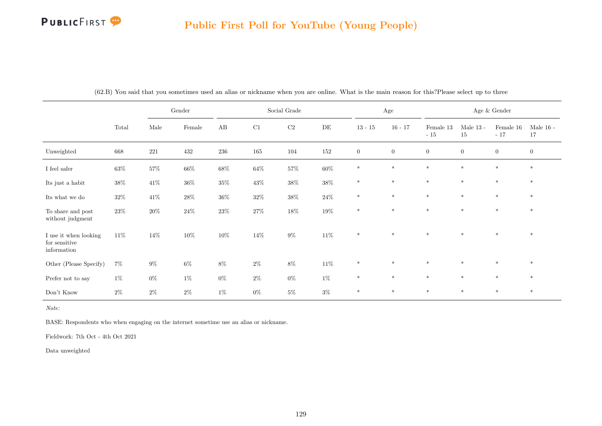# PUBLICFIRST<sup>9</sup>

|                                                       |        |            | Gender  |         |        | Social Grade |           |              | $\rm Age$    |                    |                   | Age $\&$ Gender    |                   |
|-------------------------------------------------------|--------|------------|---------|---------|--------|--------------|-----------|--------------|--------------|--------------------|-------------------|--------------------|-------------------|
|                                                       | Total  | $\rm Male$ | Female  | AB      | C1     | $\rm C2$     | $\rm{DE}$ | $13 - 15$    | $16 - 17$    | Female 13<br>$-15$ | Male $13$ -<br>15 | Female 16<br>$-17$ | Male $16$ -<br>17 |
| Unweighted                                            | 668    | $221\,$    | $432\,$ | $\,236$ | 165    | 104          | $152\,$   | $\mathbf{0}$ | $\mathbf{0}$ | $\overline{0}$     | $\overline{0}$    | $\overline{0}$     | $\mathbf{0}$      |
| I feel safer                                          | $63\%$ | $57\%$     | $66\%$  | $68\%$  | $64\%$ | $57\%$       | $60\%$    | $\ast$       | $\ast$       | $\ast$             | $\ast$            | $\ast$             | $\ast$            |
| Its just a habit                                      | $38\%$ | $41\%$     | $36\%$  | $35\%$  | $43\%$ | $38\%$       | $38\%$    | $\ast$       | $\ast$       | $\ast$             | $\ast$            | $\ast$             | $\ast$            |
| Its what we do                                        | $32\%$ | $41\%$     | $28\%$  | $36\%$  | $32\%$ | $38\%$       | $24\%$    | $\ast$       | $\ast$       | $\ast$             | $\ast$            | $\ast$             | $\ast$            |
| To share and post<br>without judgment                 | $23\%$ | $20\%$     | $24\%$  | $23\%$  | $27\%$ | $18\%$       | $19\%$    | $\ast$       | $\ast$       | $\ast$             | $\ast$            | $\ast$             | $\ast$            |
| I use it when looking<br>for sensitive<br>information | 11\%   | 14\%       | 10%     | $10\%$  | 14%    | $9\%$        | $11\%$    | $\ast$       | $\ast$       | $*$                | $*$               | $\ast$             | $*$               |
| Other (Please Specify)                                | $7\%$  | $9\%$      | $6\%$   | $8\%$   | $2\%$  | $8\%$        | $11\%$    | $\ast$       | $*$          | $*$                | $\ast$            | $\ast$             | $*$               |
| Prefer not to say                                     | $1\%$  | $0\%$      | $1\%$   | $0\%$   | $2\%$  | $0\%$        | $1\%$     | $\ast$       | $\ast$       | $\ast$             | $\ast$            | $\ast$             | $\ast$            |
| Don't Know                                            | $2\%$  | $2\%$      | $2\%$   | $1\%$   | $0\%$  | $5\%$        | $3\%$     | $\ast$       | $*$          | $\ast$             | $\ast$            | $*$                | $*$               |

(62.B) You said that you sometimes used an alias or nickname when you are online. What is the main reason for this?Please select up to three

Note:

BASE: Respondents who when engaging on the internet sometime use an alias or nickname.

Fieldwork: 7th Oct - 4th Oct 2021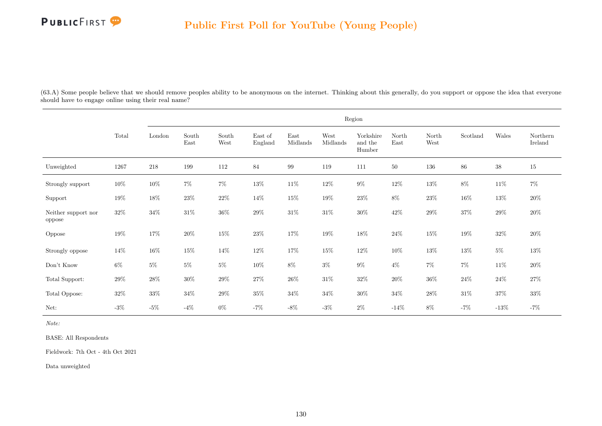

(63.A) Some people believe that we should remove peoples ability to be anonymous on the internet. Thinking about this generally, do you support or oppose the idea that everyone should have to engage online using their real name?

|                                          |          |         |               |               |                    |                  |                  | Region                         |               |               |          |        |                     |
|------------------------------------------|----------|---------|---------------|---------------|--------------------|------------------|------------------|--------------------------------|---------------|---------------|----------|--------|---------------------|
|                                          | Total    | London  | South<br>East | South<br>West | East of<br>England | East<br>Midlands | West<br>Midlands | Yorkshire<br>and the<br>Humber | North<br>East | North<br>West | Scotland | Wales  | Northern<br>Ireland |
| Unweighted                               | $1267\,$ | $218\,$ | 199           | 112           | 84                 | $\,99$           | 119              | 111                            | $50\,$        | $136\,$       | $86\,$   | $38\,$ | 15                  |
| Strongly support                         | $10\%$   | $10\%$  | $7\%$         | $7\%$         | $13\%$             | $11\%$           | $12\%$           | $9\%$                          | $12\%$        | $13\%$        | $8\%$    | $11\%$ | $7\%$               |
| Support                                  | $19\%$   | $18\%$  | $23\%$        | $22\%$        | 14\%               | $15\%$           | $19\%$           | $23\%$                         | $8\%$         | $23\%$        | $16\%$   | $13\%$ | $20\%$              |
| Neither support $\mathrm{nor}$<br>oppose | $32\%$   | $34\%$  | $31\%$        | $36\%$        | $29\%$             | $31\%$           | $31\%$           | $30\%$                         | $42\%$        | $29\%$        | $37\%$   | $29\%$ | $20\%$              |
| Oppose                                   | $19\%$   | $17\%$  | $20\%$        | $15\%$        | $23\%$             | $17\%$           | $19\%$           | $18\%$                         | $24\%$        | $15\%$        | $19\%$   | $32\%$ | $20\%$              |
| Strongly oppose                          | $14\%$   | $16\%$  | $15\%$        | $14\%$        | $12\%$             | $17\%$           | $15\%$           | $12\%$                         | $10\%$        | $13\%$        | $13\%$   | $5\%$  | $13\%$              |
| Don't Know                               | $6\%$    | $5\%$   | $5\%$         | $5\%$         | $10\%$             | $8\%$            | $3\%$            | $9\%$                          | $4\%$         | $7\%$         | $7\%$    | $11\%$ | $20\%$              |
| Total Support:                           | $29\%$   | $28\%$  | $30\%$        | $29\%$        | $27\%$             | $26\%$           | $31\%$           | $32\%$                         | $20\%$        | $36\%$        | $24\%$   | $24\%$ | $27\%$              |
| Total Oppose:                            | $32\%$   | $33\%$  | $34\%$        | $29\%$        | $35\%$             | $34\%$           | $34\%$           | $30\%$                         | $34\%$        | $28\%$        | $31\%$   | $37\%$ | $33\%$              |
| Net:                                     | $-3\%$   | $-5\%$  | $-4\%$        | $0\%$         | $-7\%$             | $-8\%$           | $-3%$            | $2\%$                          | $-14%$        | $8\%$         | $-7%$    | $-13%$ | $-7\%$              |

Note:

BASE: All Respondents

Fieldwork: 7th Oct - 4th Oct 2021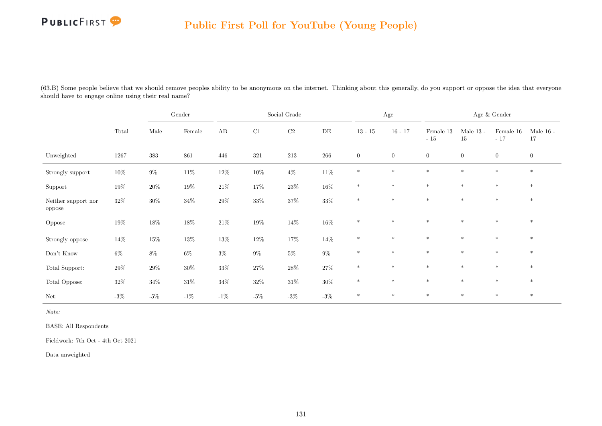# PUBLICFIRST<sup>9</sup>

#### Public First Poll for YouTube (Young People)

(63.B) Some people believe that we should remove peoples ability to be anonymous on the internet. Thinking about this generally, do you support or oppose the idea that everyone should have to engage online using their real name?

|                               |        |         | $\operatorname{Gender}$ |          |        | Social Grade |           |                | Age            |                    |                       | Age $\&$ Gender    |                   |
|-------------------------------|--------|---------|-------------------------|----------|--------|--------------|-----------|----------------|----------------|--------------------|-----------------------|--------------------|-------------------|
|                               | Total  | Male    | $\mbox{Female}$         | $\rm AB$ | C1     | $\rm C2$     | $\rm{DE}$ | $13 - 15$      | $16 - 17$      | Female 13<br>$-15$ | Male $13$ -<br>$15\,$ | Female 16<br>$-17$ | Male $16$ -<br>17 |
| Unweighted                    | 1267   | $383\,$ | 861                     | 446      | 321    | $213\,$      | $266\,$   | $\overline{0}$ | $\overline{0}$ | $\overline{0}$     | $\boldsymbol{0}$      | $\overline{0}$     | $\overline{0}$    |
| Strongly support              | $10\%$ | $9\%$   | $11\%$                  | $12\%$   | $10\%$ | $4\%$        | $11\%$    | $\ast$         | $\ast$         | $\ast$             | $\ast$                | $*$                | $\ast$            |
| Support                       | $19\%$ | $20\%$  | $19\%$                  | $21\%$   | 17%    | $23\%$       | $16\%$    | $\ast$         | $*$            | $*$                | $*$                   | $*$                | $\ast$            |
| Neither support nor<br>oppose | $32\%$ | $30\%$  | $34\%$                  | $29\%$   | $33\%$ | $37\%$       | $33\%$    | $\ast$         | $*$            | $*$                | $*$                   | $*$                | $\ast$            |
| Oppose                        | $19\%$ | $18\%$  | $18\%$                  | $21\%$   | $19\%$ | $14\%$       | $16\%$    | $*$            | $*$            | $*$                | $\ast$                | $*$                | $\ast$            |
| Strongly oppose               | 14\%   | $15\%$  | $13\%$                  | $13\%$   | $12\%$ | $17\%$       | $14\%$    | $\ast$         | $\ast$         | $*$                | $\ast$                | $\ast$             | $\ast$            |
| Don't Know                    | $6\%$  | $8\%$   | $6\%$                   | $3\%$    | $9\%$  | $5\%$        | $9\%$     | $*$            | $*$            | $*$                | $\ast$                | $\ast$             | $\ast$            |
| Total Support:                | $29\%$ | $29\%$  | $30\%$                  | $33\%$   | 27%    | $28\%$       | $27\%$    | $\ast$         | $\ast$         | $\ast$             | $\ast$                | $*$                | $\ast$            |
| Total Oppose:                 | $32\%$ | $34\%$  | $31\%$                  | $34\%$   | $32\%$ | $31\%$       | $30\%$    | $\ast$         | $\ast$         | $*$                | $*$                   | $*$                | $\ast$            |
| Net:                          | $-3\%$ | $-5\%$  | $-1\%$                  | $-1\%$   | $-5\%$ | $-3\%$       | -3%       | $\ast$         | $\ast$         | $*$                | $\ast$                | $\ast$             | $\ast$            |

Note:

BASE: All Respondents

Fieldwork: 7th Oct - 4th Oct 2021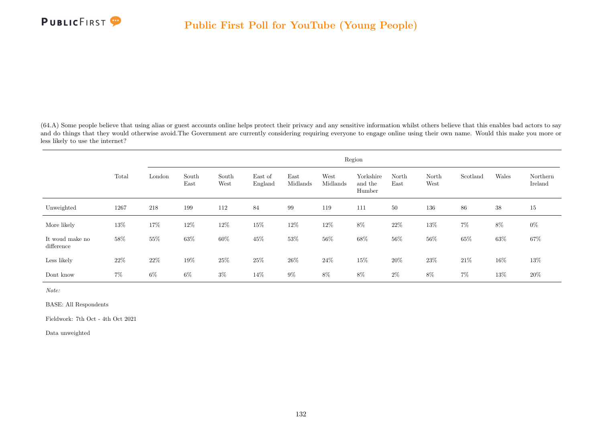(64.A) Some people believe that using alias or guest accounts online helps protect their privacy and any sensitive information whilst others believe that this enables bad actors to say and do things that they would otherwise avoid. The Government are currently considering requiring everyone to engage online using their own name. Would this make you more or less likely to use the internet?

|                               |        |         |               |               |                    |                  |                  | Region                         |               |               |          |        |                     |
|-------------------------------|--------|---------|---------------|---------------|--------------------|------------------|------------------|--------------------------------|---------------|---------------|----------|--------|---------------------|
|                               | Total  | London  | South<br>East | South<br>West | East of<br>England | East<br>Midlands | West<br>Midlands | Yorkshire<br>and the<br>Humber | North<br>East | North<br>West | Scotland | Wales  | Northern<br>Ireland |
| Unweighted                    | 1267   | $218\,$ | 199           | 112           | 84                 | 99               | 119              | 111                            | 50            | 136           | 86       | $38\,$ | 15                  |
| More likely                   | 13%    | 17%     | 12%           | $12\%$        | $15\%$             | $12\%$           | $12\%$           | $8\%$                          | $22\%$        | $13\%$        | $7\%$    | $8\%$  | $0\%$               |
| It woud make no<br>difference | 58%    | $55\%$  | $63\%$        | $60\%$        | $45\%$             | $53\%$           | $56\%$           | $68\%$                         | $56\%$        | $56\%$        | $65\%$   | $63\%$ | $67\%$              |
| Less likely                   | $22\%$ | $22\%$  | $19\%$        | $25\%$        | $25\%$             | $26\%$           | $24\%$           | $15\%$                         | $20\%$        | $23\%$        | $21\%$   | $16\%$ | $13\%$              |
| Dont know                     | $7\%$  | $6\%$   | $6\%$         | $3\%$         | $14\%$             | $9\%$            | $8\%$            | $8\%$                          | $2\%$         | $8\%$         | $7\%$    | $13\%$ | $20\%$              |

Note:

BASE: All Respondents

Fieldwork: 7th Oct - 4th Oct 2021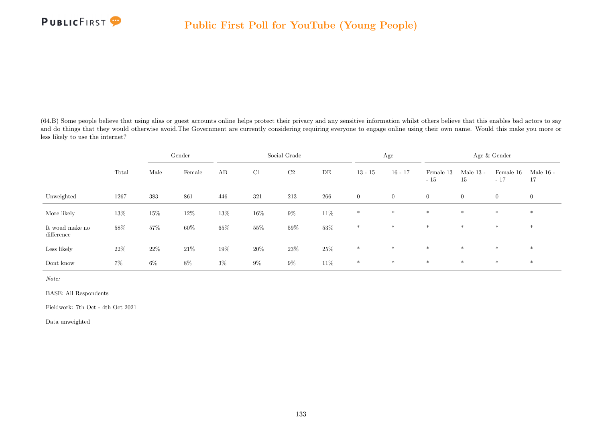(64.B) Some people believe that using alias or guest accounts online helps protect their privacy and any sensitive information whilst others believe that this enables bad actors to say and do things that they would otherwise avoid. The Government are currently considering requiring everyone to engage online using their own name. Would this make you more or less likely to use the internet?

|                               |        |        | Gender |        |        | Social Grade |        |                | Age            |                    |                   | Age & Gender       |                   |
|-------------------------------|--------|--------|--------|--------|--------|--------------|--------|----------------|----------------|--------------------|-------------------|--------------------|-------------------|
|                               | Total  | Male   | Female | AB     | C1     | C2           | DE     | $13 - 15$      | $16 - 17$      | Female 13<br>$-15$ | Male $13$ -<br>15 | Female 16<br>$-17$ | Male $16$ -<br>17 |
| Unweighted                    | 1267   | 383    | 861    | 446    | 321    | 213          | 266    | $\overline{0}$ | $\overline{0}$ | $\overline{0}$     | $\overline{0}$    | $\boldsymbol{0}$   | $\mathbf{0}$      |
| More likely                   | $13\%$ | $15\%$ | $12\%$ | $13\%$ | $16\%$ | $9\%$        | $11\%$ | $*$            | $*$            | $\ast$             | $*$               | $*$                | $*$               |
| It woud make no<br>difference | $58\%$ | $57\%$ | $60\%$ | $65\%$ | $55\%$ | $59\%$       | $53\%$ | $\ast$         | $\ast$         | $*$                | $*$               | $*$                | $*$               |
| Less likely                   | $22\%$ | $22\%$ | $21\%$ | $19\%$ | $20\%$ | $23\%$       | $25\%$ | $\ast$         | $*$            | $\ast$             | $\ast$            | $*$                | $*$               |
| Dont know                     | $7\%$  | $6\%$  | $8\%$  | $3\%$  | $9\%$  | $9\%$        | $11\%$ | $*$            | $\ast$         | $*$                | $\ast$            | $*$                | $*$               |

Note:

BASE: All Respondents

Fieldwork: 7th Oct - 4th Oct 2021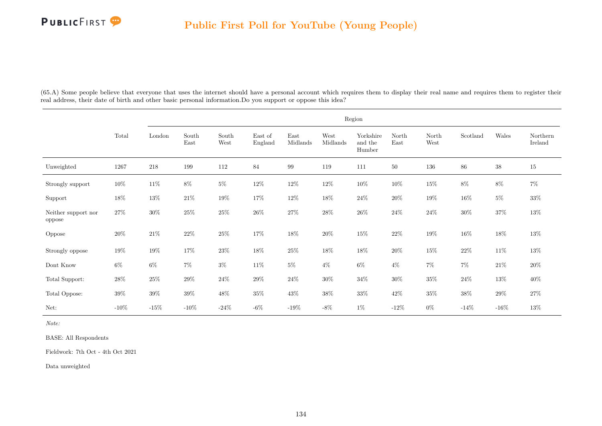

(65.A) Some people believe that everyone that uses the internet should have a personal account which requires them to display their real name and requires them to register their real address, their date of birth and other basic personal information.Do you support or oppose this idea?

|                               |         |        |               |               |                    |                  |                  | Region                         |               |               |          |        |                     |
|-------------------------------|---------|--------|---------------|---------------|--------------------|------------------|------------------|--------------------------------|---------------|---------------|----------|--------|---------------------|
|                               | Total   | London | South<br>East | South<br>West | East of<br>England | East<br>Midlands | West<br>Midlands | Yorkshire<br>and the<br>Humber | North<br>East | North<br>West | Scotland | Wales  | Northern<br>Ireland |
| Unweighted                    | 1267    | 218    | 199           | 112           | 84                 | 99               | 119              | 111                            | $50\,$        | 136           | 86       | $38\,$ | 15                  |
| Strongly support              | 10%     | $11\%$ | $8\%$         | $5\%$         | $12\%$             | $12\%$           | $12\%$           | $10\%$                         | $10\%$        | $15\%$        | $8\%$    | $8\%$  | $7\%$               |
| Support                       | $18\%$  | $13\%$ | $21\%$        | $19\%$        | $17\%$             | $12\%$           | $18\%$           | $24\%$                         | $20\%$        | $19\%$        | $16\%$   | $5\%$  | $33\%$              |
| Neither support nor<br>oppose | $27\%$  | $30\%$ | $25\%$        | $25\%$        | $26\%$             | $27\%$           | $28\%$           | $26\%$                         | $24\%$        | $24\%$        | $30\%$   | $37\%$ | $13\%$              |
| Oppose                        | $20\%$  | $21\%$ | $22\%$        | $25\%$        | $17\%$             | $18\%$           | $20\%$           | $15\%$                         | $22\%$        | $19\%$        | $16\%$   | $18\%$ | $13\%$              |
| Strongly oppose               | $19\%$  | $19\%$ | $17\%$        | $23\%$        | $18\%$             | $25\%$           | $18\%$           | $18\%$                         | $20\%$        | $15\%$        | $22\%$   | $11\%$ | $13\%$              |
| Dont Know                     | $6\%$   | $6\%$  | $7\%$         | $3\%$         | $11\%$             | $5\%$            | $4\%$            | $6\%$                          | $4\%$         | $7\%$         | $7\%$    | $21\%$ | $20\%$              |
| Total Support:                | $28\%$  | $25\%$ | $29\%$        | $24\%$        | $29\%$             | $24\%$           | $30\%$           | $34\%$                         | $30\%$        | $35\%$        | $24\%$   | $13\%$ | $40\%$              |
| Total Oppose:                 | $39\%$  | $39\%$ | $39\%$        | $48\%$        | $35\%$             | $43\%$           | $38\%$           | $33\%$                         | $42\%$        | $35\%$        | $38\%$   | $29\%$ | $27\%$              |
| Net:                          | $-10\%$ | $-15%$ | $-10\%$       | $-24%$        | $-6\%$             | $-19%$           | $-8\%$           | $1\%$                          | $-12%$        | $0\%$         | $-14%$   | $-16%$ | 13%                 |

Note:

BASE: All Respondents

Fieldwork: 7th Oct - 4th Oct 2021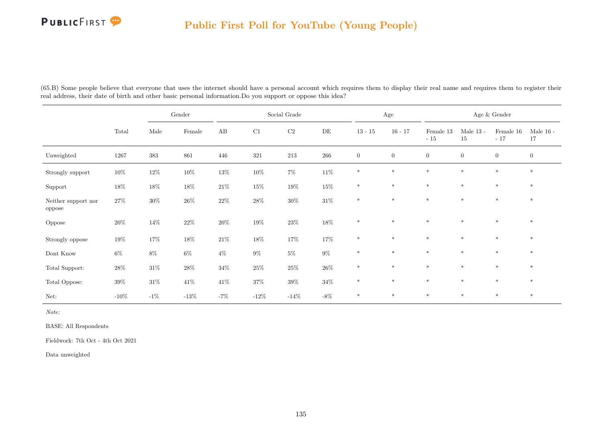# PUBLICFIRST<sup>9</sup>

|                               |         |        | $\operatorname{Gender}$ |        |          | Social Grade |           |                | Age            |                        |                   | Age & Gender       |                   |
|-------------------------------|---------|--------|-------------------------|--------|----------|--------------|-----------|----------------|----------------|------------------------|-------------------|--------------------|-------------------|
|                               | Total   | Male   | Female                  | AB     | $\rm C1$ | $\rm{C2}$    | $\rm{DE}$ | $13 - 15$      | $16 - 17$      | Female $13\,$<br>$-15$ | Male $13$ -<br>15 | Female 16<br>$-17$ | Male $16$ -<br>17 |
| Unweighted                    | 1267    | 383    | 861                     | 446    | 321      | $213\,$      | 266       | $\overline{0}$ | $\overline{0}$ | $\overline{0}$         | $\overline{0}$    | $\overline{0}$     | $\overline{0}$    |
| Strongly support              | $10\%$  | $12\%$ | $10\%$                  | $13\%$ | $10\%$   | $7\%$        | $11\%$    | $*$            | $\ast$         | $\ast$                 | $\ast$            | $*$                | $\ast$            |
| Support                       | $18\%$  | $18\%$ | $18\%$                  | $21\%$ | $15\%$   | $19\%$       | $15\%$    | $\ast$         | $\ast$         | $*$                    | $\ast$            | $\ast$             | $\ast$            |
| Neither support nor<br>oppose | $27\%$  | $30\%$ | $26\%$                  | $22\%$ | $28\%$   | $30\%$       | $31\%$    | $\ast$         | $*$            | $*$                    | $*$               | $*$                | $\ast$            |
| Oppose                        | $20\%$  | 14\%   | $22\%$                  | $20\%$ | $19\%$   | $23\%$       | $18\%$    | $*$            | $*$            | $*$                    | $\ast$            | $*$                | $\ast$            |
| Strongly oppose               | $19\%$  | $17\%$ | $18\%$                  | $21\%$ | $18\%$   | $17\%$       | $17\%$    | $\ast$         | $\ast$         | $\ast$                 | $\ast$            | $\ast$             | $*$               |
| $\mbox{Dont}$<br>Know         | $6\%$   | $8\%$  | $6\%$                   | $4\%$  | $9\%$    | $5\%$        | $9\%$     | $\ast$         | $\ast$         | $*$                    | $*$               | $*$                | $*$               |
| Total Support:                | $28\%$  | $31\%$ | $28\%$                  | $34\%$ | $25\%$   | $25\%$       | $26\%$    | $\ast$         | $\ast$         | $\ast$                 | $\ast$            | $\ast$             | $\ast$            |
| Total Oppose:                 | $39\%$  | $31\%$ | $41\%$                  | $41\%$ | $37\%$   | $39\%$       | $34\%$    | $\ast$         | $\ast$         | $\ast$                 | $*$               | $\ast$             | $\ast$            |
| Net:                          | $-10\%$ | $-1\%$ | $-13\%$                 | $-7%$  | $-12%$   | $-14\%$      | $-8\%$    | $\ast$         | $\ast$         | $\ast$                 | $\ast$            | $\ast$             | $\ast$            |

(65.B) Some people believe that everyone that uses the internet should have a personal account which requires them to display their real name and requires them to register their real address, their date of birth and other basic personal information.Do you support or oppose this idea?

Note:

BASE: All Respondents

Fieldwork: 7th Oct - 4th Oct 2021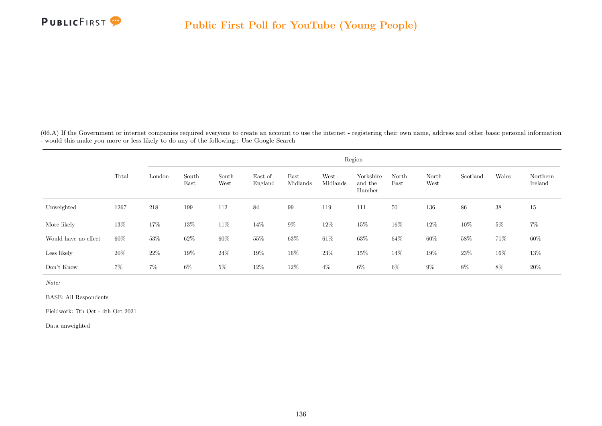

(66.A) If the Government or internet companies required everyone to create an account to use the internet - registering their own name, address and other basic personal information - would this make you more or less likely to do any of the following:: Use Google Search

|                      |        |        |               |               |                    |                  |                  | Region                         |               |               |          |       |                     |
|----------------------|--------|--------|---------------|---------------|--------------------|------------------|------------------|--------------------------------|---------------|---------------|----------|-------|---------------------|
|                      | Total  | London | South<br>East | South<br>West | East of<br>England | East<br>Midlands | West<br>Midlands | Yorkshire<br>and the<br>Humber | North<br>East | North<br>West | Scotland | Wales | Northern<br>Ireland |
| Unweighted           | 1267   | 218    | 199           | 112           | 84                 | 99               | 119              | 111                            | 50            | 136           | 86       | 38    | 15                  |
| More likely          | 13%    | $17\%$ | 13%           | $11\%$        | 14%                | $9\%$            | 12%              | $15\%$                         | 16%           | 12\%          | 10%      | $5\%$ | $7\%$               |
| Would have no effect | $60\%$ | $53\%$ | $62\%$        | 60%           | $55\%$             | $63\%$           | $61\%$           | $63\%$                         | 64%           | 60%           | 58\%     | 71%   | $60\%$              |
| Less likely          | $20\%$ | $22\%$ | $19\%$        | 24\%          | $19\%$             | 16%              | $23\%$           | 15%                            | 14%           | 19%           | $23\%$   | 16\%  | 13%                 |
| Don't Know           | $7\%$  | $7\%$  | $6\%$         | $5\%$         | 12%                | 12\%             | $4\%$            | $6\%$                          | 6%            | $9\%$         | 8%       | 8%    | 20%                 |

Note:

BASE: All Respondents

Fieldwork: 7th Oct - 4th Oct 2021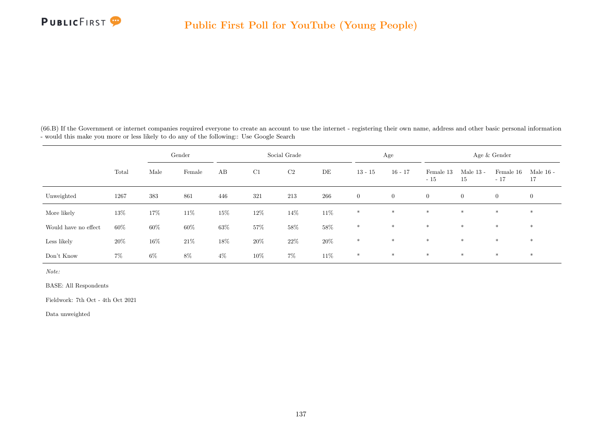

(66.B) If the Government or internet companies required everyone to create an account to use the internet - registering their own name, address and other basic personal information - would this make you more or less likely to do any of the following:: Use Google Search

|                      |       |       | Gender |        |        | Social Grade |        |                | Age            |                    |                   | Age & Gender       |                   |
|----------------------|-------|-------|--------|--------|--------|--------------|--------|----------------|----------------|--------------------|-------------------|--------------------|-------------------|
|                      | Total | Male  | Female | AB     | C1     | C2           | DE     | $13 - 15$      | $16 - 17$      | Female 13<br>$-15$ | Male $13$ -<br>15 | Female 16<br>$-17$ | Male $16$ -<br>17 |
| Unweighted           | 1267  | 383   | 861    | 446    | 321    | 213          | 266    | $\overline{0}$ | $\overline{0}$ | $\overline{0}$     | $\overline{0}$    | $\overline{0}$     | $\overline{0}$    |
| More likely          | 13%   | 17%   | $11\%$ | $15\%$ | $12\%$ | $14\%$       | $11\%$ | $\ast$         | $*$            | $*$                | $*$               | $*$                | $\ast$            |
| Would have no effect | 60%   | 60%   | 60%    | $63\%$ | 57%    | $58\%$       | $58\%$ | $\ast$         | $*$            | $*$                | $*$               | $*$                | $*$               |
| Less likely          | 20%   | 16%   | $21\%$ | $18\%$ | $20\%$ | $22\%$       | $20\%$ | $*$            | $*$            | $*$                | $*$               | $*$                | $*$               |
| Don't Know           | $7\%$ | $6\%$ | $8\%$  | $4\%$  | $10\%$ | $7\%$        | $11\%$ | $\ast$         | $\ast$         | $*$                | $*$               | $\ast$             | $\ast$            |

Note:

BASE: All Respondents

Fieldwork: 7th Oct - 4th Oct 2021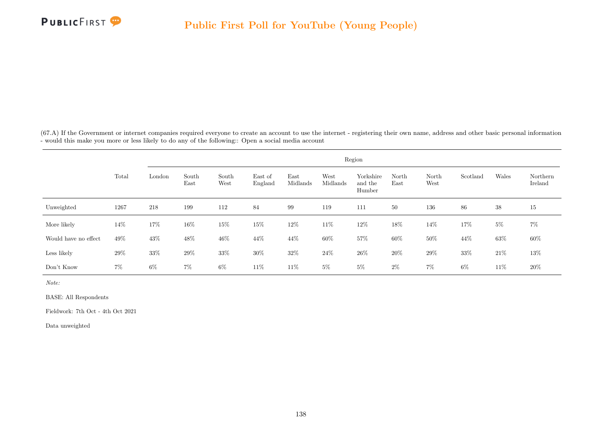

(67.A) If the Government or internet companies required everyone to create an account to use the internet - registering their own name, address and other basic personal information - would this make you more or less likely to do any of the following:: Open a social media account

|                      |       |        |               |               |                    |                  |                  | Region                         |               |               |          |        |                     |
|----------------------|-------|--------|---------------|---------------|--------------------|------------------|------------------|--------------------------------|---------------|---------------|----------|--------|---------------------|
|                      | Total | London | South<br>East | South<br>West | East of<br>England | East<br>Midlands | West<br>Midlands | Yorkshire<br>and the<br>Humber | North<br>East | North<br>West | Scotland | Wales  | Northern<br>Ireland |
| Unweighted           | 1267  | 218    | 199           | 112           | 84                 | 99               | 119              | 111                            | 50            | 136           | 86       | 38     | 15                  |
| More likely          | 14%   | $17\%$ | 16\%          | $15\%$        | 15%                | $12\%$           | 11\%             | $12\%$                         | 18%           | $14\%$        | 17%      | $5\%$  | $7\%$               |
| Would have no effect | 49%   | 43\%   | 48\%          | 46\%          | 44\%               | 44%              | $60\%$           | 57%                            | 60%           | 50%           | 44\%     | $63\%$ | $60\%$              |
| Less likely          | 29%   | 33%    | 29%           | 33%           | 30%                | 32\%             | 24\%             | $26\%$                         | 20%           | 29%           | $33\%$   | $21\%$ | 13%                 |
| Don't Know           | $7\%$ | $6\%$  | $7\%$         | $6\%$         | 11\%               | 11\%             | $5\%$            | $5\%$                          | $2\%$         | $7\%$         | $6\%$    | 11\%   | $20\%$              |

Note:

BASE: All Respondents

Fieldwork: 7th Oct - 4th Oct 2021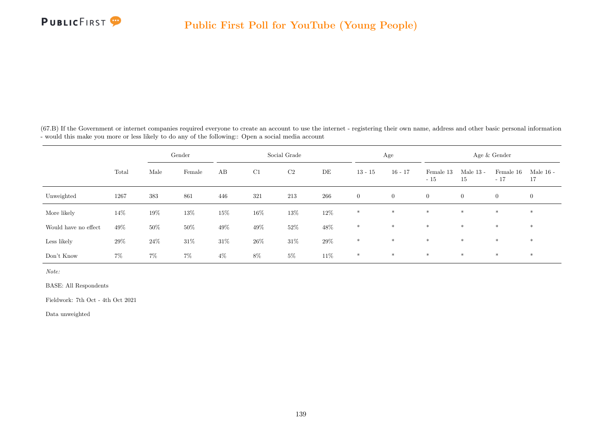(67.B) If the Government or internet companies required everyone to create an account to use the internet - registering their own name, address and other basic personal information - would this make you more or less likely to do any of the following:: Open a social media account

|                      |        |        | Gender |        |        | Social Grade   |        |                | Age            |                    |                   | Age & Gender       |                   |
|----------------------|--------|--------|--------|--------|--------|----------------|--------|----------------|----------------|--------------------|-------------------|--------------------|-------------------|
|                      | Total  | Male   | Female | AB     | C1     | C <sub>2</sub> | DE     | $13 - 15$      | $16 - 17$      | Female 13<br>$-15$ | Male $13$ -<br>15 | Female 16<br>$-17$ | Male $16$ -<br>17 |
| Unweighted           | 1267   | 383    | 861    | 446    | 321    | 213            | 266    | $\overline{0}$ | $\overline{0}$ | $\overline{0}$     | $\boldsymbol{0}$  | $\overline{0}$     | $\overline{0}$    |
| More likely          | 14%    | 19%    | 13%    | 15%    | 16%    | $13\%$         | $12\%$ | $*$            | $*$            | $*$                | $\ast$            | $\ast$             | $*$               |
| Would have no effect | 49%    | 50%    | $50\%$ | $49\%$ | $49\%$ | $52\%$         | $48\%$ | $*$            | $*$            | $*$                | $\ast$            | $*$                | $\ast$            |
| Less likely          | $29\%$ | $24\%$ | $31\%$ | $31\%$ | $26\%$ | $31\%$         | $29\%$ | $\ast$         | $*$            | $*$                | $\ast$            | $\ast$             | $*$               |
| Don't Know           | $7\%$  | $7\%$  | $7\%$  | $4\%$  | $8\%$  | $5\%$          | $11\%$ | $*$            | $*$            | $*$                | $*$               | $*$                | $\ast$            |

Note:

BASE: All Respondents

Fieldwork: 7th Oct - 4th Oct 2021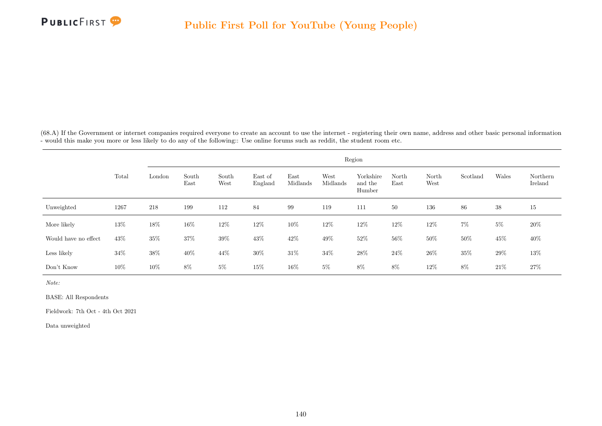

(68.A) If the Government or internet companies required everyone to create an account to use the internet - registering their own name, address and other basic personal information - would this make you more or less likely to do any of the following:: Use online forums such as reddit, the student room etc.

|                      |        |        |               |               |                    |                  |                  | Region                         |               |               |          |        |                     |
|----------------------|--------|--------|---------------|---------------|--------------------|------------------|------------------|--------------------------------|---------------|---------------|----------|--------|---------------------|
|                      | Total  | London | South<br>East | South<br>West | East of<br>England | East<br>Midlands | West<br>Midlands | Yorkshire<br>and the<br>Humber | North<br>East | North<br>West | Scotland | Wales  | Northern<br>Ireland |
| Unweighted           | 1267   | 218    | 199           | 112           | 84                 | 99               | 119              | 111                            | 50            | 136           | 86       | 38     | 15                  |
| More likely          | 13%    | $18\%$ | 16\%          | 12\%          | 12\%               | $10\%$           | 12%              | $12\%$                         | 12%           | $12\%$        | $7\%$    | $5\%$  | 20%                 |
| Would have no effect | $43\%$ | $35\%$ | 37%           | $39\%$        | $43\%$             | $42\%$           | $49\%$           | $52\%$                         | $56\%$        | $50\%$        | $50\%$   | $45\%$ | 40\%                |
| Less likely          | $34\%$ | 38%    | 40\%          | 44%           | $30\%$             | $31\%$           | $34\%$           | 28\%                           | $24\%$        | 26\%          | $35\%$   | $29\%$ | 13%                 |
| Don't Know           | 10%    | 10%    | 8%            | $5\%$         | 15%                | 16%              | $5\%$            | 8%                             | 8%            | 12%           | 8%       | 21\%   | 27%                 |

Note:

BASE: All Respondents

Fieldwork: 7th Oct - 4th Oct 2021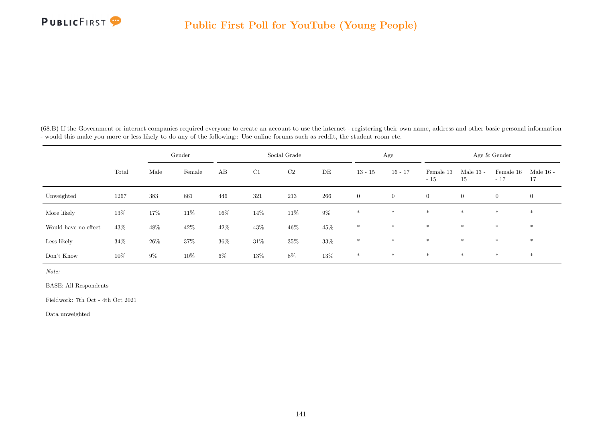

(68.B) If the Government or internet companies required everyone to create an account to use the internet - registering their own name, address and other basic personal information - would this make you more or less likely to do any of the following:: Use online forums such as reddit, the student room etc.

|                      |        |        | Gender |        |        | Social Grade   |         |                | Age          |                    |                   | Age & Gender       |                   |
|----------------------|--------|--------|--------|--------|--------|----------------|---------|----------------|--------------|--------------------|-------------------|--------------------|-------------------|
|                      | Total  | Male   | Female | AB     | C1     | C <sub>2</sub> | DE      | $13 - 15$      | $16 - 17$    | Female 13<br>$-15$ | Male $13$ -<br>15 | Female 16<br>$-17$ | Male $16$ -<br>17 |
| Unweighted           | 1267   | 383    | 861    | 446    | 321    | 213            | $266\,$ | $\overline{0}$ | $\mathbf{0}$ | $\overline{0}$     | $\boldsymbol{0}$  | $\overline{0}$     | $\overline{0}$    |
| More likely          | 13%    | 17%    | $11\%$ | $16\%$ | $14\%$ | $11\%$         | $9\%$   | $*$            | $*$          | $\ast$             | $\ast$            | $\ast$             | $*$               |
| Would have no effect | 43%    | 48\%   | 42\%   | $42\%$ | 43%    | $46\%$         | $45\%$  | $\ast$         | $*$          | $\ast$             | $\ast$            | $\ast$             | $\ast$            |
| Less likely          | $34\%$ | $26\%$ | 37%    | $36\%$ | $31\%$ | $35\%$         | $33\%$  | $*$            | $*$          | $\ast$             | $\ast$            | $\ast$             | $*$               |
| Don't Know           | 10%    | $9\%$  | 10%    | $6\%$  | 13%    | $8\%$          | $13\%$  | $\ast$         | $*$          | $*$                | $*$               | $\ast$             | $\ast$            |

Note:

BASE: All Respondents

Fieldwork: 7th Oct - 4th Oct 2021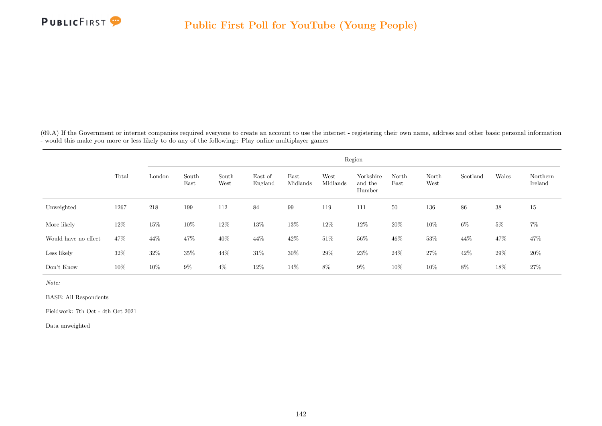

(69.A) If the Government or internet companies required everyone to create an account to use the internet - registering their own name, address and other basic personal information - would this make you more or less likely to do any of the following:: Play online multiplayer games

|                      |        | Region |               |               |                    |                  |                  |                                |               |               |          |       |                     |
|----------------------|--------|--------|---------------|---------------|--------------------|------------------|------------------|--------------------------------|---------------|---------------|----------|-------|---------------------|
|                      | Total  | London | South<br>East | South<br>West | East of<br>England | East<br>Midlands | West<br>Midlands | Yorkshire<br>and the<br>Humber | North<br>East | North<br>West | Scotland | Wales | Northern<br>Ireland |
| Unweighted           | 1267   | 218    | 199           | 112           | 84                 | 99               | 119              | 111                            | 50            | 136           | 86       | 38    | 15                  |
| More likely          | 12\%   | 15%    | 10%           | 12\%          | 13%                | $13\%$           | 12\%             | 12\%                           | 20%           | 10%           | 6%       | $5\%$ | $7\%$               |
| Would have no effect | 47%    | 44%    | 47%           | $40\%$        | 44%                | $42\%$           | $51\%$           | $56\%$                         | 46%           | 53%           | 44%      | 47%   | 47%                 |
| Less likely          | $32\%$ | 32\%   | 35%           | 44\%          | $31\%$             | 30%              | 29%              | $23\%$                         | 24\%          | 27%           | 42%      | 29%   | 20%                 |
| Don't Know           | 10%    | $10\%$ | $9\%$         | $4\%$         | 12%                | 14\%             | $8\%$            | $9\%$                          | 10%           | 10%           | 8%       | 18%   | $27\%$              |

Note:

BASE: All Respondents

Fieldwork: 7th Oct - 4th Oct 2021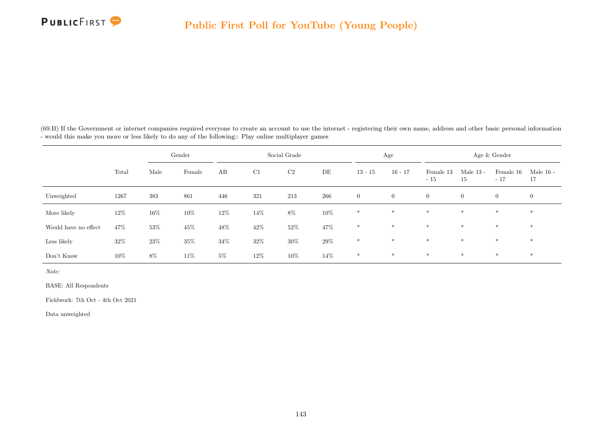(69.B) If the Government or internet companies required everyone to create an account to use the internet - registering their own name, address and other basic personal information - would this make you more or less likely to do any of the following:: Play online multiplayer games

|                      |        |        | Gender |        | Social Grade |                |        |                | Age            |                    | Age & Gender      |                    |                   |  |
|----------------------|--------|--------|--------|--------|--------------|----------------|--------|----------------|----------------|--------------------|-------------------|--------------------|-------------------|--|
|                      | Total  | Male   | Female | AB     | C1           | C <sub>2</sub> | DE     | $13 - 15$      | $16 - 17$      | Female 13<br>$-15$ | Male $13$ -<br>15 | Female 16<br>$-17$ | Male $16$ -<br>17 |  |
| Unweighted           | 1267   | 383    | 861    | 446    | 321          | 213            | 266    | $\overline{0}$ | $\overline{0}$ | $\overline{0}$     | $\boldsymbol{0}$  | $\overline{0}$     | $\overline{0}$    |  |
| More likely          | 12\%   | 16%    | 10%    | $12\%$ | 14%          | $8\%$          | $10\%$ | $\ast$         | $\ast$         | $*$                | $*$               | $*$                | $\ast$            |  |
| Would have no effect | 47%    | $53\%$ | $45\%$ | $48\%$ | $42\%$       | $52\%$         | 47%    | $\ast$         | $\ast$         | $\ast$             | $\ast$            | $\ast$             | $\ast$            |  |
| Less likely          | 32\%   | $23\%$ | $35\%$ | $34\%$ | 32\%         | $30\%$         | $29\%$ | $\ast$         | $*$            | $*$                | $*$               | $*$                | $*$               |  |
| Don't Know           | $10\%$ | $8\%$  | 11\%   | $5\%$  | 12\%         | $10\%$         | 14%    | $*$            | $\ast$         | $\ast$             | $*$               | $*$                | $\ast$            |  |

Note:

BASE: All Respondents

Fieldwork: 7th Oct - 4th Oct 2021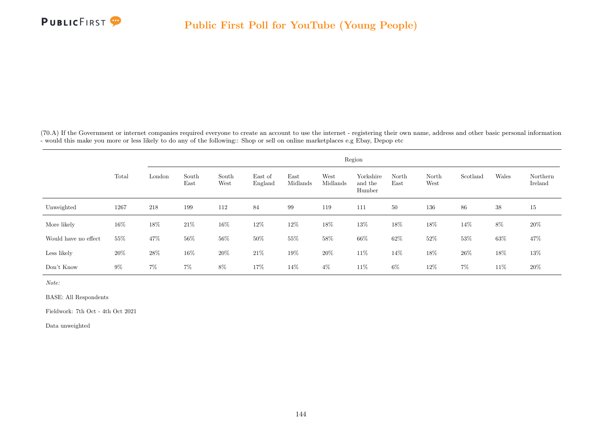

(70.A) If the Government or internet companies required everyone to create an account to use the internet - registering their own name, address and other basic personal information - would this make you more or less likely to do any of the following:: Shop or sell on online marketplaces e.g Ebay, Depop etc

|                      |        |        |               |               |                    |                  |                  | Region                         |               |               |          |        |                     |
|----------------------|--------|--------|---------------|---------------|--------------------|------------------|------------------|--------------------------------|---------------|---------------|----------|--------|---------------------|
|                      | Total  | London | South<br>East | South<br>West | East of<br>England | East<br>Midlands | West<br>Midlands | Yorkshire<br>and the<br>Humber | North<br>East | North<br>West | Scotland | Wales  | Northern<br>Ireland |
| Unweighted           | 1267   | 218    | 199           | 112           | 84                 | 99               | 119              | 111                            | 50            | 136           | 86       | 38     | 15                  |
| More likely          | $16\%$ | $18\%$ | 21\%          | $16\%$        | 12\%               | $12\%$           | 18%              | $13\%$                         | 18%           | $18\%$        | 14%      | $8\%$  | 20%                 |
| Would have no effect | 55%    | 47\%   | 56\%          | 56\%          | $50\%$             | $55\%$           | $58\%$           | $66\%$                         | $62\%$        | $52\%$        | $53\%$   | $63\%$ | 47%                 |
| Less likely          | 20%    | 28\%   | 16%           | 20%           | $21\%$             | $19\%$           | 20%              | $11\%$                         | 14%           | 18%           | 26\%     | $18\%$ | 13%                 |
| Don't Know           | $9\%$  | $7\%$  | $7\%$         | 8%            | 17%                | 14%              | $4\%$            | 11\%                           | 6%            | 12\%          | $7\%$    | 11\%   | $20\%$              |

Note:

BASE: All Respondents

Fieldwork: 7th Oct - 4th Oct 2021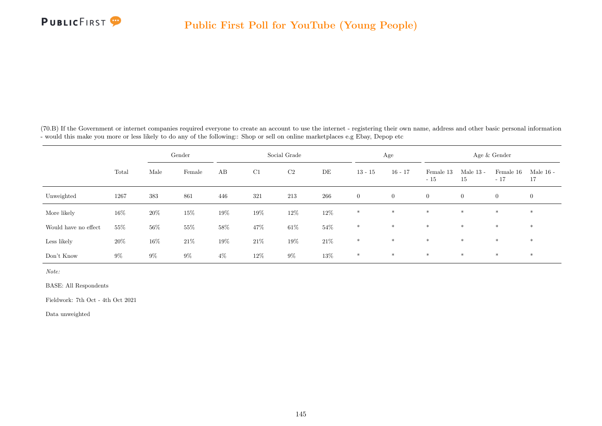

(70.B) If the Government or internet companies required everyone to create an account to use the internet - registering their own name, address and other basic personal information - would this make you more or less likely to do any of the following:: Shop or sell on online marketplaces e.g Ebay, Depop etc

|                      |        |        | Gender |        |        | Social Grade   |         |                | Age          |                    |                   | Age & Gender       |                   |
|----------------------|--------|--------|--------|--------|--------|----------------|---------|----------------|--------------|--------------------|-------------------|--------------------|-------------------|
|                      | Total  | Male   | Female | AB     | C1     | C <sub>2</sub> | DE      | $13 - 15$      | $16 - 17$    | Female 13<br>$-15$ | Male $13$ -<br>15 | Female 16<br>$-17$ | Male $16$ -<br>17 |
| Unweighted           | 1267   | 383    | 861    | 446    | 321    | 213            | $266\,$ | $\overline{0}$ | $\mathbf{0}$ | $\overline{0}$     | $\boldsymbol{0}$  | $\overline{0}$     | $\overline{0}$    |
| More likely          | $16\%$ | $20\%$ | $15\%$ | $19\%$ | $19\%$ | $12\%$         | $12\%$  | $*$            | $*$          | $\ast$             | $\ast$            | $\ast$             | $*$               |
| Would have no effect | 55%    | 56%    | 55%    | $58\%$ | 47%    | $61\%$         | $54\%$  | $\ast$         | $*$          | $*$                | $\ast$            | $\ast$             | $\ast$            |
| Less likely          | 20%    | 16\%   | $21\%$ | $19\%$ | $21\%$ | $19\%$         | $21\%$  | $*$            | $*$          | $\ast$             | $\ast$            | $\ast$             | $\ast$            |
| Don't Know           | $9\%$  | $9\%$  | $9\%$  | $4\%$  | $12\%$ | $9\%$          | $13\%$  | $\ast$         | $*$          | $*$                | $*$               | $\ast$             | $\ast$            |

Note:

BASE: All Respondents

Fieldwork: 7th Oct - 4th Oct 2021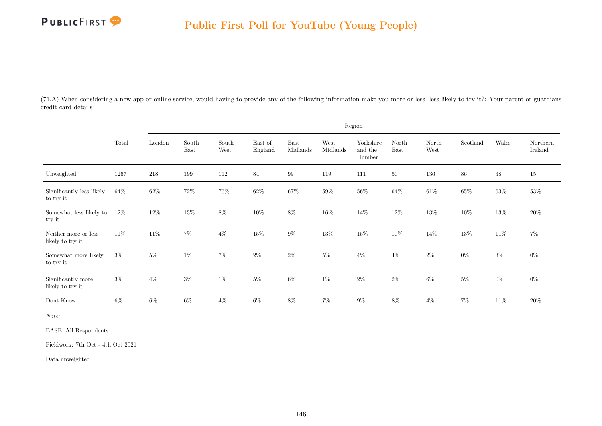

(71.A) When considering a new app or online service, would having to provide any of the following information make you more or less less likely to try it?: Your parent or guardians credit card details

|                                          |        |        |               |               |                    |                  |                  | Region                         |               |               |          |        |                     |
|------------------------------------------|--------|--------|---------------|---------------|--------------------|------------------|------------------|--------------------------------|---------------|---------------|----------|--------|---------------------|
|                                          | Total  | London | South<br>East | South<br>West | East of<br>England | East<br>Midlands | West<br>Midlands | Yorkshire<br>and the<br>Humber | North<br>East | North<br>West | Scotland | Wales  | Northern<br>Ireland |
| Unweighted                               | 1267   | 218    | 199           | 112           | 84                 | $\,99$           | 119              | 111                            | $50\,$        | $136\,$       | $86\,$   | $38\,$ | $15\,$              |
| Significantly less likely<br>to try it   | 64\%   | $62\%$ | $72\%$        | $76\%$        | $62\%$             | 67%              | 59%              | $56\%$                         | 64%           | $61\%$        | $65\%$   | $63\%$ | $53\%$              |
| Somewhat less likely to<br>try it        | $12\%$ | $12\%$ | 13%           | $8\%$         | $10\%$             | $8\%$            | $16\%$           | $14\%$                         | $12\%$        | $13\%$        | $10\%$   | $13\%$ | $20\%$              |
| Neither more or less<br>likely to try it | 11\%   | $11\%$ | $7\%$         | $4\%$         | $15\%$             | $9\%$            | $13\%$           | $15\%$                         | $10\%$        | $14\%$        | $13\%$   | $11\%$ | $7\%$               |
| Somewhat more likely<br>to try it        | $3\%$  | $5\%$  | $1\%$         | $7\%$         | $2\%$              | $2\%$            | $5\%$            | $4\%$                          | $4\%$         | $2\%$         | $0\%$    | $3\%$  | $0\%$               |
| Significantly more<br>likely to try it   | $3\%$  | $4\%$  | $3\%$         | $1\%$         | $5\%$              | $6\%$            | $1\%$            | $2\%$                          | $2\%$         | $6\%$         | $5\%$    | $0\%$  | $0\%$               |
| Dont Know                                | 6%     | $6\%$  | $6\%$         | $4\%$         | $6\%$              | $8\%$            | $7\%$            | $9\%$                          | $8\%$         | $4\%$         | $7\%$    | $11\%$ | $20\%$              |

Note:

BASE: All Respondents

Fieldwork: 7th Oct - 4th Oct 2021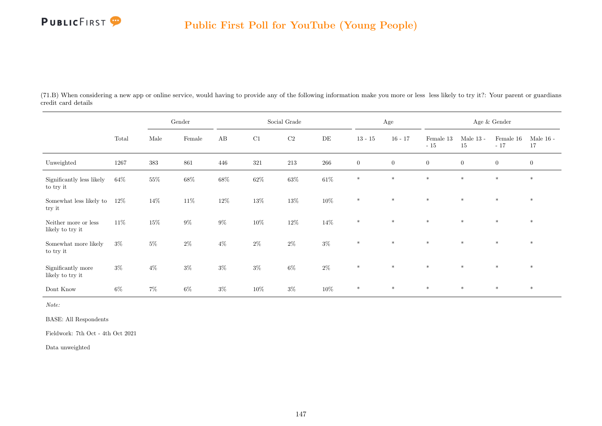

(71.B) When considering a new app or online service, would having to provide any of the following information make you more or less less likely to try it?: Your parent or guardians credit card details

|                                          |        |        | Gender |        |         | Social Grade |           |                | Age            |                    |                   | Age $\&$ Gender    |                   |
|------------------------------------------|--------|--------|--------|--------|---------|--------------|-----------|----------------|----------------|--------------------|-------------------|--------------------|-------------------|
|                                          | Total  | Male   | Female | AB     | C1      | C2           | $\rm{DE}$ | $13 - 15$      | $16 - 17$      | Female 13<br>$-15$ | Male $13$ -<br>15 | Female 16<br>$-17$ | Male $16$ -<br>17 |
| Unweighted                               | 1267   | 383    | 861    | 446    | $321\,$ | 213          | $266\,$   | $\overline{0}$ | $\overline{0}$ | $\overline{0}$     | $\boldsymbol{0}$  | $\overline{0}$     | $\overline{0}$    |
| Significantly less likely<br>to try it   | $64\%$ | $55\%$ | $68\%$ | $68\%$ | $62\%$  | $63\%$       | $61\%$    | $\ast$         | $\ast$         | $\ast$             | $\ast$            | $*$                | $\ast$            |
| Somewhat less likely to<br>try it        | $12\%$ | $14\%$ | $11\%$ | $12\%$ | $13\%$  | $13\%$       | $10\%$    | $\ast$         | $\ast$         | $\ast$             | $\ast$            | $\ast$             | $\ast$            |
| Neither more or less<br>likely to try it | 11%    | $15\%$ | $9\%$  | $9\%$  | $10\%$  | $12\%$       | $14\%$    | $*$            | $*$            | $\ast$             | $*$               | $\ast$             | $\ast$            |
| Somewhat more likely<br>to try it        | $3\%$  | $5\%$  | $2\%$  | $4\%$  | $2\%$   | $2\%$        | $3\%$     | $\ast$         | $\ast$         | $\ast$             | $\star$           | $*$                | $\ast$            |
| Significantly more<br>likely to try it   | $3\%$  | $4\%$  | $3\%$  | $3\%$  | $3\%$   | $6\%$        | $2\%$     | $\ast$         | $\ast$         | $\ast$             | $\ast$            | $\ast$             | $\ast$            |
| Dont Know                                | $6\%$  | $7\%$  | $6\%$  | $3\%$  | $10\%$  | $3\%$        | $10\%$    | $\ast$         | $\ast$         | $*$                | $\ast$            | $\ast$             | $\ast$            |

Note:

BASE: All Respondents

Fieldwork: 7th Oct - 4th Oct 2021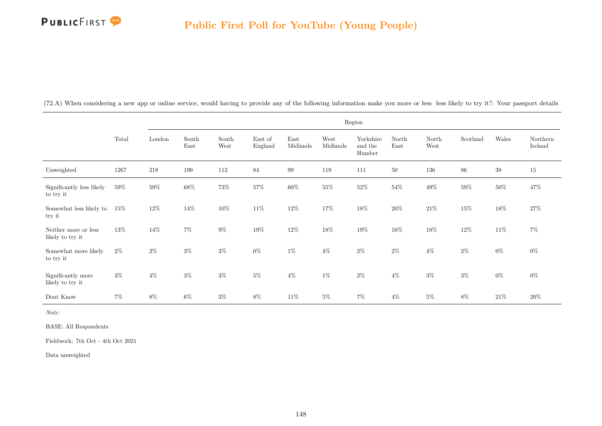

|  | (72.A) When considering a new app or online service, would having to provide any of the following information make you more or less less likely to try it?: Your passport details |  |  |  |  |
|--|-----------------------------------------------------------------------------------------------------------------------------------------------------------------------------------|--|--|--|--|
|  |                                                                                                                                                                                   |  |  |  |  |

|                                          |        |         |               |               |                    |                  |                  | Region                         |               |               |          |        |                     |
|------------------------------------------|--------|---------|---------------|---------------|--------------------|------------------|------------------|--------------------------------|---------------|---------------|----------|--------|---------------------|
|                                          | Total  | London  | South<br>East | South<br>West | East of<br>England | East<br>Midlands | West<br>Midlands | Yorkshire<br>and the<br>Humber | North<br>East | North<br>West | Scotland | Wales  | Northern<br>Ireland |
| Unweighted                               | 1267   | $218\,$ | 199           | 112           | 84                 | $\,99$           | 119              | 111                            | 50            | 136           | $86\,$   | $38\,$ | 15                  |
| Significantly less likely<br>to try it   | $59\%$ | $59\%$  | $68\%$        | $73\%$        | $57\%$             | $60\%$           | $55\%$           | $52\%$                         | $54\%$        | $49\%$        | 59%      | $50\%$ | 47%                 |
| Somewhat less likely to<br>try it        | 15%    | $12\%$  | 14%           | $10\%$        | $11\%$             | $12\%$           | $17\%$           | $18\%$                         | $20\%$        | $21\%$        | 15%      | $18\%$ | 27\%                |
| Neither more or less<br>likely to try it | 13%    | 14\%    | $7\%$         | $9\%$         | $19\%$             | $12\%$           | $18\%$           | $19\%$                         | 16%           | $18\%$        | $12\%$   | $11\%$ | $7\%$               |
| Somewhat more likely<br>to try it        | $2\%$  | $2\%$   | $3\%$         | $3\%$         | $0\%$              | $1\%$            | $4\%$            | $2\%$                          | $2\%$         | $4\%$         | $2\%$    | $0\%$  | $0\%$               |
| Significantly more<br>likely to try it   | $3\%$  | $4\%$   | $3\%$         | $3\%$         | $5\%$              | $4\%$            | $1\%$            | $2\%$                          | $4\%$         | $3\%$         | $3\%$    | $0\%$  | $0\%$               |
| Dont Know                                | $7\%$  | $8\%$   | $6\%$         | $3\%$         | $8\%$              | $11\%$           | $5\%$            | $7\%$                          | $4\%$         | $5\%$         | 8%       | $21\%$ | 20%                 |

Note:

BASE: All Respondents

Fieldwork: 7th Oct - 4th Oct 2021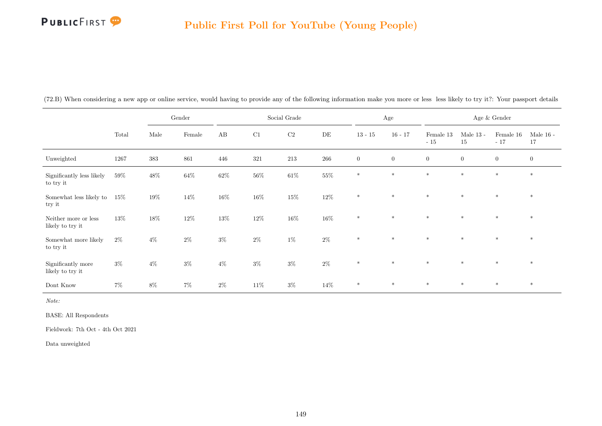# **PUBLICFIRST**

#### Public First Poll for YouTube (Young People)

|                                          |        |        | Gender |        |        | Social Grade |           |                | Age              |                        |                   | Age $\&$ Gender    |                   |
|------------------------------------------|--------|--------|--------|--------|--------|--------------|-----------|----------------|------------------|------------------------|-------------------|--------------------|-------------------|
|                                          | Total  | Male   | Female | AB     | C1     | $\rm{C2}$    | $\rm{DE}$ | $13 - 15$      | $16 - 17$        | Female $13\,$<br>$-15$ | Male $13$ -<br>15 | Female 16<br>$-17$ | Male $16$ -<br>17 |
| Unweighted                               | 1267   | 383    | 861    | 446    | 321    | $213\,$      | $266\,$   | $\overline{0}$ | $\boldsymbol{0}$ | $\boldsymbol{0}$       | $\overline{0}$    | $\overline{0}$     | $\mathbf{0}$      |
| Significantly less likely<br>to try it   | $59\%$ | $48\%$ | $64\%$ | $62\%$ | $56\%$ | $61\%$       | $55\%$    | $*$            | $*$              | $*$                    | $\ast$            | $\ast$             | $\ast$            |
| Somewhat less likely to<br>try it        | $15\%$ | $19\%$ | $14\%$ | $16\%$ | $16\%$ | $15\%$       | $12\%$    | $\ast$         | $\ast$           | $\ast$                 | $\ast$            | $\ast$             | $\ast$            |
| Neither more or less<br>likely to try it | 13%    | $18\%$ | $12\%$ | $13\%$ | $12\%$ | $16\%$       | $16\%$    | $\ast$         | $*$              | $*$                    | $*$               | $*$                | $*$               |
| Somewhat more likely<br>to try it        | $2\%$  | $4\%$  | $2\%$  | $3\%$  | $2\%$  | $1\%$        | $2\%$     | $*$            | $\ast$           | $*$                    | $\ast$            | $\ast$             | $\ast$            |
| Significantly more<br>likely to try it   | $3\%$  | $4\%$  | $3\%$  | $4\%$  | $3\%$  | $3\%$        | $2\%$     | $*$            | $*$              | $*$                    | $*$               | $*$                | $*$               |
| Dont Know                                | $7\%$  | $8\%$  | $7\%$  | $2\%$  | 11\%   | $3\%$        | 14%       | $\ast$         | $*$              | $*$                    | $\ast$            | $\ast$             | $\ast$            |

(72.B) When considering a new app or online service, would having to provide any of the following information make you more or less less likely to try it?: Your passport details

Note:

BASE: All Respondents

Fieldwork: 7th Oct - 4th Oct 2021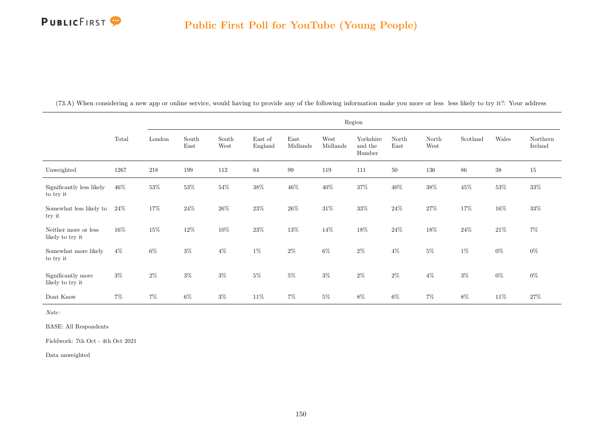

| $\sqrt{2}$<br>$\left( \cdot \right)$ . $\Delta$ | When<br>considering | v app or online service.<br>a new | , would having to provide any of the : | following | r information make vou more or less | to try it?<br>less<br>., likely † | Your<br>addres |
|-------------------------------------------------|---------------------|-----------------------------------|----------------------------------------|-----------|-------------------------------------|-----------------------------------|----------------|
|                                                 |                     |                                   |                                        |           |                                     |                                   |                |

|                                          |        |         |               |                                |                    |                  |                  | Region                         |               |               |          |        |                     |
|------------------------------------------|--------|---------|---------------|--------------------------------|--------------------|------------------|------------------|--------------------------------|---------------|---------------|----------|--------|---------------------|
|                                          | Total  | London  | South<br>East | South<br>$\operatorname{West}$ | East of<br>England | East<br>Midlands | West<br>Midlands | Yorkshire<br>and the<br>Humber | North<br>East | North<br>West | Scotland | Wales  | Northern<br>Ireland |
| Unweighted                               | 1267   | $218\,$ | 199           | 112                            | 84                 | $\,99$           | 119              | 111                            | 50            | $136\,$       | $86\,$   | $38\,$ | 15                  |
| Significantly less likely<br>to try it   | $46\%$ | $53\%$  | $53\%$        | $54\%$                         | $38\%$             | $46\%$           | $40\%$           | $37\%$                         | $40\%$        | $38\%$        | $45\%$   | $53\%$ | $33\%$              |
| Somewhat less likely to<br>try it        | $24\%$ | 17%     | 24\%          | $26\%$                         | 23%                | $26\%$           | $31\%$           | $33\%$                         | 24%           | $27\%$        | 17%      | $16\%$ | 33%                 |
| Neither more or less<br>likely to try it | $16\%$ | $15\%$  | 12%           | $10\%$                         | 23%                | $13\%$           | $14\%$           | $18\%$                         | 24%           | $18\%$        | $24\%$   | $21\%$ | $7\%$               |
| Somewhat more likely<br>to try it        | $4\%$  | $6\%$   | $3\%$         | $4\%$                          | $1\%$              | $2\%$            | $6\%$            | $2\%$                          | $4\%$         | $5\%$         | $1\%$    | $0\%$  | $0\%$               |
| Significantly more<br>likely to try it   | $3\%$  | $2\%$   | $3\%$         | $3\%$                          | $5\%$              | $5\%$            | $3\%$            | $2\%$                          | $2\%$         | $4\%$         | $3\%$    | $0\%$  | $0\%$               |
| Dont Know                                | $7\%$  | $7\%$   | $6\%$         | $3\%$                          | $11\%$             | $7\%$            | $5\%$            | $8\%$                          | $6\%$         | $7\%$         | $8\%$    | $11\%$ | 27\%                |

Note:

BASE: All Respondents

Fieldwork: 7th Oct - 4th Oct 2021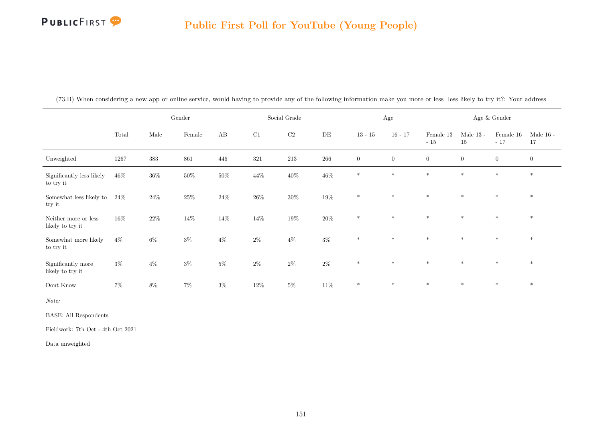

|                                          |        |         | Gender |        |         | Social Grade |        |              | $\rm Age$      |                    |                   | Age $\&$ Gender    |                   |
|------------------------------------------|--------|---------|--------|--------|---------|--------------|--------|--------------|----------------|--------------------|-------------------|--------------------|-------------------|
|                                          | Total  | Male    | Female | AB     | C1      | $\rm C2$     | DE     | $13 - 15$    | $16 - 17$      | Female 13<br>$-15$ | Male $13$ -<br>15 | Female 16<br>$-17$ | Male $16$ -<br>17 |
| Unweighted                               | 1267   | $383\,$ | 861    | 446    | $321\,$ | $213\,$      | 266    | $\mathbf{0}$ | $\overline{0}$ | $\overline{0}$     | $\overline{0}$    | $\overline{0}$     | $\overline{0}$    |
| Significantly less likely<br>to try it   | 46\%   | $36\%$  | $50\%$ | $50\%$ | $44\%$  | $40\%$       | $46\%$ | $*$          | $*$            | $*$                | $*$               | $*$                | $\ast$            |
| Somewhat less likely to<br>try it        | $24\%$ | $24\%$  | $25\%$ | $24\%$ | $26\%$  | $30\%$       | $19\%$ | $\ast$       | $\ast$         | $*$                | $\ast$            | $\ast$             | $\ast$            |
| Neither more or less<br>likely to try it | 16%    | $22\%$  | $14\%$ | $14\%$ | $14\%$  | $19\%$       | $20\%$ | $\ast$       | $\ast$         | $\ast$             | $\ast$            | $\ast$             | $\ast$            |
| Somewhat more likely<br>to try it        | $4\%$  | $6\%$   | $3\%$  | $4\%$  | $2\%$   | $4\%$        | $3\%$  | $\ast$       | $*$            | $\ast$             | $*$               | $*$                | $*$               |
| Significantly more<br>likely to try it   | $3\%$  | $4\%$   | $3\%$  | $5\%$  | $2\%$   | $2\%$        | $2\%$  | $\ast$       | $*$            | $\ast$             | $*$               | $*$                | $*$               |
| Dont Know                                | $7\%$  | $8\%$   | $7\%$  | $3\%$  | 12\%    | $5\%$        | $11\%$ | $\ast$       | $\ast$         | $\ast$             | $\ast$            | $\ast$             | $\ast$            |

(73.B) When considering a new app or online service, would having to provide any of the following information make you more or less less likely to try it?: Your address

Note:

BASE: All Respondents

Fieldwork: 7th Oct - 4th Oct 2021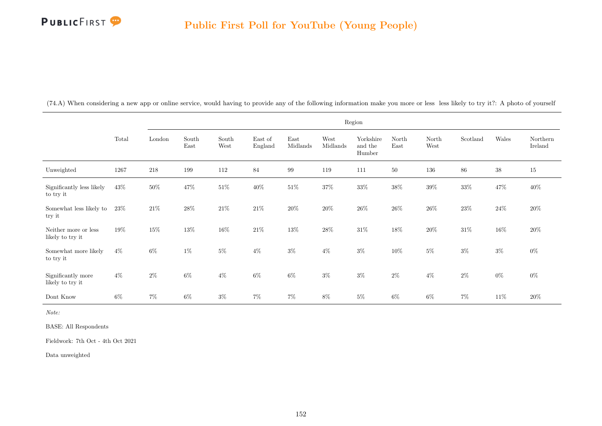

|                                          |       |        |               |               |                    |                  |                  | Region                         |               |               |          |        |                     |
|------------------------------------------|-------|--------|---------------|---------------|--------------------|------------------|------------------|--------------------------------|---------------|---------------|----------|--------|---------------------|
|                                          | Total | London | South<br>East | South<br>West | East of<br>England | East<br>Midlands | West<br>Midlands | Yorkshire<br>and the<br>Humber | North<br>East | North<br>West | Scotland | Wales  | Northern<br>Ireland |
| Unweighted                               | 1267  | 218    | 199           | 112           | 84                 | 99               | 119              | 111                            | $50\,$        | 136           | 86       | $38\,$ | 15                  |
| Significantly less likely<br>to try it   | 43\%  | $50\%$ | $47\%$        | $51\%$        | $40\%$             | $51\%$           | $37\%$           | $33\%$                         | $38\%$        | $39\%$        | $33\%$   | $47\%$ | $40\%$              |
| Somewhat less likely to<br>try it        | 23\%  | $21\%$ | $28\%$        | $21\%$        | $21\%$             | $20\%$           | $20\%$           | $26\%$                         | $26\%$        | $26\%$        | $23\%$   | $24\%$ | $20\%$              |
| Neither more or less<br>likely to try it | 19%   | $15\%$ | 13%           | $16\%$        | $21\%$             | $13\%$           | $28\%$           | $31\%$                         | 18%           | $20\%$        | $31\%$   | $16\%$ | $20\%$              |
| Somewhat more likely<br>to try it        | $4\%$ | $6\%$  | $1\%$         | $5\%$         | $4\%$              | $3\%$            | $4\%$            | $3\%$                          | $10\%$        | $5\%$         | $3\%$    | $3\%$  | $0\%$               |
| Significantly more<br>likely to try it   | $4\%$ | $2\%$  | $6\%$         | $4\%$         | $6\%$              | $6\%$            | $3\%$            | $3\%$                          | $2\%$         | $4\%$         | $2\%$    | $0\%$  | $0\%$               |

Dont Know 6% 7% 6% 3% 7% 7% 8% 5% 6% 6% 7% 11% 20%

(74.A) When considering a new app or online service, would having to provide any of the following information make you more or less less likely to try it?: A photo of yourself

Note:

BASE: All Respondents

Fieldwork: 7th Oct - 4th Oct 2021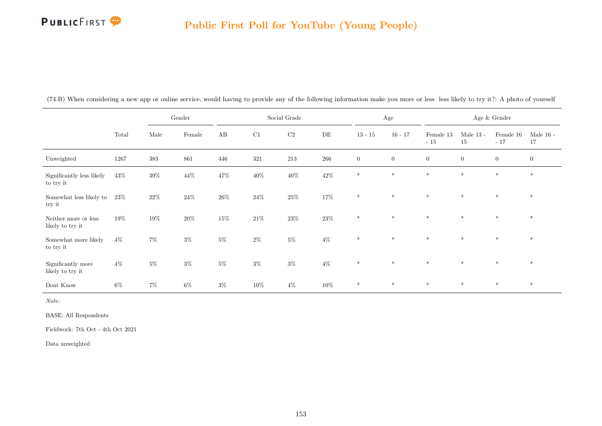# **PUBLICFIRST**

#### Public First Poll for YouTube (Young People)

|                                          |        |        | Gender | Social Grade<br>C2<br>$\mathbf{A}\mathbf{B}$<br>C1<br>$\rm{DE}$ |        |        | Age    |                |                | Age $\&$ Gender    |                   |                    |                   |
|------------------------------------------|--------|--------|--------|-----------------------------------------------------------------|--------|--------|--------|----------------|----------------|--------------------|-------------------|--------------------|-------------------|
|                                          | Total  | Male   | Female |                                                                 |        |        |        | $13 - 15$      | $16 - 17$      | Female 13<br>$-15$ | Male $13$ -<br>15 | Female 16<br>$-17$ | Male $16$ -<br>17 |
| Unweighted                               | 1267   | 383    | 861    | 446                                                             | 321    | 213    | 266    | $\overline{0}$ | $\overline{0}$ | $\boldsymbol{0}$   | $\boldsymbol{0}$  | $\overline{0}$     | $\overline{0}$    |
| Significantly less likely<br>to try it   | $43\%$ | $39\%$ | $44\%$ | $47\%$                                                          | $40\%$ | $40\%$ | $42\%$ | $*$            | $\ast$         | $\ast$             | $*$               | $*$                | $*$               |
| Somewhat less likely to<br>try it        | $23\%$ | $22\%$ | $24\%$ | $26\%$                                                          | $24\%$ | $25\%$ | $17\%$ | $*$            | $*$            | $*$                | $*$               | $*$                | $\ast$            |
| Neither more or less<br>likely to try it | 19%    | $19\%$ | $20\%$ | $15\%$                                                          | $21\%$ | $23\%$ | $23\%$ | $*$            | $\ast$         | $\ast$             | $\ast$            | $\ast$             | $\ast$            |
| Somewhat more likely<br>to try it        | $4\%$  | $7\%$  | $3\%$  | $5\%$                                                           | $2\%$  | $5\%$  | $4\%$  | $\ast$         | $\ast$         | $\ast$             | $\ast$            | $\ast$             | $*$               |
| Significantly more<br>likely to try it   | $4\%$  | $5\%$  | $3\%$  | $5\%$                                                           | $3\%$  | $3\%$  | $4\%$  | $*$            | $\ast$         | $\ast$             | $\ast$            | $*$                | $*$               |
| Dont Know                                | $6\%$  | $7\%$  | $6\%$  | $3\%$                                                           | 10%    | $4\%$  | $10\%$ | $\ast$         | $*$            | $*$                | $*$               | $*$                | $*$               |

(74.B) When considering a new app or online service, would having to provide any of the following information make you more or less less likely to try it?: A photo of yourself

Note:

BASE: All Respondents

Fieldwork: 7th Oct - 4th Oct 2021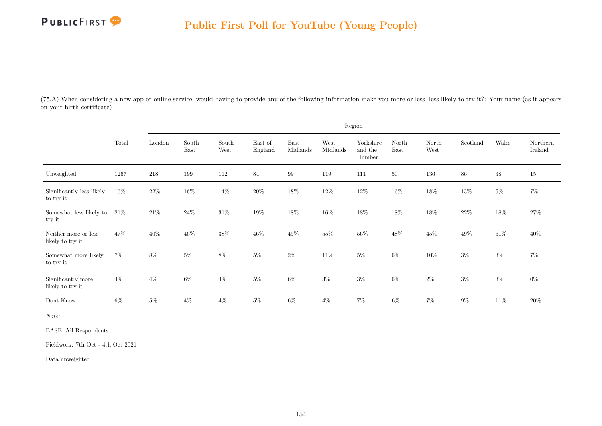

(75.A) When considering a new app or online service, would having to provide any of the following information make you more or less less likely to try it?: Your name (as it appears on your birth certificate)

|                                          |       |        |               |               |                    |                  |                  | Region                         |               |               |          |        |                     |
|------------------------------------------|-------|--------|---------------|---------------|--------------------|------------------|------------------|--------------------------------|---------------|---------------|----------|--------|---------------------|
|                                          | Total | London | South<br>East | South<br>West | East of<br>England | East<br>Midlands | West<br>Midlands | Yorkshire<br>and the<br>Humber | North<br>East | North<br>West | Scotland | Wales  | Northern<br>Ireland |
| Unweighted                               | 1267  | 218    | 199           | 112           | 84                 | 99               | 119              | 111                            | $50\,$        | 136           | $86\,$   | $38\,$ | 15                  |
| Significantly less likely<br>to try it   | 16%   | $22\%$ | $16\%$        | $14\%$        | $20\%$             | $18\%$           | $12\%$           | $12\%$                         | $16\%$        | $18\%$        | $13\%$   | $5\%$  | $7\%$               |
| Somewhat less likely to<br>try it        | 21%   | $21\%$ | $24\%$        | $31\%$        | $19\%$             | $18\%$           | $16\%$           | $18\%$                         | $18\%$        | $18\%$        | $22\%$   | $18\%$ | $27\%$              |
| Neither more or less<br>likely to try it | 47%   | $40\%$ | 46\%          | $38\%$        | $46\%$             | $49\%$           | 55%              | $56\%$                         | $48\%$        | $45\%$        | $49\%$   | $61\%$ | $40\%$              |
| Somewhat more likely<br>to try it        | $7\%$ | $8\%$  | $5\%$         | $8\%$         | $5\%$              | $2\%$            | $11\%$           | $5\%$                          | $6\%$         | $10\%$        | $3\%$    | $3\%$  | $7\%$               |
| Significantly more<br>likely to try it   | $4\%$ | $4\%$  | $6\%$         | $4\%$         | $5\%$              | 6%               | $3\%$            | $3\%$                          | $6\%$         | $2\%$         | $3\%$    | $3\%$  | $0\%$               |
| Dont Know                                | $6\%$ | $5\%$  | $4\%$         | $4\%$         | $5\%$              | $6\%$            | $4\%$            | $7\%$                          | $6\%$         | $7\%$         | $9\%$    | $11\%$ | $20\%$              |

Note:

BASE: All Respondents

Fieldwork: 7th Oct - 4th Oct 2021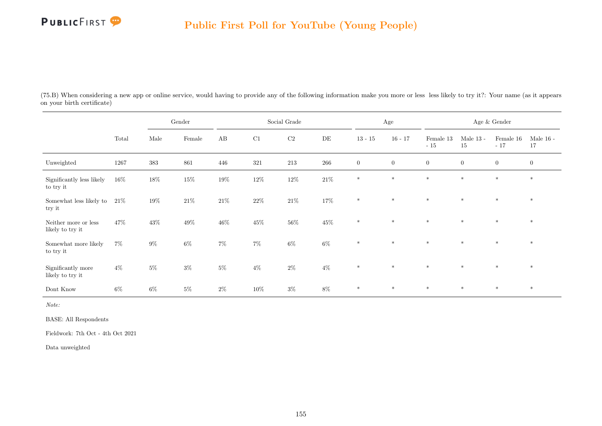

(75.B) When considering a new app or online service, would having to provide any of the following information make you more or less less likely to try it?: Your name (as it appears on your birth certificate)

|                                          |        |        | Gender |        |         | Social Grade |           |                  | Age            |                    |                   | Age $\&$ Gender    |                   |
|------------------------------------------|--------|--------|--------|--------|---------|--------------|-----------|------------------|----------------|--------------------|-------------------|--------------------|-------------------|
|                                          | Total  | Male   | Female | AB     | C1      | C2           | $\rm{DE}$ | $13 - 15$        | $16 - 17$      | Female 13<br>$-15$ | Male $13$ -<br>15 | Female 16<br>$-17$ | Male $16$ -<br>17 |
| Unweighted                               | 1267   | 383    | 861    | 446    | $321\,$ | 213          | $266\,$   | $\boldsymbol{0}$ | $\overline{0}$ | $\overline{0}$     | $\boldsymbol{0}$  | $\overline{0}$     | $\boldsymbol{0}$  |
| Significantly less likely<br>to try it   | $16\%$ | $18\%$ | $15\%$ | $19\%$ | $12\%$  | $12\%$       | $21\%$    | $\ast$           | $*$            | $\ast$             | $\ast$            | $*$                | $\ast$            |
| Somewhat less likely to<br>try it        | $21\%$ | $19\%$ | $21\%$ | $21\%$ | $22\%$  | $21\%$       | $17\%$    | $\ast$           | $\ast$         | $\ast$             | $\ast$            | $\ast$             | $\ast$            |
| Neither more or less<br>likely to try it | 47%    | $43\%$ | $49\%$ | $46\%$ | $45\%$  | $56\%$       | $45\%$    | $\ast$           | $*$            | $*$                | $*$               | $\ast$             | $\ast$            |
| Somewhat more likely<br>to try it        | $7\%$  | $9\%$  | $6\%$  | $7\%$  | $7\%$   | $6\%$        | $6\%$     | $\ast$           | $\ast$         | $\ast$             | $\star$           | $*$                | $\ast$            |
| Significantly more<br>likely to try it   | $4\%$  | $5\%$  | $3\%$  | $5\%$  | $4\%$   | $2\%$        | $4\%$     | $\ast$           | $\ast$         | $\ast$             | $\ast$            | $\ast$             | $\ast$            |
| Dont Know                                | $6\%$  | $6\%$  | $5\%$  | $2\%$  | $10\%$  | $3\%$        | $8\%$     | $\ast$           | $\ast$         | $\ast$             | $\ast$            | $\ast$             | $\ast$            |

Note:

BASE: All Respondents

Fieldwork: 7th Oct - 4th Oct 2021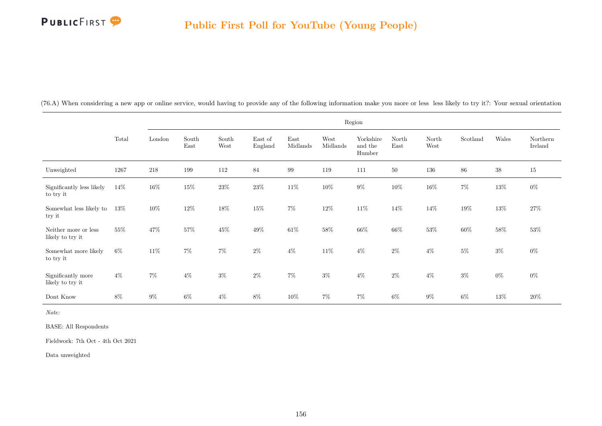

| (76.A) When considering a new app or online service, would having to provide any of the following information make you more or less less likely to try it?: Your sexual orientation |  |  |  |  |  |  |
|-------------------------------------------------------------------------------------------------------------------------------------------------------------------------------------|--|--|--|--|--|--|
|                                                                                                                                                                                     |  |  |  |  |  |  |

|                                          |       |        |               |               |                    |                  |                  | Region                         |               |               |          |        |                     |
|------------------------------------------|-------|--------|---------------|---------------|--------------------|------------------|------------------|--------------------------------|---------------|---------------|----------|--------|---------------------|
|                                          | Total | London | South<br>East | South<br>West | East of<br>England | East<br>Midlands | West<br>Midlands | Yorkshire<br>and the<br>Humber | North<br>East | North<br>West | Scotland | Wales  | Northern<br>Ireland |
| Unweighted                               | 1267  | 218    | 199           | 112           | 84                 | 99               | 119              | 111                            | 50            | 136           | 86       | $38\,$ | 15                  |
| Significantly less likely<br>to try it   | 14%   | $16\%$ | $15\%$        | $23\%$        | $23\%$             | $11\%$           | $10\%$           | $9\%$                          | $10\%$        | $16\%$        | $7\%$    | $13\%$ | $0\%$               |
| Somewhat less likely to<br>try it        | 13%   | $10\%$ | 12%           | $18\%$        | 15%                | $7\%$            | 12%              | $11\%$                         | 14%           | 14%           | 19%      | $13\%$ | 27\%                |
| Neither more or less<br>likely to try it | 55%   | $47\%$ | 57%           | $45\%$        | $49\%$             | $61\%$           | $58\%$           | $66\%$                         | $66\%$        | $53\%$        | $60\%$   | $58\%$ | $53\%$              |
| Somewhat more likely<br>to try it        | $6\%$ | $11\%$ | $7\%$         | $7\%$         | $2\%$              | $4\%$            | $11\%$           | $4\%$                          | $2\%$         | $4\%$         | $5\%$    | $3\%$  | $0\%$               |
| Significantly more<br>likely to try it   | $4\%$ | $7\%$  | $4\%$         | $3\%$         | $2\%$              | $7\%$            | $3\%$            | $4\%$                          | $2\%$         | $4\%$         | $3\%$    | $0\%$  | $0\%$               |
| Dont Know                                | 8%    | $9\%$  | $6\%$         | $4\%$         | $8\%$              | $10\%$           | $7\%$            | $7\%$                          | $6\%$         | $9\%$         | $6\%$    | $13\%$ | $20\%$              |

Note:

BASE: All Respondents

Fieldwork: 7th Oct - 4th Oct 2021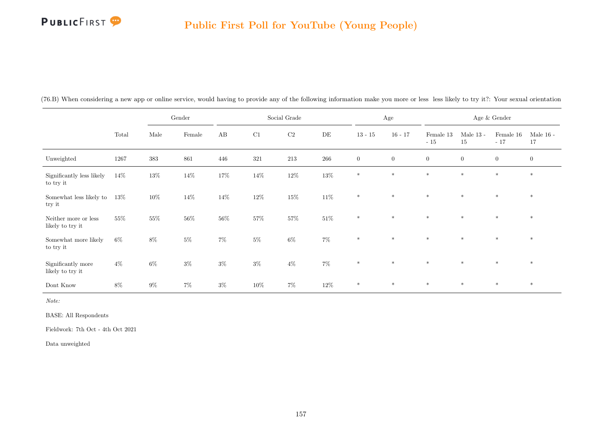# PUBLICFIRST<sup>9</sup>

#### Public First Poll for YouTube (Young People)

|                                          |        |         | Gender |                        |          | Social Grade |        |                | Age            |                    |                   | Age $\&$ Gender        |                   |
|------------------------------------------|--------|---------|--------|------------------------|----------|--------------|--------|----------------|----------------|--------------------|-------------------|------------------------|-------------------|
|                                          | Total  | Male    | Female | $\mathbf{A}\mathbf{B}$ | $\rm C1$ | $\rm C2$     | DE     | $13 - 15$      | $16 - 17$      | Female 13<br>$-15$ | Male $13$ -<br>15 | Female $16\,$<br>$-17$ | Male $16$ -<br>17 |
| Unweighted                               | 1267   | $383\,$ | 861    | 446                    | 321      | 213          | 266    | $\overline{0}$ | $\overline{0}$ | $\overline{0}$     | $\boldsymbol{0}$  | $\overline{0}$         | $\overline{0}$    |
| Significantly less likely<br>to try it   | 14%    | $13\%$  | 14%    | $17\%$                 | 14%      | $12\%$       | $13\%$ | $*$            | $\ast$         | $*$                | $*$               | $\ast$                 | $*$               |
| Somewhat less likely to<br>try it        | $13\%$ | $10\%$  | 14%    | 14%                    | $12\%$   | $15\%$       | $11\%$ | $\ast$         | $\ast$         | $\ast$             | $\ast$            | $\ast$                 | $*$               |
| Neither more or less<br>likely to try it | 55%    | $55\%$  | $56\%$ | $56\%$                 | $57\%$   | $57\%$       | $51\%$ | $*$            | $\ast$         | $\ast$             | $\ast$            | $*$                    | $*$               |
| Somewhat more likely<br>to try it        | $6\%$  | 8%      | $5\%$  | $7\%$                  | $5\%$    | $6\%$        | $7\%$  | $\ast$         | $\ast$         | $*$                | $\ast$            | $*$                    | $*$               |
| Significantly more<br>likely to try it   | $4\%$  | $6\%$   | $3\%$  | $3\%$                  | $3\%$    | $4\%$        | $7\%$  | $*$            | $\ast$         | $*$                | $*$               | $*$                    | $*$               |
| Dont Know                                | $8\%$  | $9\%$   | $7\%$  | $3\%$                  | 10%      | $7\%$        | $12\%$ | $\ast$         | $\ast$         | $*$                | $*$               | $\ast$                 | $\ast$            |

(76.B) When considering a new app or online service, would having to provide any of the following information make you more or less less likely to try it?: Your sexual orientation

Note:

BASE: All Respondents

Fieldwork: 7th Oct - 4th Oct 2021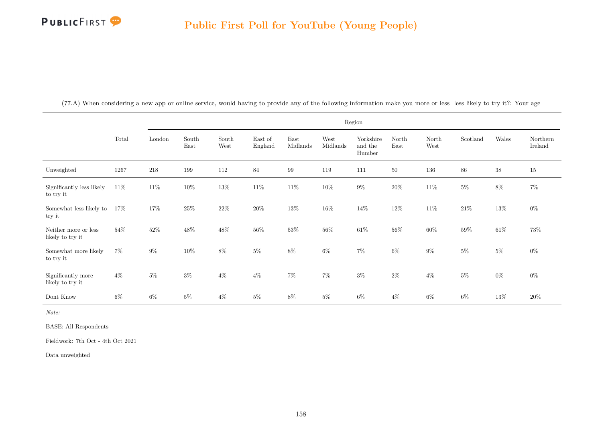

|                                          |        |         |               |               |                    |                  |                  | Region                         |               |               |          |        |                     |
|------------------------------------------|--------|---------|---------------|---------------|--------------------|------------------|------------------|--------------------------------|---------------|---------------|----------|--------|---------------------|
|                                          | Total  | London  | South<br>East | South<br>West | East of<br>England | East<br>Midlands | West<br>Midlands | Yorkshire<br>and the<br>Humber | North<br>East | North<br>West | Scotland | Wales  | Northern<br>Ireland |
| Unweighted                               | 1267   | $218\,$ | 199           | 112           | 84                 | 99               | 119              | 111                            | $50\,$        | 136           | $86\,$   | $38\,$ | $15\,$              |
| Significantly less likely<br>to try it   | $11\%$ | $11\%$  | $10\%$        | $13\%$        | $11\%$             | $11\%$           | $10\%$           | $9\%$                          | $20\%$        | $11\%$        | $5\%$    | $8\%$  | $7\%$               |
| Somewhat less likely to<br>try it        | $17\%$ | $17\%$  | $25\%$        | $22\%$        | $20\%$             | $13\%$           | $16\%$           | $14\%$                         | $12\%$        | $11\%$        | $21\%$   | $13\%$ | $0\%$               |
| Neither more or less<br>likely to try it | 54%    | $52\%$  | $48\%$        | $48\%$        | $56\%$             | $53\%$           | $56\%$           | $61\%$                         | $56\%$        | $60\%$        | $59\%$   | $61\%$ | $73\%$              |
| Somewhat more likely<br>to try it        | $7\%$  | $9\%$   | $10\%$        | $8\%$         | $5\%$              | $8\%$            | $6\%$            | $7\%$                          | $6\%$         | $9\%$         | $5\%$    | $5\%$  | $0\%$               |
| Significantly more<br>likely to try it   | $4\%$  | $5\%$   | $3\%$         | $4\%$         | $4\%$              | $7\%$            | $7\%$            | $3\%$                          | $2\%$         | $4\%$         | $5\%$    | $0\%$  | $0\%$               |
| Dont Know                                | $6\%$  | $6\%$   | $5\%$         | $4\%$         | $5\%$              | 8%               | $5\%$            | $6\%$                          | $4\%$         | 6%            | 6%       | $13\%$ | $20\%$              |

(77.A) When considering a new app or online service, would having to provide any of the following information make you more or less less likely to try it?: Your age

Note:

BASE: All Respondents

Fieldwork: 7th Oct - 4th Oct 2021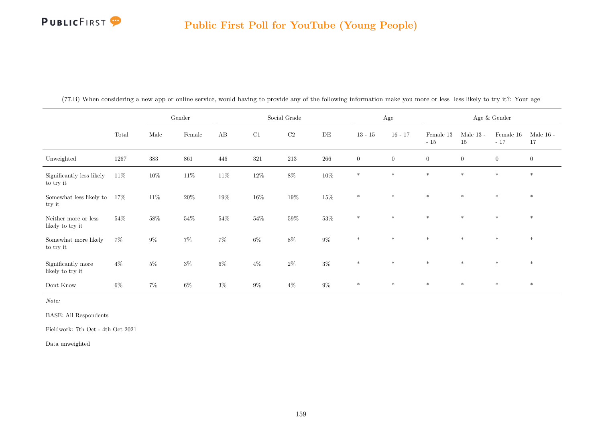

|                                          |        |        | Gender |        |        | Social Grade |           |                  | Age          |                    |                   | Age $\&$ Gender    |                   |
|------------------------------------------|--------|--------|--------|--------|--------|--------------|-----------|------------------|--------------|--------------------|-------------------|--------------------|-------------------|
|                                          | Total  | Male   | Female | AB     | C1     | $\rm C2$     | $\rm{DE}$ | $13 - 15$        | $16 - 17$    | Female 13<br>$-15$ | Male $13$ -<br>15 | Female 16<br>$-17$ | Male $16$ -<br>17 |
| Unweighted                               | 1267   | 383    | 861    | 446    | 321    | $213\,$      | 266       | $\boldsymbol{0}$ | $\mathbf{0}$ | $\overline{0}$     | $\overline{0}$    | $\overline{0}$     | $\mathbf{0}$      |
| Significantly less likely<br>to try it   | $11\%$ | $10\%$ | $11\%$ | $11\%$ | $12\%$ | $8\%$        | $10\%$    | $\ast$           | $\ast$       | $\ast$             | $\ast$            | $\ast$             | $\ast$            |
| Somewhat less likely to<br>try it        | $17\%$ | $11\%$ | $20\%$ | $19\%$ | $16\%$ | $19\%$       | $15\%$    | $\ast$           | $\ast$       | $\ast$             | $\ast$            | $\ast$             | $*$               |
| Neither more or less<br>likely to try it | 54%    | $58\%$ | $54\%$ | $54\%$ | $54\%$ | $59\%$       | $53\%$    | $\ast$           | $*$          | $\ast$             | $\ast$            | $\ast$             | $*$               |
| Somewhat more likely<br>to try it        | $7\%$  | $9\%$  | $7\%$  | $7\%$  | $6\%$  | $8\%$        | $9\%$     | $\ast$           | $\ast$       | $*$                | $*$               | $\ast$             | $\ast$            |
| Significantly more<br>likely to try it   | $4\%$  | $5\%$  | $3\%$  | $6\%$  | $4\%$  | $2\%$        | $3\%$     | $\ast$           | $*$          | $*$                | $*$               | $*$                | $*$               |
| Dont Know                                | $6\%$  | $7\%$  | $6\%$  | $3\%$  | $9\%$  | $4\%$        | $9\%$     | $\ast$           | $*$          | $*$                | $\ast$            | $*$                | $\ast$            |

(77.B) When considering a new app or online service, would having to provide any of the following information make you more or less less likely to try it?: Your age

Note:

BASE: All Respondents

Fieldwork: 7th Oct - 4th Oct 2021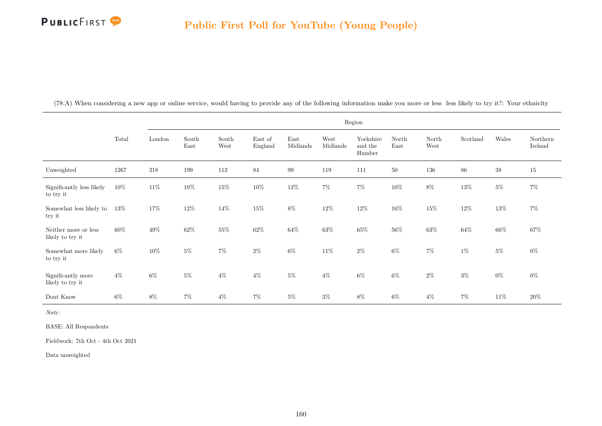

(78.A) When considering a new app or online service, would having to provide any of the following information make you more or less less likely to try it?: Your ethnicity

|                                          |        |         |               |               |                    |                  |                  | Region                         |               |               |          |        |                     |
|------------------------------------------|--------|---------|---------------|---------------|--------------------|------------------|------------------|--------------------------------|---------------|---------------|----------|--------|---------------------|
|                                          | Total  | London  | South<br>East | South<br>West | East of<br>England | East<br>Midlands | West<br>Midlands | Yorkshire<br>and the<br>Humber | North<br>East | North<br>West | Scotland | Wales  | Northern<br>Ireland |
| Unweighted                               | 1267   | $218\,$ | 199           | $112\,$       | $84\,$             | $\,99$           | 119              | 111                            | $50\,$        | $136\,$       | $86\,$   | $38\,$ | $15\,$              |
| Significantly less likely<br>to try it   | $10\%$ | $11\%$  | $10\%$        | $15\%$        | $10\%$             | $12\%$           | $7\%$            | $7\%$                          | $10\%$        | $8\%$         | $13\%$   | $5\%$  | $7\%$               |
| Somewhat less likely to<br>try it        | $13\%$ | $17\%$  | 12%           | 14\%          | 15%                | $8\%$            | $12\%$           | $12\%$                         | 16%           | $15\%$        | $12\%$   | $13\%$ | $7\%$               |
| Neither more or less<br>likely to try it | $60\%$ | $49\%$  | $62\%$        | $55\%$        | $62\%$             | $64\%$           | $63\%$           | $65\%$                         | $56\%$        | $63\%$        | $64\%$   | $66\%$ | $67\%$              |
| Somewhat more likely<br>to try it        | $6\%$  | $10\%$  | $5\%$         | $7\%$         | $2\%$              | $6\%$            | $11\%$           | $2\%$                          | $6\%$         | $7\%$         | $1\%$    | $5\%$  | $0\%$               |
| Significantly more<br>likely to try it   | $4\%$  | $6\%$   | $5\%$         | $4\%$         | $4\%$              | $5\%$            | $4\%$            | $6\%$                          | 6%            | $2\%$         | $3\%$    | $0\%$  | $0\%$               |
| Dont Know                                | $6\%$  | $8\%$   | $7\%$         | $4\%$         | $7\%$              | $5\%$            | $3\%$            | $8\%$                          | $6\%$         | $4\%$         | $7\%$    | $11\%$ | $20\%$              |

Note:

BASE: All Respondents

Fieldwork: 7th Oct - 4th Oct 2021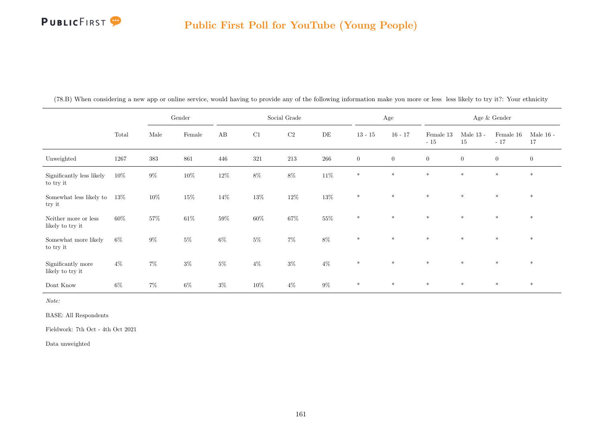

|                                          |        |        | Gender |        |        | Social Grade |           |                | $\rm Age$      |                    |                   | Age $\&$ Gender    |                   |
|------------------------------------------|--------|--------|--------|--------|--------|--------------|-----------|----------------|----------------|--------------------|-------------------|--------------------|-------------------|
|                                          | Total  | Male   | Female | AB     | C1     | C2           | $\rm{DE}$ | $13 - 15$      | $16 - 17$      | Female 13<br>$-15$ | Male $13$ -<br>15 | Female 16<br>$-17$ | Male $16$ -<br>17 |
| Unweighted                               | 1267   | 383    | 861    | 446    | 321    | 213          | 266       | $\overline{0}$ | $\overline{0}$ | $\overline{0}$     | $\overline{0}$    | $\overline{0}$     | $\overline{0}$    |
| Significantly less likely<br>to try it   | 10%    | $9\%$  | $10\%$ | $12\%$ | $8\%$  | $8\%$        | $11\%$    | $*$            | $\ast$         | $\ast$             | $*$               | $*$                | $\ast$            |
| Somewhat less likely to<br>try it        | $13\%$ | $10\%$ | $15\%$ | $14\%$ | $13\%$ | $12\%$       | $13\%$    | $\ast$         | $\ast$         | $\ast$             | $\ast$            | $\ast$             | $\ast$            |
| Neither more or less<br>likely to try it | 60%    | $57\%$ | $61\%$ | $59\%$ | $60\%$ | $67\%$       | $55\%$    | $\ast$         | $\ast$         | $\ast$             | $\ast$            | $\ast$             | $*$               |
| Somewhat more likely<br>to try it        | $6\%$  | $9\%$  | $5\%$  | $6\%$  | $5\%$  | $7\%$        | $8\%$     | $\ast$         | $\ast$         | $\ast$             | $\ast$            | $\ast$             | $*$               |
| Significantly more<br>likely to try it   | $4\%$  | $7\%$  | $3\%$  | $5\%$  | $4\%$  | $3\%$        | $4\%$     | $\ast$         | $\ast$         | $\ast$             | $*$               | $*$                | $\ast$            |
| Dont Know                                | $6\%$  | $7\%$  | $6\%$  | $3\%$  | $10\%$ | $4\%$        | $9\%$     | $\ast$         | $\ast$         | $\ast$             | $*$               | $*$                | $\ast$            |

(78.B) When considering a new app or online service, would having to provide any of the following information make you more or less less likely to try it?: Your ethnicity

Note:

BASE: All Respondents

Fieldwork: 7th Oct - 4th Oct 2021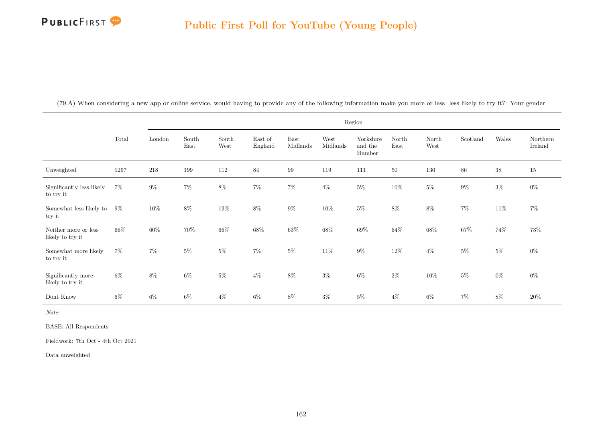

(79.A) When considering a new app or online service, would having to provide any of the following information make you more or less less likely to try it?: Your gender

|                                          |        |         |               |               |                    |                  |                  | Region                         |               |               |          |        |                     |
|------------------------------------------|--------|---------|---------------|---------------|--------------------|------------------|------------------|--------------------------------|---------------|---------------|----------|--------|---------------------|
|                                          | Total  | London  | South<br>East | South<br>West | East of<br>England | East<br>Midlands | West<br>Midlands | Yorkshire<br>and the<br>Humber | North<br>East | North<br>West | Scotland | Wales  | Northern<br>Ireland |
| Unweighted                               | 1267   | $218\,$ | 199           | 112           | 84                 | 99               | 119              | 111                            | $50\,$        | 136           | 86       | $38\,$ | 15                  |
| Significantly less likely<br>to try it   | $7\%$  | $9\%$   | $7\%$         | $8\%$         | $7\%$              | $7\%$            | $4\%$            | $5\%$                          | $10\%$        | $5\%$         | $9\%$    | $3\%$  | $0\%$               |
| Somewhat less likely to<br>try it        | $9\%$  | $10\%$  | $8\%$         | $12\%$        | $8\%$              | $9\%$            | 10%              | $5\%$                          | 8%            | $8\%$         | $7\%$    | $11\%$ | $7\%$               |
| Neither more or less<br>likely to try it | $66\%$ | $60\%$  | 70%           | $66\%$        | $68\%$             | $63\%$           | $68\%$           | $69\%$                         | $64\%$        | $68\%$        | 67%      | 74%    | $73\%$              |
| Somewhat more likely<br>to try it        | $7\%$  | $7\%$   | $5\%$         | $5\%$         | $7\%$              | $5\%$            | $11\%$           | $9\%$                          | $12\%$        | $4\%$         | $5\%$    | $5\%$  | $0\%$               |
| Significantly more<br>likely to try it   | $6\%$  | $8\%$   | $6\%$         | $5\%$         | $4\%$              | $8\%$            | $3\%$            | $6\%$                          | $2\%$         | $10\%$        | $5\%$    | $0\%$  | $0\%$               |
| Dont Know                                | $6\%$  | $6\%$   | $6\%$         | $4\%$         | $6\%$              | $8\%$            | $3\%$            | $5\%$                          | $4\%$         | $6\%$         | $7\%$    | $8\%$  | $20\%$              |

Note:

BASE: All Respondents

Fieldwork: 7th Oct - 4th Oct 2021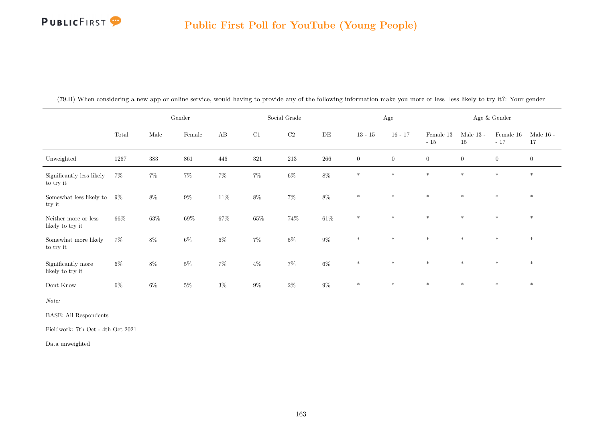## **PUBLICFIRST**

#### Public First Poll for YouTube (Young People)

|                                          |       |        | Gender  |                        |        | Social Grade |           |                | Age            |                    |                   | Age & Gender       |                   |
|------------------------------------------|-------|--------|---------|------------------------|--------|--------------|-----------|----------------|----------------|--------------------|-------------------|--------------------|-------------------|
|                                          | Total | Male   | Female  | $\mathbf{A}\mathbf{B}$ | C1     | C2           | $\rm{DE}$ | $13 - 15$      | $16 - 17$      | Female 13<br>$-15$ | Male $13$ -<br>15 | Female 16<br>$-17$ | Male $16$ -<br>17 |
| Unweighted                               | 1267  | 383    | $861\,$ | 446                    | 321    | $213\,$      | 266       | $\overline{0}$ | $\overline{0}$ | $\boldsymbol{0}$   | $\overline{0}$    | $\overline{0}$     | $\overline{0}$    |
| Significantly less likely<br>to try it   | $7\%$ | $7\%$  | $7\%$   | $7\%$                  | $7\%$  | $6\%$        | $8\%$     | $\ast$         | $*$            | $\ast$             | $\ast$            | $*$                | $\ast$            |
| Somewhat less likely to $9\%$<br>try it  |       | $8\%$  | $9\%$   | $11\%$                 | $8\%$  | $7\%$        | $8\%$     | $*$            | $\ast$         | $\ast$             | $*$               | $\ast$             | $*$               |
| Neither more or less<br>likely to try it | 66%   | $63\%$ | $69\%$  | $67\%$                 | $65\%$ | $74\%$       | $61\%$    | $\ast$         | $\ast$         | $\ast$             | $\ast$            | $\ast$             | $*$               |
| Somewhat more likely<br>to try it        | $7\%$ | $8\%$  | $6\%$   | $6\%$                  | $7\%$  | $5\%$        | $9\%$     | $\ast$         | $\ast$         | $\ast$             | $\ast$            | $*$                | $*$               |
| Significantly more<br>likely to try it   | $6\%$ | $8\%$  | $5\%$   | $7\%$                  | $4\%$  | $7\%$        | $6\%$     | $*$            | $*$            | $*$                | $*$               | $*$                | $*$               |
| Dont Know                                | $6\%$ | $6\%$  | $5\%$   | $3\%$                  | $9\%$  | $2\%$        | $9\%$     | $\ast$         | $*$            | $*$                | $*$               | $*$                | $*$               |

(79.B) When considering a new app or online service, would having to provide any of the following information make you more or less less likely to try it?: Your gender

Note:

BASE: All Respondents

Fieldwork: 7th Oct - 4th Oct 2021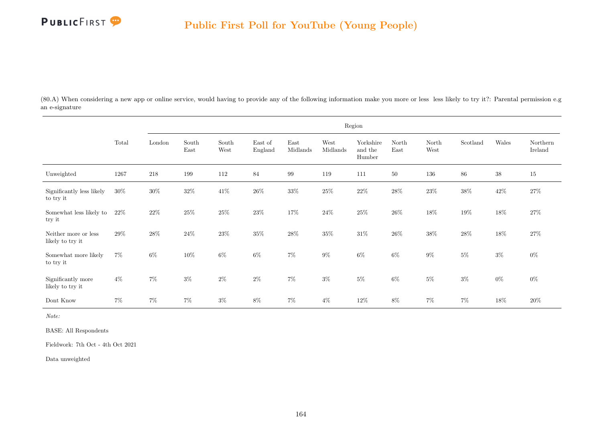

(80.A) When considering a new app or online service, would having to provide any of the following information make you more or less less likely to try it?: Parental permission e.g an e-signature

|                                          |        |        |               |               |                    |                  |                  | Region                         |               |               |          |        |                     |
|------------------------------------------|--------|--------|---------------|---------------|--------------------|------------------|------------------|--------------------------------|---------------|---------------|----------|--------|---------------------|
|                                          | Total  | London | South<br>East | South<br>West | East of<br>England | East<br>Midlands | West<br>Midlands | Yorkshire<br>and the<br>Humber | North<br>East | North<br>West | Scotland | Wales  | Northern<br>Ireland |
| Unweighted                               | 1267   | 218    | 199           | 112           | 84                 | 99               | 119              | 111                            | $50\,$        | 136           | 86       | $38\,$ | $15\,$              |
| Significantly less likely<br>to try it   | $30\%$ | $30\%$ | $32\%$        | $41\%$        | $26\%$             | $33\%$           | $25\%$           | $22\%$                         | $28\%$        | $23\%$        | $38\%$   | $42\%$ | $27\%$              |
| Somewhat less likely to<br>try it        | 22%    | $22\%$ | $25\%$        | $25\%$        | $23\%$             | $17\%$           | $24\%$           | $25\%$                         | $26\%$        | $18\%$        | $19\%$   | $18\%$ | $27\%$              |
| Neither more or less<br>likely to try it | $29\%$ | $28\%$ | 24\%          | $23\%$        | $35\%$             | $28\%$           | $35\%$           | $31\%$                         | $26\%$        | $38\%$        | $28\%$   | $18\%$ | $27\%$              |
| Somewhat more likely<br>to try it        | $7\%$  | $6\%$  | 10%           | $6\%$         | $6\%$              | $7\%$            | $9\%$            | $6\%$                          | $6\%$         | $9\%$         | $5\%$    | $3\%$  | $0\%$               |
| Significantly more<br>likely to try it   | $4\%$  | $7\%$  | $3\%$         | $2\%$         | $2\%$              | $7\%$            | $3\%$            | $5\%$                          | $6\%$         | $5\%$         | $3\%$    | $0\%$  | $0\%$               |
| Dont Know                                | $7\%$  | $7\%$  | $7\%$         | $3\%$         | $8\%$              | $7\%$            | $4\%$            | $12\%$                         | $8\%$         | $7\%$         | $7\%$    | $18\%$ | $20\%$              |

Note:

BASE: All Respondents

Fieldwork: 7th Oct - 4th Oct 2021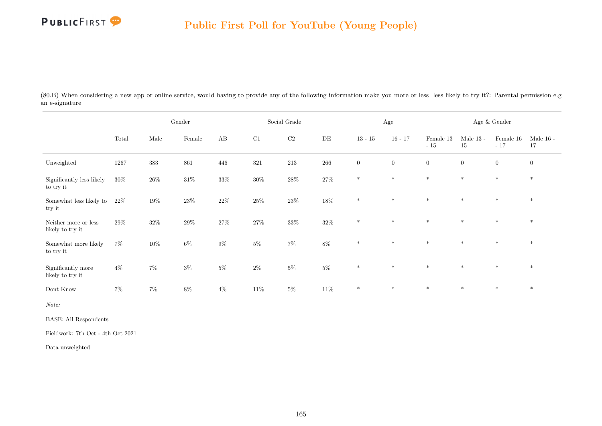

(80.B) When considering a new app or online service, would having to provide any of the following information make you more or less less likely to try it?: Parental permission e.g an e-signature

|                                          |        |        | Gender          |        |        | Social Grade   |           |                  | Age              |                    |                   | Age & Gender       |                   |
|------------------------------------------|--------|--------|-----------------|--------|--------|----------------|-----------|------------------|------------------|--------------------|-------------------|--------------------|-------------------|
|                                          | Total  | Male   | $\mbox{Female}$ | AB     | C1     | C <sub>2</sub> | $\rm{DE}$ | $13 - 15$        | $16 - 17$        | Female 13<br>$-15$ | Male $13$ -<br>15 | Female 16<br>$-17$ | Male $16$ -<br>17 |
| Unweighted                               | 1267   | 383    | 861             | 446    | 321    | $213\,$        | $266\,$   | $\boldsymbol{0}$ | $\boldsymbol{0}$ | $\overline{0}$     | $\boldsymbol{0}$  | $\boldsymbol{0}$   | $\boldsymbol{0}$  |
| Significantly less likely<br>to try it   | $30\%$ | $26\%$ | $31\%$          | $33\%$ | $30\%$ | $28\%$         | $27\%$    | $*$              | $\ast$           | $\ast$             | $\ast$            | $*$                | $*$               |
| Somewhat less likely to<br>try it        | $22\%$ | $19\%$ | $23\%$          | $22\%$ | $25\%$ | $23\%$         | $18\%$    | $\ast$           | $\ast$           | $\ast$             | $\ast$            | $\ast$             | $\ast$            |
| Neither more or less<br>likely to try it | 29%    | $32\%$ | $29\%$          | $27\%$ | $27\%$ | $33\%$         | $32\%$    | $*$              | $*$              | $\ast$             | $*$               | $*$                | $*$               |
| Somewhat more likely<br>to try it        | $7\%$  | $10\%$ | $6\%$           | $9\%$  | $5\%$  | $7\%$          | $8\%$     | $*$              | $*$              | $*$                | $\ast$            | $*$                | $*$               |
| Significantly more<br>likely to try it   | $4\%$  | $7\%$  | $3\%$           | $5\%$  | $2\%$  | $5\%$          | $5\%$     | $\ast$           | $*$              | $\ast$             | $\ast$            | $*$                | $*$               |
| Dont Know                                | $7\%$  | $7\%$  | $8\%$           | $4\%$  | $11\%$ | $5\%$          | $11\%$    | $\ast$           | $\ast$           | $\ast$             | $\ast$            | $\ast$             | $\ast$            |

Note:

BASE: All Respondents

Fieldwork: 7th Oct - 4th Oct 2021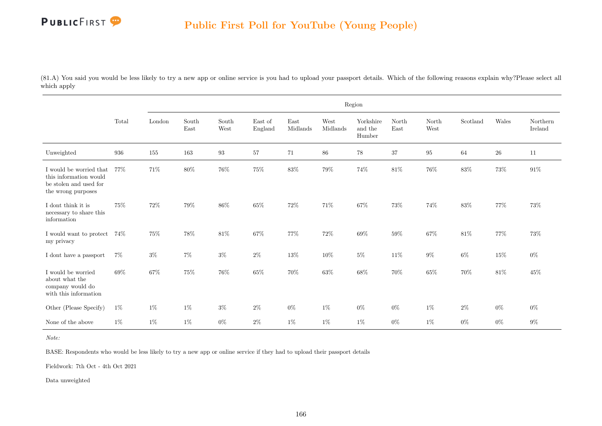

(81.A) You said you would be less likely to try a new app or online service is you had to upload your passport details. Which of the following reasons explain why?Please select all which apply

|                                                                                                   |        |        |               |               |                    |                  |                  | Region                         |               |               |          |        |                     |
|---------------------------------------------------------------------------------------------------|--------|--------|---------------|---------------|--------------------|------------------|------------------|--------------------------------|---------------|---------------|----------|--------|---------------------|
|                                                                                                   | Total  | London | South<br>East | South<br>West | East of<br>England | East<br>Midlands | West<br>Midlands | Yorkshire<br>and the<br>Humber | North<br>East | North<br>West | Scotland | Wales  | Northern<br>Ireland |
| Unweighted                                                                                        | 936    | 155    | 163           | 93            | 57                 | 71               | 86               | $78\,$                         | 37            | 95            | 64       | $26\,$ | 11                  |
| I would be worried that<br>this information would<br>be stolen and used for<br>the wrong purposes | 77%    | $71\%$ | $80\%$        | $76\%$        | $75\%$             | $83\%$           | $79\%$           | $74\%$                         | $81\%$        | $76\%$        | $83\%$   | $73\%$ | $91\%$              |
| I dont think it is<br>necessary to share this<br>information                                      | 75%    | 72%    | 79%           | 86%           | 65%                | $72\%$           | 71%              | 67%                            | 73%           | 74%           | 83%      | $77\%$ | 73%                 |
| I would want to protect<br>my privacy                                                             | $74\%$ | 75%    | 78%           | $81\%$        | 67%                | $77\%$           | 72%              | $69\%$                         | 59%           | $67\%$        | $81\%$   | $77\%$ | 73%                 |
| I dont have a passport                                                                            | $7\%$  | $3\%$  | $7\%$         | $3\%$         | $2\%$              | $13\%$           | 10%              | $5\%$                          | 11%           | $9\%$         | 6%       | $15\%$ | $0\%$               |
| I would be worried<br>about what the<br>company would do<br>with this information                 | 69%    | $67\%$ | 75%           | $76\%$        | $65\%$             | 70%              | $63\%$           | $68\%$                         | $70\%$        | $65\%$        | $70\%$   | $81\%$ | 45%                 |
| Other (Please Specify)                                                                            | $1\%$  | $1\%$  | $1\%$         | $3\%$         | $2\%$              | $0\%$            | $1\%$            | $0\%$                          | $0\%$         | $1\%$         | $2\%$    | $0\%$  | $0\%$               |
| None of the above                                                                                 | $1\%$  | $1\%$  | $1\%$         | $0\%$         | $2\%$              | $1\%$            | $1\%$            | $1\%$                          | $0\%$         | $1\%$         | $0\%$    | $0\%$  | $9\%$               |

Note:

BASE: Respondents who would be less likely to try a new app or online service if they had to upload their passport details

Fieldwork: 7th Oct - 4th Oct 2021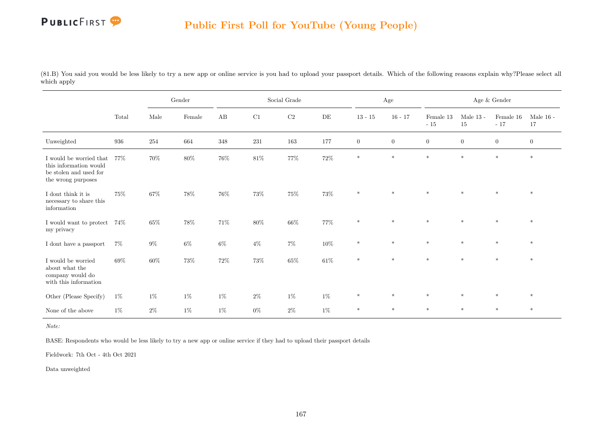

(81.B) You said you would be less likely to try a new app or online service is you had to upload your passport details. Which of the following reasons explain why?Please select all which apply

|                                                                                                   |        | $\operatorname{Gender}$<br>Male<br>Female |        |                        |        | Social Grade |           |                  | Age              |                    |                   | Age $\&$ Gender    |                   |
|---------------------------------------------------------------------------------------------------|--------|-------------------------------------------|--------|------------------------|--------|--------------|-----------|------------------|------------------|--------------------|-------------------|--------------------|-------------------|
|                                                                                                   | Total  |                                           |        | $\mathbf{A}\mathbf{B}$ | C1     | $\rm C2$     | $\rm{DE}$ | $13 - 15$        | $16 - 17$        | Female 13<br>$-15$ | Male $13$ -<br>15 | Female 16<br>$-17$ | Male $16$ -<br>17 |
| Unweighted                                                                                        | 936    | 254                                       | 664    | 348                    | 231    | 163          | $177\,$   | $\boldsymbol{0}$ | $\boldsymbol{0}$ | $\boldsymbol{0}$   | $\boldsymbol{0}$  | $\boldsymbol{0}$   | $\boldsymbol{0}$  |
| I would be worried that<br>this information would<br>be stolen and used for<br>the wrong purposes | 77%    | $70\%$                                    | $80\%$ | $76\%$                 | $81\%$ | $77\%$       | $72\%$    | $\ast$           | $\ast$           | $\ast$             | $\ast$            | $\ast$             | $\ast$            |
| I dont think it is<br>necessary to share this<br>information                                      | 75%    | $67\%$                                    | $78\%$ | $76\%$                 | $73\%$ | $75\%$       | $73\%$    | $\ast$           | $\ast$           | $\ast$             | $\star$           | $\ast$             | $\ast$            |
| I would want to protect $-74\%$<br>my privacy                                                     |        | $65\%$                                    | $78\%$ | $71\%$                 | $80\%$ | $66\%$       | $77\%$    | $\ast$           | $\ast$           | $\ast$             | $\ast$            | $\ast$             | $\ast$            |
| I dont have a passport                                                                            | $7\%$  | $9\%$                                     | $6\%$  | $6\%$                  | $4\%$  | $7\%$        | $10\%$    | $\ast$           | $\ast$           | $\ast$             | $\ast$            | $\ast$             | $\ast$            |
| I would be worried<br>about what the<br>company would do<br>with this information                 | $69\%$ | $60\%$                                    | $73\%$ | $72\%$                 | $73\%$ | $65\%$       | $61\%$    | $*$              | $\ast$           | $\ast$             | $\ast$            | $\ast$             | $\ast$            |
| Other (Please Specify)                                                                            | $1\%$  | $1\%$                                     | $1\%$  | $1\%$                  | $2\%$  | $1\%$        | $1\%$     | $\ast$           | $\ast$           | $\ast$             | $\ast$            | $*$                | $\ast$            |
| None of the above                                                                                 | $1\%$  | $2\%$                                     | $1\%$  | $1\%$                  | $0\%$  | $2\%$        | $1\%$     | $\ast$           | $*$              | $\ast$             | $\ast$            | $\ast$             | $*$               |

Note:

BASE: Respondents who would be less likely to try a new app or online service if they had to upload their passport details

Fieldwork: 7th Oct - 4th Oct 2021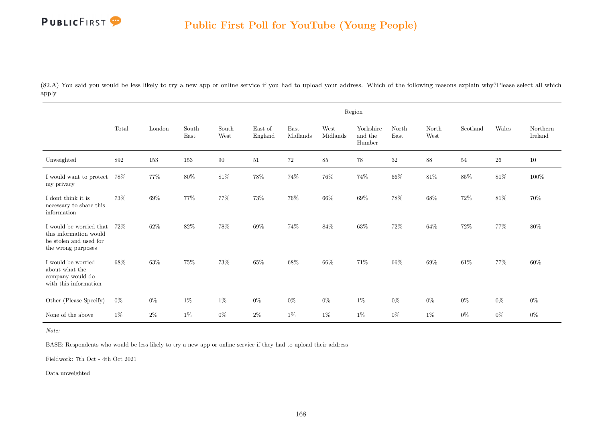

(82.A) You said you would be less likely to try a new app or online service if you had to upload your address. Which of the following reasons explain why?Please select all which apply

|                                                                                                   |       |        |               |               |                    |                  |                  | Region                         |               |               |          |            |                     |
|---------------------------------------------------------------------------------------------------|-------|--------|---------------|---------------|--------------------|------------------|------------------|--------------------------------|---------------|---------------|----------|------------|---------------------|
|                                                                                                   | Total | London | South<br>East | South<br>West | East of<br>England | East<br>Midlands | West<br>Midlands | Yorkshire<br>and the<br>Humber | North<br>East | North<br>West | Scotland | Wales      | Northern<br>Ireland |
| Unweighted                                                                                        | 892   | 153    | 153           | 90            | 51                 | $72\,$           | 85               | $78\,$                         | 32            | 88            | 54       | ${\bf 26}$ | $10\,$              |
| I would want to protect<br>my privacy                                                             | 78%   | $77\%$ | $80\%$        | $81\%$        | $78\%$             | $74\%$           | $76\%$           | $74\%$                         | $66\%$        | $81\%$        | $85\%$   | $81\%$     | $100\%$             |
| $\rm I$ dont think it is<br>necessary to share this<br>information                                | 73%   | $69\%$ | 77%           | $77\%$        | $73\%$             | $76\%$           | $66\%$           | $69\%$                         | $78\%$        | $68\%$        | $72\%$   | $81\%$     | $70\%$              |
| I would be worried that<br>this information would<br>be stolen and used for<br>the wrong purposes | 72%   | $62\%$ | $82\%$        | $78\%$        | $69\%$             | $74\%$           | $84\%$           | $63\%$                         | $72\%$        | $64\%$        | $72\%$   | $77\%$     | $80\%$              |
| I would be worried<br>about what the<br>company would do<br>with this information                 | 68%   | $63\%$ | $75\%$        | 73%           | $65\%$             | $68\%$           | 66%              | $71\%$                         | 66%           | $69\%$        | $61\%$   | 77%        | $60\%$              |
| Other (Please Specify)                                                                            | $0\%$ | $0\%$  | $1\%$         | $1\%$         | $0\%$              | $0\%$            | $0\%$            | $1\%$                          | $0\%$         | $0\%$         | $0\%$    | $0\%$      | $0\%$               |
| None of the above                                                                                 | $1\%$ | $2\%$  | $1\%$         | $0\%$         | $2\%$              | $1\%$            | $1\%$            | $1\%$                          | $0\%$         | $1\%$         | $0\%$    | $0\%$      | $0\%$               |

Note:

BASE: Respondents who would be less likely to try a new app or online service if they had to upload their address

Fieldwork: 7th Oct - 4th Oct 2021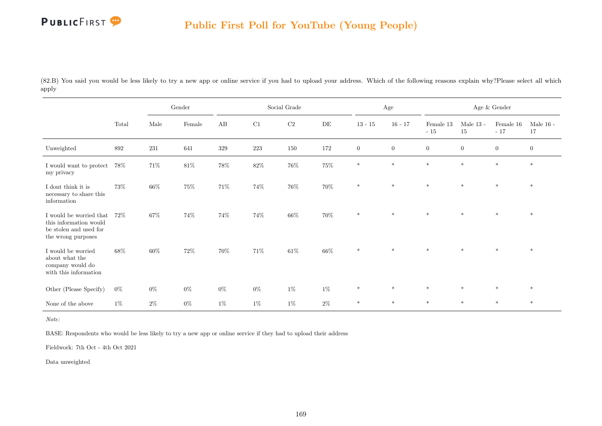

(82.B) You said you would be less likely to try a new app or online service if you had to upload your address. Which of the following reasons explain why?Please select all which apply

|                                                                                                   |       | Gender<br>Male<br>Female |        |         |        | Social Grade |         |                  | Age              |                    |                   | Age $\&$ Gender    |                   |
|---------------------------------------------------------------------------------------------------|-------|--------------------------|--------|---------|--------|--------------|---------|------------------|------------------|--------------------|-------------------|--------------------|-------------------|
|                                                                                                   | Total |                          |        | AB      | C1     | $\rm C2$     | DE      | $13 - 15$        | $16 - 17$        | Female 13<br>$-15$ | Male $13$ -<br>15 | Female 16<br>$-17$ | Male $16$ -<br>17 |
| Unweighted                                                                                        | 892   | $231\,$                  | 641    | $329\,$ | 223    | 150          | $172\,$ | $\boldsymbol{0}$ | $\boldsymbol{0}$ | $\overline{0}$     | $\overline{0}$    | $\overline{0}$     | $\overline{0}$    |
| I would want to protect<br>my privacy                                                             | 78%   | $71\%$                   | $81\%$ | $78\%$  | $82\%$ | $76\%$       | $75\%$  | $\ast$           | $\ast$           | $\ast$             | $\ast$            | $\ast$             | $\ast$            |
| I dont think it is<br>necessary to share this<br>information                                      | 73%   | $66\%$                   | $75\%$ | $71\%$  | 74%    | $76\%$       | 70%     | $\ast$           | $\ast$           | $\ast$             | $\ast$            | $\ast$             | $\ast$            |
| I would be worried that<br>this information would<br>be stolen and used for<br>the wrong purposes | 72%   | 67%                      | 74%    | $74\%$  | 74%    | $66\%$       | $70\%$  | $\ast$           | $\ast$           | $\ast$             | $\ast$            | $\ast$             | $\ast$            |
| I would be worried<br>about what the<br>company would do<br>with this information                 | 68%   | $60\%$                   | $72\%$ | $70\%$  | $71\%$ | $61\%$       | $66\%$  | $\ast$           | $\ast$           | $\ast$             | $\ast$            | $\ast$             | $\ast$            |
| Other (Please Specify)                                                                            | $0\%$ | $0\%$                    | $0\%$  | $0\%$   | $0\%$  | $1\%$        | $1\%$   | $\ast$           | $*$              | $\ast$             | $\ast$            | $\ast$             | $\ast$            |
| None of the above                                                                                 | $1\%$ | $2\%$                    | $0\%$  | $1\%$   | $1\%$  | $1\%$        | $2\%$   | $\ast$           | $\ast$           | $*$                | $\ast$            | $\ast$             | $*$               |

Note:

BASE: Respondents who would be less likely to try a new app or online service if they had to upload their address

Fieldwork: 7th Oct - 4th Oct 2021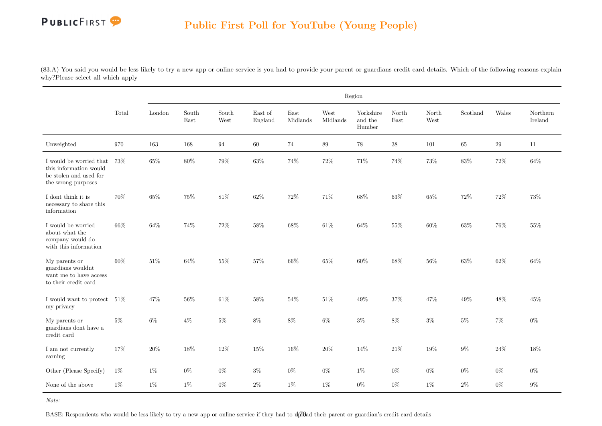# PUBLICFIRST<sup>9</sup>

(83.A) You said you would be less likely to try a new app or online service is you had to provide your parent or guardians credit card details. Which of the following reasons explain why?Please select all which apply

|                                                                                                   |        |        |               |               |                    |                  |                  | Region                         |               |               |          |        |                     |
|---------------------------------------------------------------------------------------------------|--------|--------|---------------|---------------|--------------------|------------------|------------------|--------------------------------|---------------|---------------|----------|--------|---------------------|
|                                                                                                   | Total  | London | South<br>East | South<br>West | East of<br>England | East<br>Midlands | West<br>Midlands | Yorkshire<br>and the<br>Humber | North<br>East | North<br>West | Scotland | Wales  | Northern<br>Ireland |
| Unweighted                                                                                        | 970    | 163    | 168           | 94            | 60                 | $74\,$           | $89\,$           | $78\,$                         | $38\,$        | 101           | $65\,$   | $\,29$ | $11\,$              |
| I would be worried that<br>this information would<br>be stolen and used for<br>the wrong purposes | 73%    | $65\%$ | 80%           | $79\%$        | 63%                | $74\%$           | $72\%$           | $71\%$                         | 74%           | $73\%$        | 83%      | $72\%$ | 64%                 |
| I dont think it is<br>necessary to share this<br>information                                      | 70%    | $65\%$ | 75%           | $81\%$        | $62\%$             | $72\%$           | $71\%$           | $68\%$                         | $63\%$        | $65\%$        | $72\%$   | $72\%$ | $73\%$              |
| I would be worried<br>about what the<br>company would do<br>with this information                 | $66\%$ | $64\%$ | 74%           | $72\%$        | $58\%$             | $68\%$           | $61\%$           | $64\%$                         | $55\%$        | $60\%$        | $63\%$   | $76\%$ | $55\%$              |
| My parents or<br>guardians wouldnt<br>want me to have access<br>to their credit card              | 60%    | $51\%$ | 64%           | $55\%$        | $57\%$             | $66\%$           | $65\%$           | 60%                            | 68%           | 56%           | $63\%$   | $62\%$ | 64%                 |
| I would want to protect $\,$ 51% $\,$<br>my privacy                                               |        | $47\%$ | 56%           | $61\%$        | $58\%$             | $54\%$           | $51\%$           | $49\%$                         | $37\%$        | 47%           | 49%      | 48\%   | 45%                 |
| My parents or<br>guardians dont have a<br>credit card                                             | $5\%$  | $6\%$  | $4\%$         | $5\%$         | $8\%$              | $8\%$            | $6\%$            | $3\%$                          | $8\%$         | $3\%$         | $5\%$    | $7\%$  | $0\%$               |
| I am not currently<br>earning                                                                     | 17%    | $20\%$ | 18%           | 12%           | $15\%$             | $16\%$           | $20\%$           | 14%                            | 21\%          | 19%           | $9\%$    | $24\%$ | 18%                 |
| Other (Please Specify)                                                                            | $1\%$  | $1\%$  | $0\%$         | $0\%$         | $3\%$              | $0\%$            | $0\%$            | $1\%$                          | $0\%$         | $0\%$         | $0\%$    | $0\%$  | $0\%$               |
| None of the above                                                                                 | $1\%$  | $1\%$  | $1\%$         | $0\%$         | $2\%$              | $1\%$            | $1\%$            | $0\%$                          | $0\%$         | $1\%$         | $2\%$    | $0\%$  | $9\%$               |

BASE: Respondents who would be less likely to try a new app or online service if they had to upload their parent or guardian's credit card details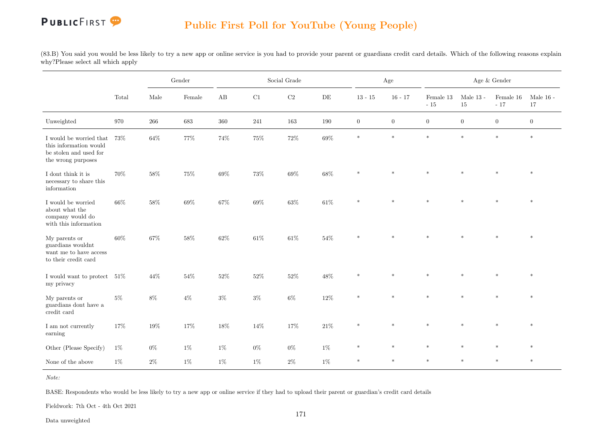### **PUBLICFIRST**

#### Public First Poll for YouTube (Young People)

(83.B) You said you would be less likely to try a new app or online service is you had to provide your parent or guardians credit card details. Which of the following reasons explain why?Please select all which apply

|                                                                                                   |       | Gender<br>Female<br>Male<br>683<br>266<br>64%<br>77% |        |        |         | Social Grade |           |              | Age            |                       |                   | Age $\&$ Gender        |                   |
|---------------------------------------------------------------------------------------------------|-------|------------------------------------------------------|--------|--------|---------|--------------|-----------|--------------|----------------|-----------------------|-------------------|------------------------|-------------------|
|                                                                                                   | Total |                                                      |        | AB     | C1      | $\rm C2$     | $\rm{DE}$ | $13 - 15$    | $16 - 17$      | Female 13<br>$\sim15$ | Male $13$ -<br>15 | Female 16<br>$\sim 17$ | Male $16$ -<br>17 |
| Unweighted                                                                                        | 970   |                                                      |        | 360    | $241\,$ | 163          | $190\,$   | $\mathbf{0}$ | $\overline{0}$ | $\overline{0}$        | $\overline{0}$    | $\overline{0}$         | $\boldsymbol{0}$  |
| I would be worried that<br>this information would<br>be stolen and used for<br>the wrong purposes | 73%   |                                                      |        | 74%    | $75\%$  | $72\%$       | $69\%$    | $\ast$       | $\ast$         | $\ast$                | $\ast$            | $\ast$                 | $\ast$            |
| I dont think it is<br>necessary to share this<br>information                                      | 70%   | $58\%$                                               | 75%    | $69\%$ | $73\%$  | $69\%$       | $68\%$    | $\ast$       | $\ast$         | $\ast$                | $\ast$            | $\ast$                 | $\ast$            |
| I would be worried<br>about what the<br>company would do<br>with this information                 | 66%   | $58\%$                                               | $69\%$ | $67\%$ | $69\%$  | $63\%$       | $61\%$    | $\ast$       | $\ast$         | $\ast$                | $\ast$            | $\ast$                 | $\ast$            |
| My parents or<br>guardians wouldnt<br>want me to have access<br>to their credit card              | 60%   | $67\%$                                               | $58\%$ | $62\%$ | $61\%$  | $61\%$       | $54\%$    | $\ast$       | $\ast$         | $\ast$                |                   | $\ast$                 | $\ast$            |
| I would want to protect $\,$ 51% $\,$<br>my privacy                                               |       | 44\%                                                 | $54\%$ | $52\%$ | 52%     | $52\%$       | 48%       | $\ast$       | $\ast$         | $\ast$                | $\ast$            |                        | $\ast$            |
| My parents or<br>guardians dont have a<br>credit card                                             | $5\%$ | $8\%$                                                | $4\%$  | $3\%$  | $3\%$   | $6\%$        | $12\%$    | $\ast$       | $\ast$         | $\ast$                | $\ast$            | $\ast$                 | $\ast$            |
| I am not currently<br>earning                                                                     | 17%   | $19\%$                                               | $17\%$ | $18\%$ | $14\%$  | $17\%$       | $21\%$    | $\ast$       | $\ast$         | $\ast$                | $\ast$            | $\ast$                 | $\ast$            |
| Other (Please Specify)                                                                            | $1\%$ | $0\%$                                                | $1\%$  | $1\%$  | $0\%$   | $0\%$        | $1\%$     | $\ast$       | $\ast$         | $\ast$                | $\ast$            | $\ast$                 | $\ast$            |
| None of the above                                                                                 | $1\%$ | $2\%$                                                | $1\%$  | $1\%$  | $1\%$   | $2\%$        | $1\%$     | $\ast$       | $\ast$         | $*$                   | $\ast$            | $\ast$                 | $\star$           |

Note:

BASE: Respondents who would be less likely to try a new app or online service if they had to upload their parent or guardian's credit card details

Fieldwork: 7th Oct - 4th Oct 2021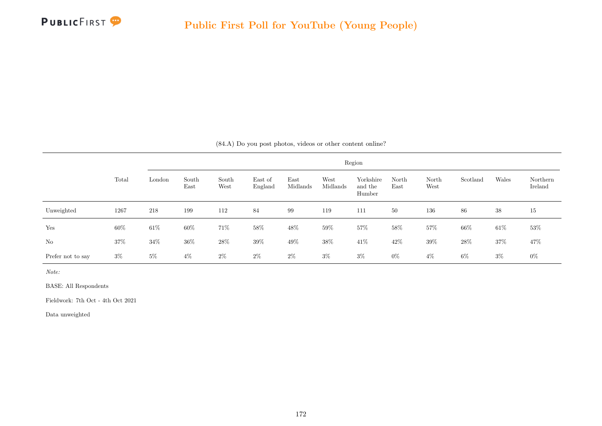

|  |  |  |  | $(84.A)$ Do you post photos, videos or other content online? |  |  |  |
|--|--|--|--|--------------------------------------------------------------|--|--|--|
|--|--|--|--|--------------------------------------------------------------|--|--|--|

|                   |       |        |               |               |                    |                  |                  | Region                         |               |               |          |        |                     |
|-------------------|-------|--------|---------------|---------------|--------------------|------------------|------------------|--------------------------------|---------------|---------------|----------|--------|---------------------|
|                   | Total | London | South<br>East | South<br>West | East of<br>England | East<br>Midlands | West<br>Midlands | Yorkshire<br>and the<br>Humber | North<br>East | North<br>West | Scotland | Wales  | Northern<br>Ireland |
| Unweighted        | 1267  | 218    | 199           | 112           | 84                 | 99               | 119              | 111                            | 50            | 136           | 86       | 38     | 15                  |
| Yes               | 60%   | $61\%$ | $60\%$        | 71%           | 58%                | 48\%             | $59\%$           | 57%                            | 58%           | 57%           | $66\%$   | $61\%$ | 53\%                |
| No                | 37%   | $34\%$ | $36\%$        | 28\%          | $39\%$             | 49\%             | 38%              | 41\%                           | 42\%          | $39\%$        | 28\%     | 37%    | 47%                 |
| Prefer not to say | $3\%$ | $5\%$  | $4\%$         | $2\%$         | $2\%$              | $2\%$            | $3\%$            | $3\%$                          | $0\%$         | $4\%$         | 6%       | $3\%$  | $0\%$               |

Note:

BASE: All Respondents

Fieldwork: 7th Oct - 4th Oct 2021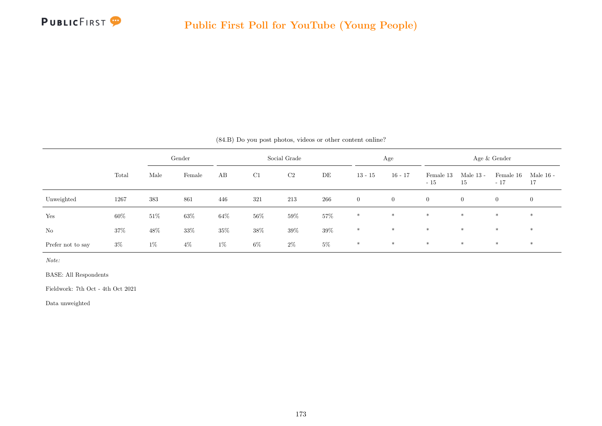

|                   | $(84.B)$ Do you post photos, videos or other content online? |        |                        |        |        |        |        |                |                |                    |                   |                    |                   |  |
|-------------------|--------------------------------------------------------------|--------|------------------------|--------|--------|--------|--------|----------------|----------------|--------------------|-------------------|--------------------|-------------------|--|
|                   |                                                              |        | Social Grade<br>Gender |        |        |        |        |                | Age            |                    |                   | Age & Gender       |                   |  |
|                   | Total                                                        | Male   | Female                 | AB     | C1     | C2     | DE     | $13 - 15$      | $16 - 17$      | Female 13<br>$-15$ | Male $13$ -<br>15 | Female 16<br>$-17$ | Male $16$ -<br>17 |  |
| Unweighted        | 1267                                                         | 383    | 861                    | 446    | 321    | 213    | 266    | $\overline{0}$ | $\overline{0}$ | $\overline{0}$     | $\overline{0}$    | $\overline{0}$     | $\overline{0}$    |  |
| Yes               | 60%                                                          | $51\%$ | $63\%$                 | $64\%$ | 56%    | $59\%$ | $57\%$ | $*$            | $*$            | $\ast$             | $*$               | $*$                | $*$               |  |
| No                | 37%                                                          | $48\%$ | 33%                    | $35\%$ | $38\%$ | $39\%$ | $39\%$ | $*$            | $\ast$         | $*$                | $\ast$            | $*$                | $*$               |  |
| Prefer not to say | $3\%$                                                        | $1\%$  | $4\%$                  | $1\%$  | $6\%$  | $2\%$  | $5\%$  | $*$            | $*$            | $*$                | $*$               | $*$                | $*$               |  |

Note:

BASE: All Respondents

Fieldwork: 7th Oct - 4th Oct 2021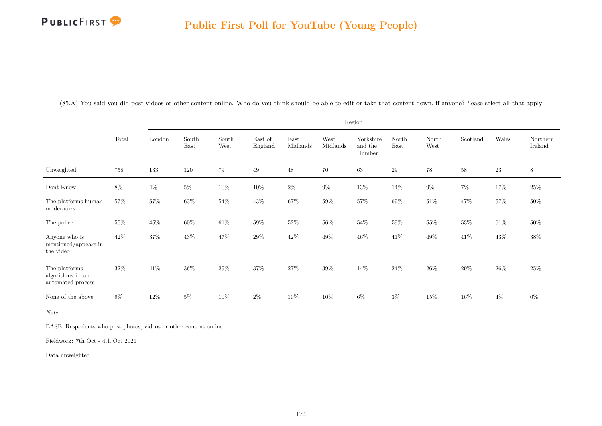

|                                                         |        |        |               |               |                    |                  |                  | Region                         |               |               |          |        |                     |
|---------------------------------------------------------|--------|--------|---------------|---------------|--------------------|------------------|------------------|--------------------------------|---------------|---------------|----------|--------|---------------------|
|                                                         | Total  | London | South<br>East | South<br>West | East of<br>England | East<br>Midlands | West<br>Midlands | Yorkshire<br>and the<br>Humber | North<br>East | North<br>West | Scotland | Wales  | Northern<br>Ireland |
| Unweighted                                              | 758    | 133    | 120           | 79            | $49\,$             | $48\,$           | 70               | 63                             | $\,29$        | $78\,$        | $58\,$   | $23\,$ | $8\,$               |
| Dont Know                                               | 8%     | $4\%$  | $5\%$         | $10\%$        | 10%                | $2\%$            | $9\%$            | $13\%$                         | $14\%$        | $9\%$         | $7\%$    | $17\%$ | $25\%$              |
| The platforms human<br>moderators                       | 57%    | 57%    | 63%           | $54\%$        | $43\%$             | $67\%$           | 59%              | $57\%$                         | 69%           | $51\%$        | 47%      | $57\%$ | $50\%$              |
| The police                                              | 55%    | $45\%$ | 60%           | $61\%$        | 59%                | $52\%$           | 56%              | $54\%$                         | 59%           | $55\%$        | 53%      | $61\%$ | $50\%$              |
| Anyone who is<br>mentioned/appears in<br>the video      | $42\%$ | $37\%$ | 43%           | $47\%$        | $29\%$             | $42\%$           | $49\%$           | $46\%$                         | $41\%$        | $49\%$        | $41\%$   | $43\%$ | $38\%$              |
| The platforms<br>algorithms i.e an<br>automated process | 32%    | 41\%   | 36%           | $29\%$        | 37%                | $27\%$           | 39%              | $14\%$                         | 24\%          | $26\%$        | 29%      | $26\%$ | 25%                 |
| None of the above                                       | $9\%$  | $12\%$ | $5\%$         | $10\%$        | $2\%$              | $10\%$           | $10\%$           | $6\%$                          | $3\%$         | 15%           | $16\%$   | $4\%$  | $0\%$               |

(85.A) You said you did post videos or other content online. Who do you think should be able to edit or take that content down, if anyone?Please select all that apply

Note:

BASE: Respodents who post photos, videos or other content online

Fieldwork: 7th Oct - 4th Oct 2021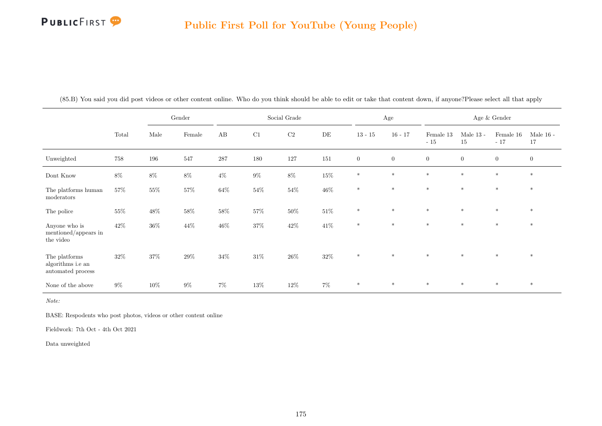

|                                                         |        |        | Gender |        |         | Social Grade   |         |                | $\rm Age$      |                    |                   | Age $\&$ Gender        |                        |
|---------------------------------------------------------|--------|--------|--------|--------|---------|----------------|---------|----------------|----------------|--------------------|-------------------|------------------------|------------------------|
|                                                         | Total  | Male   | Female | AB     | C1      | C <sub>2</sub> | DE      | $13 - 15$      | $16 - 17$      | Female 13<br>$-15$ | Male $13$ -<br>15 | Female $16\,$<br>$-17$ | Male $16$ - $\,$<br>17 |
| Unweighted                                              | 758    | 196    | 547    | 287    | $180\,$ | $127\,$        | $151\,$ | $\overline{0}$ | $\overline{0}$ | $\overline{0}$     | $\boldsymbol{0}$  | $\overline{0}$         | $\overline{0}$         |
| Dont Know                                               | $8\%$  | $8\%$  | $8\%$  | $4\%$  | $9\%$   | $8\%$          | $15\%$  | $\ast$         | $*$            | $\ast$             | $\ast$            | $\ast$                 | $\ast$                 |
| The platforms human<br>moderators                       | $57\%$ | $55\%$ | $57\%$ | $64\%$ | $54\%$  | $54\%$         | $46\%$  | $\ast$         | $*$            | $*$                | $*$               | $*$                    | $*$                    |
| The police                                              | $55\%$ | $48\%$ | $58\%$ | $58\%$ | $57\%$  | $50\%$         | $51\%$  | $\ast$         | $*$            | $\ast$             | $\ast$            | $\ast$                 | $*$                    |
| Anyone who is<br>mentioned/appears in<br>the video      | $42\%$ | $36\%$ | $44\%$ | $46\%$ | $37\%$  | $42\%$         | $41\%$  | $\ast$         | $\ast$         | $\ast$             | $\ast$            | $\ast$                 | $\ast$                 |
| The platforms<br>algorithms i.e an<br>automated process | 32%    | $37\%$ | $29\%$ | $34\%$ | $31\%$  | $26\%$         | $32\%$  | $\ast$         | $*$            | $\ast$             | $\ast$            | $\ast$                 | $*$                    |
| None of the above                                       | $9\%$  | $10\%$ | $9\%$  | $7\%$  | $13\%$  | $12\%$         | $7\%$   | $\ast$         | $\ast$         | $\ast$             | $\ast$            | $\ast$                 | $\ast$                 |

(85.B) You said you did post videos or other content online. Who do you think should be able to edit or take that content down, if anyone?Please select all that apply

Note:

BASE: Respodents who post photos, videos or other content online

Fieldwork: 7th Oct - 4th Oct 2021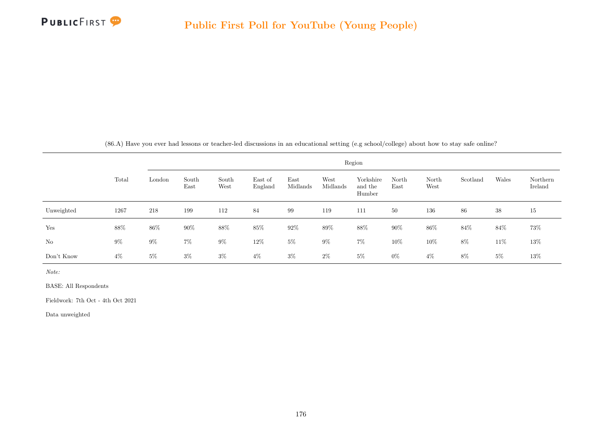

(86.A) Have you ever had lessons or teacher-led discussions in an educational setting (e.g school/college) about how to stay safe online?

|            |        | Region |               |               |                    |                  |                  |                                |               |               |          |       |                     |
|------------|--------|--------|---------------|---------------|--------------------|------------------|------------------|--------------------------------|---------------|---------------|----------|-------|---------------------|
|            | Total  | London | South<br>East | South<br>West | East of<br>England | East<br>Midlands | West<br>Midlands | Yorkshire<br>and the<br>Humber | North<br>East | North<br>West | Scotland | Wales | Northern<br>Ireland |
| Unweighted | 1267   | 218    | 199           | 112           | 84                 | 99               | 119              | 111                            | 50            | 136           | 86       | 38    | 15                  |
| Yes        | $88\%$ | 86%    | $90\%$        | $88\%$        | 85%                | 92%              | $89\%$           | $88\%$                         | $90\%$        | $86\%$        | 84\%     | 84\%  | $73\%$              |
| No         | $9\%$  | $9\%$  | $7\%$         | $9\%$         | 12%                | $5\%$            | $9\%$            | $7\%$                          | 10%           | 10%           | 8%       | 11%   | $13\%$              |
| Don't Know | $4\%$  | $5\%$  | $3\%$         | $3\%$         | $4\%$              | $3\%$            | $2\%$            | $5\%$                          | $0\%$         | $4\%$         | $8\%$    | $5\%$ | $13\%$              |

Note:

BASE: All Respondents

Fieldwork: 7th Oct - 4th Oct 2021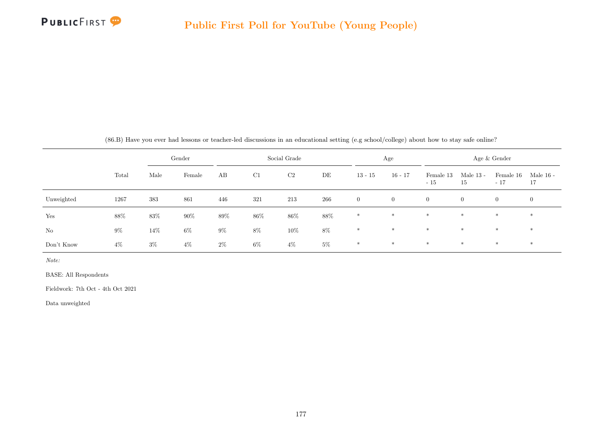

|  | (86.B) Have you ever had lessons or teacher-led discussions in an educational setting (e.g school/college) about how to stay safe online? |  |  |  |  |  |  |
|--|-------------------------------------------------------------------------------------------------------------------------------------------|--|--|--|--|--|--|
|  |                                                                                                                                           |  |  |  |  |  |  |

|            |       |        | Gender | Social Grade |       |                | Age   |                | Age & Gender   |                    |                   |                    |                 |
|------------|-------|--------|--------|--------------|-------|----------------|-------|----------------|----------------|--------------------|-------------------|--------------------|-----------------|
|            | Total | Male   | Female | AB           | C1    | C <sub>2</sub> | DE    | $13 - 15$      | $16 - 17$      | Female 13<br>$-15$ | Male $13$ -<br>15 | Female 16<br>$-17$ | Male 16 -<br>17 |
| Unweighted | 1267  | 383    | 861    | 446          | 321   | 213            | 266   | $\overline{0}$ | $\overline{0}$ | $\overline{0}$     | $\overline{0}$    | $\overline{0}$     | $\overline{0}$  |
| Yes        | 88%   | 83%    | $90\%$ | 89%          | 86%   | 86%            | 88%   | $*$            | $*$            | $*$                | $*$               | $*$                | $\ast$          |
| No         | $9\%$ | $14\%$ | $6\%$  | $9\%$        | 8%    | $10\%$         | $8\%$ | $*$            | $*$            | $*$                | $*$               | $*$                | $*$             |
| Don't Know | $4\%$ | $3\%$  | $4\%$  | $2\%$        | $6\%$ | $4\%$          | $5\%$ | $\ast$         | $*$            | $*$                | $*$               | $*$                | $*$             |

Note:

BASE: All Respondents

Fieldwork: 7th Oct - 4th Oct 2021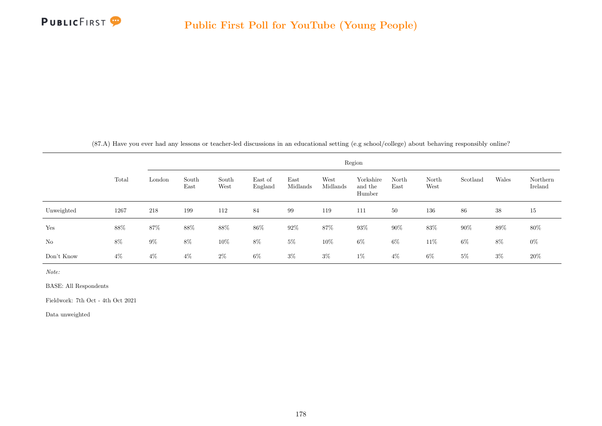

(87.A) Have you ever had any lessons or teacher-led discussions in an educational setting (e.g school/college) about behaving responsibly online?

|            |       | Region |               |               |                    |                  |                  |                                |               |               |          |        |                     |  |
|------------|-------|--------|---------------|---------------|--------------------|------------------|------------------|--------------------------------|---------------|---------------|----------|--------|---------------------|--|
|            | Total | London | South<br>East | South<br>West | East of<br>England | East<br>Midlands | West<br>Midlands | Yorkshire<br>and the<br>Humber | North<br>East | North<br>West | Scotland | Wales  | Northern<br>Ireland |  |
| Unweighted | 1267  | 218    | 199           | 112           | 84                 | 99               | 119              | 111                            | 50            | 136           | 86       | 38     | 15                  |  |
| Yes        | 88%   | 87\%   | 88%           | 88%           | 86%                | $92\%$           | 87%              | 93%                            | $90\%$        | 83%           | $90\%$   | $89\%$ | 80%                 |  |
| No         | $8\%$ | $9\%$  | 8%            | $10\%$        | $8\%$              | $5\%$            | 10%              | $6\%$                          | $6\%$         | 11\%          | $6\%$    | $8\%$  | $0\%$               |  |
| Don't Know | $4\%$ | $4\%$  | $4\%$         | $2\%$         | $6\%$              | $3\%$            | $3\%$            | $1\%$                          | $4\%$         | $6\%$         | $5\%$    | $3\%$  | $20\%$              |  |

Note:

BASE: All Respondents

Fieldwork: 7th Oct - 4th Oct 2021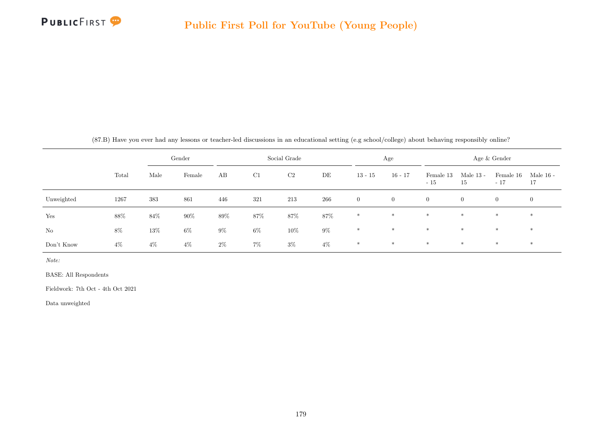

|  | (87.B) Have you ever had any lessons or teacher-led discussions in an educational setting (e.g school/college) about behaving responsibly online? |  |  |  |
|--|---------------------------------------------------------------------------------------------------------------------------------------------------|--|--|--|
|  |                                                                                                                                                   |  |  |  |

|            |        |       | Gender |       |       | Social Grade |        | Age            |                | Age & Gender       |                   |                    |                 |
|------------|--------|-------|--------|-------|-------|--------------|--------|----------------|----------------|--------------------|-------------------|--------------------|-----------------|
|            | Total  | Male  | Female | AB    | C1    | C2           | DE     | $13 - 15$      | $16 - 17$      | Female 13<br>$-15$ | Male $13$ -<br>15 | Female 16<br>$-17$ | Male 16 -<br>17 |
| Unweighted | 1267   | 383   | 861    | 446   | 321   | 213          | 266    | $\overline{0}$ | $\overline{0}$ | $\overline{0}$     | $\overline{0}$    | $\overline{0}$     | $\overline{0}$  |
| Yes        | $88\%$ | 84%   | 90%    | 89%   | 87%   | 87%          | $87\%$ | $*$            | $*$            | $*$                | $*$               | $*$                | $\ast$          |
| No         | $8\%$  | 13%   | $6\%$  | $9\%$ | $6\%$ | $10\%$       | $9\%$  | $*$            | $*$            | $*$                | $*$               | $*$                | $*$             |
| Don't Know | $4\%$  | $4\%$ | $4\%$  | $2\%$ | $7\%$ | $3\%$        | $4\%$  | $\ast$         | $\ast$         | $*$                | $*$               | $*$                | $\ast$          |

Note:

BASE: All Respondents

Fieldwork: 7th Oct - 4th Oct 2021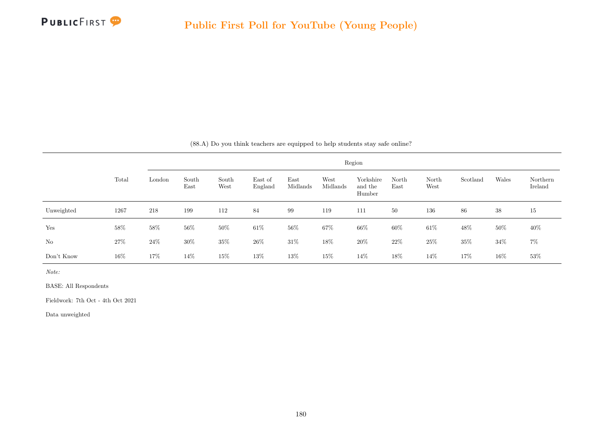

|  |  |  | (88.A) Do you think teachers are equipped to help students stay safe online? |  |  |  |  |
|--|--|--|------------------------------------------------------------------------------|--|--|--|--|
|  |  |  |                                                                              |  |  |  |  |

|            |        |        |               |               |                    |                  |                  | Region                         |               |               |          |        |                     |
|------------|--------|--------|---------------|---------------|--------------------|------------------|------------------|--------------------------------|---------------|---------------|----------|--------|---------------------|
|            | Total  | London | South<br>East | South<br>West | East of<br>England | East<br>Midlands | West<br>Midlands | Yorkshire<br>and the<br>Humber | North<br>East | North<br>West | Scotland | Wales  | Northern<br>Ireland |
| Unweighted | 1267   | 218    | 199           | 112           | 84                 | 99               | 119              | 111                            | 50            | 136           | 86       | 38     | 15                  |
| Yes        | $58\%$ | 58\%   | $56\%$        | 50%           | $61\%$             | $56\%$           | 67%              | 66%                            | 60%           | $61\%$        | 48\%     | $50\%$ | $40\%$              |
| No         | $27\%$ | $24\%$ | $30\%$        | 35\%          | $26\%$             | $31\%$           | 18%              | $20\%$                         | 22\%          | 25\%          | 35%      | $34\%$ | $7\%$               |
| Don't Know | 16%    | $17\%$ | $14\%$        | 15%           | $13\%$             | 13%              | $15\%$           | $14\%$                         | 18%           | $14\%$        | 17%      | $16\%$ | $53\%$              |

BASE: All Respondents

Fieldwork: 7th Oct - 4th Oct 2021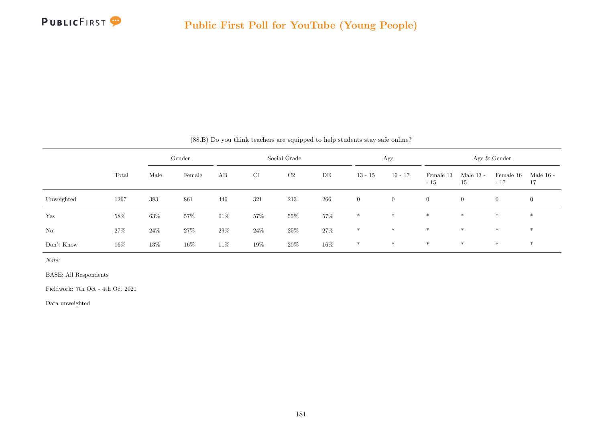|            |        |        | Gender |        |     | Social Grade |        |                | Age            |                    |                   | Age & Gender       |                 |
|------------|--------|--------|--------|--------|-----|--------------|--------|----------------|----------------|--------------------|-------------------|--------------------|-----------------|
|            | Total  | Male   | Female | AB     | C1  | C2           | DE     | $13 - 15$      | $16 - 17$      | Female 13<br>$-15$ | Male $13$ -<br>15 | Female 16<br>$-17$ | Male 16 -<br>17 |
| Unweighted | 1267   | 383    | 861    | 446    | 321 | 213          | 266    | $\overline{0}$ | $\overline{0}$ | $\overline{0}$     | $\overline{0}$    | $\overline{0}$     | $\overline{0}$  |
| Yes        | 58%    | $63\%$ | 57%    | $61\%$ | 57% | 55%          | 57%    | $*$            | $*$            | $\ast$             | $*$               | $\ast$             | $\ast$          |
| No         | 27\%   | $24\%$ | 27%    | $29\%$ | 24% | $25\%$       | $27\%$ | $\ast$         | $*$            | $\ast$             | $*$               | $\ast$             | $\ast$          |
| Don't Know | $16\%$ | 13%    | $16\%$ | $11\%$ | 19% | 20%          | $16\%$ | $*$            | $*$            | $*$                | $*$               | $*$                | $*$             |

(88.B) Do you think teachers are equipped to help students stay safe online?

Note:

BASE: All Respondents

Fieldwork: 7th Oct - 4th Oct 2021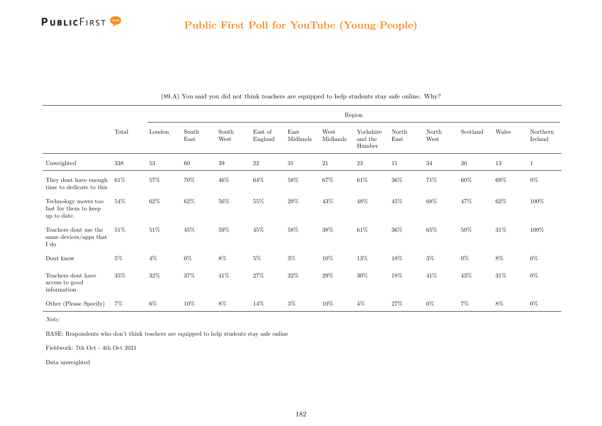

|                                                              |        |        |               |               |                    |                                   |                  | Region                         |               |               |          |        |                     |
|--------------------------------------------------------------|--------|--------|---------------|---------------|--------------------|-----------------------------------|------------------|--------------------------------|---------------|---------------|----------|--------|---------------------|
|                                                              | Total  | London | South<br>East | South<br>West | East of<br>England | $\operatorname{East}$<br>Midlands | West<br>Midlands | Yorkshire<br>and the<br>Humber | North<br>East | North<br>West | Scotland | Wales  | Northern<br>Ireland |
| Unweighted                                                   | 338    | $53\,$ | $60\,$        | $39\,$        | $22\,$             | $31\,$                            | 21               | $23\,$                         | 11            | 34            | $30\,$   | $13\,$ | $\mathbf{1}$        |
| They dont have enough<br>time to dedicate to this            | $61\%$ | $57\%$ | $70\%$        | $46\%$        | $64\%$             | $58\%$                            | $67\%$           | $61\%$                         | $36\%$        | $71\%$        | $60\%$   | $69\%$ | $0\%$               |
| Technology moves too<br>fast for them to keep<br>up to date. | $54\%$ | $62\%$ | 62%           | $56\%$        | $55\%$             | $29\%$                            | $43\%$           | $48\%$                         | $45\%$        | $68\%$        | $47\%$   | $62\%$ | $100\%$             |
| Teachers dont use the<br>same devices/apps that<br>I do      | $51\%$ | $51\%$ | 45%           | $59\%$        | 45%                | $58\%$                            | 38%              | $61\%$                         | 36%           | $65\%$        | 50%      | $31\%$ | 100%                |
| Dont know                                                    | $5\%$  | $4\%$  | $0\%$         | $8\%$         | $5\%$              | $3\%$                             | $10\%$           | $13\%$                         | $18\%$        | $3\%$         | $0\%$    | $8\%$  | $0\%$               |
| Teachers dont have<br>access to good<br>information          | $35\%$ | $32\%$ | $37\%$        | $41\%$        | $27\%$             | $32\%$                            | $29\%$           | $30\%$                         | $18\%$        | $41\%$        | $43\%$   | $31\%$ | $0\%$               |
| Other (Please Specify)                                       | $7\%$  | $6\%$  | $10\%$        | $8\%$         | $14\%$             | $3\%$                             | $10\%$           | $4\%$                          | 27\%          | $0\%$         | $7\%$    | $8\%$  | $0\%$               |

(89.A) You said you did not think teachers are equipped to help students stay safe online. Why?

Note:

BASE: Respondents who don't think teachers are equipped to help students stay safe online

Fieldwork: 7th Oct - 4th Oct 2021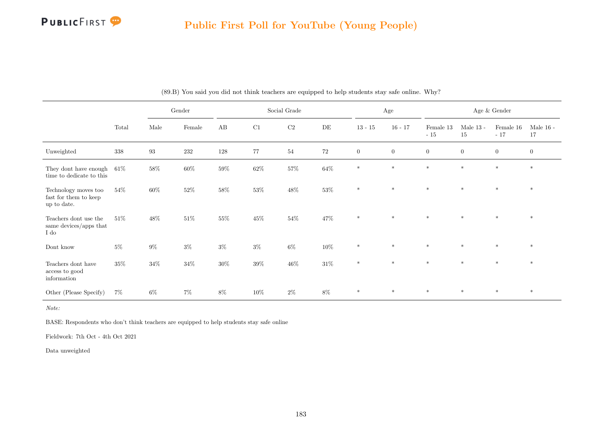

|                                                              |        |                   | Gender |          |        | Social Grade |           |                | Age              |                    |                   | Age & Gender         |                   |
|--------------------------------------------------------------|--------|-------------------|--------|----------|--------|--------------|-----------|----------------|------------------|--------------------|-------------------|----------------------|-------------------|
|                                                              | Total  | Male              | Female | $\rm AB$ | C1     | $\rm{C2}$    | $\rm{DE}$ | $13 - 15$      | $16 - 17$        | Female 13<br>$-15$ | Male $13$ -<br>15 | Female $16$<br>$-17$ | Male $16$ -<br>17 |
| Unweighted                                                   | 338    | $\boldsymbol{93}$ | 232    | 128      | 77     | 54           | $72\,$    | $\overline{0}$ | $\boldsymbol{0}$ | $\mathbf{0}$       | $\mathbf{0}$      | $\overline{0}$       | $\overline{0}$    |
| They dont have enough<br>time to dedicate to this            | $61\%$ | $58\%$            | $60\%$ | $59\%$   | $62\%$ | $57\%$       | $64\%$    | $*$            | $*$              | $\ast$             | $*$               | $*$                  | $\ast$            |
| Technology moves too<br>fast for them to keep<br>up to date. | $54\%$ | $60\%$            | $52\%$ | $58\%$   | $53\%$ | $48\%$       | $53\%$    | $*$            | $*$              | $\ast$             | $\ast$            | $\ast$               | $\ast$            |
| Teachers dont use the<br>same devices/apps that<br>I do      | 51\%   | $48\%$            | $51\%$ | 55%      | $45\%$ | $54\%$       | 47%       | $*$            | $*$              | $*$                | $*$               | $\ast$               | $*$               |
| Dont know                                                    | $5\%$  | $9\%$             | $3\%$  | $3\%$    | $3\%$  | $6\%$        | $10\%$    | $*$            | $*$              | $*$                | $*$               | $*$                  | $*$               |
| Teachers dont have<br>access to good<br>information          | 35%    | $34\%$            | $34\%$ | $30\%$   | $39\%$ | $46\%$       | $31\%$    | $*$            | $*$              | $*$                | $*$               | $\ast$               | $\ast$            |
| Other (Please Specify)                                       | $7\%$  | $6\%$             | $7\%$  | $8\%$    | $10\%$ | $2\%$        | $8\%$     | $\ast$         | $*$              | $*$                | $\ast$            | $\ast$               | $\ast$            |

(89.B) You said you did not think teachers are equipped to help students stay safe online. Why?

Note:

BASE: Respondents who don't think teachers are equipped to help students stay safe online

Fieldwork: 7th Oct - 4th Oct 2021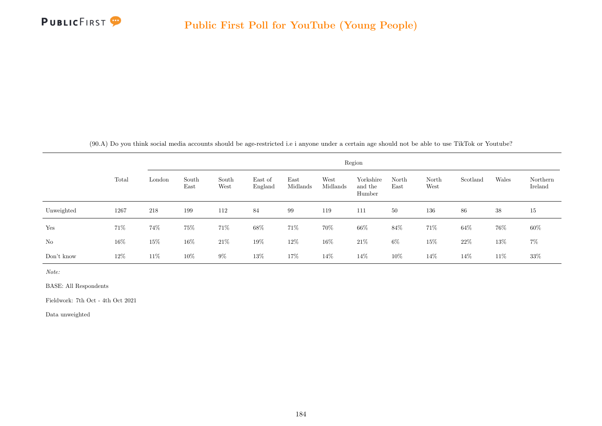

(90.A) Do you think social media accounts should be age-restricted i.e i anyone under a certain age should not be able to use TikTok or Youtube?

|            |        |        |               |               |                    |                  |                  | Region                         |               |               |          |       |                     |
|------------|--------|--------|---------------|---------------|--------------------|------------------|------------------|--------------------------------|---------------|---------------|----------|-------|---------------------|
|            | Total  | London | South<br>East | South<br>West | East of<br>England | East<br>Midlands | West<br>Midlands | Yorkshire<br>and the<br>Humber | North<br>East | North<br>West | Scotland | Wales | Northern<br>Ireland |
| Unweighted | 1267   | 218    | 199           | 112           | 84                 | 99               | 119              | 111                            | 50            | 136           | 86       | 38    | 15                  |
| Yes        | 71\%   | 74%    | 75%           | 71\%          | $68\%$             | 71\%             | 70%              | 66%                            | 84%           | 71%           | 64\%     | 76%   | 60%                 |
| No         | 16\%   | $15\%$ | 16\%          | $21\%$        | 19%                | $12\%$           | 16%              | $21\%$                         | $6\%$         | 15%           | $22\%$   | 13%   | $7\%$               |
| Don't know | $12\%$ | $11\%$ | $10\%$        | $9\%$         | 13%                | 17%              | 14\%             | $14\%$                         | $10\%$        | 14%           | 14%      | 11\%  | $33\%$              |

Note:

BASE: All Respondents

Fieldwork: 7th Oct - 4th Oct 2021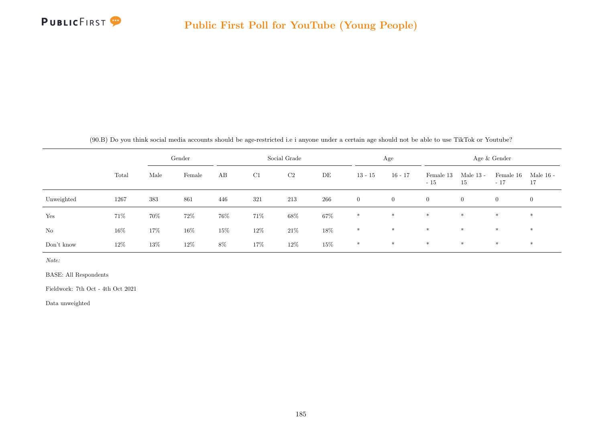

|  | (90.B) Do you think social media accounts should be age-restricted i.e i anyone under a certain age should not be able to use TikTok or Youtube? |  |  |  |
|--|--------------------------------------------------------------------------------------------------------------------------------------------------|--|--|--|
|  |                                                                                                                                                  |  |  |  |

|            |       |      | Gender |        |      | Social Grade |           |                | Age            |                    |                   | Age & Gender       |                 |
|------------|-------|------|--------|--------|------|--------------|-----------|----------------|----------------|--------------------|-------------------|--------------------|-----------------|
|            | Total | Male | Female | AB     | C1   | C2           | $\rm{DE}$ | $13 - 15$      | $16 - 17$      | Female 13<br>$-15$ | Male $13$ -<br>15 | Female 16<br>$-17$ | Male 16 -<br>17 |
| Unweighted | 1267  | 383  | 861    | 446    | 321  | 213          | 266       | $\overline{0}$ | $\overline{0}$ | $\overline{0}$     | $\overline{0}$    | $\overline{0}$     | $\overline{0}$  |
| Yes        | 71\%  | 70%  | 72\%   | 76%    | 71\% | 68%          | 67%       | $*$            | $*$            | $*$                | $*$               | $*$                | $*$             |
| No         | 16%   | 17%  | 16%    | $15\%$ | 12\% | $21\%$       | $18\%$    | $*$            | $*$            | $*$                | $*$               | $*$                | $*$             |
| Don't know | 12\%  | 13%  | 12\%   | $8\%$  | 17%  | 12\%         | $15\%$    | $\ast$         | $*$            | $*$                | $*$               | $*$                | $\ast$          |

BASE: All Respondents

Fieldwork: 7th Oct - 4th Oct 2021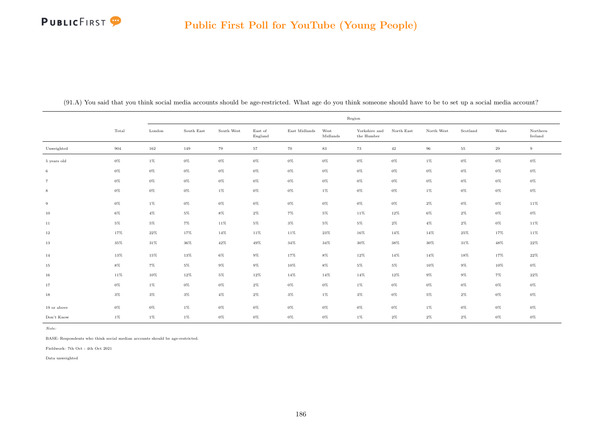## **PUBLICFIRST**

#### Public First Poll for YouTube (Young People)

|                |        |        |            |            |                    |                     |                  | Region                      |            |            |          |        |                     |
|----------------|--------|--------|------------|------------|--------------------|---------------------|------------------|-----------------------------|------------|------------|----------|--------|---------------------|
|                | Total  | London | South East | South West | East of<br>England | $\rm East$ Midlands | West<br>Midlands | Yorkshire and<br>the Humber | North East | North West | Scotland | Wales  | Northern<br>Ireland |
| Unweighted     | 904    | 162    | 149        | 79         | $57\,$             | 70                  | $83\,$           | 73                          | $42\,$     | $96\,$     | $55\,$   | $29\,$ | 9                   |
| 5 years old    | $0\%$  | $1\%$  | $0\%$      | $0\%$      | $0\%$              | $0\%$               | $0\%$            | $0\%$                       | $0\%$      | $1\%$      | $0\%$    | $0\%$  | 0%                  |
| 6              | $0\%$  | $0\%$  | $0\%$      | $0\%$      | $0\%$              | $0\%$               | $0\%$            | $0\%$                       | $0\%$      | $0\%$      | $0\%$    | $0\%$  | $0\%$               |
| $\overline{7}$ | $0\%$  | $0\%$  | $0\%$      | $0\%$      | $0\%$              | $0\%$               | $0\%$            | $0\%$                       | $0\%$      | $0\%$      | $0\%$    | $0\%$  | $0\%$               |
| 8              | $0\%$  | $0\%$  | $0\%$      | $1\%$      | $0\%$              | $0\%$               | $1\%$            | $0\%$                       | $0\%$      | $1\%$      | $0\%$    | $0\%$  | $0\%$               |
| 9              | $0\%$  | $1\%$  | $0\%$      | $0\%$      | $0\%$              | $0\%$               | $0\%$            | $0\%$                       | $0\%$      | $2\%$      | $0\%$    | $0\%$  | 11%                 |
| 10             | $6\%$  | $4\%$  | $5\%$      | $8\%$      | $2\%$              | 7%                  | $5\%$            | 11%                         | 12%        | $6\%$      | $2\%$    | $0\%$  | $0\%$               |
| 11             | $5\%$  | $5\%$  | $7\%$      | 11%        | $5\%$              | $3\%$               | $5\%$            | $5\%$                       | $2\%$      | $4\%$      | $2\%$    | $0\%$  | 11%                 |
| 12             | 17%    | $22\%$ | 17%        | 14%        | 11%                | 11%                 | 23%              | 16%                         | 14%        | 14%        | $25\%$   | 17%    | $11\%$              |
| 13             | $35\%$ | $31\%$ | $36\%$     | $42\%$     | 49%                | 34%                 | 34%              | $30\%$                      | $38\%$     | $30\%$     | $31\%$   | 48%    | $22\%$              |
| 14             | 13%    | 15%    | 13%        | $6\%$      | $9\%$              | 17%                 | $8\%$            | 12%                         | 14%        | 14%        | 18%      | 17%    | 22%                 |
| 15             | $8\%$  | $7\%$  | $5\%$      | $9\%$      | $9\%$              | $10\%$              | $8\%$            | $5\%$                       | $5\%$      | 10%        | $9\%$    | 10%    | $0\%$               |
| 16             | 11%    | 10%    | $12\%$     | $5\%$      | $12\%$             | 14%                 | 14%              | 14%                         | 12%        | $9\%$      | $9\%$    | $7\%$  | $22\%$              |
| 17             | $0\%$  | 1%     | $0\%$      | $0\%$      | $2\%$              | $0\%$               | $0\%$            | $1\%$                       | $0\%$      | $0\%$      | $0\%$    | $0\%$  | $0\%$               |
| 18             | $3\%$  | $3\%$  | $3\%$      | $4\%$      | $2\%$              | $3\%$               | $1\%$            | $3\%$                       | $0\%$      | $5\%$      | $2\%$    | $0\%$  | $0\%$               |
| 19 or above    | 0%     | $0\%$  | $1\%$      | $0\%$      | $0\%$              | $0\%$               | $0\%$            | $0\%$                       | $0\%$      | $1\%$      | $0\%$    | $0\%$  | $0\%$               |
| Don't Know     | $1\%$  | 1%     | $1\%$      | $0\%$      | 0%                 | $0\%$               | $0\%$            | 1%                          | $2\%$      | $2\%$      | $2\%$    | $0\%$  | $0\%$               |

(91.A) You said that you think social media accounts should be age-restricted. What age do you think someone should have to be to set up a social media account?

Note:

BASE: Respondents who think social median accounts should be age-restricted.

Fieldwork: 7th Oct - 4th Oct 2021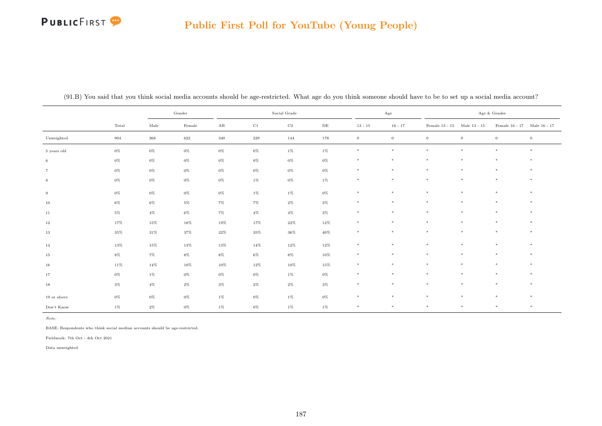## **PUBLICFIRST**

#### Public First Poll for YouTube (Young People)

|                |        |                    | Gender          |                      |             | Social Grade |           |                | Age            |                                       |          | Age $\&$ Gender             |                  |
|----------------|--------|--------------------|-----------------|----------------------|-------------|--------------|-----------|----------------|----------------|---------------------------------------|----------|-----------------------------|------------------|
|                | Total  | Male               | $\mbox{Female}$ | $\mathbf A\mathbf B$ | $_{\rm C1}$ | $_{\rm C2}$  | $\rm{DE}$ | $13 - 15$      | $16 - 17$      | Female 13 - 15 $\,$ Male 13 - 15 $\,$ |          | Female 16 - 17 Male 16 - 17 |                  |
| Unweighted     | 904    | $\boldsymbol{268}$ | 622             | 340                  | $229\,$     | 144          | 178       | $\overline{0}$ | $\overline{0}$ | $\overline{0}$                        | $\theta$ | $\mathbf{0}$                | $\boldsymbol{0}$ |
| 5 years old    | $0\%$  | $0\%$              | $0\%$           | $0\%$                | $0\%$       | $1\%$        | 1%        | $\ast$         | $\ast$         | $\ast$                                | $\ast$   | $\ast$                      | $*$              |
| $\,6\,$        | $0\%$  | $0\%$              | $0\%$           | $0\%$                | $0\%$       | 0%           | 0%        | $\ast$         | $\ast$         | $\ast$                                | $\ast$   | $\ast$                      | $\ast$           |
| $\overline{7}$ | $0\%$  | $0\%$              | $0\%$           | $0\%$                | $0\%$       | $0\%$        | 0%        | $\ast$         | $\ast$         | $\ast$                                | $\star$  | $\star$                     | $\ast$           |
| $\,$ 8 $\,$    | $0\%$  | $0\%$              | $0\%$           | $0\%$                | $1\%$       | $0\%$        | $1\%$     | $\ast$         | $\ast$         | $\ast$                                | $\ast$   | $\ast$                      | $\ast$           |
| 9              | $0\%$  | $0\%$              | $0\%$           | $0\%$                | $1\%$       | $1\%$        | $0\%$     | $\ast$         | $\ast$         | $\ast$                                | $\ast$   | $*$                         | $\ast$           |
| 10             | $6\%$  | $6\%$              | $5\%$           | $7\%$                | $7\%$       | $2\%$        | $3\%$     | $\ast$         | $\ast$         | $\ast$                                | $\ast$   | $\ast$                      | $*$              |
| 11             | $5\%$  | $4\%$              | $6\%$           | $7\%$                | $4\%$       | $4\%$        | $3\%$     | $\ast$         | $\ast$         | $\ast$                                | $\ast$   | $\ast$                      | $*$              |
| 12             | 17%    | $15\%$             | $18\%$          | 19%                  | 17%         | $22\%$       | $12\%$    | $\ast$         | $\ast$         | $\ast$                                | $\ast$   | $*$                         | $\ast$           |
| 13             | $35\%$ | $31\%$             | $37\%$          | $32\%$               | $35\%$      | $36\%$       | $40\%$    | $\ast$         | $\ast$         | $\ast$                                | $\ast$   | $\ast$                      | $\ast$           |
| 14             | 13%    | $15\%$             | 13%             | $13\%$               | 14%         | $12\%$       | $12\%$    | $\ast$         | $\ast$         | $\ast$                                | $\ast$   | $*$                         | $\ast$           |
| 15             | $8\%$  | $7\%$              | $8\%$           | $8\%$                | $6\%$       | $8\%$        | 10%       | $\ast$         | $\ast$         | $\ast$                                | $\ast$   | $\ast$                      | $*$              |
| 16             | $11\%$ | $14\%$             | $10\%$          | $10\%$               | $12\%$      | $10\%$       | 15%       | $\ast$         | $\ast$         | $\ast$                                | $\ast$   | $\ast$                      | $\ast$           |
| 17             | $0\%$  | $1\%$              | $0\%$           | $0\%$                | $0\%$       | $1\%$        | 0%        | $\ast$         | $\ast$         | $\ast$                                | $\ast$   | $\ast$                      | $\ast$           |
| 18             | $3\%$  | $4\%$              | $2\%$           | $3\%$                | $2\%$       | $2\%$        | 3%        | $\ast$         | $\ast$         | $\ast$                                | $\ast$   | $\star$                     | $\ast$           |
| 19 or above    | $0\%$  | $0\%$              | $0\%$           | $1\%$                | $0\%$       | $1\%$        | 0%        | $\ast$         | $\ast$         | $\ast$                                | $\ast$   | $\ast$                      | $\ast$           |
| Don't Know     | $1\%$  | $2\%$              | $0\%$           | $1\%$                | $0\%$       | $1\%$        | $1\%$     | $\ast$         | $\ast$         | $\ast$                                | $\ast$   | $*$                         | $\ast$           |

(91.B) You said that you think social media accounts should be age-restricted. What age do you think someone should have to be to set up a social media account?

Note:

BASE: Respondents who think social median accounts should be age-restricted.

Fieldwork: 7th Oct - 4th Oct 2021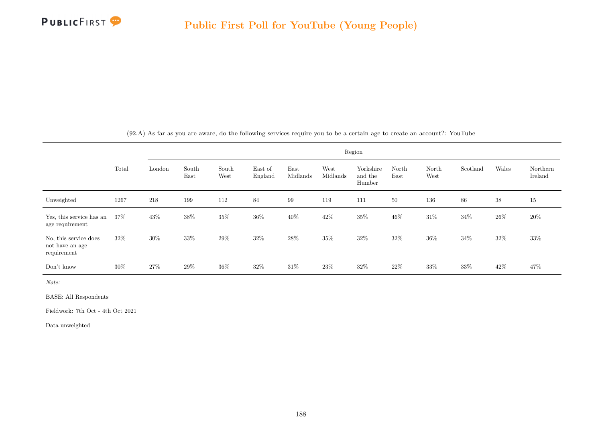

|                                                         |        |        |               |               |                    |                  |                  | Region                         |               |               |          |        |                     |
|---------------------------------------------------------|--------|--------|---------------|---------------|--------------------|------------------|------------------|--------------------------------|---------------|---------------|----------|--------|---------------------|
|                                                         | Total  | London | South<br>East | South<br>West | East of<br>England | East<br>Midlands | West<br>Midlands | Yorkshire<br>and the<br>Humber | North<br>East | North<br>West | Scotland | Wales  | Northern<br>Ireland |
| Unweighted                                              | 1267   | 218    | 199           | 112           | 84                 | 99               | 119              | 111                            | 50            | 136           | 86       | 38     | 15                  |
| Yes, this service has an<br>age requirement             | $37\%$ | 43\%   | 38%           | 35%           | 36%                | $40\%$           | 42\%             | $35\%$                         | 46%           | $31\%$        | 34\%     | $26\%$ | $20\%$              |
| No, this service does<br>not have an age<br>requirement | 32\%   | $30\%$ | 33%           | 29%           | $32\%$             | 28\%             | 35%              | $32\%$                         | 32%           | $36\%$        | 34\%     | $32\%$ | 33\%                |
| Don't know                                              | 30%    | 27%    | 29%           | $36\%$        | 32\%               | $31\%$           | 23\%             | 32\%                           | 22\%          | 33\%          | 33%      | 42\%   | 47%                 |

(92.A) As far as you are aware, do the following services require you to be a certain age to create an account?: YouTube

Note:

BASE: All Respondents

Fieldwork: 7th Oct - 4th Oct 2021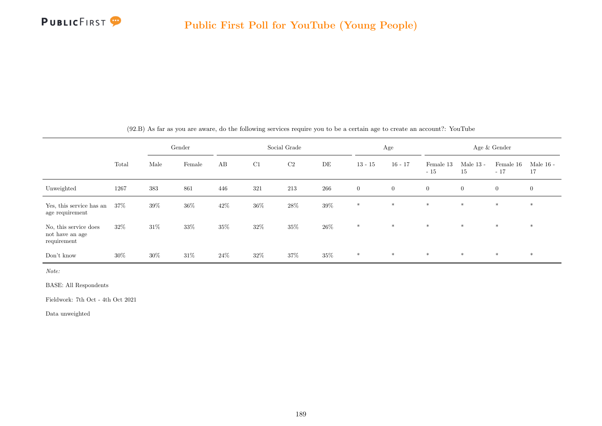

|                                                         |        |        | Gender |        |        | Social Grade |        |                | Age          |                    |                   | Age & Gender       |                   |
|---------------------------------------------------------|--------|--------|--------|--------|--------|--------------|--------|----------------|--------------|--------------------|-------------------|--------------------|-------------------|
|                                                         | Total  | Male   | Female | AB     | C1     | C2           | DE     | $13 - 15$      | $16 - 17$    | Female 13<br>$-15$ | Male $13$ -<br>15 | Female 16<br>$-17$ | Male $16$ -<br>17 |
| Unweighted                                              | 1267   | 383    | 861    | 446    | 321    | 213          | 266    | $\overline{0}$ | $\mathbf{0}$ | $\overline{0}$     | $\overline{0}$    | $\overline{0}$     | $\overline{0}$    |
| Yes, this service has an<br>age requirement             | $37\%$ | $39\%$ | 36%    | $42\%$ | 36%    | $28\%$       | $39\%$ | $\ast$         | $*$          | $\ast$             | $\ast$            | $\ast$             | $\ast$            |
| No, this service does<br>not have an age<br>requirement | $32\%$ | $31\%$ | 33%    | 35%    | 32%    | $35\%$       | $26\%$ | $\ast$         | $*$          | $*$                | $*$               | $*$                | $\ast$            |
| Don't know                                              | 30%    | $30\%$ | $31\%$ | $24\%$ | $32\%$ | 37%          | $35\%$ | $\ast$         | $\ast$       | $*$                | $*$               | $\ast$             | $\ast$            |

(92.B) As far as you are aware, do the following services require you to be a certain age to create an account?: YouTube

Note:

BASE: All Respondents

Fieldwork: 7th Oct - 4th Oct 2021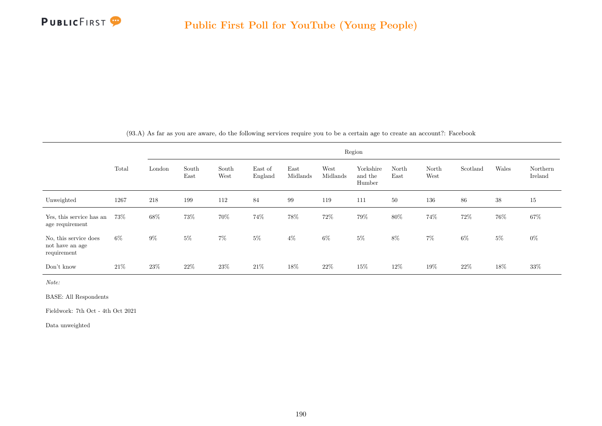

|                                                         |       |        |               |               |                    |                  |                  | Region                         |               |               |          |        |                     |
|---------------------------------------------------------|-------|--------|---------------|---------------|--------------------|------------------|------------------|--------------------------------|---------------|---------------|----------|--------|---------------------|
|                                                         | Total | London | South<br>East | South<br>West | East of<br>England | East<br>Midlands | West<br>Midlands | Yorkshire<br>and the<br>Humber | North<br>East | North<br>West | Scotland | Wales  | Northern<br>Ireland |
| Unweighted                                              | 1267  | 218    | 199           | 112           | 84                 | 99               | 119              | 111                            | 50            | 136           | 86       | 38     | 15                  |
| Yes, this service has an<br>age requirement             | 73%   | $68\%$ | 73%           | $70\%$        | 74%                | $78\%$           | 72%              | 79%                            | $80\%$        | 74%           | 72%      | $76\%$ | $67\%$              |
| No, this service does<br>not have an age<br>requirement | 6%    | $9\%$  | $5\%$         | $7\%$         | $5\%$              | $4\%$            | $6\%$            | $5\%$                          | 8%            | $7\%$         | $6\%$    | $5\%$  | $0\%$               |
| Don't know                                              | 21%   | 23\%   | 22\%          | 23\%          | 21\%               | 18%              | 22\%             | 15%                            | 12\%          | 19%           | 22\%     | 18%    | $33\%$              |

(93.A) As far as you are aware, do the following services require you to be a certain age to create an account?: Facebook

Note:

BASE: All Respondents

Fieldwork: 7th Oct - 4th Oct 2021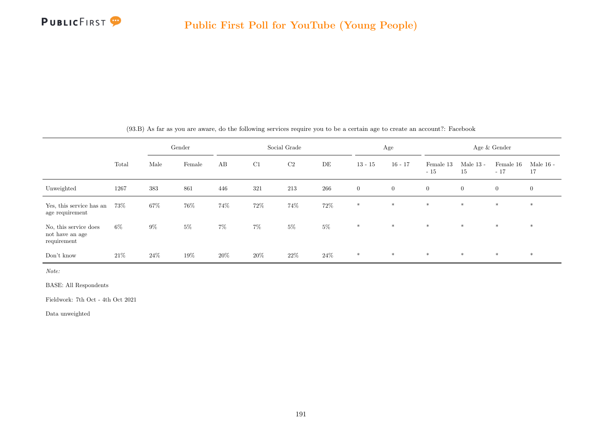

|                                                         |        |        | Gender |        |        | Social Grade |        |                | Age          |                    |                   | Age $\&$ Gender    |                   |
|---------------------------------------------------------|--------|--------|--------|--------|--------|--------------|--------|----------------|--------------|--------------------|-------------------|--------------------|-------------------|
|                                                         | Total  | Male   | Female | AB     | C1     | C2           | DE     | $13 - 15$      | $16 - 17$    | Female 13<br>$-15$ | Male $13$ -<br>15 | Female 16<br>$-17$ | Male $16$ -<br>17 |
| Unweighted                                              | 1267   | 383    | 861    | 446    | 321    | 213          | 266    | $\overline{0}$ | $\mathbf{0}$ | $\overline{0}$     | $\overline{0}$    | $\overline{0}$     | $\overline{0}$    |
| Yes, this service has an<br>age requirement             | 73%    | 67%    | 76%    | 74%    | 72%    | 74%          | $72\%$ | $*$            | $*$          | $*$                | $\ast$            | $*$                | $\ast$            |
| No, this service does<br>not have an age<br>requirement | $6\%$  | $9\%$  | $5\%$  | $7\%$  | $7\%$  | $5\%$        | $5\%$  | $\ast$         | $*$          | $*$                | $*$               | $*$                | $\ast$            |
| Don't know                                              | $21\%$ | $24\%$ | 19%    | $20\%$ | $20\%$ | $22\%$       | 24\%   | $\ast$         | $\ast$       | $*$                | $*$               | $*$                | $*$               |

(93.B) As far as you are aware, do the following services require you to be a certain age to create an account?: Facebook

Note:

BASE: All Respondents

Fieldwork: 7th Oct - 4th Oct 2021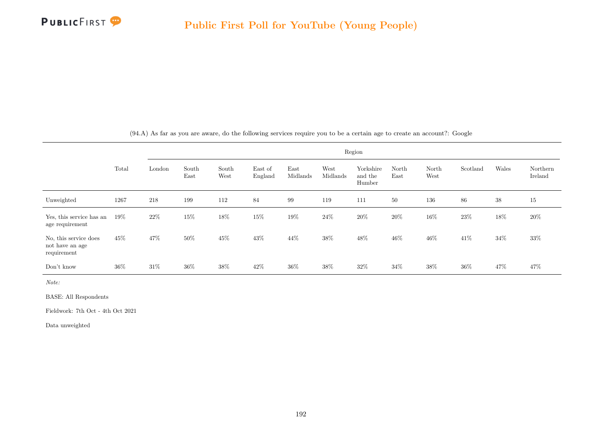

|                                                         |        |        |               |               |                    |                  |                  | Region                         |               |               |          |        |                     |
|---------------------------------------------------------|--------|--------|---------------|---------------|--------------------|------------------|------------------|--------------------------------|---------------|---------------|----------|--------|---------------------|
|                                                         | Total  | London | South<br>East | South<br>West | East of<br>England | East<br>Midlands | West<br>Midlands | Yorkshire<br>and the<br>Humber | North<br>East | North<br>West | Scotland | Wales  | Northern<br>Ireland |
| Unweighted                                              | 1267   | 218    | 199           | 112           | 84                 | 99               | 119              | 111                            | 50            | 136           | 86       | 38     | 15                  |
| Yes, this service has an<br>age requirement             | $19\%$ | $22\%$ | 15%           | $18\%$        | 15%                | $19\%$           | 24%              | $20\%$                         | 20%           | $16\%$        | 23%      | $18\%$ | $20\%$              |
| No, this service does<br>not have an age<br>requirement | 45\%   | 47%    | 50%           | 45%           | 43%                | 44\%             | 38%              | $48\%$                         | 46%           | $46\%$        | 41\%     | 34%    | 33\%                |
| Don't know                                              | 36\%   | $31\%$ | $36\%$        | 38%           | 42\%               | $36\%$           | 38\%             | 32\%                           | 34%           | 38%           | 36%      | 47\%   | 47%                 |

(94.A) As far as you are aware, do the following services require you to be a certain age to create an account?: Google

Note:

BASE: All Respondents

Fieldwork: 7th Oct - 4th Oct 2021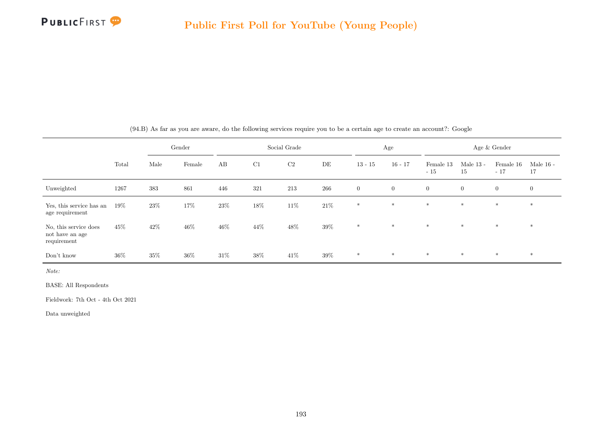

|                                                         |        |        | Gender |        |        | Social Grade |        |                | Age            |                    |                   | Age & Gender       |                   |
|---------------------------------------------------------|--------|--------|--------|--------|--------|--------------|--------|----------------|----------------|--------------------|-------------------|--------------------|-------------------|
|                                                         | Total  | Male   | Female | AB     | C1     | C2           | DE     | $13 - 15$      | $16 - 17$      | Female 13<br>$-15$ | Male $13$ -<br>15 | Female 16<br>$-17$ | Male $16$ -<br>17 |
| Unweighted                                              | 1267   | 383    | 861    | 446    | 321    | 213          | 266    | $\overline{0}$ | $\overline{0}$ | $\overline{0}$     | $\overline{0}$    | $\mathbf{0}$       | $\mathbf{0}$      |
| Yes, this service has an<br>age requirement             | $19\%$ | 23\%   | 17%    | 23\%   | $18\%$ | $11\%$       | $21\%$ | $\ast$         | $*$            | $*$                | $*$               | $*$                | $\ast$            |
| No, this service does<br>not have an age<br>requirement | 45%    | 42\%   | 46%    | $46\%$ | 44\%   | 48%          | 39%    | $\ast$         | $*$            | $*$                | $*$               | $*$                | $*$               |
| Don't know                                              | $36\%$ | $35\%$ | $36\%$ | $31\%$ | 38%    | 41\%         | $39\%$ | $*$            | $*$            | $\ast$             | $*$               | $*$                | $*$               |

(94.B) As far as you are aware, do the following services require you to be a certain age to create an account?: Google

Note:

BASE: All Respondents

Fieldwork: 7th Oct - 4th Oct 2021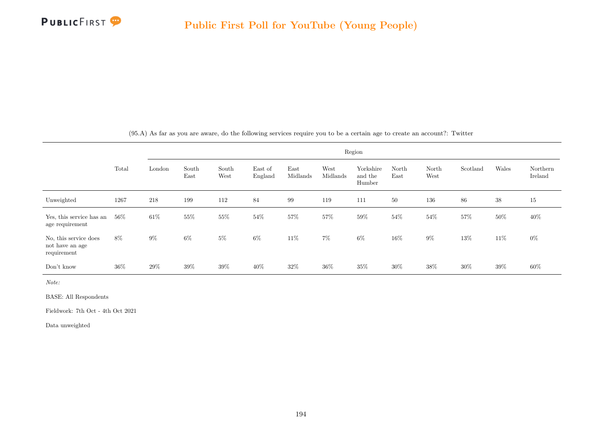

|                                                         |        |        |               |               |                    |                  |                  | Region                         |               |               |          |        |                     |
|---------------------------------------------------------|--------|--------|---------------|---------------|--------------------|------------------|------------------|--------------------------------|---------------|---------------|----------|--------|---------------------|
|                                                         | Total  | London | South<br>East | South<br>West | East of<br>England | East<br>Midlands | West<br>Midlands | Yorkshire<br>and the<br>Humber | North<br>East | North<br>West | Scotland | Wales  | Northern<br>Ireland |
| Unweighted                                              | 1267   | 218    | 199           | 112           | 84                 | 99               | 119              | 111                            | 50            | 136           | 86       | 38     | 15                  |
| Yes, this service has an<br>age requirement             | $56\%$ | $61\%$ | 55%           | 55%           | 54%                | 57%              | 57%              | 59%                            | 54%           | 54%           | 57%      | $50\%$ | $40\%$              |
| No, this service does<br>not have an age<br>requirement | 8%     | $9\%$  | $6\%$         | $5\%$         | $6\%$              | $11\%$           | $7\%$            | $6\%$                          | 16%           | $9\%$         | $13\%$   | $11\%$ | $0\%$               |
| Don't know                                              | $36\%$ | $29\%$ | 39%           | $39\%$        | 40\%               | $32\%$           | $36\%$           | $35\%$                         | $30\%$        | 38%           | $30\%$   | $39\%$ | $60\%$              |

(95.A) As far as you are aware, do the following services require you to be a certain age to create an account?: Twitter

Note:

BASE: All Respondents

Fieldwork: 7th Oct - 4th Oct 2021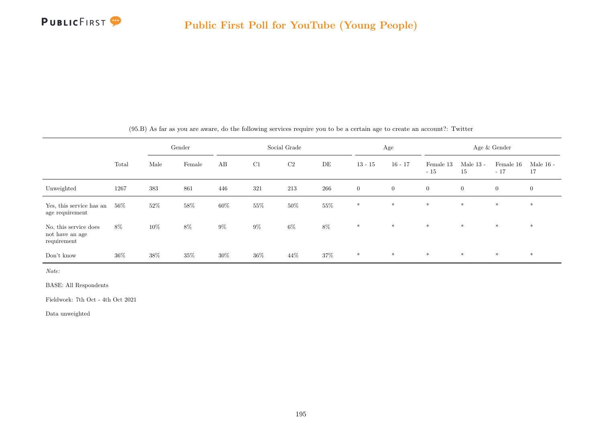

|                                                         |        |        | Gender |        |        | Social Grade |        |                | Age            |                    |                   | Age & Gender       |                   |
|---------------------------------------------------------|--------|--------|--------|--------|--------|--------------|--------|----------------|----------------|--------------------|-------------------|--------------------|-------------------|
|                                                         | Total  | Male   | Female | AB     | C1     | C2           | DE     | $13 - 15$      | $16 - 17$      | Female 13<br>$-15$ | Male $13$ -<br>15 | Female 16<br>$-17$ | Male $16$ -<br>17 |
| Unweighted                                              | 1267   | 383    | 861    | 446    | 321    | 213          | 266    | $\overline{0}$ | $\overline{0}$ | $\overline{0}$     | $\overline{0}$    | $\mathbf{0}$       | $\mathbf{0}$      |
| Yes, this service has an<br>age requirement             | $56\%$ | $52\%$ | $58\%$ | $60\%$ | 55%    | $50\%$       | $55\%$ | $\ast$         | $*$            | $*$                | $*$               | $*$                | $\ast$            |
| No, this service does<br>not have an age<br>requirement | 8%     | 10%    | 8%     | $9\%$  | $9\%$  | 6%           | $8\%$  | $\ast$         | $*$            | $*$                | $*$               | $*$                | $*$               |
| Don't know                                              | $36\%$ | 38%    | 35%    | $30\%$ | $36\%$ | 44\%         | 37%    | $*$            | $*$            | $*$                | $*$               | $*$                | $*$               |

(95.B) As far as you are aware, do the following services require you to be a certain age to create an account?: Twitter

Note:

BASE: All Respondents

Fieldwork: 7th Oct - 4th Oct 2021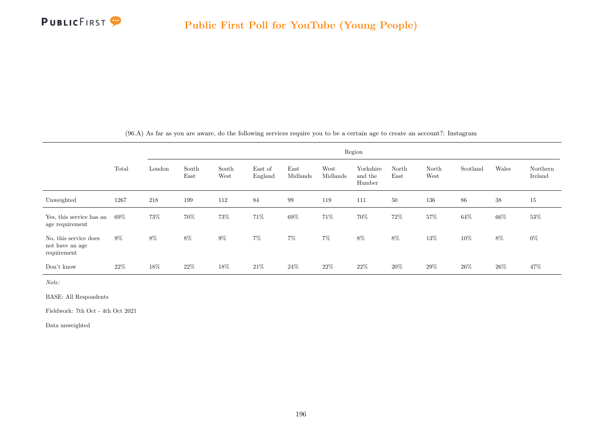

|                                                         |       |        |               |               |                    |                  |                  | Region                         |               |               |          |        |                     |
|---------------------------------------------------------|-------|--------|---------------|---------------|--------------------|------------------|------------------|--------------------------------|---------------|---------------|----------|--------|---------------------|
|                                                         | Total | London | South<br>East | South<br>West | East of<br>England | East<br>Midlands | West<br>Midlands | Yorkshire<br>and the<br>Humber | North<br>East | North<br>West | Scotland | Wales  | Northern<br>Ireland |
| Unweighted                                              | 1267  | 218    | 199           | 112           | 84                 | 99               | 119              | 111                            | 50            | 136           | 86       | 38     | 15                  |
| Yes, this service has an<br>age requirement             | 69%   | 73%    | 70%           | 73%           | 71%                | 69%              | 71%              | 70%                            | 72%           | 57%           | 64\%     | 66%    | $53\%$              |
| No, this service does<br>not have an age<br>requirement | $9\%$ | $8\%$  | $8\%$         | $9\%$         | $7\%$              | $7\%$            | $7\%$            | $8\%$                          | 8%            | $13\%$        | 10%      | $8\%$  | $0\%$               |
| Don't know                                              | 22\%  | 18%    | 22%           | 18%           | 21\%               | $24\%$           | 22%              | $22\%$                         | 20%           | 29%           | 26\%     | $26\%$ | 47%                 |

(96.A) As far as you are aware, do the following services require you to be a certain age to create an account?: Instagram

Note:

BASE: All Respondents

Fieldwork: 7th Oct - 4th Oct 2021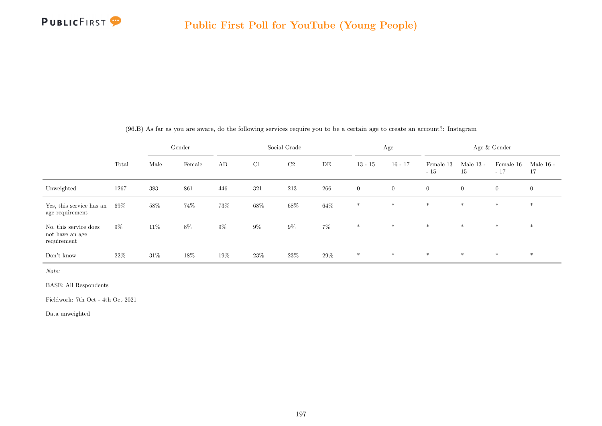

|                                                         |        |        | Gender |       |       | Social Grade |        |                | Age          |                    |                   | Age & Gender       |                   |
|---------------------------------------------------------|--------|--------|--------|-------|-------|--------------|--------|----------------|--------------|--------------------|-------------------|--------------------|-------------------|
|                                                         | Total  | Male   | Female | AB    | C1    | C2           | DE     | $13 - 15$      | $16 - 17$    | Female 13<br>$-15$ | Male $13$ -<br>15 | Female 16<br>$-17$ | Male $16$ -<br>17 |
| Unweighted                                              | 1267   | 383    | 861    | 446   | 321   | 213          | 266    | $\overline{0}$ | $\mathbf{0}$ | $\overline{0}$     | $\overline{0}$    | $\overline{0}$     | $\overline{0}$    |
| Yes, this service has an<br>age requirement             | $69\%$ | 58%    | 74%    | 73%   | 68%   | $68\%$       | $64\%$ | $\ast$         | $*$          | $\ast$             | $\ast$            | $\ast$             | $\ast$            |
| No, this service does<br>not have an age<br>requirement | $9\%$  | $11\%$ | 8%     | $9\%$ | $9\%$ | $9\%$        | $7\%$  | $*$            | $*$          | $*$                | $*$               | $*$                | $\ast$            |
| Don't know                                              | 22\%   | $31\%$ | 18%    | 19%   | 23\%  | $23\%$       | 29%    | $\ast$         | $\ast$       | $*$                | $*$               | $*$                | $\ast$            |

(96.B) As far as you are aware, do the following services require you to be a certain age to create an account?: Instagram

Note:

BASE: All Respondents

Fieldwork: 7th Oct - 4th Oct 2021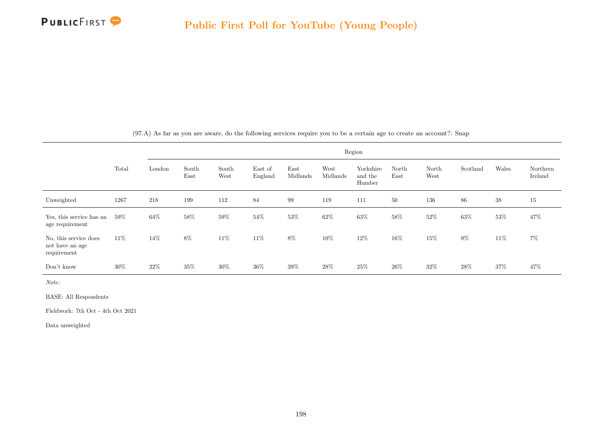

|                                                         |        |        |               |               |                    |                  |                  | Region                         |               |               |          |        |                     |
|---------------------------------------------------------|--------|--------|---------------|---------------|--------------------|------------------|------------------|--------------------------------|---------------|---------------|----------|--------|---------------------|
|                                                         | Total  | London | South<br>East | South<br>West | East of<br>England | East<br>Midlands | West<br>Midlands | Yorkshire<br>and the<br>Humber | North<br>East | North<br>West | Scotland | Wales  | Northern<br>Ireland |
| Unweighted                                              | 1267   | 218    | 199           | 112           | 84                 | 99               | 119              | 111                            | 50            | 136           | 86       | 38     | 15                  |
| Yes, this service has an<br>age requirement             | $59\%$ | 64\%   | 58%           | 59%           | 54%                | 53%              | 62\%             | $63\%$                         | 58%           | 52\%          | 63%      | $53\%$ | 47\%                |
| No, this service does<br>not have an age<br>requirement | 11\%   | 14\%   | 8%            | $11\%$        | 11\%               | 8%               | 10%              | $12\%$                         | $16\%$        | $15\%$        | $9\%$    | 11%    | $7\%$               |
| Don't know                                              | 30%    | 22\%   | 35%           | 30%           | 36\%               | 39%              | 28\%             | 25\%                           | 26\%          | 32\%          | 28\%     | 37%    | 47%                 |

(97.A) As far as you are aware, do the following services require you to be a certain age to create an account?: Snap

Note:

BASE: All Respondents

Fieldwork: 7th Oct - 4th Oct 2021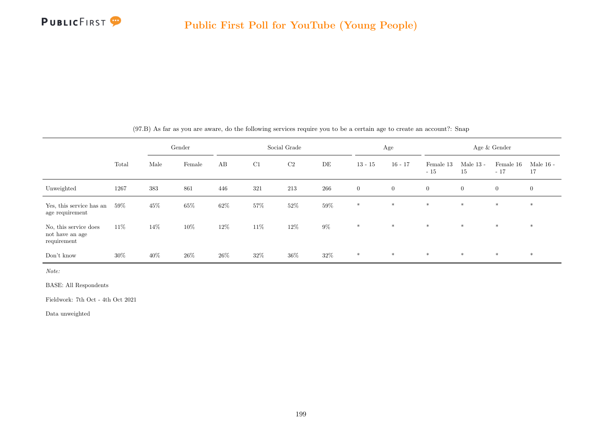|                                                         |        |      | Gender |        |        | Social Grade |        |                | Age          |                    |                   | Age & Gender       |                   |
|---------------------------------------------------------|--------|------|--------|--------|--------|--------------|--------|----------------|--------------|--------------------|-------------------|--------------------|-------------------|
|                                                         | Total  | Male | Female | AB     | C1     | $\rm C2$     | DE     | $13 - 15$      | $16 - 17$    | Female 13<br>$-15$ | Male $13$ -<br>15 | Female 16<br>$-17$ | Male $16$ -<br>17 |
| Unweighted                                              | 1267   | 383  | 861    | 446    | 321    | 213          | 266    | $\overline{0}$ | $\mathbf{0}$ | $\overline{0}$     | $\overline{0}$    | $\overline{0}$     | $\mathbf{0}$      |
| Yes, this service has an<br>age requirement             | $59\%$ | 45\% | 65%    | $62\%$ | 57%    | $52\%$       | 59%    | $\ast$         | $\ast$       | $*$                | $*$               | $\ast$             | $\ast$            |
| No, this service does<br>not have an age<br>requirement | 11\%   | 14\% | 10%    | $12\%$ | $11\%$ | $12\%$       | $9\%$  | $\ast$         | $*$          | $*$                | $*$               | $*$                | $\ast$            |
| Don't know                                              | $30\%$ | 40%  | $26\%$ | $26\%$ | $32\%$ | $36\%$       | $32\%$ | $*$            | $\ast$       | $*$                | $*$               | $*$                | $\ast$            |

(97.B) As far as you are aware, do the following services require you to be a certain age to create an account?: Snap

Note:

BASE: All Respondents

Fieldwork: 7th Oct - 4th Oct 2021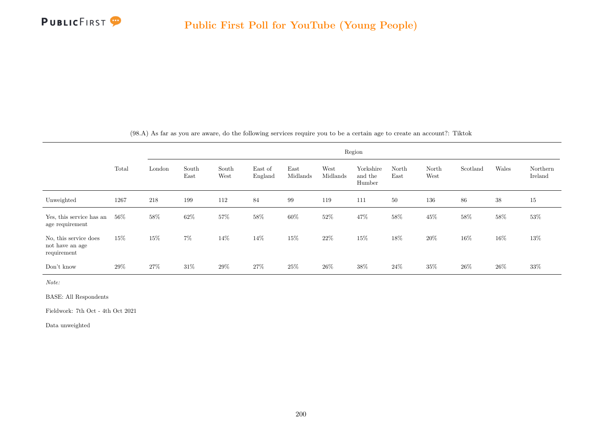

|                                                         |        |        |               |               |                    |                  |                  | Region                         |               |               |          |        |                     |
|---------------------------------------------------------|--------|--------|---------------|---------------|--------------------|------------------|------------------|--------------------------------|---------------|---------------|----------|--------|---------------------|
|                                                         | Total  | London | South<br>East | South<br>West | East of<br>England | East<br>Midlands | West<br>Midlands | Yorkshire<br>and the<br>Humber | North<br>East | North<br>West | Scotland | Wales  | Northern<br>Ireland |
| Unweighted                                              | 1267   | 218    | 199           | 112           | 84                 | 99               | 119              | 111                            | 50            | 136           | $86\,$   | $38\,$ | 15                  |
| Yes, this service has an<br>age requirement             | $56\%$ | 58%    | 62%           | 57%           | 58%                | $60\%$           | 52%              | 47\%                           | $58\%$        | $45\%$        | 58%      | $58\%$ | 53%                 |
| No, this service does<br>not have an age<br>requirement | 15%    | 15%    | $7\%$         | $14\%$        | 14%                | 15%              | 22\%             | $15\%$                         | $18\%$        | $20\%$        | $16\%$   | $16\%$ | $13\%$              |
| Don't know                                              | 29%    | 27%    | $31\%$        | 29%           | 27\%               | $25\%$           | 26\%             | 38\%                           | 24%           | 35\%          | 26\%     | $26\%$ | $33\%$              |

(98.A) As far as you are aware, do the following services require you to be a certain age to create an account?: Tiktok

Note:

BASE: All Respondents

Fieldwork: 7th Oct - 4th Oct 2021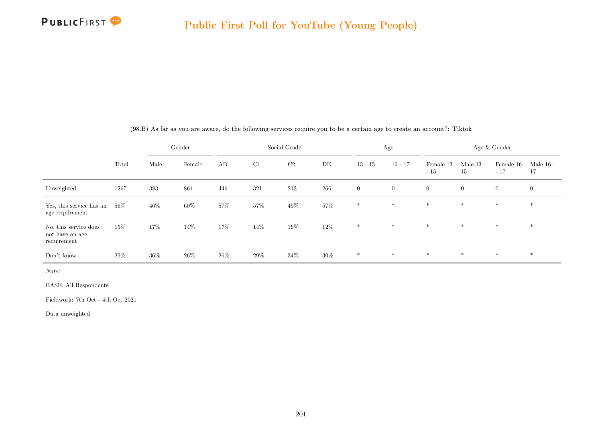

|                                                         |       |        | Gender |        |     | Social Grade |        |                | Age          |                    |                   | Age $\&$ Gender    |                   |
|---------------------------------------------------------|-------|--------|--------|--------|-----|--------------|--------|----------------|--------------|--------------------|-------------------|--------------------|-------------------|
|                                                         | Total | Male   | Female | AB     | C1  | C2           | DE     | $13 - 15$      | $16 - 17$    | Female 13<br>$-15$ | Male $13$ -<br>15 | Female 16<br>$-17$ | Male $16$ -<br>17 |
| Unweighted                                              | 1267  | 383    | 861    | 446    | 321 | 213          | 266    | $\overline{0}$ | $\mathbf{0}$ | $\overline{0}$     | $\overline{0}$    | $\overline{0}$     | $\overline{0}$    |
| Yes, this service has an<br>age requirement             | 56%   | $46\%$ | 60%    | 57%    | 57% | 49\%         | $57\%$ | $\ast$         | $*$          | $*$                | $*$               | $*$                | $\ast$            |
| No, this service does<br>not have an age<br>requirement | 15%   | 17%    | 14%    | 17%    | 14% | $16\%$       | $12\%$ | $*$            | $*$          | $*$                | $*$               | $*$                | $\ast$            |
| Don't know                                              | 29%   | $36\%$ | $26\%$ | $26\%$ | 29% | $34\%$       | $30\%$ | $\ast$         | $*$          | $*$                | $*$               | $*$                | $*$               |

(98.B) As far as you are aware, do the following services require you to be a certain age to create an account?: Tiktok

Note:

BASE: All Respondents

Fieldwork: 7th Oct - 4th Oct 2021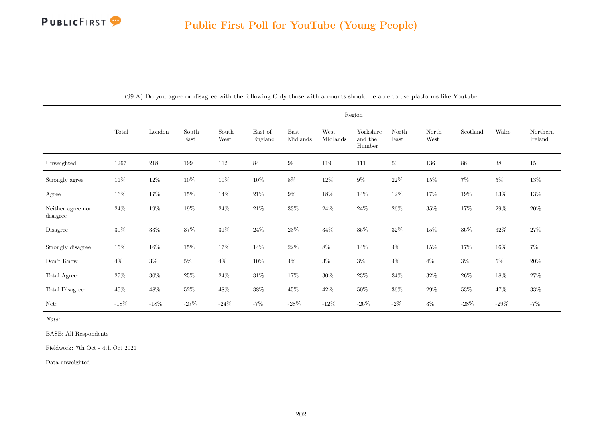

|                                                  | Region         |         |               |               |                                     |                  |                  |                                |               |               |          |         |                     |
|--------------------------------------------------|----------------|---------|---------------|---------------|-------------------------------------|------------------|------------------|--------------------------------|---------------|---------------|----------|---------|---------------------|
|                                                  | $\mbox{Total}$ | London  | South<br>East | South<br>West | $\operatorname{East}$ of<br>England | East<br>Midlands | West<br>Midlands | Yorkshire<br>and the<br>Humber | North<br>East | North<br>West | Scotland | Wales   | Northern<br>Ireland |
| Unweighted                                       | 1267           | 218     | 199           | 112           | 84                                  | 99               | 119              | 111                            | 50            | 136           | 86       | $38\,$  | 15                  |
| Strongly agree                                   | $11\%$         | $12\%$  | $10\%$        | $10\%$        | $10\%$                              | $8\%$            | $12\%$           | $9\%$                          | $22\%$        | $15\%$        | $7\%$    | $5\%$   | $13\%$              |
| Agree                                            | $16\%$         | $17\%$  | $15\%$        | $14\%$        | $21\%$                              | $9\%$            | $18\%$           | $14\%$                         | $12\%$        | $17\%$        | 19%      | $13\%$  | $13\%$              |
| Neither agree nor<br>disagree                    | $24\%$         | $19\%$  | $19\%$        | $24\%$        | $21\%$                              | $33\%$           | $24\%$           | $24\%$                         | $26\%$        | $35\%$        | 17%      | $29\%$  | $20\%$              |
| $\begin{array}{c} \textbf{Disagree} \end{array}$ | $30\%$         | $33\%$  | 37%           | $31\%$        | $24\%$                              | $23\%$           | $34\%$           | $35\%$                         | $32\%$        | $15\%$        | $36\%$   | $32\%$  | $27\%$              |
| Strongly disagree                                | $15\%$         | $16\%$  | $15\%$        | $17\%$        | 14\%                                | $22\%$           | $8\%$            | $14\%$                         | $4\%$         | $15\%$        | 17%      | $16\%$  | $7\%$               |
| Don't Know                                       | $4\%$          | $3\%$   | $5\%$         | $4\%$         | $10\%$                              | $4\%$            | $3\%$            | $3\%$                          | $4\%$         | $4\%$         | $3\%$    | $5\%$   | $20\%$              |
| Total Agree:                                     | $27\%$         | $30\%$  | $25\%$        | $24\%$        | $31\%$                              | $17\%$           | $30\%$           | $23\%$                         | $34\%$        | $32\%$        | $26\%$   | $18\%$  | $27\%$              |
| Total Disagree:                                  | $45\%$         | $48\%$  | $52\%$        | $48\%$        | $38\%$                              | $45\%$           | $42\%$           | $50\%$                         | $36\%$        | $29\%$        | $53\%$   | $47\%$  | $33\%$              |
| Net:                                             | $-18%$         | $-18\%$ | $-27%$        | $-24\%$       | $-7%$                               | $-28\%$          | $-12%$           | -26 $%$                        | $-2\%$        | $3\%$         | $-28\%$  | $-29\%$ | $-7%$               |

(99.A) Do you agree or disagree with the following:Only those with accounts should be able to use platforms like Youtube

Note:

BASE: All Respondents

Fieldwork: 7th Oct - 4th Oct 2021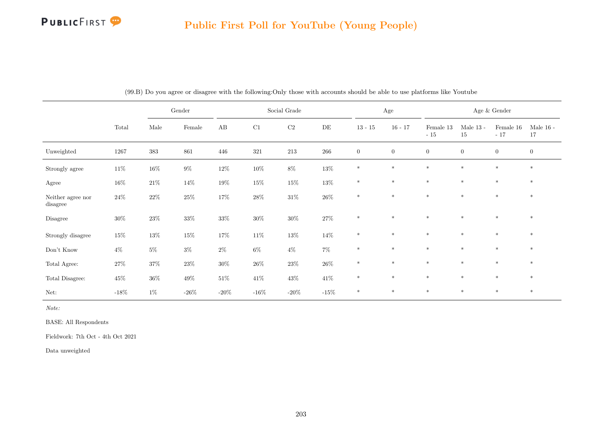## **PUBLICFIRST**

# Public First Poll for YouTube (Young People)

|                               |          | Gender |        | Social Grade |         |          | Age       |              | Age $\&$ Gender |                    |                   |                    |                   |
|-------------------------------|----------|--------|--------|--------------|---------|----------|-----------|--------------|-----------------|--------------------|-------------------|--------------------|-------------------|
|                               | Total    | Male   | Female | AB           | C1      | $\rm C2$ | $\rm{DE}$ | $13 - 15$    | $16 - 17$       | Female 13<br>$-15$ | Male $13$ -<br>15 | Female 16<br>$-17$ | Male $16$ -<br>17 |
| Unweighted                    | $1267\,$ | 383    | 861    | 446          | 321     | $213\,$  | 266       | $\mathbf{0}$ | $\mathbf{0}$    | $\overline{0}$     | $\overline{0}$    | $\overline{0}$     | $\mathbf{0}$      |
| Strongly agree                | $11\%$   | $16\%$ | $9\%$  | $12\%$       | $10\%$  | $8\%$    | $13\%$    | $\ast$       | $*$             | $\ast$             | $\ast$            | $\ast$             | $\ast$            |
| Agree                         | $16\%$   | $21\%$ | $14\%$ | $19\%$       | $15\%$  | $15\%$   | $13\%$    | $\ast$       | $\ast$          | $*$                | $\ast$            | $\ast$             | $\ast$            |
| Neither agree nor<br>disagree | $24\%$   | $22\%$ | $25\%$ | $17\%$       | $28\%$  | $31\%$   | $26\%$    | $\ast$       | $\ast$          | $\ast$             | $\ast$            | $\ast$             | $*$               |
| Disagree                      | $30\%$   | $23\%$ | $33\%$ | $33\%$       | $30\%$  | $30\%$   | $27\%$    | $\ast$       | $\ast$          | $\ast$             | $\ast$            | $\ast$             | $\ast$            |
| Strongly disagree             | $15\%$   | $13\%$ | $15\%$ | $17\%$       | $11\%$  | $13\%$   | $14\%$    | $\ast$       | $*$             | $*$                | $*$               | $*$                | $\ast$            |
| Don't Know                    | $4\%$    | $5\%$  | $3\%$  | $2\%$        | $6\%$   | $4\%$    | $7\%$     | $\ast$       | $\ast$          | $\ast$             | $\ast$            | $\ast$             | $\ast$            |
| Total Agree:                  | $27\%$   | $37\%$ | $23\%$ | $30\%$       | $26\%$  | $23\%$   | $26\%$    | $\ast$       | $\ast$          | $\ast$             | $\ast$            | $\ast$             | $*$               |
| Total Disagree:               | $45\%$   | $36\%$ | $49\%$ | $51\%$       | $41\%$  | $43\%$   | $41\%$    | $\ast$       | $\ast$          | $\ast$             | $\ast$            | $\ast$             | $\ast$            |
| Net:                          | $-18%$   | $1\%$  | -26%   | $-20\%$      | $-16\%$ | $-20\%$  | $-15\%$   | $\ast$       | $*$             | $*$                | $*$               | $*$                | $*$               |

(99.B) Do you agree or disagree with the following:Only those with accounts should be able to use platforms like Youtube

Note:

BASE: All Respondents

Fieldwork: 7th Oct - 4th Oct 2021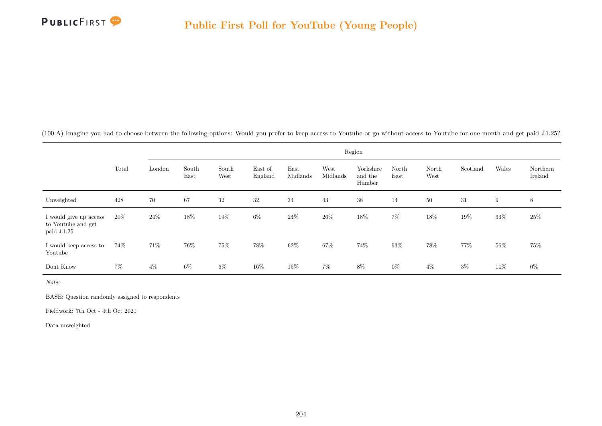

(100.A) Imagine you had to choose between the following options: Would you prefer to keep access to Youtube or go without access to Youtube for one month and get paid £1.25?

|                                                            |        | Region |               |               |                    |                  |                  |                                |               |               |          |        |                     |  |
|------------------------------------------------------------|--------|--------|---------------|---------------|--------------------|------------------|------------------|--------------------------------|---------------|---------------|----------|--------|---------------------|--|
|                                                            | Total  | London | South<br>East | South<br>West | East of<br>England | East<br>Midlands | West<br>Midlands | Yorkshire<br>and the<br>Humber | North<br>East | North<br>West | Scotland | Wales  | Northern<br>Ireland |  |
| Unweighted                                                 | 428    | 70     | 67            | $32\,$        | 32                 | 34               | 43               | 38                             | 14            | 50            | 31       | 9      | 8                   |  |
| I would give up access<br>to Youtube and get<br>paid £1.25 | $20\%$ | 24\%   | 18%           | 19%           | $6\%$              | $24\%$           | 26%              | 18%                            | $7\%$         | 18%           | 19%      | $33\%$ | 25\%                |  |
| I would keep access to<br>Youtube                          | 74%    | 71\%   | 76%           | 75%           | 78%                | $62\%$           | 67%              | 74%                            | 93%           | 78%           | 77%      | 56%    | 75%                 |  |
| Dont Know                                                  | $7\%$  | $4\%$  | $6\%$         | 6%            | 16%                | 15%              | $7\%$            | 8%                             | $0\%$         | $4\%$         | $3\%$    | 11\%   | $0\%$               |  |

Note:

BASE: Question randomly assigned to respondents

Fieldwork: 7th Oct - 4th Oct 2021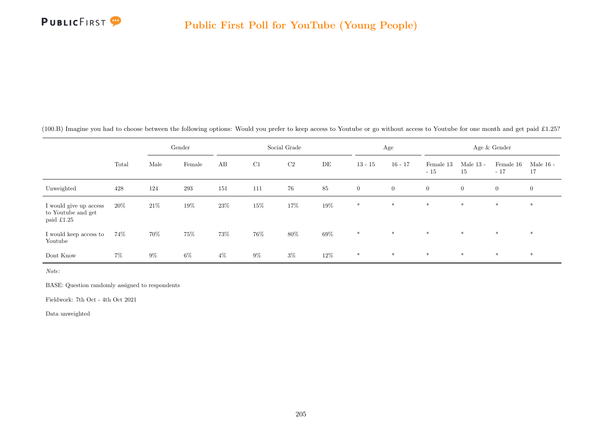

|  |  |  |  |  |  | (100.B) Imagine you had to choose between the following options: Would you prefer to keep access to Youtube or go without access to Youtube for one month and get paid £1.25? |
|--|--|--|--|--|--|-------------------------------------------------------------------------------------------------------------------------------------------------------------------------------|
|--|--|--|--|--|--|-------------------------------------------------------------------------------------------------------------------------------------------------------------------------------|

|                                                            |       | Gender |        | Social Grade |       |                |        | Age            |                | Age & Gender       |                   |                    |                   |
|------------------------------------------------------------|-------|--------|--------|--------------|-------|----------------|--------|----------------|----------------|--------------------|-------------------|--------------------|-------------------|
|                                                            | Total | Male   | Female | AB           | C1    | C <sub>2</sub> | DE     | $13 - 15$      | $16 - 17$      | Female 13<br>$-15$ | Male $13$ -<br>15 | Female 16<br>$-17$ | Male $16$ -<br>17 |
| Unweighted                                                 | 428   | 124    | 293    | 151          | 111   | 76             | 85     | $\overline{0}$ | $\overline{0}$ | $\overline{0}$     | $\overline{0}$    | $\overline{0}$     | $\mathbf{0}$      |
| I would give up access<br>to Youtube and get<br>paid £1.25 | 20%   | 21\%   | 19%    | 23%          | 15%   | $17\%$         | 19%    | $\ast$         | $*$            | $*$                | $\ast$            | $*$                | $\ast$            |
| I would keep access to<br>Youtube                          | 74%   | 70%    | 75%    | 73%          | 76%   | $80\%$         | $69\%$ | $\ast$         | $*$            | $*$                | $*$               | $*$                | $*$               |
| Dont Know                                                  | $7\%$ | $9\%$  | $6\%$  | $4\%$        | $9\%$ | $3\%$          | 12%    | $\ast$         | $\ast$         | $*$                | $*$               | $\ast$             | $*$               |

BASE: Question randomly assigned to respondents

Fieldwork: 7th Oct - 4th Oct 2021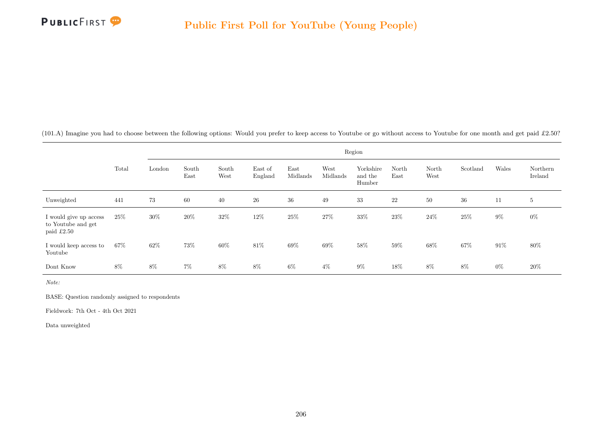

(101.A) Imagine you had to choose between the following options: Would you prefer to keep access to Youtube or go without access to Youtube for one month and get paid £2.50?

|                                                            |       |        | Region        |               |                    |                  |                  |                                |               |               |          |        |                     |  |  |
|------------------------------------------------------------|-------|--------|---------------|---------------|--------------------|------------------|------------------|--------------------------------|---------------|---------------|----------|--------|---------------------|--|--|
|                                                            | Total | London | South<br>East | South<br>West | East of<br>England | East<br>Midlands | West<br>Midlands | Yorkshire<br>and the<br>Humber | North<br>East | North<br>West | Scotland | Wales  | Northern<br>Ireland |  |  |
| Unweighted                                                 | 441   | 73     | 60            | 40            | 26                 | 36               | 49               | 33                             | 22            | 50            | 36       | 11     | 5                   |  |  |
| I would give up access<br>to Youtube and get<br>paid £2.50 | 25\%  | 30%    | 20%           | 32%           | 12%                | $25\%$           | $27\%$           | $33\%$                         | 23%           | $24\%$        | 25%      | $9\%$  | $0\%$               |  |  |
| I would keep access to<br>Youtube                          | 67%   | 62%    | 73%           | 60%           | 81\%               | 69%              | 69%              | 58%                            | 59%           | 68%           | 67%      | $91\%$ | 80%                 |  |  |
| Dont Know                                                  | $8\%$ | $8\%$  | $7\%$         | $8\%$         | 8%                 | $6\%$            | $4\%$            | $9\%$                          | 18%           | 8%            | 8%       | $0\%$  | 20%                 |  |  |

Note:

BASE: Question randomly assigned to respondents

Fieldwork: 7th Oct - 4th Oct 2021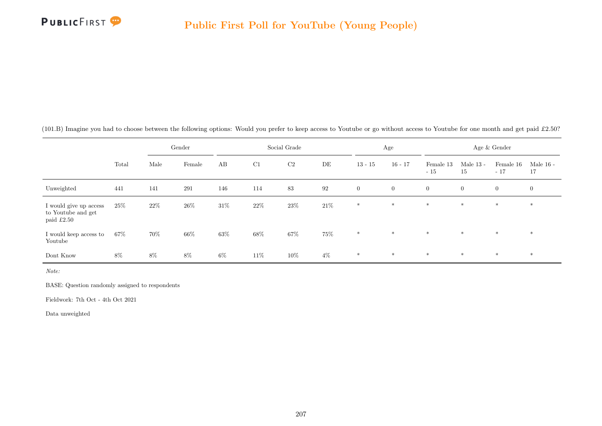

|  |  |  |  |  | (101.B) Imagine you had to choose between the following options: Would you prefer to keep access to Youtube or go without access to Youtube for one month and get paid £2.50? |  |  |
|--|--|--|--|--|-------------------------------------------------------------------------------------------------------------------------------------------------------------------------------|--|--|
|--|--|--|--|--|-------------------------------------------------------------------------------------------------------------------------------------------------------------------------------|--|--|

|                                                              | Gender |      | Social Grade |        |      |                | Age    |                | Age & Gender   |                    |                   |                    |                   |
|--------------------------------------------------------------|--------|------|--------------|--------|------|----------------|--------|----------------|----------------|--------------------|-------------------|--------------------|-------------------|
|                                                              | Total  | Male | Female       | AB     | C1   | C <sub>2</sub> | DE     | $13 - 15$      | $16 - 17$      | Female 13<br>$-15$ | Male $13$ -<br>15 | Female 16<br>$-17$ | Male $16$ -<br>17 |
| Unweighted                                                   | 441    | 141  | 291          | 146    | 114  | 83             | 92     | $\overline{0}$ | $\overline{0}$ | $\overline{0}$     | $\overline{0}$    | $\overline{0}$     | $\overline{0}$    |
| I would give up access<br>to Youtube and get<br>paid $£2.50$ | 25\%   | 22\% | $26\%$       | $31\%$ | 22%  | $23\%$         | $21\%$ | $\ast$         | $*$            | $*$                | $*$               | $*$                | $*$               |
| I would keep access to<br>Youtube                            | 67%    | 70%  | 66%          | $63\%$ | 68\% | $67\%$         | 75%    | $\ast$         | $*$            | $*$                | $*$               | $*$                | $*$               |
| Dont Know                                                    | 8%     | 8%   | $8\%$        | $6\%$  | 11\% | 10%            | $4\%$  | $\ast$         | $\ast$         | $\ast$             | $*$               | $*$                | $*$               |

BASE: Question randomly assigned to respondents

Fieldwork: 7th Oct - 4th Oct 2021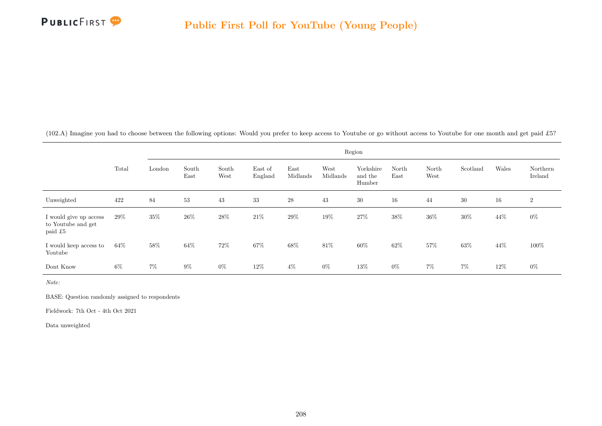

(102.A) Imagine you had to choose between the following options: Would you prefer to keep access to Youtube or go without access to Youtube for one month and get paid £5?

|                                                         |       | Region |               |               |                    |                  |                  |                                |               |               |          |       |                     |  |
|---------------------------------------------------------|-------|--------|---------------|---------------|--------------------|------------------|------------------|--------------------------------|---------------|---------------|----------|-------|---------------------|--|
|                                                         | Total | London | South<br>East | South<br>West | East of<br>England | East<br>Midlands | West<br>Midlands | Yorkshire<br>and the<br>Humber | North<br>East | North<br>West | Scotland | Wales | Northern<br>Ireland |  |
| Unweighted                                              | 422   | 84     | 53            | 43            | 33                 | 28               | 43               | 30                             | 16            | 44            | 30       | 16    | $\overline{2}$      |  |
| I would give up access<br>to Youtube and get<br>paid £5 | 29%   | 35%    | 26%           | 28%           | 21\%               | 29%              | 19%              | $27\%$                         | 38%           | 36%           | 30%      | 44%   | $0\%$               |  |
| I would keep access to<br>Youtube                       | 64%   | $58\%$ | 64%           | 72%           | 67%                | 68%              | 81\%             | 60%                            | 62%           | 57%           | 63%      | 44%   | 100%                |  |
| Dont Know                                               | 6%    | $7\%$  | $9\%$         | $0\%$         | 12%                | $4\%$            | $0\%$            | 13%                            | $0\%$         | $7\%$         | $7\%$    | 12%   | $0\%$               |  |

Note:

BASE: Question randomly assigned to respondents

Fieldwork: 7th Oct - 4th Oct 2021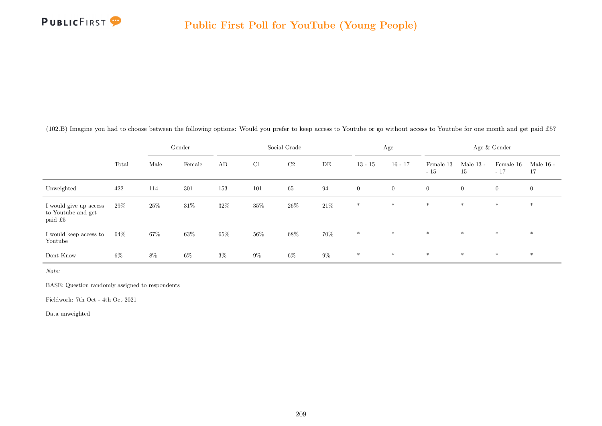

|  | (102.B) Imagine you had to choose between the following options: Would you prefer to keep access to Youtube or go without access to Youtube for one month and get paid £5? |  |
|--|----------------------------------------------------------------------------------------------------------------------------------------------------------------------------|--|
|--|----------------------------------------------------------------------------------------------------------------------------------------------------------------------------|--|

|                                                         |       | Gender |        | Social Grade |        |                |        | Age            |                | Age & Gender       |                   |                    |                   |
|---------------------------------------------------------|-------|--------|--------|--------------|--------|----------------|--------|----------------|----------------|--------------------|-------------------|--------------------|-------------------|
|                                                         | Total | Male   | Female | AB           | C1     | C <sub>2</sub> | DE     | $13 - 15$      | $16 - 17$      | Female 13<br>$-15$ | Male $13$ -<br>15 | Female 16<br>$-17$ | Male $16$ -<br>17 |
| Unweighted                                              | 422   | 114    | 301    | 153          | 101    | 65             | 94     | $\overline{0}$ | $\overline{0}$ | $\overline{0}$     | $\overline{0}$    | $\mathbf{0}$       | $\mathbf{0}$      |
| I would give up access<br>to Youtube and get<br>paid £5 | 29%   | $25\%$ | 31\%   | $32\%$       | 35%    | $26\%$         | $21\%$ | $\ast$         | $*$            | $*$                | $\ast$            | $\ast$             | $\ast$            |
| I would keep access to<br>Youtube                       | 64%   | 67%    | $63\%$ | $65\%$       | $56\%$ | $68\%$         | $70\%$ | $\ast$         | $*$            | $*$                | $\ast$            | $\ast$             | $*$               |
| Dont Know                                               | $6\%$ | 8%     | $6\%$  | $3\%$        | $9\%$  | $6\%$          | $9\%$  | $\ast$         | $\ast$         | $*$                | $\ast$            | $\ast$             | $*$               |

BASE: Question randomly assigned to respondents

Fieldwork: 7th Oct - 4th Oct 2021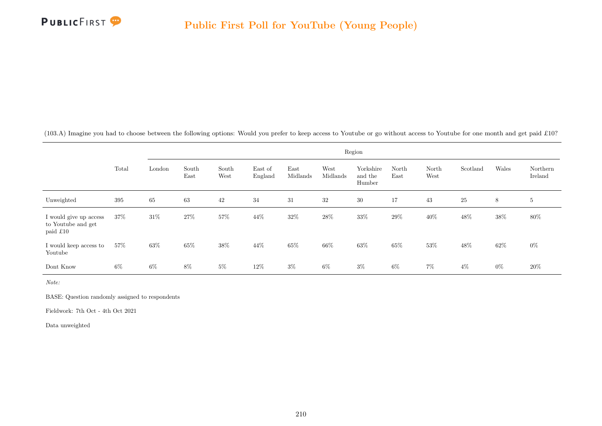

(103.A) Imagine you had to choose between the following options: Would you prefer to keep access to Youtube or go without access to Youtube for one month and get paid £10?

|                                                          |       | Region |               |               |                    |                  |                  |                                |               |               |          |        |                     |  |
|----------------------------------------------------------|-------|--------|---------------|---------------|--------------------|------------------|------------------|--------------------------------|---------------|---------------|----------|--------|---------------------|--|
|                                                          | Total | London | South<br>East | South<br>West | East of<br>England | East<br>Midlands | West<br>Midlands | Yorkshire<br>and the<br>Humber | North<br>East | North<br>West | Scotland | Wales  | Northern<br>Ireland |  |
| Unweighted                                               | 395   | 65     | 63            | 42            | 34                 | 31               | 32               | 30                             | 17            | 43            | 25       | 8      | $5\phantom{.0}$     |  |
| I would give up access<br>to Youtube and get<br>paid £10 | 37%   | $31\%$ | 27%           | $57\%$        | 44%                | $32\%$           | $28\%$           | $33\%$                         | 29%           | 40%           | 48%      | $38\%$ | $80\%$              |  |
| I would keep access to<br>Youtube                        | 57%   | 63%    | 65%           | 38%           | 44%                | 65%              | 66%              | 63%                            | 65%           | 53%           | 48%      | 62%    | $0\%$               |  |
| Dont Know                                                | 6%    | $6\%$  | $8\%$         | $5\%$         | 12%                | $3\%$            | $6\%$            | $3\%$                          | $6\%$         | $7\%$         | $4\%$    | $0\%$  | $20\%$              |  |

Note:

BASE: Question randomly assigned to respondents

Fieldwork: 7th Oct - 4th Oct 2021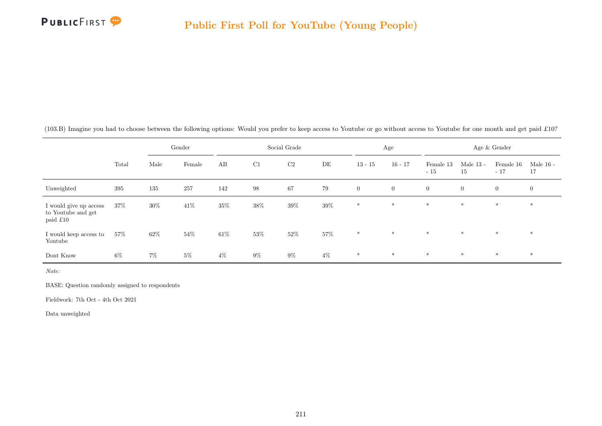

|  |  |  |  |  | (103.B) Imagine you had to choose between the following options: Would you prefer to keep access to Youtube or go without access to Youtube for one month and get paid £10? |
|--|--|--|--|--|-----------------------------------------------------------------------------------------------------------------------------------------------------------------------------|
|--|--|--|--|--|-----------------------------------------------------------------------------------------------------------------------------------------------------------------------------|

|                                                          |        | Gender |        | Social Grade |                   |        |        | Age            |                | Age & Gender       |                   |                    |                   |
|----------------------------------------------------------|--------|--------|--------|--------------|-------------------|--------|--------|----------------|----------------|--------------------|-------------------|--------------------|-------------------|
|                                                          | Total  | Male   | Female | AB           | C1                | C2     | DE     | $13 - 15$      | $16 - 17$      | Female 13<br>$-15$ | Male $13$ -<br>15 | Female 16<br>$-17$ | Male $16$ -<br>17 |
| Unweighted                                               | 395    | 135    | 257    | 142          | $\boldsymbol{98}$ | 67     | 79     | $\overline{0}$ | $\overline{0}$ | $\overline{0}$     | $\overline{0}$    | $\overline{0}$     | $\overline{0}$    |
| I would give up access<br>to Youtube and get<br>paid £10 | 37%    | 30%    | 41\%   | $35\%$       | 38%               | $39\%$ | $39\%$ | $*$            | $*$            | $\ast$             | $*$               | $\ast$             | $\ast$            |
| I would keep access to<br>Youtube                        | $57\%$ | 62\%   | 54%    | $61\%$       | 53%               | $52\%$ | $57\%$ | $*$            | $*$            | $*$                | $*$               | $*$                | $*$               |
| Dont Know                                                | $6\%$  | $7\%$  | $5\%$  | $4\%$        | $9\%$             | $9\%$  | $4\%$  | $\ast$         | $*$            | $*$                | $*$               | $*$                | $*$               |

BASE: Question randomly assigned to respondents

Fieldwork: 7th Oct - 4th Oct 2021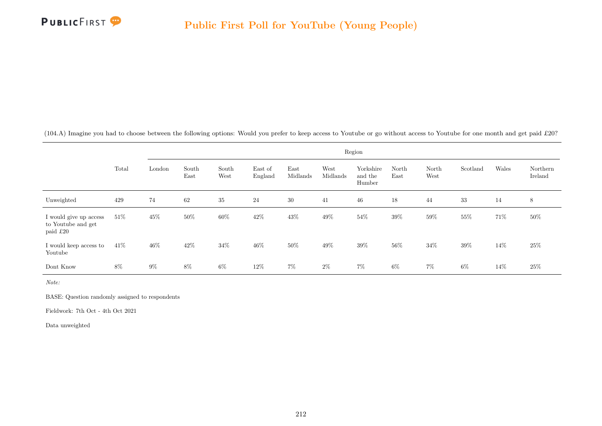

(104.A) Imagine you had to choose between the following options: Would you prefer to keep access to Youtube or go without access to Youtube for one month and get paid £20?

|                                                          | Region |        |               |               |                    |                  |                  |                                |               |               |          |        |                     |
|----------------------------------------------------------|--------|--------|---------------|---------------|--------------------|------------------|------------------|--------------------------------|---------------|---------------|----------|--------|---------------------|
|                                                          | Total  | London | South<br>East | South<br>West | East of<br>England | East<br>Midlands | West<br>Midlands | Yorkshire<br>and the<br>Humber | North<br>East | North<br>West | Scotland | Wales  | Northern<br>Ireland |
| Unweighted                                               | 429    | 74     | 62            | 35            | $24\,$             | 30               | 41               | 46                             | 18            | 44            | 33       | 14     | 8                   |
| I would give up access<br>to Youtube and get<br>paid £20 | 51\%   | 45%    | 50%           | $60\%$        | 42%                | 43%              | 49%              | $54\%$                         | 39%           | 59%           | 55%      | 71\%   | $50\%$              |
| I would keep access to<br>Youtube                        | 41\%   | 46%    | 42%           | $34\%$        | 46%                | 50%              | 49%              | 39%                            | 56%           | 34%           | 39%      | 14%    | 25\%                |
| Dont Know                                                | 8%     | $9\%$  | $8\%$         | 6%            | 12%                | $7\%$            | $2\%$            | $7\%$                          | $6\%$         | $7\%$         | $6\%$    | $14\%$ | 25\%                |

Note:

BASE: Question randomly assigned to respondents

Fieldwork: 7th Oct - 4th Oct 2021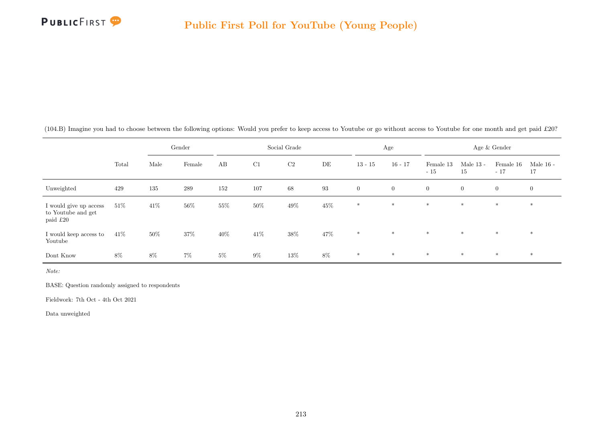

|  |  |  |  |  | (104.B) Imagine you had to choose between the following options: Would you prefer to keep access to Youtube or go without access to Youtube for one month and get paid £20? |
|--|--|--|--|--|-----------------------------------------------------------------------------------------------------------------------------------------------------------------------------|
|--|--|--|--|--|-----------------------------------------------------------------------------------------------------------------------------------------------------------------------------|

|                                                          |        | Gender |        | Social Grade |        |        |        | Age            |                | Age & Gender       |                   |                    |                   |
|----------------------------------------------------------|--------|--------|--------|--------------|--------|--------|--------|----------------|----------------|--------------------|-------------------|--------------------|-------------------|
|                                                          | Total  | Male   | Female | AB           | C1     | C2     | DE     | $13 - 15$      | $16 - 17$      | Female 13<br>$-15$ | Male $13$ -<br>15 | Female 16<br>$-17$ | Male $16$ -<br>17 |
| Unweighted                                               | 429    | 135    | 289    | 152          | 107    | 68     | 93     | $\overline{0}$ | $\overline{0}$ | $\overline{0}$     | $\overline{0}$    | $\overline{0}$     | $\overline{0}$    |
| I would give up access<br>to Youtube and get<br>paid £20 | $51\%$ | 41\%   | 56%    | 55%          | 50%    | $49\%$ | $45\%$ | $*$            | $*$            | $*$                | $*$               | $\ast$             | $\ast$            |
| I would keep access to<br>Youtube                        | 41\%   | $50\%$ | $37\%$ | $40\%$       | $41\%$ | $38\%$ | 47%    | $\ast$         | $*$            | $*$                | $*$               | $*$                | $\ast$            |
| Dont Know                                                | 8%     | $8\%$  | $7\%$  | $5\%$        | $9\%$  | 13%    | $8\%$  | $\ast$         | $*$            | $*$                | $*$               | $*$                | $*$               |

BASE: Question randomly assigned to respondents

Fieldwork: 7th Oct - 4th Oct 2021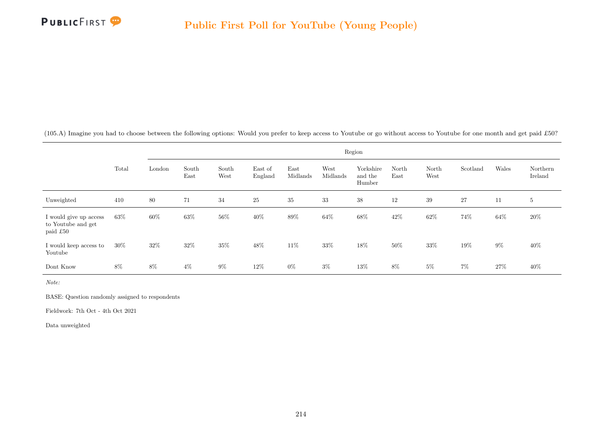

(105.A) Imagine you had to choose between the following options: Would you prefer to keep access to Youtube or go without access to Youtube for one month and get paid £50?

|                                                          | Region |        |               |               |                    |                  |                  |                                |               |               |          |       |                     |
|----------------------------------------------------------|--------|--------|---------------|---------------|--------------------|------------------|------------------|--------------------------------|---------------|---------------|----------|-------|---------------------|
|                                                          | Total  | London | South<br>East | South<br>West | East of<br>England | East<br>Midlands | West<br>Midlands | Yorkshire<br>and the<br>Humber | North<br>East | North<br>West | Scotland | Wales | Northern<br>Ireland |
| Unweighted                                               | 410    | 80     | 71            | 34            | <b>25</b>          | 35               | 33               | 38                             | 12            | 39            | 27       | 11    | $5^{\circ}$         |
| I would give up access<br>to Youtube and get<br>paid £50 | $63\%$ | 60%    | 63%           | 56%           | 40%                | $89\%$           | 64%              | $68\%$                         | 42%           | 62%           | 74%      | 64%   | 20%                 |
| I would keep access to<br>Youtube                        | $30\%$ | 32%    | 32%           | $35\%$        | 48%                | 11\%             | 33%              | $18\%$                         | 50%           | 33%           | 19%      | $9\%$ | 40\%                |
| Dont Know                                                | 8%     | $8\%$  | $4\%$         | $9\%$         | 12%                | $0\%$            | $3\%$            | 13%                            | 8%            | $5\%$         | $7\%$    | 27%   | 40%                 |

Note:

BASE: Question randomly assigned to respondents

Fieldwork: 7th Oct - 4th Oct 2021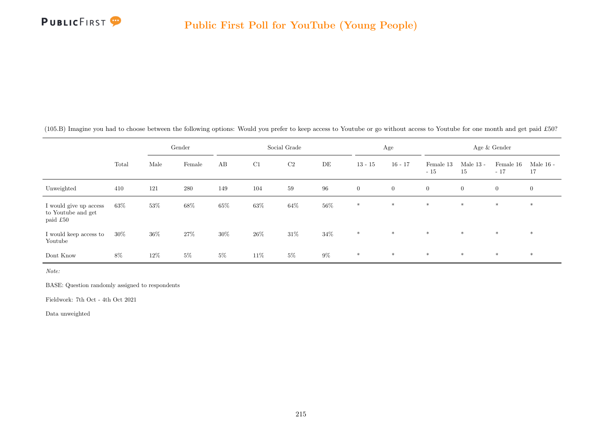

|  |  |  |  |  | (105.B) Imagine you had to choose between the following options: Would you prefer to keep access to Youtube or go without access to Youtube for one month and get paid £50? |
|--|--|--|--|--|-----------------------------------------------------------------------------------------------------------------------------------------------------------------------------|
|--|--|--|--|--|-----------------------------------------------------------------------------------------------------------------------------------------------------------------------------|

|                                                          |        | Gender |         | Social Grade |        |        |        | Age          |                | Age & Gender       |                   |                    |                   |
|----------------------------------------------------------|--------|--------|---------|--------------|--------|--------|--------|--------------|----------------|--------------------|-------------------|--------------------|-------------------|
|                                                          | Total  | Male   | Female  | AB           | C1     | C2     | DE     | $13 - 15$    | $16 - 17$      | Female 13<br>$-15$ | Male $13$ -<br>15 | Female 16<br>$-17$ | Male $16$ -<br>17 |
| Unweighted                                               | 410    | 121    | $280\,$ | 149          | 104    | 59     | 96     | $\mathbf{0}$ | $\overline{0}$ | $\overline{0}$     | $\overline{0}$    | $\overline{0}$     | $\overline{0}$    |
| I would give up access<br>to Youtube and get<br>paid £50 | 63%    | 53%    | $68\%$  | $65\%$       | 63%    | $64\%$ | 56%    | $*$          | $*$            | $*$                | $*$               | $\ast$             | $\ast$            |
| I would keep access to<br>Youtube                        | $30\%$ | $36\%$ | 27%     | $30\%$       | $26\%$ | $31\%$ | $34\%$ | $\ast$       | $*$            | $*$                | $*$               | $*$                | $*$               |
| Dont Know                                                | 8%     | 12\%   | $5\%$   | $5\%$        | 11\%   | $5\%$  | $9\%$  | $\ast$       | $\ast$         | $*$                | $*$               | $*$                | $*$               |

BASE: Question randomly assigned to respondents

Fieldwork: 7th Oct - 4th Oct 2021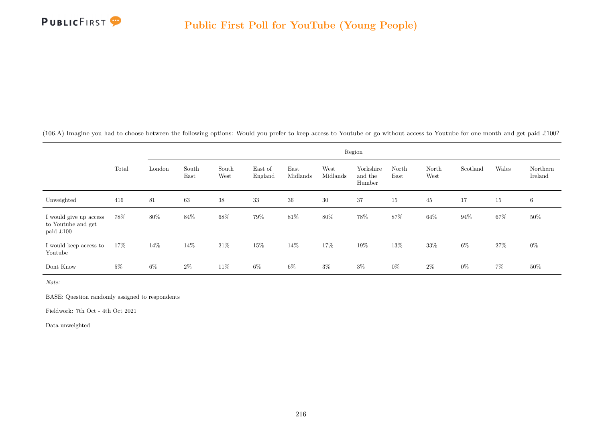

(106.A) Imagine you had to choose between the following options: Would you prefer to keep access to Youtube or go without access to Youtube for one month and get paid £100?

|                                                           |       | Region |               |               |                    |                  |                  |                                |               |               |          |       |                     |
|-----------------------------------------------------------|-------|--------|---------------|---------------|--------------------|------------------|------------------|--------------------------------|---------------|---------------|----------|-------|---------------------|
|                                                           | Total | London | South<br>East | South<br>West | East of<br>England | East<br>Midlands | West<br>Midlands | Yorkshire<br>and the<br>Humber | North<br>East | North<br>West | Scotland | Wales | Northern<br>Ireland |
| Unweighted                                                | 416   | 81     | 63            | 38            | 33                 | 36               | 30               | 37                             | 15            | 45            | 17       | 15    | 6                   |
| I would give up access<br>to Youtube and get<br>paid £100 | 78%   | 80%    | 84%           | $68\%$        | 79%                | 81\%             | 80%              | 78%                            | 87%           | 64%           | 94%      | 67%   | 50%                 |
| I would keep access to<br>Youtube                         | 17%   | 14%    | 14%           | $21\%$        | 15%                | 14%              | 17%              | 19%                            | 13%           | 33%           | $6\%$    | 27%   | $0\%$               |
| Dont Know                                                 | $5\%$ | 6%     | $2\%$         | 11\%          | $6\%$              | $6\%$            | $3\%$            | $3\%$                          | $0\%$         | $2\%$         | $0\%$    | $7\%$ | $50\%$              |

Note:

BASE: Question randomly assigned to respondents

Fieldwork: 7th Oct - 4th Oct 2021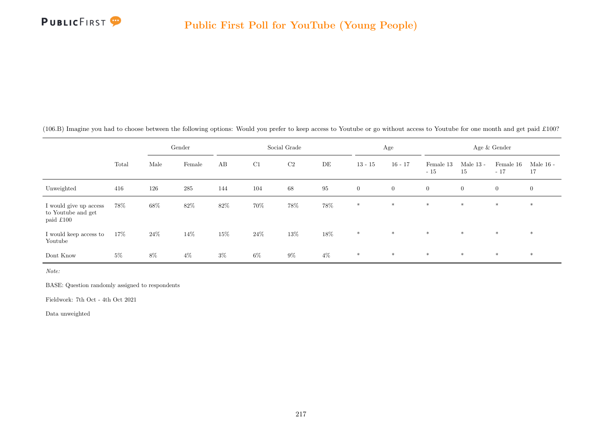

|  |  |  |  |  | (106.B) Imagine you had to choose between the following options: Would you prefer to keep access to Youtube or go without access to Youtube for one month and get paid £100? |
|--|--|--|--|--|------------------------------------------------------------------------------------------------------------------------------------------------------------------------------|
|--|--|--|--|--|------------------------------------------------------------------------------------------------------------------------------------------------------------------------------|

|                                                           |       | Gender |           | Social Grade |        |                |        |                | Age            | Age & Gender       |                   |                    |                   |
|-----------------------------------------------------------|-------|--------|-----------|--------------|--------|----------------|--------|----------------|----------------|--------------------|-------------------|--------------------|-------------------|
|                                                           | Total | Male   | Female    | AB           | C1     | C <sub>2</sub> | DE     | $13 - 15$      | $16 - 17$      | Female 13<br>$-15$ | Male $13$ -<br>15 | Female 16<br>$-17$ | Male $16$ -<br>17 |
| Unweighted                                                | 416   | 126    | $\bf 285$ | 144          | 104    | 68             | 95     | $\overline{0}$ | $\overline{0}$ | $\overline{0}$     | $\overline{0}$    | $\overline{0}$     | $\mathbf{0}$      |
| I would give up access<br>to Youtube and get<br>paid £100 | 78%   | $68\%$ | 82\%      | $82\%$       | 70%    | $78\%$         | $78\%$ | $*$            | $*$            | $*$                | $\ast$            | $*$                | $\ast$            |
| I would keep access to<br>Youtube                         | 17%   | $24\%$ | $14\%$    | $15\%$       | $24\%$ | $13\%$         | $18\%$ | $\ast$         | $*$            | $*$                | $*$               | $*$                | $*$               |
| Dont Know                                                 | $5\%$ | 8%     | $4\%$     | $3\%$        | $6\%$  | $9\%$          | $4\%$  | $\ast$         | $\ast$         | $*$                | $*$               | $\ast$             | $\ast$            |

Note:

BASE: Question randomly assigned to respondents

Fieldwork: 7th Oct - 4th Oct 2021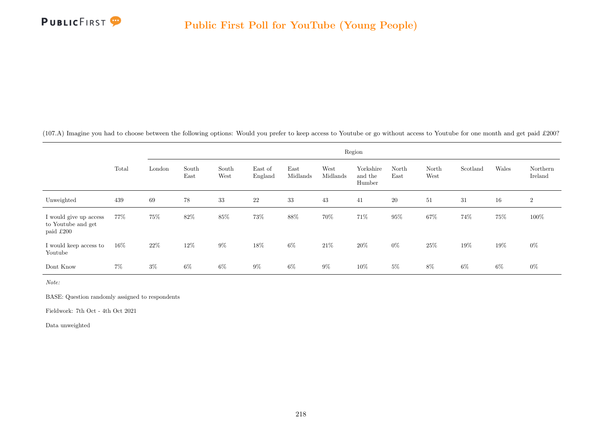

(107.A) Imagine you had to choose between the following options: Would you prefer to keep access to Youtube or go without access to Youtube for one month and get paid £200?

|                                                           |        | Region |               |               |                    |                  |                  |                                |               |               |          |       |                     |  |
|-----------------------------------------------------------|--------|--------|---------------|---------------|--------------------|------------------|------------------|--------------------------------|---------------|---------------|----------|-------|---------------------|--|
|                                                           | Total  | London | South<br>East | South<br>West | East of<br>England | East<br>Midlands | West<br>Midlands | Yorkshire<br>and the<br>Humber | North<br>East | North<br>West | Scotland | Wales | Northern<br>Ireland |  |
| Unweighted                                                | 439    | 69     | 78            | 33            | $22\,$             | 33               | 43               | 41                             | $20\,$        | 51            | 31       | 16    | $\overline{2}$      |  |
| I would give up access<br>to Youtube and get<br>paid £200 | 77%    | 75%    | 82%           | $85\%$        | 73%                | 88%              | 70%              | 71\%                           | 95%           | 67%           | 74%      | 75%   | 100%                |  |
| I would keep access to<br>Youtube                         | $16\%$ | 22%    | 12%           | $9\%$         | 18%                | $6\%$            | 21%              | 20%                            | $0\%$         | 25\%          | 19%      | 19%   | $0\%$               |  |
| Dont Know                                                 | $7\%$  | $3\%$  | $6\%$         | $6\%$         | $9\%$              | $6\%$            | $9\%$            | 10%                            | $5\%$         | 8%            | 6%       | 6%    | $0\%$               |  |

Note:

BASE: Question randomly assigned to respondents

Fieldwork: 7th Oct - 4th Oct 2021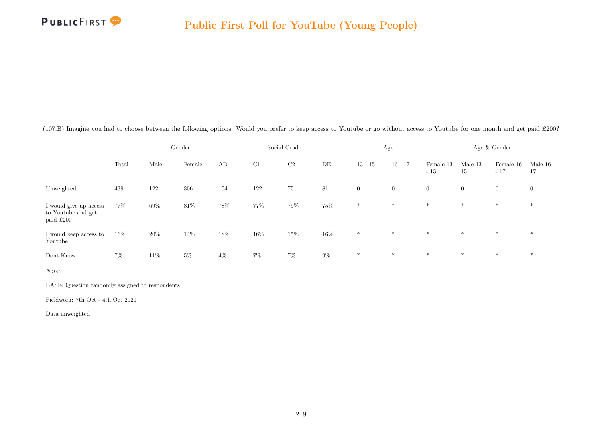

| (107.B) Imagine you had to choose between the following options: Would you prefer to keep access to Youtube or go without access to Youtube for one month and get paid £200? |  |  |  |  |
|------------------------------------------------------------------------------------------------------------------------------------------------------------------------------|--|--|--|--|
|------------------------------------------------------------------------------------------------------------------------------------------------------------------------------|--|--|--|--|

|                                                           |       |      | Gender |        | Social Grade |        |       |                | Age          | Age & Gender       |                   |                    |                   |
|-----------------------------------------------------------|-------|------|--------|--------|--------------|--------|-------|----------------|--------------|--------------------|-------------------|--------------------|-------------------|
|                                                           | Total | Male | Female | AB     | C1           | C2     | DE    | $13 - 15$      | $16 - 17$    | Female 13<br>$-15$ | Male $13$ -<br>15 | Female 16<br>$-17$ | Male $16$ -<br>17 |
| Unweighted                                                | 439   | 122  | 306    | 154    | 122          | 75     | 81    | $\overline{0}$ | $\mathbf{0}$ | $\boldsymbol{0}$   | $\overline{0}$    | $\overline{0}$     | $\overline{0}$    |
| I would give up access<br>to Youtube and get<br>paid £200 | 77%   | 69%  | 81\%   | 78%    | 77%          | 79%    | 75%   | $\ast$         | $*$          | $\ast$             | $*$               | $*$                | $\ast$            |
| I would keep access to<br>Youtube                         | 16%   | 20%  | 14%    | $18\%$ | 16%          | $15\%$ | 16%   | $*$            | $*$          | $*$                | $*$               | $*$                | $*$               |
| Dont Know                                                 | $7\%$ | 11\% | $5\%$  | $4\%$  | $7\%$        | $7\%$  | $9\%$ | $*$            | $\ast$       | $\ast$             | $\ast$            | $\ast$             | $\ast$            |

Note:

BASE: Question randomly assigned to respondents

Fieldwork: 7th Oct - 4th Oct 2021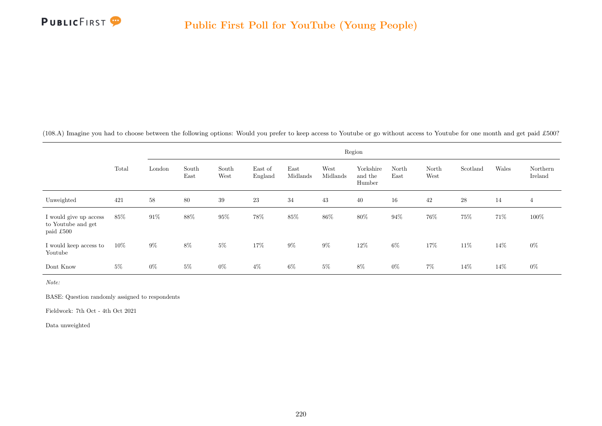

(108.A) Imagine you had to choose between the following options: Would you prefer to keep access to Youtube or go without access to Youtube for one month and get paid £500?

|                                                           |       | Region |               |               |                    |                  |                  |                                |               |               |          |       |                     |
|-----------------------------------------------------------|-------|--------|---------------|---------------|--------------------|------------------|------------------|--------------------------------|---------------|---------------|----------|-------|---------------------|
|                                                           | Total | London | South<br>East | South<br>West | East of<br>England | East<br>Midlands | West<br>Midlands | Yorkshire<br>and the<br>Humber | North<br>East | North<br>West | Scotland | Wales | Northern<br>Ireland |
| Unweighted                                                | 421   | 58     | $80\,$        | 39            | 23                 | 34               | 43               | 40                             | 16            | 42            | 28       | 14    | $\overline{4}$      |
| I would give up access<br>to Youtube and get<br>paid £500 | 85%   | 91%    | 88%           | $95\%$        | 78%                | $85\%$           | 86%              | 80%                            | 94%           | 76%           | 75%      | 71%   | $100\%$             |
| I would keep access to<br>Youtube                         | 10%   | $9\%$  | $8\%$         | $5\%$         | 17%                | $9\%$            | $9\%$            | $12\%$                         | $6\%$         | 17%           | 11%      | 14%   | $0\%$               |
| Dont Know                                                 | $5\%$ | $0\%$  | $5\%$         | $0\%$         | $4\%$              | $6\%$            | $5\%$            | $8\%$                          | $0\%$         | $7\%$         | 14%      | 14%   | $0\%$               |

Note:

BASE: Question randomly assigned to respondents

Fieldwork: 7th Oct - 4th Oct 2021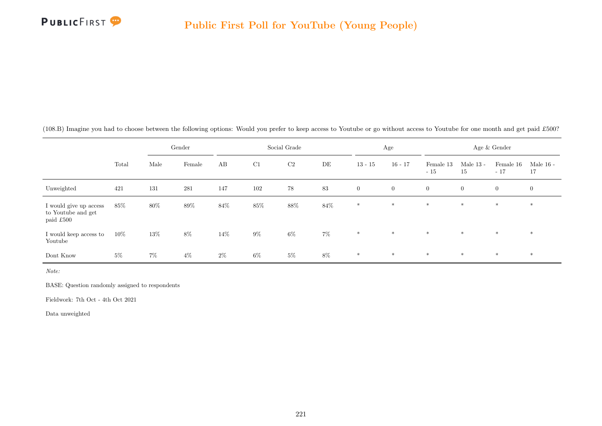

| (108.B) Imagine you had to choose between the following options: Would you prefer to keep access to Youtube or go without access to Youtube for one month and get paid £500? |  |  |
|------------------------------------------------------------------------------------------------------------------------------------------------------------------------------|--|--|
|------------------------------------------------------------------------------------------------------------------------------------------------------------------------------|--|--|

|                                                           |        | Gender |        | Social Grade |       |        |        |                | Age          | Age & Gender       |                   |                    |                   |
|-----------------------------------------------------------|--------|--------|--------|--------------|-------|--------|--------|----------------|--------------|--------------------|-------------------|--------------------|-------------------|
|                                                           | Total  | Male   | Female | AB           | C1    | C2     | DE     | $13 - 15$      | $16 - 17$    | Female 13<br>$-15$ | Male $13$ -<br>15 | Female 16<br>$-17$ | Male $16$ -<br>17 |
| Unweighted                                                | 421    | 131    | 281    | 147          | 102   | 78     | 83     | $\overline{0}$ | $\mathbf{0}$ | $\boldsymbol{0}$   | $\overline{0}$    | $\overline{0}$     | $\overline{0}$    |
| I would give up access<br>to Youtube and get<br>paid £500 | 85%    | 80%    | 89%    | $84\%$       | 85%   | $88\%$ | $84\%$ | $\ast$         | $*$          | $\ast$             | $*$               | $*$                | $\ast$            |
| I would keep access to<br>Youtube                         | $10\%$ | 13%    | $8\%$  | 14\%         | $9\%$ | $6\%$  | $7\%$  | $*$            | $*$          | $*$                | $*$               | $*$                | $*$               |
| Dont Know                                                 | $5\%$  | $7\%$  | $4\%$  | $2\%$        | $6\%$ | $5\%$  | 8%     | $*$            | $\ast$       | $\ast$             | $\ast$            | $\ast$             | $\ast$            |

Note:

BASE: Question randomly assigned to respondents

Fieldwork: 7th Oct - 4th Oct 2021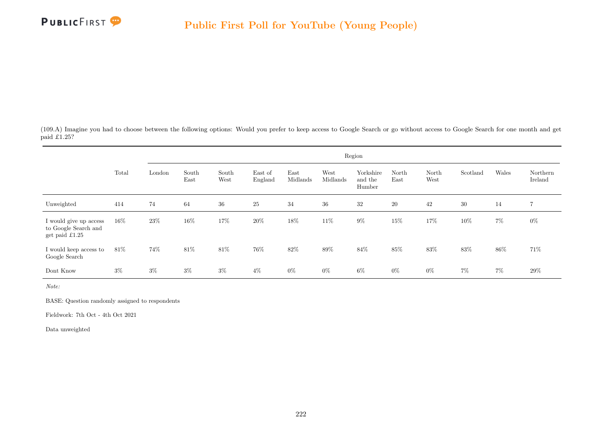

(109.A) Imagine you had to choose between the following options: Would you prefer to keep access to Google Search or go without access to Google Search for one month and get paid £1.25?

|                                                                          |        | Region |               |               |                    |                  |                  |                                |               |               |          |       |                     |  |
|--------------------------------------------------------------------------|--------|--------|---------------|---------------|--------------------|------------------|------------------|--------------------------------|---------------|---------------|----------|-------|---------------------|--|
|                                                                          | Total  | London | South<br>East | South<br>West | East of<br>England | East<br>Midlands | West<br>Midlands | Yorkshire<br>and the<br>Humber | North<br>East | North<br>West | Scotland | Wales | Northern<br>Ireland |  |
| Unweighted                                                               | 414    | 74     | 64            | $36\,$        | $25\,$             | 34               | $36\,$           | $32\,$                         | $20\,$        | 42            | 30       | 14    | 7                   |  |
| I would give up access<br>to Google Search and<br>get paid $\pounds1.25$ | $16\%$ | 23%    | 16%           | 17%           | 20%                | $18\%$           | 11\%             | $9\%$                          | 15%           | $17\%$        | $10\%$   | $7\%$ | $0\%$               |  |
| I would keep access to<br>Google Search                                  | 81\%   | 74%    | 81\%          | 81\%          | 76%                | 82%              | 89%              | 84\%                           | 85%           | 83%           | 83%      | 86%   | 71\%                |  |
| Dont Know                                                                | $3\%$  | $3\%$  | $3\%$         | $3\%$         | $4\%$              | $0\%$            | $0\%$            | $6\%$                          | $0\%$         | $0\%$         | $7\%$    | $7\%$ | $29\%$              |  |

Note:

BASE: Question randomly assigned to respondents

Fieldwork: 7th Oct - 4th Oct 2021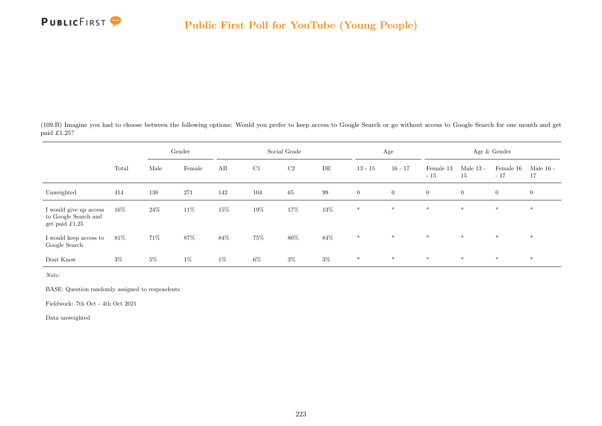

(109.B) Imagine you had to choose between the following options: Would you prefer to keep access to Google Search or go without access to Google Search for one month and get paid £1.25?

|                                                                          |        | Gender |        | Social Grade |       |                |        |                | Age            | Age & Gender       |                   |                    |                   |
|--------------------------------------------------------------------------|--------|--------|--------|--------------|-------|----------------|--------|----------------|----------------|--------------------|-------------------|--------------------|-------------------|
|                                                                          | Total  | Male   | Female | AB           | C1    | C <sub>2</sub> | DE     | $13 - 15$      | $16 - 17$      | Female 13<br>$-15$ | Male $13$ -<br>15 | Female 16<br>$-17$ | Male $16$ -<br>17 |
| Unweighted                                                               | 414    | 138    | 271    | 142          | 104   | 65             | 99     | $\overline{0}$ | $\overline{0}$ | $\overline{0}$     | $\overline{0}$    | $\overline{0}$     | $\overline{0}$    |
| I would give up access<br>to Google Search and<br>get paid $\pounds1.25$ | $16\%$ | 24\%   | 11\%   | $15\%$       | 19%   | 17%            | $13\%$ | $*$            | $*$            | $*$                | $*$               | $*$                | $*$               |
| I would keep access to<br>Google Search                                  | $81\%$ | 71%    | $87\%$ | 84\%         | 75%   | $80\%$         | $84\%$ | $\ast$         | $\ast$         | $*$                | $\ast$            | $\ast$             | $\ast$            |
| Dont Know                                                                | $3\%$  | $5\%$  | $1\%$  | $1\%$        | $6\%$ | $3\%$          | $3\%$  | $\ast$         | $\ast$         | $\ast$             | $*$               | $*$                | $*$               |

Note:

BASE: Question randomly assigned to respondents

Fieldwork: 7th Oct - 4th Oct 2021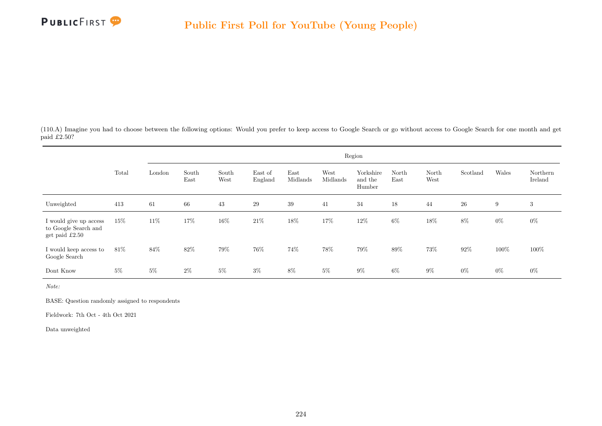

(110.A) Imagine you had to choose between the following options: Would you prefer to keep access to Google Search or go without access to Google Search for one month and get paid £2.50?

|                                                                    |       | Region |               |               |                    |                  |                  |                                |               |               |          |       |                     |  |
|--------------------------------------------------------------------|-------|--------|---------------|---------------|--------------------|------------------|------------------|--------------------------------|---------------|---------------|----------|-------|---------------------|--|
|                                                                    | Total | London | South<br>East | South<br>West | East of<br>England | East<br>Midlands | West<br>Midlands | Yorkshire<br>and the<br>Humber | North<br>East | North<br>West | Scotland | Wales | Northern<br>Ireland |  |
| Unweighted                                                         | 413   | 61     | 66            | 43            | 29                 | $39\,$           | 41               | 34                             | 18            | 44            | $26\,$   | 9     | 3                   |  |
| I would give up access<br>to Google Search and<br>get paid $£2.50$ | 15%   | 11\%   | 17%           | 16\%          | $21\%$             | $18\%$           | 17%              | 12%                            | $6\%$         | $18\%$        | 8%       | $0\%$ | $0\%$               |  |
| I would keep access to<br>Google Search                            | 81\%  | 84%    | 82%           | 79%           | 76%                | 74%              | 78%              | 79%                            | 89%           | 73%           | 92%      | 100%  | 100%                |  |
| Dont Know                                                          | $5\%$ | $5\%$  | $2\%$         | $5\%$         | $3\%$              | 8%               | $5\%$            | $9\%$                          | $6\%$         | $9\%$         | $0\%$    | $0\%$ | $0\%$               |  |

Note:

BASE: Question randomly assigned to respondents

Fieldwork: 7th Oct - 4th Oct 2021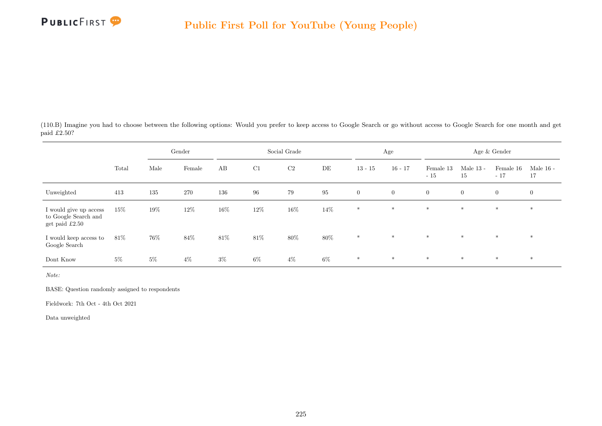

(110.B) Imagine you had to choose between the following options: Would you prefer to keep access to Google Search or go without access to Google Search for one month and get paid £2.50?

|                                                                    |        |       | Gender |        |       | Social Grade   |          |                | Age            |                    |                   | Age $\&$ Gender    |                   |
|--------------------------------------------------------------------|--------|-------|--------|--------|-------|----------------|----------|----------------|----------------|--------------------|-------------------|--------------------|-------------------|
|                                                                    | Total  | Male  | Female | AB     | C1    | C <sub>2</sub> | DE       | $13 - 15$      | $16 - 17$      | Female 13<br>$-15$ | Male $13$ -<br>15 | Female 16<br>$-17$ | Male $16$ -<br>17 |
| Unweighted                                                         | 413    | 135   | 270    | 136    | 96    | 79             | $\rm 95$ | $\overline{0}$ | $\overline{0}$ | $\overline{0}$     | $\overline{0}$    | $\overline{0}$     | $\overline{0}$    |
| I would give up access<br>to Google Search and<br>get paid $£2.50$ | $15\%$ | 19%   | 12%    | $16\%$ | 12%   | $16\%$         | 14\%     | $\ast$         | $*$            | $*$                | $*$               | $\ast$             | $\ast$            |
| I would keep access to<br>Google Search                            | $81\%$ | 76%   | 84\%   | $81\%$ | 81\%  | $80\%$         | $80\%$   | $*$            | $*$            | $*$                | $*$               | $*$                | $*$               |
| Dont Know                                                          | $5\%$  | $5\%$ | $4\%$  | $3\%$  | $6\%$ | $4\%$          | $6\%$    | $*$            | $\ast$         | $\ast$             | $*$               | $*$                | $*$               |

Note:

BASE: Question randomly assigned to respondents

Fieldwork: 7th Oct - 4th Oct 2021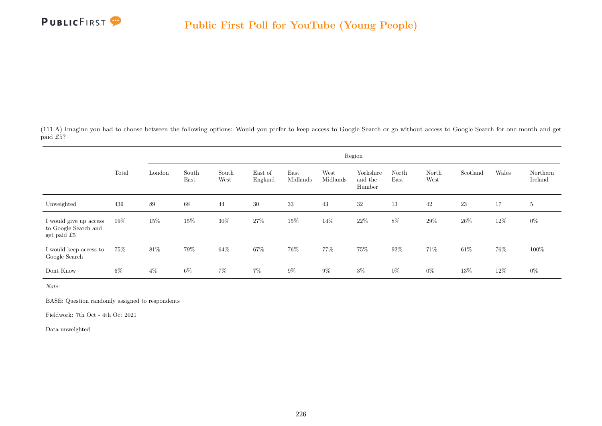

(111.A) Imagine you had to choose between the following options: Would you prefer to keep access to Google Search or go without access to Google Search for one month and get paid £5?

|                                                               | Region<br>Wales<br>South<br>West<br>Yorkshire<br>Total<br>South<br>East<br>Scotland<br>Northern<br>East of<br>North<br>North<br>London<br>West<br>Midlands<br>Midlands<br>Ireland<br>East<br>England<br>East<br>West<br>and the<br>Humber<br>23<br>89<br>68<br>$30\,$<br>33<br>43<br>32<br>42<br>439<br>13<br>17<br>$5\,$<br>44<br>15%<br>$30\%$<br>27%<br>15%<br>$22\%$<br>$8\%$<br>$12\%$<br>15%<br>14%<br>29%<br>26\%<br>$0\%$<br>$19\%$ |       |       |       |       |       |       |       |       |       |        |     |       |
|---------------------------------------------------------------|---------------------------------------------------------------------------------------------------------------------------------------------------------------------------------------------------------------------------------------------------------------------------------------------------------------------------------------------------------------------------------------------------------------------------------------------|-------|-------|-------|-------|-------|-------|-------|-------|-------|--------|-----|-------|
|                                                               |                                                                                                                                                                                                                                                                                                                                                                                                                                             |       |       |       |       |       |       |       |       |       |        |     |       |
| Unweighted                                                    |                                                                                                                                                                                                                                                                                                                                                                                                                                             |       |       |       |       |       |       |       |       |       |        |     |       |
| I would give up access<br>to Google Search and<br>get paid £5 |                                                                                                                                                                                                                                                                                                                                                                                                                                             |       |       |       |       |       |       |       |       |       |        |     |       |
| I would keep access to<br>Google Search                       | $75\%$                                                                                                                                                                                                                                                                                                                                                                                                                                      | 81\%  | 79%   | 64%   | 67%   | 76%   | 77%   | 75%   | 92%   | 71\%  | $61\%$ | 76% | 100%  |
| Dont Know                                                     | $6\%$                                                                                                                                                                                                                                                                                                                                                                                                                                       | $4\%$ | $6\%$ | $7\%$ | $7\%$ | $9\%$ | $9\%$ | $3\%$ | $0\%$ | $0\%$ | 13%    | 12% | $0\%$ |

Note:

BASE: Question randomly assigned to respondents

Fieldwork: 7th Oct - 4th Oct 2021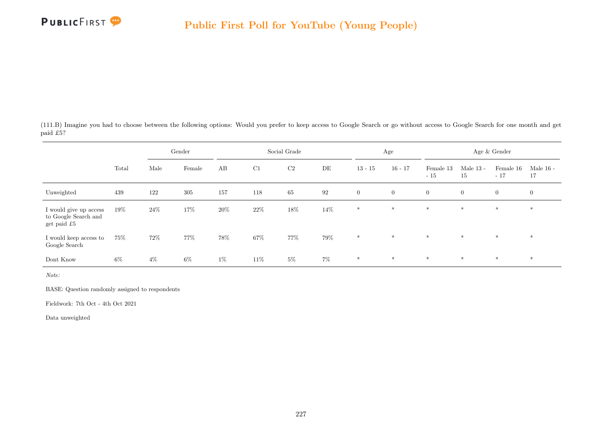

(111.B) Imagine you had to choose between the following options: Would you prefer to keep access to Google Search or go without access to Google Search for one month and get paid £5?

|                                                               |        |        | Gender |       |        | Social Grade   |       |              | Age            |                    |                   | Age & Gender       |                   |
|---------------------------------------------------------------|--------|--------|--------|-------|--------|----------------|-------|--------------|----------------|--------------------|-------------------|--------------------|-------------------|
|                                                               | Total  | Male   | Female | AB    | C1     | C <sub>2</sub> | DE    | $13 - 15$    | $16 - 17$      | Female 13<br>$-15$ | Male $13$ -<br>15 | Female 16<br>$-17$ | Male $16$ -<br>17 |
| Unweighted                                                    | 439    | 122    | 305    | 157   | 118    | 65             | 92    | $\mathbf{0}$ | $\overline{0}$ | $\overline{0}$     | $\overline{0}$    | $\overline{0}$     | $\overline{0}$    |
| I would give up access<br>to Google Search and<br>get paid £5 | $19\%$ | 24\%   | 17%    | 20%   | $22\%$ | $18\%$         | 14\%  | $*$          | $*$            | $*$                | $*$               | $*$                | $*$               |
| I would keep access to<br>Google Search                       | $75\%$ | $72\%$ | 77%    | 78%   | $67\%$ | 77%            | 79%   | $\ast$       | $\ast$         | $*$                | $\ast$            | $\ast$             | $\ast$            |
| Dont Know                                                     | $6\%$  | $4\%$  | $6\%$  | $1\%$ | 11\%   | $5\%$          | $7\%$ | $\ast$       | $\ast$         | $\ast$             | $*$               | $*$                | $*$               |

Note:

BASE: Question randomly assigned to respondents

Fieldwork: 7th Oct - 4th Oct 2021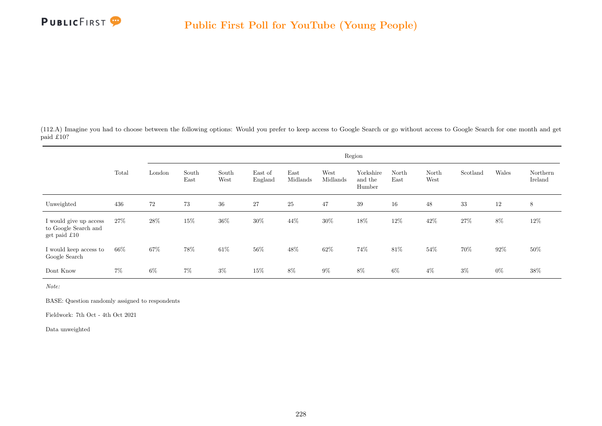

(112.A) Imagine you had to choose between the following options: Would you prefer to keep access to Google Search or go without access to Google Search for one month and get paid £10?

|                                                                |        |        |               |               |                    |                  |                  | Region                         |               |               |          |        |                     |
|----------------------------------------------------------------|--------|--------|---------------|---------------|--------------------|------------------|------------------|--------------------------------|---------------|---------------|----------|--------|---------------------|
|                                                                | Total  | London | South<br>East | South<br>West | East of<br>England | East<br>Midlands | West<br>Midlands | Yorkshire<br>and the<br>Humber | North<br>East | North<br>West | Scotland | Wales  | Northern<br>Ireland |
| Unweighted                                                     | 436    | 72     | 73            | $36\,$        | $27\,$             | 25               | 47               | 39                             | 16            | 48            | 33       | 12     | 8                   |
| I would give up access<br>to Google Search and<br>get paid £10 | $27\%$ | 28%    | 15%           | 36\%          | 30%                | 44\%             | 30%              | 18%                            | 12%           | $42\%$        | 27\%     | 8%     | 12\%                |
| I would keep access to<br>Google Search                        | $66\%$ | 67%    | 78%           | $61\%$        | 56%                | 48%              | 62\%             | 74%                            | 81\%          | 54%           | 70%      | $92\%$ | $50\%$              |
| Dont Know                                                      | $7\%$  | $6\%$  | $7\%$         | $3\%$         | 15%                | 8%               | $9\%$            | $8\%$                          | $6\%$         | $4\%$         | $3\%$    | $0\%$  | 38\%                |

Note:

BASE: Question randomly assigned to respondents

Fieldwork: 7th Oct - 4th Oct 2021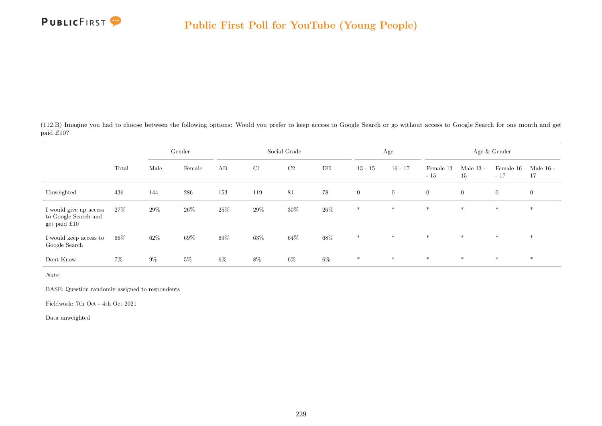

(112.B) Imagine you had to choose between the following options: Would you prefer to keep access to Google Search or go without access to Google Search for one month and get paid £10?

|                                                                |        |        | Gender |        |     | Social Grade   |        |                  | Age            |                    |                   | Age $\&$ Gender    |                   |
|----------------------------------------------------------------|--------|--------|--------|--------|-----|----------------|--------|------------------|----------------|--------------------|-------------------|--------------------|-------------------|
|                                                                | Total  | Male   | Female | AB     | C1  | C <sub>2</sub> | DE     | $13 - 15$        | $16 - 17$      | Female 13<br>$-15$ | Male $13$ -<br>15 | Female 16<br>$-17$ | Male $16$ -<br>17 |
| Unweighted                                                     | 436    | 144    | 286    | 153    | 119 | 81             | 78     | $\boldsymbol{0}$ | $\overline{0}$ | $\overline{0}$     | $\overline{0}$    | $\overline{0}$     | $\overline{0}$    |
| I would give up access<br>to Google Search and<br>get paid £10 | 27\%   | 29%    | 26\%   | $25\%$ | 29% | $30\%$         | $26\%$ | $\ast$           | $\ast$         | $*$                | $*$               | $\ast$             | $\ast$            |
| I would keep access to<br>Google Search                        | $66\%$ | $62\%$ | 69%    | $69\%$ | 63% | $64\%$         | $68\%$ | $*$              | $\ast$         | $\ast$             | $*$               | $*$                | $*$               |
| Dont Know                                                      | $7\%$  | $9\%$  | $5\%$  | $6\%$  | 8%  | $6\%$          | $6\%$  | $\ast$           | $\ast$         | $\ast$             | $*$               | $*$                | $*$               |

Note:

BASE: Question randomly assigned to respondents

Fieldwork: 7th Oct - 4th Oct 2021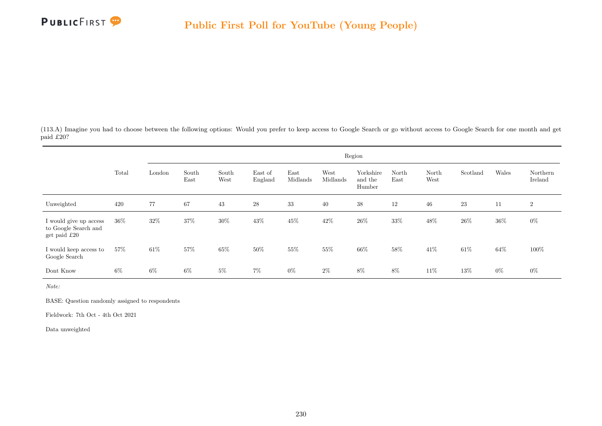

(113.A) Imagine you had to choose between the following options: Would you prefer to keep access to Google Search or go without access to Google Search for one month and get paid £20?

|                                                                |       |        |               |               |                    |                  |                  | Region                         |               |               |          |        |                     |
|----------------------------------------------------------------|-------|--------|---------------|---------------|--------------------|------------------|------------------|--------------------------------|---------------|---------------|----------|--------|---------------------|
|                                                                | Total | London | South<br>East | South<br>West | East of<br>England | East<br>Midlands | West<br>Midlands | Yorkshire<br>and the<br>Humber | North<br>East | North<br>West | Scotland | Wales  | Northern<br>Ireland |
| Unweighted                                                     | 420   | 77     | 67            | 43            | $\sqrt{28}$        | 33               | 40               | 38                             | 12            | 46            | 23       | 11     | $\boldsymbol{2}$    |
| I would give up access<br>to Google Search and<br>get paid £20 | 36\%  | 32\%   | 37%           | 30%           | 43\%               | $45\%$           | 42\%             | 26\%                           | 33%           | $48\%$        | $26\%$   | $36\%$ | $0\%$               |
| I would keep access to<br>Google Search                        | 57\%  | $61\%$ | 57%           | 65%           | 50%                | 55%              | 55%              | 66%                            | $58\%$        | 41%           | $61\%$   | 64%    | 100%                |
| Dont Know                                                      | 6%    | $6\%$  | $6\%$         | $5\%$         | $7\%$              | $0\%$            | $2\%$            | 8%                             | 8%            | 11\%          | 13%      | $0\%$  | $0\%$               |

Note:

BASE: Question randomly assigned to respondents

Fieldwork: 7th Oct - 4th Oct 2021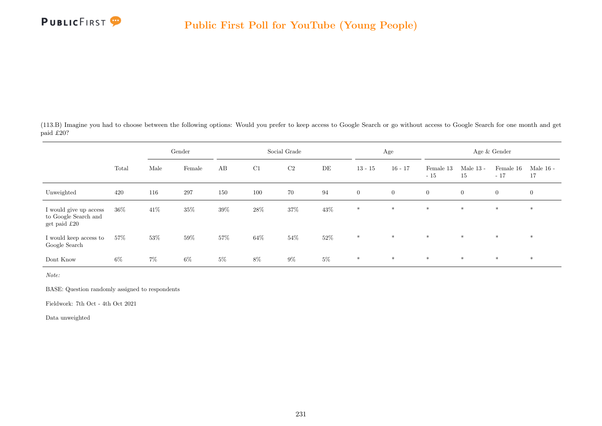

(113.B) Imagine you had to choose between the following options: Would you prefer to keep access to Google Search or go without access to Google Search for one month and get paid £20?

|                                                                  |        |        | Gender |       |        | Social Grade   |        |                | Age            |                    |                   | Age $\&$ Gender    |                   |
|------------------------------------------------------------------|--------|--------|--------|-------|--------|----------------|--------|----------------|----------------|--------------------|-------------------|--------------------|-------------------|
|                                                                  | Total  | Male   | Female | AB    | C1     | C <sub>2</sub> | DE     | $13 - 15$      | $16 - 17$      | Female 13<br>$-15$ | Male $13$ -<br>15 | Female 16<br>$-17$ | Male $16$ -<br>17 |
| Unweighted                                                       | 420    | 116    | 297    | 150   | 100    | 70             | 94     | $\overline{0}$ | $\overline{0}$ | $\overline{0}$     | $\overline{0}$    | $\overline{0}$     | $\overline{0}$    |
| I would give up access<br>to Google Search and<br>get paid $£20$ | $36\%$ | $41\%$ | 35%    | 39%   | 28\%   | $37\%$         | 43%    | $*$            | $*$            | $*$                | $*$               | $\ast$             | $\ast$            |
| I would keep access to<br>Google Search                          | 57%    | 53%    | 59%    | 57%   | $64\%$ | $54\%$         | $52\%$ | $*$            | $*$            | $*$                | $*$               | $*$                | $\ast$            |
| Dont Know                                                        | $6\%$  | $7\%$  | $6\%$  | $5\%$ | $8\%$  | $9\%$          | $5\%$  | $\ast$         | $\ast$         | $\ast$             | $*$               | $*$                | $*$               |

Note:

BASE: Question randomly assigned to respondents

Fieldwork: 7th Oct - 4th Oct 2021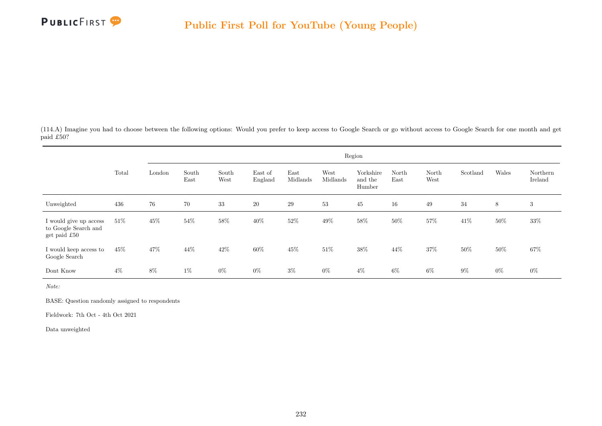

(114.A) Imagine you had to choose between the following options: Would you prefer to keep access to Google Search or go without access to Google Search for one month and get paid £50?

|                                                                |        |        |               |               |                    |                  |                  | Region                         |               |               |          |       |                     |
|----------------------------------------------------------------|--------|--------|---------------|---------------|--------------------|------------------|------------------|--------------------------------|---------------|---------------|----------|-------|---------------------|
|                                                                | Total  | London | South<br>East | South<br>West | East of<br>England | East<br>Midlands | West<br>Midlands | Yorkshire<br>and the<br>Humber | North<br>East | North<br>West | Scotland | Wales | Northern<br>Ireland |
| Unweighted                                                     | 436    | 76     | 70            | 33            | <b>20</b>          | 29               | 53               | 45                             | 16            | 49            | 34       | 8     | 3                   |
| I would give up access<br>to Google Search and<br>get paid £50 | $51\%$ | 45%    | 54%           | $58\%$        | 40\%               | $52\%$           | 49%              | $58\%$                         | 50%           | 57%           | 41\%     | 50%   | 33%                 |
| I would keep access to<br>Google Search                        | 45%    | 47\%   | 44%           | 42\%          | 60%                | 45\%             | 51\%             | 38%                            | 44%           | 37%           | 50%      | 50%   | 67%                 |
| Dont Know                                                      | $4\%$  | $8\%$  | $1\%$         | $0\%$         | $0\%$              | $3\%$            | $0\%$            | $4\%$                          | $6\%$         | $6\%$         | $9\%$    | $0\%$ | $0\%$               |

Note:

BASE: Question randomly assigned to respondents

Fieldwork: 7th Oct - 4th Oct 2021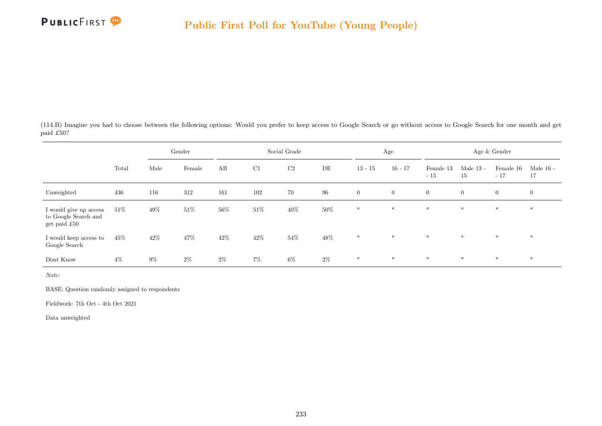

(114.B) Imagine you had to choose between the following options: Would you prefer to keep access to Google Search or go without access to Google Search for one month and get paid £50?

|                                                                |        |        | Gender |        |        | Social Grade   |        |              | Age            |                    |                   | Age & Gender       |                   |
|----------------------------------------------------------------|--------|--------|--------|--------|--------|----------------|--------|--------------|----------------|--------------------|-------------------|--------------------|-------------------|
|                                                                | Total  | Male   | Female | AB     | C1     | C <sub>2</sub> | DE     | $13 - 15$    | $16 - 17$      | Female 13<br>$-15$ | Male $13$ -<br>15 | Female 16<br>$-17$ | Male $16$ -<br>17 |
| Unweighted                                                     | 436    | 116    | 312    | 161    | 102    | 70             | 96     | $\mathbf{0}$ | $\overline{0}$ | $\overline{0}$     | $\overline{0}$    | $\overline{0}$     | $\overline{0}$    |
| I would give up access<br>to Google Search and<br>get paid £50 | $51\%$ | $49\%$ | $51\%$ | 56%    | $51\%$ | 40\%           | $50\%$ | $*$          | $*$            | $*$                | $*$               | $*$                | $*$               |
| I would keep access to<br>Google Search                        | $45\%$ | $42\%$ | 47%    | $42\%$ | $42\%$ | $54\%$         | $48\%$ | $\ast$       | $\ast$         | $*$                | $\ast$            | $\ast$             | $\ast$            |
| Dont Know                                                      | $4\%$  | $9\%$  | $2\%$  | $2\%$  | $7\%$  | $6\%$          | $2\%$  | $\ast$       | $\ast$         | $\ast$             | $*$               | $*$                | $*$               |

Note:

BASE: Question randomly assigned to respondents

Fieldwork: 7th Oct - 4th Oct 2021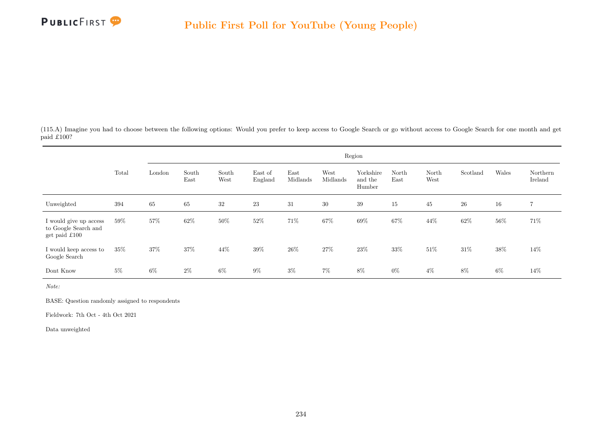

(115.A) Imagine you had to choose between the following options: Would you prefer to keep access to Google Search or go without access to Google Search for one month and get paid £100?

|                                                                 |        | Region<br>Wales<br>South<br>East<br>Yorkshire<br>West<br>Scotland<br>Northern<br>South<br>East of<br>North<br>North<br>London<br>Midlands<br>West<br>England<br>Midlands<br>Ireland<br>East<br>East<br>West<br>and the<br>Humber<br>$23\,$<br>65<br>65<br>32<br>31<br>30<br>39<br>$26\,$<br>16<br>15<br>45<br>$\overline{7}$<br>57%<br>$50\%$<br>71%<br>69%<br>62%<br>52%<br>67%<br>67%<br>44\%<br>56%<br>71%<br>62% |       |       |       |        |       |       |       |       |      |       |      |  |  |
|-----------------------------------------------------------------|--------|----------------------------------------------------------------------------------------------------------------------------------------------------------------------------------------------------------------------------------------------------------------------------------------------------------------------------------------------------------------------------------------------------------------------|-------|-------|-------|--------|-------|-------|-------|-------|------|-------|------|--|--|
|                                                                 | Total  |                                                                                                                                                                                                                                                                                                                                                                                                                      |       |       |       |        |       |       |       |       |      |       |      |  |  |
| Unweighted                                                      | 394    |                                                                                                                                                                                                                                                                                                                                                                                                                      |       |       |       |        |       |       |       |       |      |       |      |  |  |
| I would give up access<br>to Google Search and<br>get paid £100 | 59%    |                                                                                                                                                                                                                                                                                                                                                                                                                      |       |       |       |        |       |       |       |       |      |       |      |  |  |
| I would keep access to<br>Google Search                         | $35\%$ | 37%                                                                                                                                                                                                                                                                                                                                                                                                                  | 37%   | 44%   | 39%   | $26\%$ | 27%   | 23\%  | 33%   | 51\%  | 31\% | 38%   | 14\% |  |  |
| Dont Know                                                       | $5\%$  | $6\%$                                                                                                                                                                                                                                                                                                                                                                                                                | $2\%$ | $6\%$ | $9\%$ | $3\%$  | $7\%$ | $8\%$ | $0\%$ | $4\%$ | 8%   | $6\%$ | 14\% |  |  |

Note:

BASE: Question randomly assigned to respondents

Fieldwork: 7th Oct - 4th Oct 2021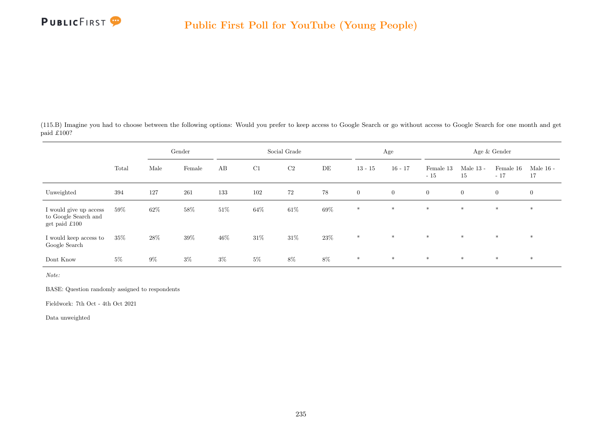

(115.B) Imagine you had to choose between the following options: Would you prefer to keep access to Google Search or go without access to Google Search for one month and get paid £100?

|                                                                 |        |        | Gender |        |        | Social Grade   |        |                | Age            |                    |                   | Age $\&$ Gender    |                   |
|-----------------------------------------------------------------|--------|--------|--------|--------|--------|----------------|--------|----------------|----------------|--------------------|-------------------|--------------------|-------------------|
|                                                                 | Total  | Male   | Female | AB     | C1     | C <sub>2</sub> | DE     | $13 - 15$      | $16 - 17$      | Female 13<br>$-15$ | Male $13$ -<br>15 | Female 16<br>$-17$ | Male $16$ -<br>17 |
| Unweighted                                                      | 394    | 127    | 261    | 133    | 102    | 72             | 78     | $\overline{0}$ | $\overline{0}$ | $\overline{0}$     | $\overline{0}$    | $\overline{0}$     | $\overline{0}$    |
| I would give up access<br>to Google Search and<br>get paid £100 | 59%    | 62%    | $58\%$ | $51\%$ | 64%    | $61\%$         | $69\%$ | $*$            | $*$            | $*$                | $*$               | $*$                | $*$               |
| I would keep access to<br>Google Search                         | $35\%$ | $28\%$ | $39\%$ | $46\%$ | $31\%$ | $31\%$         | $23\%$ | $*$            | $\ast$         | $*$                | $\ast$            | $\ast$             | $\ast$            |
| Dont Know                                                       | $5\%$  | $9\%$  | $3\%$  | $3\%$  | $5\%$  | $8\%$          | $8\%$  | $\ast$         | $\ast$         | $\ast$             | $*$               | $*$                | $*$               |

Note:

BASE: Question randomly assigned to respondents

Fieldwork: 7th Oct - 4th Oct 2021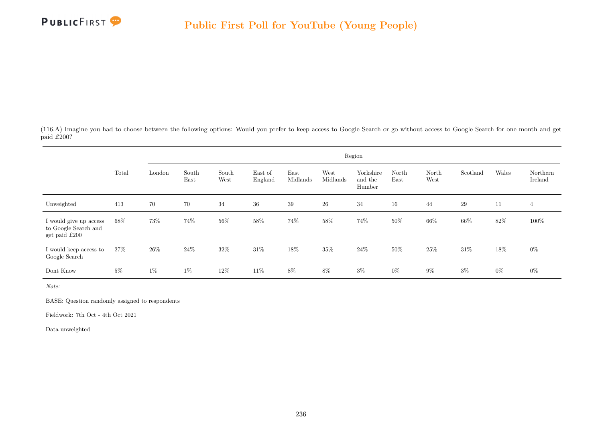

(116.A) Imagine you had to choose between the following options: Would you prefer to keep access to Google Search or go without access to Google Search for one month and get paid £200?

|                                                                 |       | Region<br>Wales<br>South<br>East<br>Yorkshire<br>West<br>Scotland<br>Northern<br>South<br>East of<br>North<br>North<br>London<br>Midlands<br>West<br>England<br>Midlands<br>Ireland<br>East<br>East<br>West<br>and the<br>Humber<br>70<br>34<br>$39\,$<br>${\bf 26}$<br>34<br>29<br>70<br>36<br>16<br>11<br>44<br>4<br>73%<br>$56\%$<br>74%<br>66%<br>$100\%$<br>74%<br>58%<br>58%<br>74%<br>50%<br>66%<br>$82\%$ |       |      |      |        |     |       |       |       |       |       |       |  |
|-----------------------------------------------------------------|-------|-------------------------------------------------------------------------------------------------------------------------------------------------------------------------------------------------------------------------------------------------------------------------------------------------------------------------------------------------------------------------------------------------------------------|-------|------|------|--------|-----|-------|-------|-------|-------|-------|-------|--|
|                                                                 | Total |                                                                                                                                                                                                                                                                                                                                                                                                                   |       |      |      |        |     |       |       |       |       |       |       |  |
| Unweighted                                                      | 413   |                                                                                                                                                                                                                                                                                                                                                                                                                   |       |      |      |        |     |       |       |       |       |       |       |  |
| I would give up access<br>to Google Search and<br>get paid £200 | 68%   |                                                                                                                                                                                                                                                                                                                                                                                                                   |       |      |      |        |     |       |       |       |       |       |       |  |
| I would keep access to<br>Google Search                         | 27%   | 26\%                                                                                                                                                                                                                                                                                                                                                                                                              | 24%   | 32%  | 31\% | $18\%$ | 35% | 24\%  | 50%   | 25%   | 31\%  | 18%   | $0\%$ |  |
| Dont Know                                                       | $5\%$ | $1\%$                                                                                                                                                                                                                                                                                                                                                                                                             | $1\%$ | 12\% | 11\% | $8\%$  | 8%  | $3\%$ | $0\%$ | $9\%$ | $3\%$ | $0\%$ | $0\%$ |  |

Note:

BASE: Question randomly assigned to respondents

Fieldwork: 7th Oct - 4th Oct 2021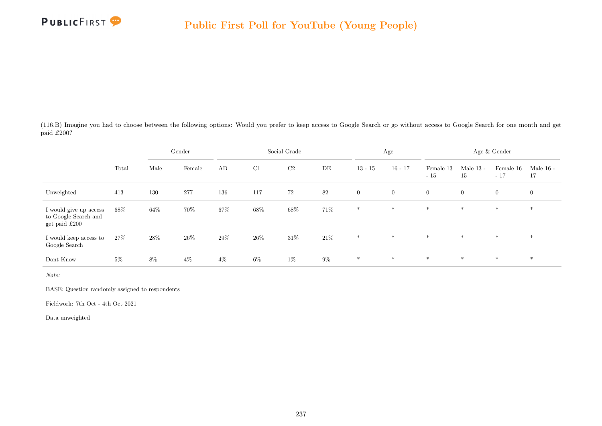

(116.B) Imagine you had to choose between the following options: Would you prefer to keep access to Google Search or go without access to Google Search for one month and get paid £200?

|                                                                 |        | Gender |        | Social Grade |        |                |        | Age          |                | Age & Gender       |                   |                    |                   |
|-----------------------------------------------------------------|--------|--------|--------|--------------|--------|----------------|--------|--------------|----------------|--------------------|-------------------|--------------------|-------------------|
|                                                                 | Total  | Male   | Female | AB           | C1     | C <sub>2</sub> | DE     | $13 - 15$    | $16 - 17$      | Female 13<br>$-15$ | Male $13$ -<br>15 | Female 16<br>$-17$ | Male $16$ -<br>17 |
| Unweighted                                                      | 413    | 130    | 277    | 136          | 117    | 72             | 82     | $\mathbf{0}$ | $\overline{0}$ | $\overline{0}$     | $\overline{0}$    | $\overline{0}$     | $\overline{0}$    |
| I would give up access<br>to Google Search and<br>get paid £200 | $68\%$ | 64%    | 70%    | $67\%$       | $68\%$ | $68\%$         | 71%    | $\ast$       | $*$            | $*$                | $*$               | $*$                | $*$               |
| I would keep access to<br>Google Search                         | $27\%$ | $28\%$ | $26\%$ | $29\%$       | $26\%$ | $31\%$         | $21\%$ | $\ast$       | $\ast$         | $*$                | $\ast$            | $\ast$             | $\ast$            |
| Dont Know                                                       | $5\%$  | 8%     | $4\%$  | $4\%$        | $6\%$  | $1\%$          | $9\%$  | $\ast$       | $\ast$         | $\ast$             | $*$               | $*$                | $*$               |

Note:

BASE: Question randomly assigned to respondents

Fieldwork: 7th Oct - 4th Oct 2021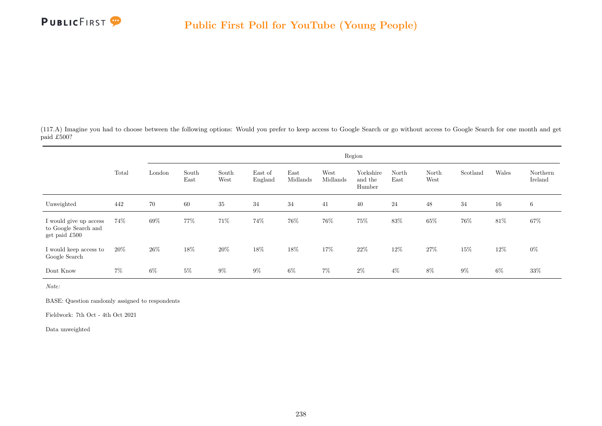

(117.A) Imagine you had to choose between the following options: Would you prefer to keep access to Google Search or go without access to Google Search for one month and get paid £500?

|                                                                 |        | Region |               |               |                    |                  |                  |                                |               |               |          |       |                     |
|-----------------------------------------------------------------|--------|--------|---------------|---------------|--------------------|------------------|------------------|--------------------------------|---------------|---------------|----------|-------|---------------------|
|                                                                 | Total  | London | South<br>East | South<br>West | East of<br>England | East<br>Midlands | West<br>Midlands | Yorkshire<br>and the<br>Humber | North<br>East | North<br>West | Scotland | Wales | Northern<br>Ireland |
| Unweighted                                                      | 442    | 70     | 60            | $35\,$        | 34                 | 34               | 41               | 40                             | 24            | 48            | 34       | 16    | 6                   |
| I would give up access<br>to Google Search and<br>get paid £500 | 74%    | 69%    | 77%           | 71%           | 74%                | 76%              | 76%              | 75%                            | 83%           | 65%           | 76%      | 81\%  | 67%                 |
| I would keep access to<br>Google Search                         | $20\%$ | $26\%$ | 18%           | $20\%$        | 18%                | $18\%$           | 17%              | 22\%                           | 12%           | 27%           | 15%      | 12%   | $0\%$               |
| Dont Know                                                       | $7\%$  | $6\%$  | $5\%$         | $9\%$         | $9\%$              | $6\%$            | $7\%$            | $2\%$                          | $4\%$         | $8\%$         | $9\%$    | $6\%$ | 33%                 |

Note:

BASE: Question randomly assigned to respondents

Fieldwork: 7th Oct - 4th Oct 2021